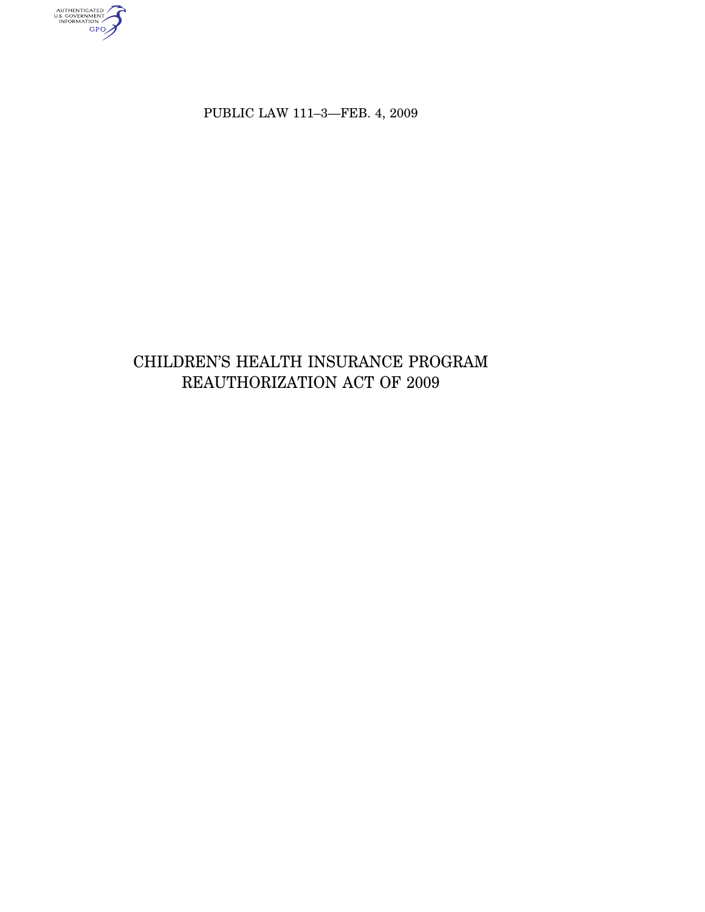AUTHENTICATED<br>U.S. GOVERNMENT<br>INFORMATION

PUBLIC LAW 111–3—FEB. 4, 2009

# CHILDREN'S HEALTH INSURANCE PROGRAM REAUTHORIZATION ACT OF 2009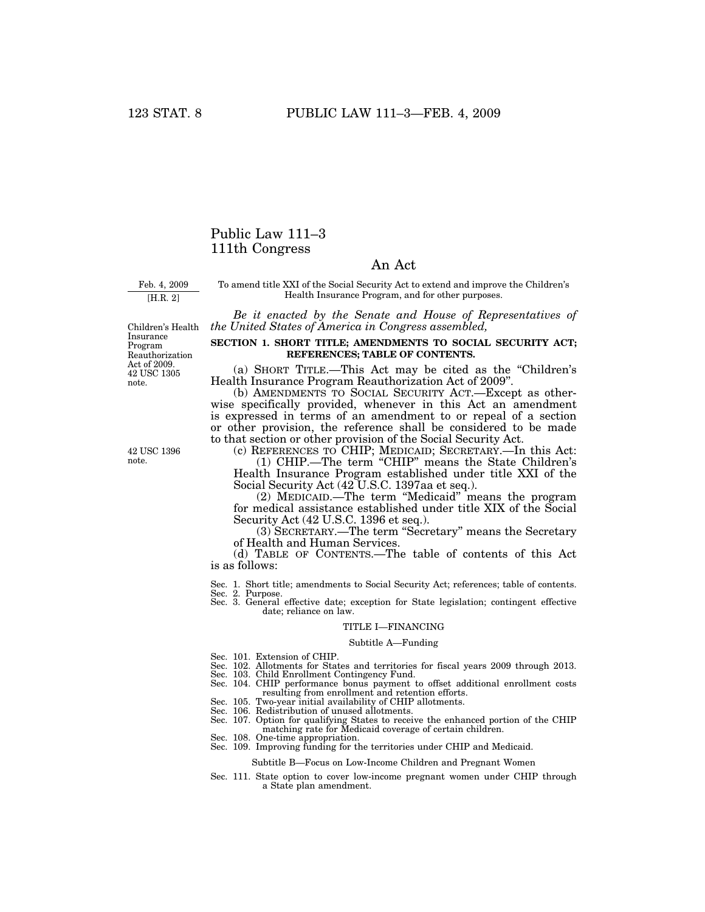# Public Law 111–3 111th Congress

# An Act

Feb. 4, 2009

[H.R. 2]

To amend title XXI of the Social Security Act to extend and improve the Children's Health Insurance Program, and for other purposes.

*Be it enacted by the Senate and House of Representatives of the United States of America in Congress assembled,* 

42 USC 1305 note. Children's Health Insurance Program Reauthorization Act of 2009.

42 USC 1396 note.

**SECTION 1. SHORT TITLE; AMENDMENTS TO SOCIAL SECURITY ACT; REFERENCES; TABLE OF CONTENTS.** 

(a) SHORT TITLE.—This Act may be cited as the ''Children's Health Insurance Program Reauthorization Act of 2009''.

(b) AMENDMENTS TO SOCIAL SECURITY ACT.—Except as otherwise specifically provided, whenever in this Act an amendment is expressed in terms of an amendment to or repeal of a section or other provision, the reference shall be considered to be made to that section or other provision of the Social Security Act.

(c) REFERENCES TO CHIP; MEDICAID; SECRETARY.—In this Act:

(1) CHIP.—The term ''CHIP'' means the State Children's Health Insurance Program established under title XXI of the Social Security Act (42 U.S.C. 1397aa et seq.).

(2) MEDICAID.—The term ''Medicaid'' means the program for medical assistance established under title XIX of the Social Security Act (42 U.S.C. 1396 et seq.).

(3) SECRETARY.—The term ''Secretary'' means the Secretary of Health and Human Services.

(d) TABLE OF CONTENTS.—The table of contents of this Act is as follows:

Sec. 1. Short title; amendments to Social Security Act; references; table of contents. Sec. 2. Purpose.

Sec. 3. General effective date; exception for State legislation; contingent effective date; reliance on law.

# TITLE I—FINANCING

#### Subtitle A—Funding

- Sec. 101. Extension of CHIP.
- Sec. 102. Allotments for States and territories for fiscal years 2009 through 2013.
- Sec. 103. Child Enrollment Contingency Fund. Sec. 104. CHIP performance bonus payment to offset additional enrollment costs resulting from enrollment and retention efforts.
- Sec. 105. Two-year initial availability of CHIP allotments.
- Sec. 106. Redistribution of unused allotments.
- Sec. 107. Option for qualifying States to receive the enhanced portion of the CHIP
- matching rate for Medicaid coverage of certain children.
- Sec. 108. One-time appropriation.
- Sec. 109. Improving funding for the territories under CHIP and Medicaid.

#### Subtitle B—Focus on Low-Income Children and Pregnant Women

Sec. 111. State option to cover low-income pregnant women under CHIP through a State plan amendment.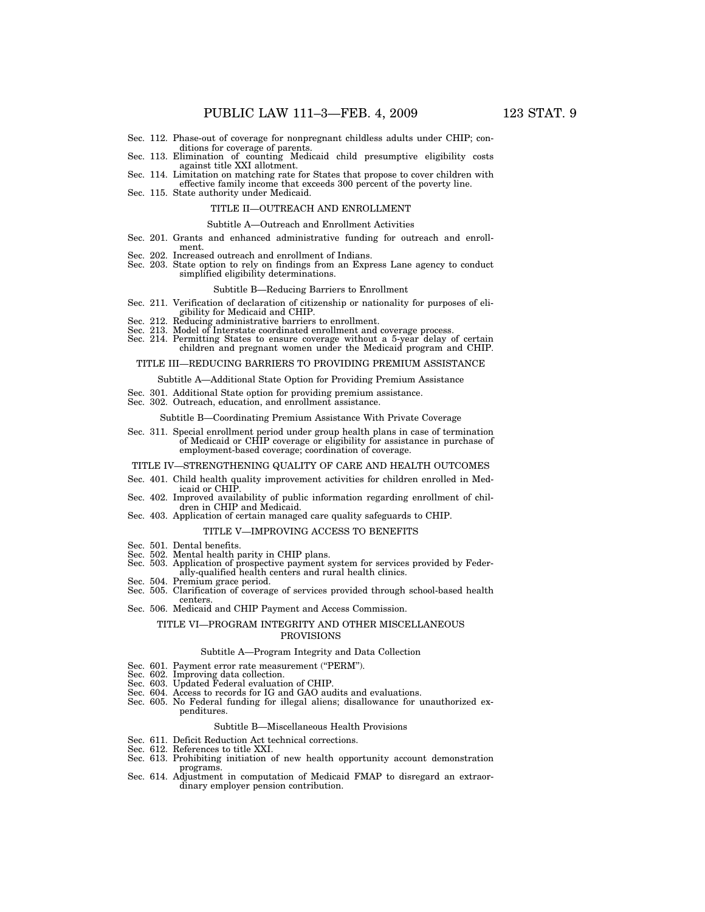- Sec. 112. Phase-out of coverage for nonpregnant childless adults under CHIP; conditions for coverage of parents.
- Sec. 113. Elimination of counting Medicaid child presumptive eligibility costs against title XXI allotment.
- Sec. 114. Limitation on matching rate for States that propose to cover children with effective family income that exceeds 300 percent of the poverty line. Sec. 115. State authority under Medicaid.
- 

# TITLE II—OUTREACH AND ENROLLMENT

#### Subtitle A—Outreach and Enrollment Activities

- Sec. 201. Grants and enhanced administrative funding for outreach and enrollment.
- Sec. 202. Increased outreach and enrollment of Indians.
- Sec. 203. State option to rely on findings from an Express Lane agency to conduct simplified eligibility determinations.

#### Subtitle B—Reducing Barriers to Enrollment

- Sec. 211. Verification of declaration of citizenship or nationality for purposes of eligibility for Medicaid and CHIP.
- Sec. 212. Reducing administrative barriers to enrollment.
- Sec. 213. Model of Interstate coordinated enrollment and coverage process.
- Sec. 214. Permitting States to ensure coverage without a 5-year delay of certain children and pregnant women under the Medicaid program and CHIP.

#### TITLE III—REDUCING BARRIERS TO PROVIDING PREMIUM ASSISTANCE

#### Subtitle A—Additional State Option for Providing Premium Assistance

- Sec. 301. Additional State option for providing premium assistance.
- Sec. 302. Outreach, education, and enrollment assistance.

#### Subtitle B—Coordinating Premium Assistance With Private Coverage

Sec. 311. Special enrollment period under group health plans in case of termination of Medicaid or CHIP coverage or eligibility for assistance in purchase of employment-based coverage; coordination of coverage.

#### TITLE IV—STRENGTHENING QUALITY OF CARE AND HEALTH OUTCOMES

- Sec. 401. Child health quality improvement activities for children enrolled in Medicaid or CHIP
- Sec. 402. Improved availability of public information regarding enrollment of children in CHIP and Medicaid.
- Sec. 403. Application of certain managed care quality safeguards to CHIP.

#### TITLE V—IMPROVING ACCESS TO BENEFITS

- Sec. 501. Dental benefits.
- 
- Sec. 502. Mental health parity in CHIP plans.<br>Sec. 503. Application of prospective payment s Application of prospective payment system for services provided by Federally-qualified health centers and rural health clinics.
- 
- Sec. 504. Premium grace period. Sec. 505. Clarification of coverage of services provided through school-based health centers.
- Sec. 506. Medicaid and CHIP Payment and Access Commission.

#### TITLE VI—PROGRAM INTEGRITY AND OTHER MISCELLANEOUS PROVISIONS

#### Subtitle A—Program Integrity and Data Collection

- Sec. 601. Payment error rate measurement ("PERM").
- 
- Sec. 602. Improving data collection. Sec. 603. Updated Federal evaluation of CHIP.
- Sec. 604. Access to records for IG and GAO audits and evaluations.
- Sec. 605. No Federal funding for illegal aliens; disallowance for unauthorized expenditures.

#### Subtitle B—Miscellaneous Health Provisions

- Sec. 611. Deficit Reduction Act technical corrections.
- Sec. 612. References to title XXI.
- Sec. 613. Prohibiting initiation of new health opportunity account demonstration programs.
- Sec. 614. Adjustment in computation of Medicaid FMAP to disregard an extraordinary employer pension contribution.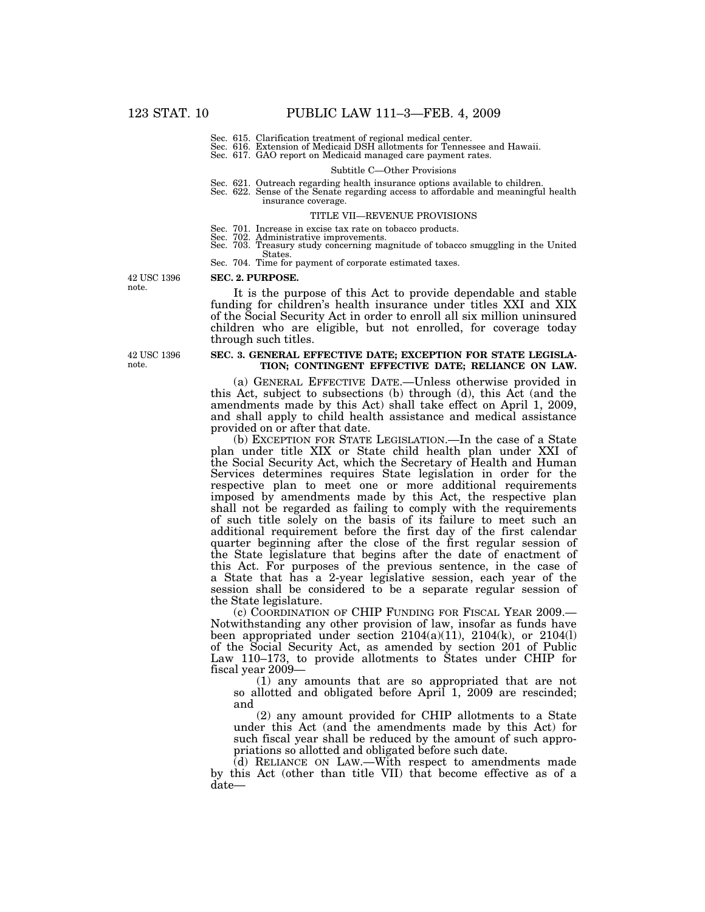- 
- Sec. 615. Clarification treatment of regional medical center. Sec. 616. Extension of Medicaid DSH allotments for Tennessee and Hawaii. Sec. 617. GAO report on Medicaid managed care payment rates.

#### Subtitle C—Other Provisions

- Sec. 621. Outreach regarding health insurance options available to children. Sec. 622. Sense of the Senate regarding access to affordable and meaningful health
- insurance coverage.

#### TITLE VII—REVENUE PROVISIONS

- Sec. 701. Increase in excise tax rate on tobacco products. Sec. 702. Administrative improvements.
- 
- Sec. 703. Treasury study concerning magnitude of tobacco smuggling in the United States.
- Sec. 704. Time for payment of corporate estimated taxes.

**SEC. 2. PURPOSE.** 

42 USC 1396 note.

It is the purpose of this Act to provide dependable and stable funding for children's health insurance under titles XXI and XIX of the Social Security Act in order to enroll all six million uninsured children who are eligible, but not enrolled, for coverage today through such titles.

#### **SEC. 3. GENERAL EFFECTIVE DATE; EXCEPTION FOR STATE LEGISLA-TION; CONTINGENT EFFECTIVE DATE; RELIANCE ON LAW.**

(a) GENERAL EFFECTIVE DATE.—Unless otherwise provided in this Act, subject to subsections (b) through (d), this Act (and the amendments made by this Act) shall take effect on April 1, 2009, and shall apply to child health assistance and medical assistance provided on or after that date.

(b) EXCEPTION FOR STATE LEGISLATION.—In the case of a State plan under title XIX or State child health plan under XXI of the Social Security Act, which the Secretary of Health and Human Services determines requires State legislation in order for the respective plan to meet one or more additional requirements imposed by amendments made by this Act, the respective plan shall not be regarded as failing to comply with the requirements of such title solely on the basis of its failure to meet such an additional requirement before the first day of the first calendar quarter beginning after the close of the first regular session of the State legislature that begins after the date of enactment of this Act. For purposes of the previous sentence, in the case of a State that has a 2-year legislative session, each year of the session shall be considered to be a separate regular session of the State legislature.

(c) COORDINATION OF CHIP FUNDING FOR FISCAL YEAR 2009.— Notwithstanding any other provision of law, insofar as funds have been appropriated under section  $2104(a)(11)$ ,  $2104(k)$ , or  $2104(l)$ of the Social Security Act, as amended by section 201 of Public Law 110–173, to provide allotments to States under CHIP for fiscal year 2009—

(1) any amounts that are so appropriated that are not so allotted and obligated before April 1, 2009 are rescinded; and

(2) any amount provided for CHIP allotments to a State under this Act (and the amendments made by this Act) for such fiscal year shall be reduced by the amount of such appropriations so allotted and obligated before such date.

(d) RELIANCE ON LAW.—With respect to amendments made by this Act (other than title VII) that become effective as of a date—

42 USC 1396 note.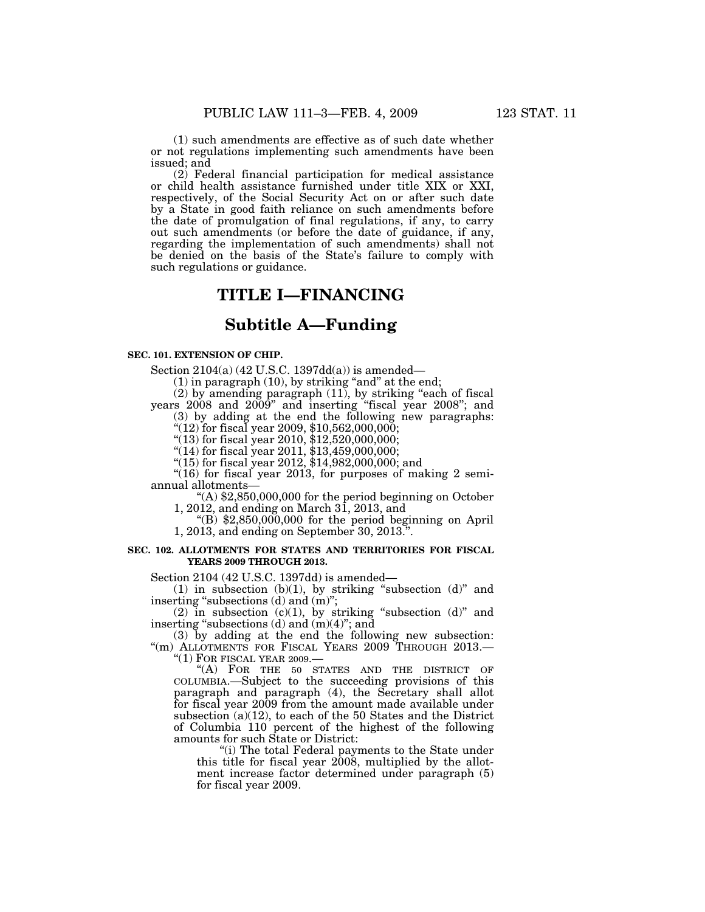(1) such amendments are effective as of such date whether or not regulations implementing such amendments have been issued; and

(2) Federal financial participation for medical assistance or child health assistance furnished under title XIX or XXI, respectively, of the Social Security Act on or after such date by a State in good faith reliance on such amendments before the date of promulgation of final regulations, if any, to carry out such amendments (or before the date of guidance, if any, regarding the implementation of such amendments) shall not be denied on the basis of the State's failure to comply with such regulations or guidance.

# **TITLE I—FINANCING**

# **Subtitle A—Funding**

### **SEC. 101. EXTENSION OF CHIP.**

Section  $2104(a)$  (42 U.S.C. 1397dd(a)) is amended—

 $(1)$  in paragraph  $(10)$ , by striking "and" at the end;

(2) by amending paragraph (11), by striking ''each of fiscal years 2008 and 2009'' and inserting ''fiscal year 2008''; and (3) by adding at the end the following new paragraphs:

''(12) for fiscal year 2009, \$10,562,000,000;

''(13) for fiscal year 2010, \$12,520,000,000;

''(14) for fiscal year 2011, \$13,459,000,000;

''(15) for fiscal year 2012, \$14,982,000,000; and

" $(16)$  for fiscal year 2013, for purposes of making 2 semiannual allotments—

''(A) \$2,850,000,000 for the period beginning on October 1, 2012, and ending on March 31, 2013, and

" $(B)$  \$2,850,000,000 for the period beginning on April 1, 2013, and ending on September 30, 2013.''.

### **SEC. 102. ALLOTMENTS FOR STATES AND TERRITORIES FOR FISCAL YEARS 2009 THROUGH 2013.**

Section 2104 (42 U.S.C. 1397dd) is amended—

(1) in subsection (b)(1), by striking "subsection (d)" and inserting "subsections (d) and (m)";

(2) in subsection (c)(1), by striking "subsection (d)" and inserting "subsections  $(d)$  and  $(m)(4)$ "; and

(3) by adding at the end the following new subsection: "(m) ALLOTMENTS FOR FISCAL YEARS 2009 THROUGH 2013.

"(1) FOR FISCAL YEAR 2009.-

"(A) FOR THE 50 STATES AND THE DISTRICT OF COLUMBIA.—Subject to the succeeding provisions of this paragraph and paragraph (4), the Secretary shall allot for fiscal year 2009 from the amount made available under subsection (a)(12), to each of the 50 States and the District of Columbia 110 percent of the highest of the following amounts for such State or District:

"(i) The total Federal payments to the State under this title for fiscal year 2008, multiplied by the allotment increase factor determined under paragraph (5) for fiscal year 2009.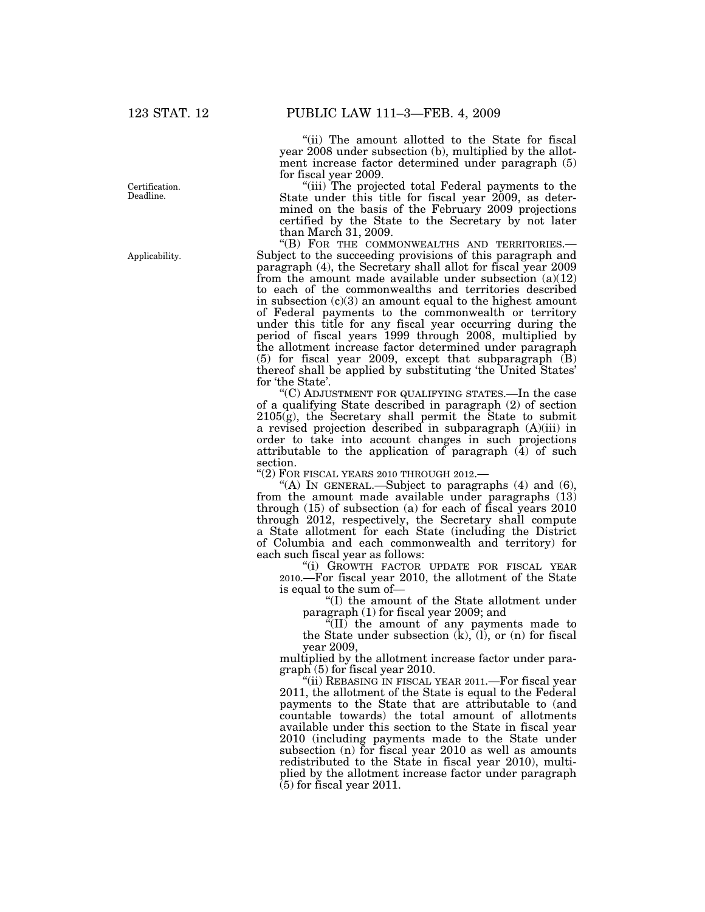Certification. Deadline.

Applicability.

"(ii) The amount allotted to the State for fiscal year 2008 under subsection (b), multiplied by the allotment increase factor determined under paragraph (5) for fiscal year 2009.

"(iii) The projected total Federal payments to the State under this title for fiscal year 2009, as determined on the basis of the February 2009 projections certified by the State to the Secretary by not later than March 31, 2009.<br>"(B) FOR THE COMMONWEALTHS AND TERRITORIES.-

Subject to the succeeding provisions of this paragraph and paragraph (4), the Secretary shall allot for fiscal year 2009 from the amount made available under subsection  $(a)(12)$ to each of the commonwealths and territories described in subsection  $(c)(3)$  an amount equal to the highest amount of Federal payments to the commonwealth or territory under this title for any fiscal year occurring during the period of fiscal years 1999 through 2008, multiplied by the allotment increase factor determined under paragraph (5) for fiscal year 2009, except that subparagraph (B) thereof shall be applied by substituting 'the United States' for 'the State'.

''(C) ADJUSTMENT FOR QUALIFYING STATES.—In the case of a qualifying State described in paragraph (2) of section  $2105(g)$ , the Secretary shall permit the State to submit a revised projection described in subparagraph (A)(iii) in order to take into account changes in such projections attributable to the application of paragraph (4) of such section.

"(2) FOR FISCAL YEARS 2010 THROUGH 2012.-

''(A) IN GENERAL.—Subject to paragraphs (4) and (6), from the amount made available under paragraphs (13) through (15) of subsection (a) for each of fiscal years 2010 through 2012, respectively, the Secretary shall compute a State allotment for each State (including the District of Columbia and each commonwealth and territory) for each such fiscal year as follows:

''(i) GROWTH FACTOR UPDATE FOR FISCAL YEAR 2010.—For fiscal year 2010, the allotment of the State is equal to the sum of—

''(I) the amount of the State allotment under paragraph (1) for fiscal year 2009; and

''(II) the amount of any payments made to the State under subsection  $(k)$ ,  $(l)$ , or  $(n)$  for fiscal year 2009,

multiplied by the allotment increase factor under paragraph (5) for fiscal year 2010.

''(ii) REBASING IN FISCAL YEAR 2011.—For fiscal year 2011, the allotment of the State is equal to the Federal payments to the State that are attributable to (and countable towards) the total amount of allotments available under this section to the State in fiscal year 2010 (including payments made to the State under subsection (n) for fiscal year 2010 as well as amounts redistributed to the State in fiscal year 2010), multiplied by the allotment increase factor under paragraph  $(5)$  for fiscal year 2011.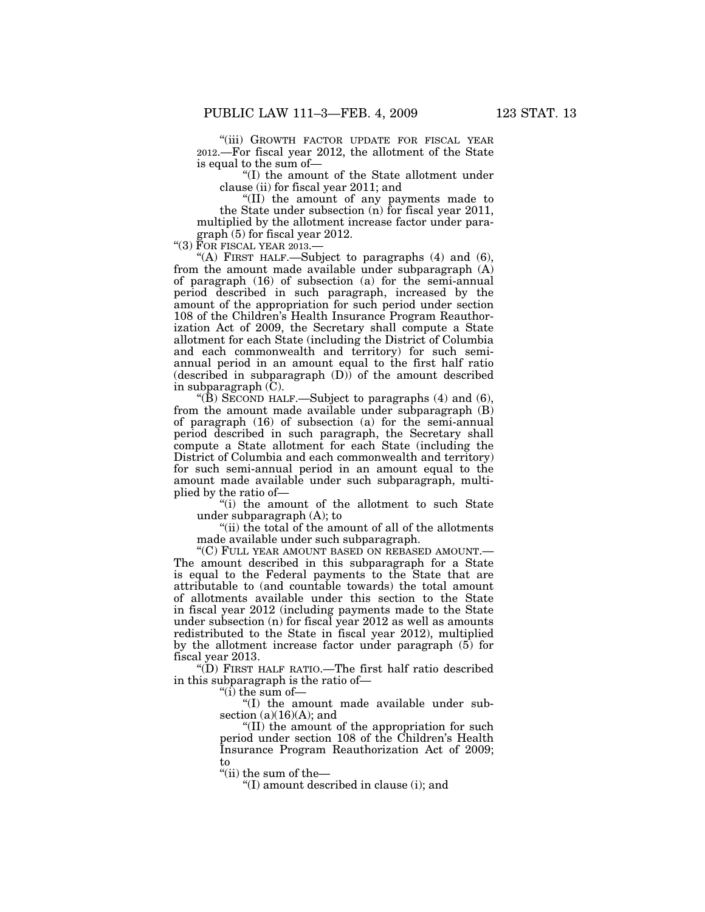''(iii) GROWTH FACTOR UPDATE FOR FISCAL YEAR 2012.—For fiscal year 2012, the allotment of the State is equal to the sum of—

''(I) the amount of the State allotment under clause (ii) for fiscal year 2011; and

''(II) the amount of any payments made to the State under subsection (n) for fiscal year 2011, multiplied by the allotment increase factor under paragraph (5) for fiscal year 2012.

" $(3)$   $\overline{F}$ OR FISCAL YEAR 2013.-

"(A) FIRST HALF.—Subject to paragraphs  $(4)$  and  $(6)$ , from the amount made available under subparagraph (A) of paragraph (16) of subsection (a) for the semi-annual period described in such paragraph, increased by the amount of the appropriation for such period under section 108 of the Children's Health Insurance Program Reauthorization Act of 2009, the Secretary shall compute a State allotment for each State (including the District of Columbia and each commonwealth and territory) for such semiannual period in an amount equal to the first half ratio (described in subparagraph  $(D)$ ) of the amount described in subparagraph  $(C)$ .

"(B) SECOND HALF.—Subject to paragraphs  $(4)$  and  $(6)$ , from the amount made available under subparagraph (B) of paragraph (16) of subsection (a) for the semi-annual period described in such paragraph, the Secretary shall compute a State allotment for each State (including the District of Columbia and each commonwealth and territory) for such semi-annual period in an amount equal to the amount made available under such subparagraph, multiplied by the ratio of—

''(i) the amount of the allotment to such State under subparagraph (A); to

"(ii) the total of the amount of all of the allotments made available under such subparagraph.

''(C) FULL YEAR AMOUNT BASED ON REBASED AMOUNT.— The amount described in this subparagraph for a State is equal to the Federal payments to the State that are attributable to (and countable towards) the total amount of allotments available under this section to the State in fiscal year 2012 (including payments made to the State under subsection (n) for fiscal year 2012 as well as amounts redistributed to the State in fiscal year 2012), multiplied by the allotment increase factor under paragraph (5) for fiscal year 2013.

''(D) FIRST HALF RATIO.—The first half ratio described in this subparagraph is the ratio of—

''(i) the sum of—

''(I) the amount made available under subsection (a)(16)(A); and

''(II) the amount of the appropriation for such period under section 108 of the Children's Health Insurance Program Reauthorization Act of 2009; to

''(ii) the sum of the—

''(I) amount described in clause (i); and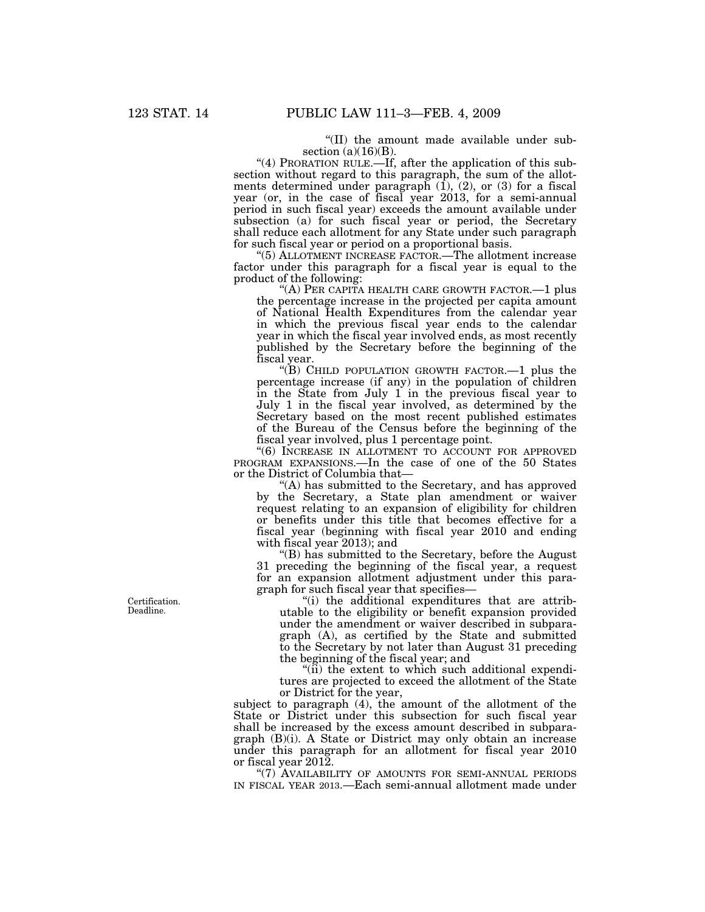''(II) the amount made available under subsection  $(a)(16)(B)$ .

"(4) PRORATION RULE.—If, after the application of this subsection without regard to this paragraph, the sum of the allotments determined under paragraph (1), (2), or (3) for a fiscal year (or, in the case of fiscal year 2013, for a semi-annual period in such fiscal year) exceeds the amount available under subsection (a) for such fiscal year or period, the Secretary shall reduce each allotment for any State under such paragraph for such fiscal year or period on a proportional basis.

''(5) ALLOTMENT INCREASE FACTOR.—The allotment increase factor under this paragraph for a fiscal year is equal to the product of the following:

"(A) PER CAPITA HEALTH CARE GROWTH FACTOR.—1 plus the percentage increase in the projected per capita amount of National Health Expenditures from the calendar year in which the previous fiscal year ends to the calendar year in which the fiscal year involved ends, as most recently published by the Secretary before the beginning of the fiscal year.

''(B) CHILD POPULATION GROWTH FACTOR.—1 plus the percentage increase (if any) in the population of children in the State from July 1 in the previous fiscal year to July 1 in the fiscal year involved, as determined by the Secretary based on the most recent published estimates of the Bureau of the Census before the beginning of the fiscal year involved, plus 1 percentage point.

"(6) INCREASE IN ALLOTMENT TO ACCOUNT FOR APPROVED PROGRAM EXPANSIONS.—In the case of one of the 50 States or the District of Columbia that—

"(A) has submitted to the Secretary, and has approved by the Secretary, a State plan amendment or waiver request relating to an expansion of eligibility for children or benefits under this title that becomes effective for a fiscal year (beginning with fiscal year 2010 and ending with fiscal year 2013); and

''(B) has submitted to the Secretary, before the August 31 preceding the beginning of the fiscal year, a request for an expansion allotment adjustment under this paragraph for such fiscal year that specifies—

''(i) the additional expenditures that are attributable to the eligibility or benefit expansion provided under the amendment or waiver described in subparagraph (A), as certified by the State and submitted to the Secretary by not later than August 31 preceding the beginning of the fiscal year; and

"(ii) the extent to which such additional expenditures are projected to exceed the allotment of the State or District for the year,

subject to paragraph (4), the amount of the allotment of the State or District under this subsection for such fiscal year shall be increased by the excess amount described in subparagraph (B)(i). A State or District may only obtain an increase under this paragraph for an allotment for fiscal year 2010 or fiscal year 2012.

"(7) AVAILABILITY OF AMOUNTS FOR SEMI-ANNUAL PERIODS IN FISCAL YEAR 2013.—Each semi-annual allotment made under

Certification. Deadline.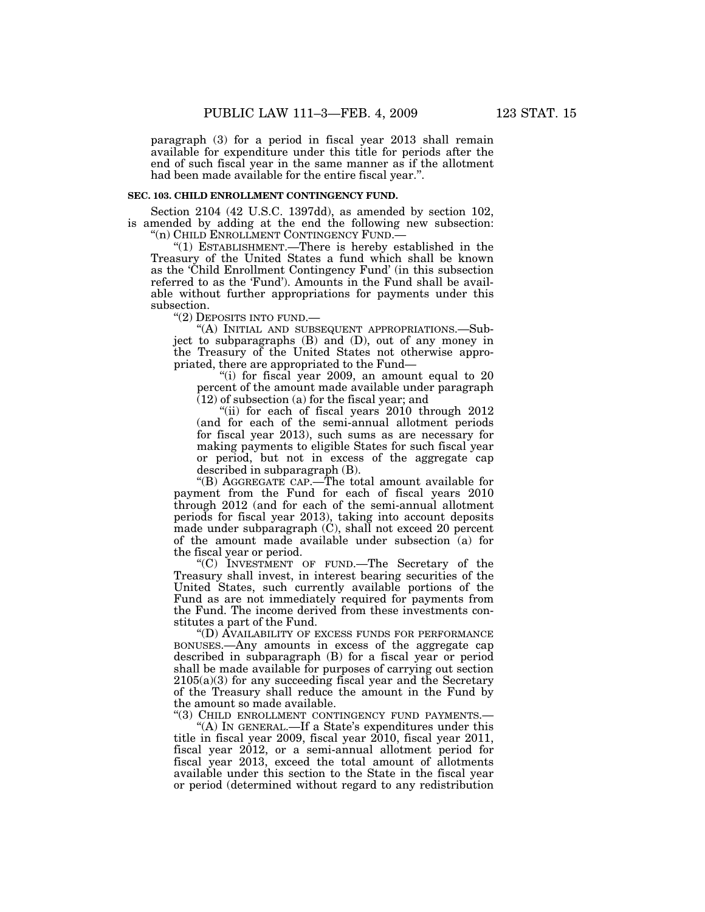paragraph (3) for a period in fiscal year 2013 shall remain available for expenditure under this title for periods after the end of such fiscal year in the same manner as if the allotment had been made available for the entire fiscal year.''.

## **SEC. 103. CHILD ENROLLMENT CONTINGENCY FUND.**

Section 2104 (42 U.S.C. 1397dd), as amended by section 102, is amended by adding at the end the following new subsection: "(n) CHILD ENROLLMENT CONTINGENCY FUND.-

''(1) ESTABLISHMENT.—There is hereby established in the

Treasury of the United States a fund which shall be known as the 'Child Enrollment Contingency Fund' (in this subsection referred to as the 'Fund'). Amounts in the Fund shall be available without further appropriations for payments under this subsection.

''(2) DEPOSITS INTO FUND.—

''(A) INITIAL AND SUBSEQUENT APPROPRIATIONS.—Subject to subparagraphs (B) and (D), out of any money in the Treasury of the United States not otherwise appropriated, there are appropriated to the Fund—

"(i) for fiscal year 2009, an amount equal to 20 percent of the amount made available under paragraph (12) of subsection (a) for the fiscal year; and

"(ii) for each of fiscal years 2010 through 2012 (and for each of the semi-annual allotment periods for fiscal year 2013), such sums as are necessary for making payments to eligible States for such fiscal year or period, but not in excess of the aggregate cap described in subparagraph (B).

''(B) AGGREGATE CAP.—The total amount available for payment from the Fund for each of fiscal years 2010 through 2012 (and for each of the semi-annual allotment periods for fiscal year 2013), taking into account deposits made under subparagraph (C), shall not exceed 20 percent of the amount made available under subsection (a) for the fiscal year or period.

''(C) INVESTMENT OF FUND.—The Secretary of the Treasury shall invest, in interest bearing securities of the United States, such currently available portions of the Fund as are not immediately required for payments from the Fund. The income derived from these investments constitutes a part of the Fund.

''(D) AVAILABILITY OF EXCESS FUNDS FOR PERFORMANCE BONUSES.—Any amounts in excess of the aggregate cap described in subparagraph (B) for a fiscal year or period shall be made available for purposes of carrying out section  $2105(a)(3)$  for any succeeding fiscal year and the Secretary of the Treasury shall reduce the amount in the Fund by the amount so made available.

"(3) CHILD ENROLLMENT CONTINGENCY FUND PAYMENTS.-

"(A) IN GENERAL.—If a State's expenditures under this title in fiscal year 2009, fiscal year 2010, fiscal year 2011, fiscal year 2012, or a semi-annual allotment period for fiscal year 2013, exceed the total amount of allotments available under this section to the State in the fiscal year or period (determined without regard to any redistribution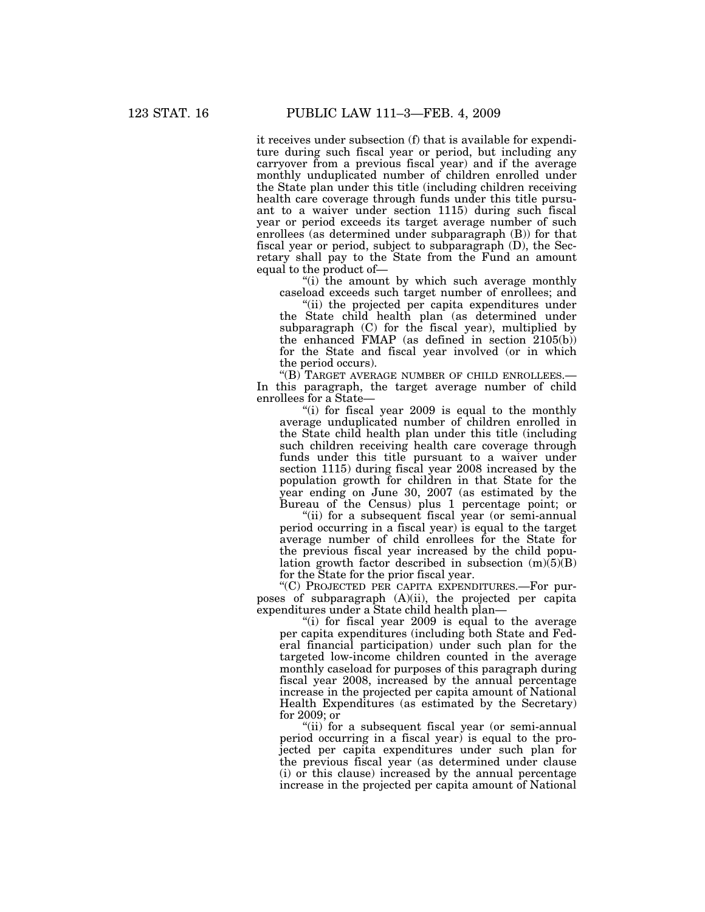it receives under subsection (f) that is available for expenditure during such fiscal year or period, but including any carryover from a previous fiscal year) and if the average monthly unduplicated number of children enrolled under the State plan under this title (including children receiving health care coverage through funds under this title pursuant to a waiver under section 1115) during such fiscal year or period exceeds its target average number of such enrollees (as determined under subparagraph (B)) for that fiscal year or period, subject to subparagraph (D), the Secretary shall pay to the State from the Fund an amount equal to the product of—

"(i) the amount by which such average monthly caseload exceeds such target number of enrollees; and

"(ii) the projected per capita expenditures under the State child health plan (as determined under subparagraph (C) for the fiscal year), multiplied by the enhanced FMAP (as defined in section 2105(b)) for the State and fiscal year involved (or in which the period occurs).

''(B) TARGET AVERAGE NUMBER OF CHILD ENROLLEES.— In this paragraph, the target average number of child enrollees for a State—

''(i) for fiscal year 2009 is equal to the monthly average unduplicated number of children enrolled in the State child health plan under this title (including such children receiving health care coverage through funds under this title pursuant to a waiver under section 1115) during fiscal year 2008 increased by the population growth for children in that State for the year ending on June 30, 2007 (as estimated by the Bureau of the Census) plus 1 percentage point; or

"(ii) for a subsequent fiscal year (or semi-annual period occurring in a fiscal year) is equal to the target average number of child enrollees for the State for the previous fiscal year increased by the child population growth factor described in subsection  $(m)(5)(B)$ for the State for the prior fiscal year.

''(C) PROJECTED PER CAPITA EXPENDITURES.—For purposes of subparagraph (A)(ii), the projected per capita expenditures under a State child health plan—

"(i) for fiscal year 2009 is equal to the average per capita expenditures (including both State and Federal financial participation) under such plan for the targeted low-income children counted in the average monthly caseload for purposes of this paragraph during fiscal year 2008, increased by the annual percentage increase in the projected per capita amount of National Health Expenditures (as estimated by the Secretary) for 2009; or

''(ii) for a subsequent fiscal year (or semi-annual period occurring in a fiscal year) is equal to the projected per capita expenditures under such plan for the previous fiscal year (as determined under clause (i) or this clause) increased by the annual percentage increase in the projected per capita amount of National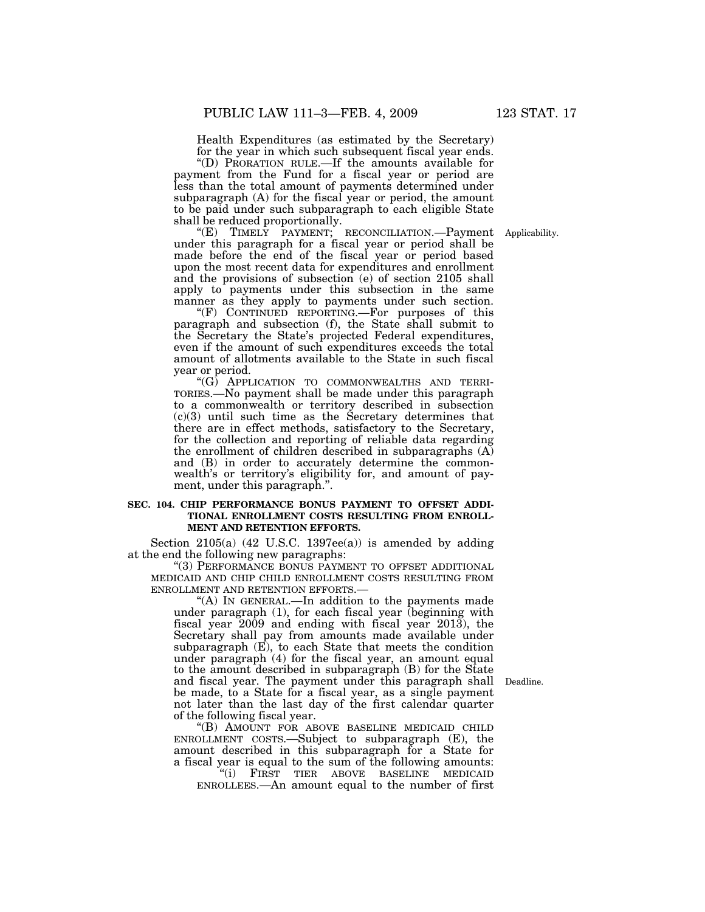Health Expenditures (as estimated by the Secretary) for the year in which such subsequent fiscal year ends.

''(D) PRORATION RULE.—If the amounts available for payment from the Fund for a fiscal year or period are less than the total amount of payments determined under subparagraph (A) for the fiscal year or period, the amount to be paid under such subparagraph to each eligible State shall be reduced proportionally.

"(E) TIMELY PAYMENT; RECONCILIATION. Payment Applicability. under this paragraph for a fiscal year or period shall be made before the end of the fiscal year or period based upon the most recent data for expenditures and enrollment and the provisions of subsection (e) of section 2105 shall apply to payments under this subsection in the same manner as they apply to payments under such section.

''(F) CONTINUED REPORTING.—For purposes of this paragraph and subsection (f), the State shall submit to the Secretary the State's projected Federal expenditures, even if the amount of such expenditures exceeds the total amount of allotments available to the State in such fiscal year or period.

''(G) APPLICATION TO COMMONWEALTHS AND TERRI-TORIES.—No payment shall be made under this paragraph to a commonwealth or territory described in subsection  $(c)(3)$  until such time as the Secretary determines that there are in effect methods, satisfactory to the Secretary, for the collection and reporting of reliable data regarding the enrollment of children described in subparagraphs (A) and (B) in order to accurately determine the commonwealth's or territory's eligibility for, and amount of payment, under this paragraph.''.

#### **SEC. 104. CHIP PERFORMANCE BONUS PAYMENT TO OFFSET ADDI-TIONAL ENROLLMENT COSTS RESULTING FROM ENROLL-MENT AND RETENTION EFFORTS.**

Section  $2105(a)$  (42 U.S.C. 1397ee(a)) is amended by adding at the end the following new paragraphs:

''(3) PERFORMANCE BONUS PAYMENT TO OFFSET ADDITIONAL MEDICAID AND CHIP CHILD ENROLLMENT COSTS RESULTING FROM ENROLLMENT AND RETENTION EFFORTS.—

''(A) IN GENERAL.—In addition to the payments made under paragraph (1), for each fiscal year (beginning with fiscal year 2009 and ending with fiscal year 2013), the Secretary shall pay from amounts made available under subparagraph (E), to each State that meets the condition under paragraph (4) for the fiscal year, an amount equal to the amount described in subparagraph (B) for the State and fiscal year. The payment under this paragraph shall be made, to a State for a fiscal year, as a single payment not later than the last day of the first calendar quarter of the following fiscal year.

''(B) AMOUNT FOR ABOVE BASELINE MEDICAID CHILD ENROLLMENT COSTS.—Subject to subparagraph (E), the amount described in this subparagraph for a State for a fiscal year is equal to the sum of the following amounts:

''(i) FIRST TIER ABOVE BASELINE MEDICAID ENROLLEES.—An amount equal to the number of first

Deadline.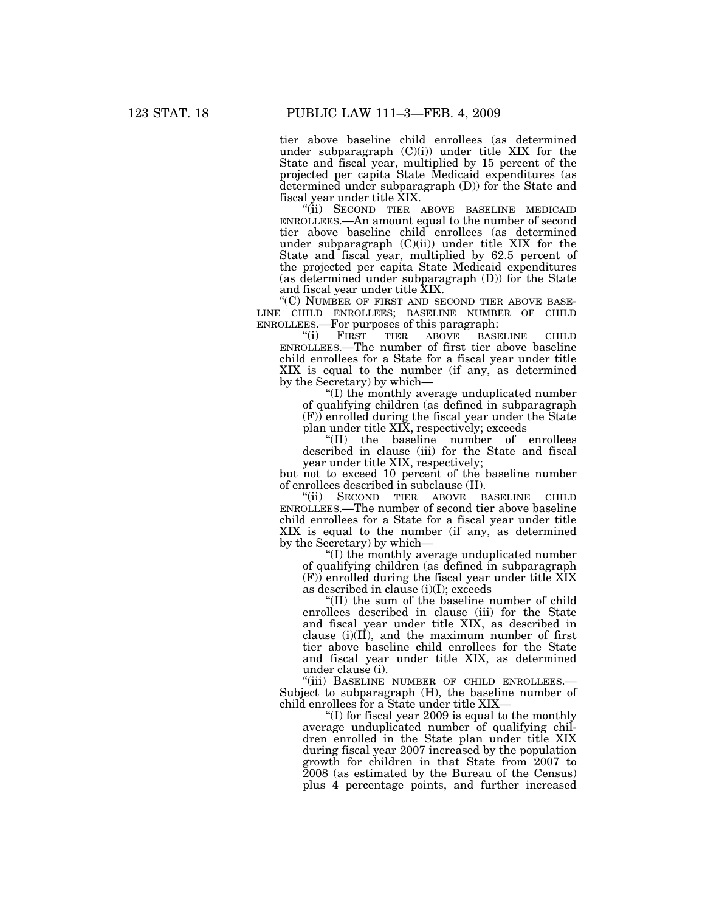tier above baseline child enrollees (as determined under subparagraph  $(C)(i)$  under title XIX for the State and fiscal year, multiplied by 15 percent of the projected per capita State Medicaid expenditures (as determined under subparagraph (D)) for the State and fiscal year under title XIX.

"(ii) SECOND TIER ABOVE BASELINE MEDICAID ENROLLEES.—An amount equal to the number of second tier above baseline child enrollees (as determined under subparagraph  $(C)(ii)$  under title XIX for the State and fiscal year, multiplied by 62.5 percent of the projected per capita State Medicaid expenditures (as determined under subparagraph (D)) for the State and fiscal year under title XIX.

''(C) NUMBER OF FIRST AND SECOND TIER ABOVE BASE- LINE CHILD ENROLLEES; BASELINE NUMBER OF CHILD ENROLLEES.—For purposes of this paragraph:

TIER ABOVE BASELINE CHILD ENROLLEES.—The number of first tier above baseline child enrollees for a State for a fiscal year under title XIX is equal to the number (if any, as determined by the Secretary) by which—

''(I) the monthly average unduplicated number of qualifying children (as defined in subparagraph (F)) enrolled during the fiscal year under the State plan under title XIX, respectively; exceeds

''(II) the baseline number of enrollees described in clause (iii) for the State and fiscal year under title XIX, respectively;

but not to exceed 10 percent of the baseline number of enrollees described in subclause (II).

''(ii) SECOND TIER ABOVE BASELINE CHILD ENROLLEES.—The number of second tier above baseline child enrollees for a State for a fiscal year under title XIX is equal to the number (if any, as determined by the Secretary) by which—

''(I) the monthly average unduplicated number of qualifying children (as defined in subparagraph  $(F)$ ) enrolled during the fiscal year under title XIX as described in clause (i)(I); exceeds

''(II) the sum of the baseline number of child enrollees described in clause (iii) for the State and fiscal year under title XIX, as described in clause  $(i)(II)$ , and the maximum number of first tier above baseline child enrollees for the State and fiscal year under title XIX, as determined under clause (i).

"(iii) BASELINE NUMBER OF CHILD ENROLLEES.-Subject to subparagraph (H), the baseline number of child enrollees for a State under title XIX—

''(I) for fiscal year 2009 is equal to the monthly average unduplicated number of qualifying children enrolled in the State plan under title XIX during fiscal year 2007 increased by the population growth for children in that State from 2007 to 2008 (as estimated by the Bureau of the Census) plus 4 percentage points, and further increased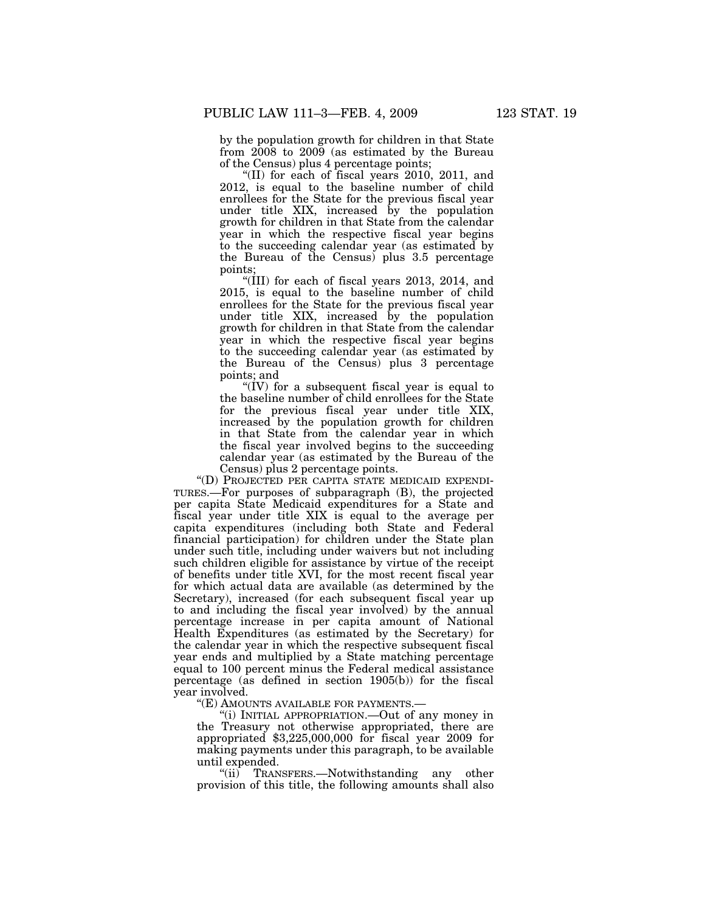by the population growth for children in that State from 2008 to 2009 (as estimated by the Bureau of the Census) plus 4 percentage points;

''(II) for each of fiscal years 2010, 2011, and 2012, is equal to the baseline number of child enrollees for the State for the previous fiscal year under title XIX, increased by the population growth for children in that State from the calendar year in which the respective fiscal year begins to the succeeding calendar year (as estimated by the Bureau of the Census) plus 3.5 percentage points;

''(III) for each of fiscal years 2013, 2014, and 2015, is equal to the baseline number of child enrollees for the State for the previous fiscal year under title XIX, increased by the population growth for children in that State from the calendar year in which the respective fiscal year begins to the succeeding calendar year (as estimated by the Bureau of the Census) plus 3 percentage points; and

" $(IV)$  for a subsequent fiscal year is equal to the baseline number of child enrollees for the State for the previous fiscal year under title XIX, increased by the population growth for children in that State from the calendar year in which the fiscal year involved begins to the succeeding calendar year (as estimated by the Bureau of the Census) plus 2 percentage points.

''(D) PROJECTED PER CAPITA STATE MEDICAID EXPENDI-TURES.—For purposes of subparagraph (B), the projected per capita State Medicaid expenditures for a State and fiscal year under title XIX is equal to the average per capita expenditures (including both State and Federal financial participation) for children under the State plan under such title, including under waivers but not including such children eligible for assistance by virtue of the receipt of benefits under title XVI, for the most recent fiscal year for which actual data are available (as determined by the Secretary), increased (for each subsequent fiscal year up to and including the fiscal year involved) by the annual percentage increase in per capita amount of National Health Expenditures (as estimated by the Secretary) for the calendar year in which the respective subsequent fiscal year ends and multiplied by a State matching percentage equal to 100 percent minus the Federal medical assistance percentage (as defined in section 1905(b)) for the fiscal year involved.

"(E) AMOUNTS AVAILABLE FOR PAYMENTS.-

''(i) INITIAL APPROPRIATION.—Out of any money in the Treasury not otherwise appropriated, there are appropriated \$3,225,000,000 for fiscal year 2009 for making payments under this paragraph, to be available until expended.

"(ii) TRANSFERS.—Notwithstanding any other provision of this title, the following amounts shall also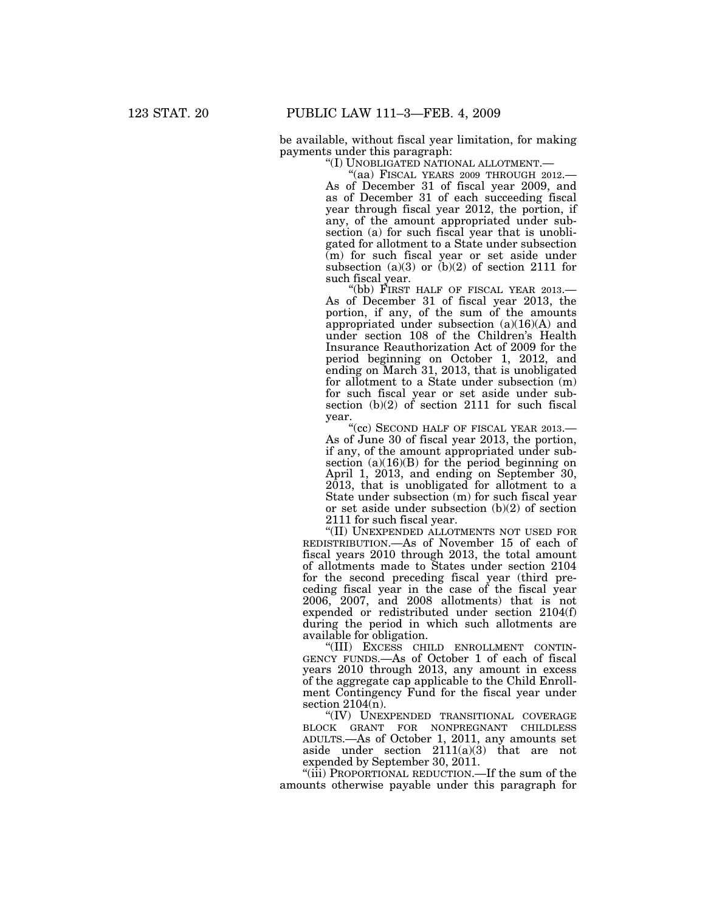be available, without fiscal year limitation, for making payments under this paragraph:

"(I) UNOBLIGATED NATIONAL ALLOTMENT.—<br>"(aa) FISCAL YEARS 2009 THROUGH 2012.– As of December 31 of fiscal year 2009, and as of December 31 of each succeeding fiscal year through fiscal year 2012, the portion, if any, of the amount appropriated under subsection (a) for such fiscal year that is unobligated for allotment to a State under subsection (m) for such fiscal year or set aside under subsection  $(a)(3)$  or  $(b)(2)$  of section 2111 for

such fiscal year.<br>"(bb) FIRST HALF OF FISCAL YEAR 2013.-As of December 31 of fiscal year 2013, the portion, if any, of the sum of the amounts appropriated under subsection  $(a)(16)(A)$  and under section 108 of the Children's Health Insurance Reauthorization Act of 2009 for the period beginning on October 1, 2012, and ending on March 31, 2013, that is unobligated for allotment to a State under subsection (m) for such fiscal year or set aside under subsection (b)(2) of section 2111 for such fiscal year.

"(cc) SECOND HALF OF FISCAL YEAR 2013.-As of June 30 of fiscal year 2013, the portion, if any, of the amount appropriated under subsection  $(a)(16)(B)$  for the period beginning on April 1, 2013, and ending on September 30, 2013, that is unobligated for allotment to a State under subsection (m) for such fiscal year or set aside under subsection (b)(2) of section 2111 for such fiscal year.

''(II) UNEXPENDED ALLOTMENTS NOT USED FOR REDISTRIBUTION.—As of November 15 of each of fiscal years 2010 through 2013, the total amount of allotments made to States under section 2104 for the second preceding fiscal year (third preceding fiscal year in the case of the fiscal year 2006, 2007, and 2008 allotments) that is not expended or redistributed under section 2104(f) during the period in which such allotments are available for obligation.

''(III) EXCESS CHILD ENROLLMENT CONTIN-GENCY FUNDS.—As of October 1 of each of fiscal years 2010 through 2013, any amount in excess of the aggregate cap applicable to the Child Enrollment Contingency Fund for the fiscal year under section  $2104(n)$ .

''(IV) UNEXPENDED TRANSITIONAL COVERAGE BLOCK GRANT FOR NONPREGNANT CHILDLESS ADULTS.—As of October 1, 2011, any amounts set aside under section  $2111(a)(3)$  that are not expended by September 30, 2011.

"(iii) PROPORTIONAL REDUCTION.—If the sum of the amounts otherwise payable under this paragraph for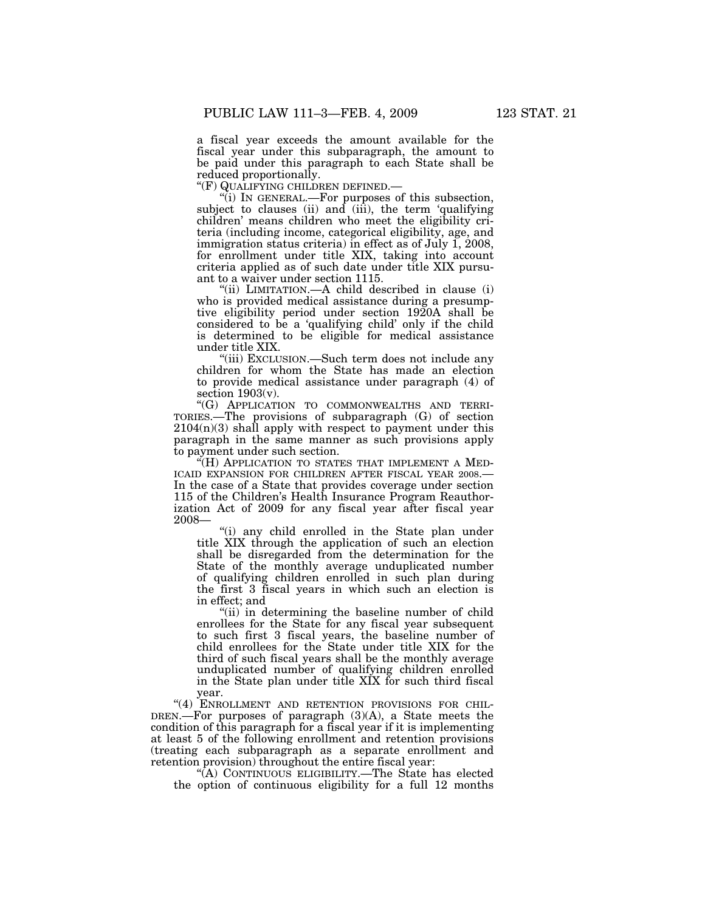a fiscal year exceeds the amount available for the fiscal year under this subparagraph, the amount to be paid under this paragraph to each State shall be

reduced proportionally.<br>"(F) QUALIFYING CHILDREN DEFINED.—

"(i) IN GENERAL.—For purposes of this subsection, subject to clauses (ii) and (iii), the term 'qualifying children' means children who meet the eligibility criteria (including income, categorical eligibility, age, and immigration status criteria) in effect as of July 1, 2008, for enrollment under title XIX, taking into account criteria applied as of such date under title XIX pursuant to a waiver under section 1115.

''(ii) LIMITATION.—A child described in clause (i) who is provided medical assistance during a presumptive eligibility period under section 1920A shall be considered to be a 'qualifying child' only if the child is determined to be eligible for medical assistance under title XIX.

"(iii) EXCLUSION.—Such term does not include any children for whom the State has made an election to provide medical assistance under paragraph (4) of section  $1903(v)$ .

''(G) APPLICATION TO COMMONWEALTHS AND TERRI-TORIES.—The provisions of subparagraph (G) of section  $2104(n)(3)$  shall apply with respect to payment under this paragraph in the same manner as such provisions apply to payment under such section.

''(H) APPLICATION TO STATES THAT IMPLEMENT A MED-ICAID EXPANSION FOR CHILDREN AFTER FISCAL YEAR 2008.— In the case of a State that provides coverage under section 115 of the Children's Health Insurance Program Reauthorization Act of 2009 for any fiscal year after fiscal year 2008—

''(i) any child enrolled in the State plan under title XIX through the application of such an election shall be disregarded from the determination for the State of the monthly average unduplicated number of qualifying children enrolled in such plan during the first 3 fiscal years in which such an election is in effect; and

"(ii) in determining the baseline number of child enrollees for the State for any fiscal year subsequent to such first 3 fiscal years, the baseline number of child enrollees for the State under title XIX for the third of such fiscal years shall be the monthly average unduplicated number of qualifying children enrolled in the State plan under title XIX for such third fiscal year.

"(4) ENROLLMENT AND RETENTION PROVISIONS FOR CHIL-DREN.—For purposes of paragraph (3)(A), a State meets the condition of this paragraph for a fiscal year if it is implementing at least 5 of the following enrollment and retention provisions (treating each subparagraph as a separate enrollment and retention provision) throughout the entire fiscal year:

''(A) CONTINUOUS ELIGIBILITY.—The State has elected the option of continuous eligibility for a full 12 months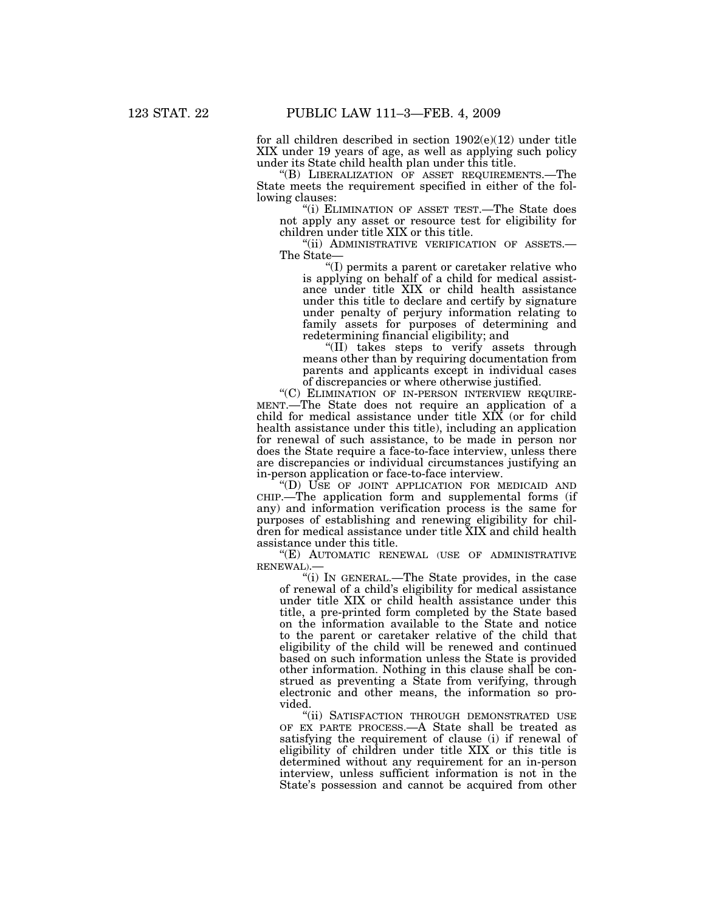for all children described in section  $1902(e)(12)$  under title XIX under 19 years of age, as well as applying such policy under its State child health plan under this title.

''(B) LIBERALIZATION OF ASSET REQUIREMENTS.—The State meets the requirement specified in either of the following clauses:

''(i) ELIMINATION OF ASSET TEST.—The State does not apply any asset or resource test for eligibility for children under title XIX or this title.

''(ii) ADMINISTRATIVE VERIFICATION OF ASSETS.— The State—

''(I) permits a parent or caretaker relative who is applying on behalf of a child for medical assistance under title XIX or child health assistance under this title to declare and certify by signature under penalty of perjury information relating to family assets for purposes of determining and redetermining financial eligibility; and

"(II) takes steps to verify assets through means other than by requiring documentation from parents and applicants except in individual cases of discrepancies or where otherwise justified.

''(C) ELIMINATION OF IN-PERSON INTERVIEW REQUIRE-MENT.—The State does not require an application of a child for medical assistance under title XIX (or for child health assistance under this title), including an application for renewal of such assistance, to be made in person nor does the State require a face-to-face interview, unless there are discrepancies or individual circumstances justifying an in-person application or face-to-face interview.

''(D) USE OF JOINT APPLICATION FOR MEDICAID AND CHIP.—The application form and supplemental forms (if any) and information verification process is the same for purposes of establishing and renewing eligibility for children for medical assistance under title XIX and child health assistance under this title.

''(E) AUTOMATIC RENEWAL (USE OF ADMINISTRATIVE RENEWAL).—

''(i) IN GENERAL.—The State provides, in the case of renewal of a child's eligibility for medical assistance under title XIX or child health assistance under this title, a pre-printed form completed by the State based on the information available to the State and notice to the parent or caretaker relative of the child that eligibility of the child will be renewed and continued based on such information unless the State is provided other information. Nothing in this clause shall be construed as preventing a State from verifying, through electronic and other means, the information so provided.

"(ii) SATISFACTION THROUGH DEMONSTRATED USE OF EX PARTE PROCESS.—A State shall be treated as satisfying the requirement of clause (i) if renewal of eligibility of children under title XIX or this title is determined without any requirement for an in-person interview, unless sufficient information is not in the State's possession and cannot be acquired from other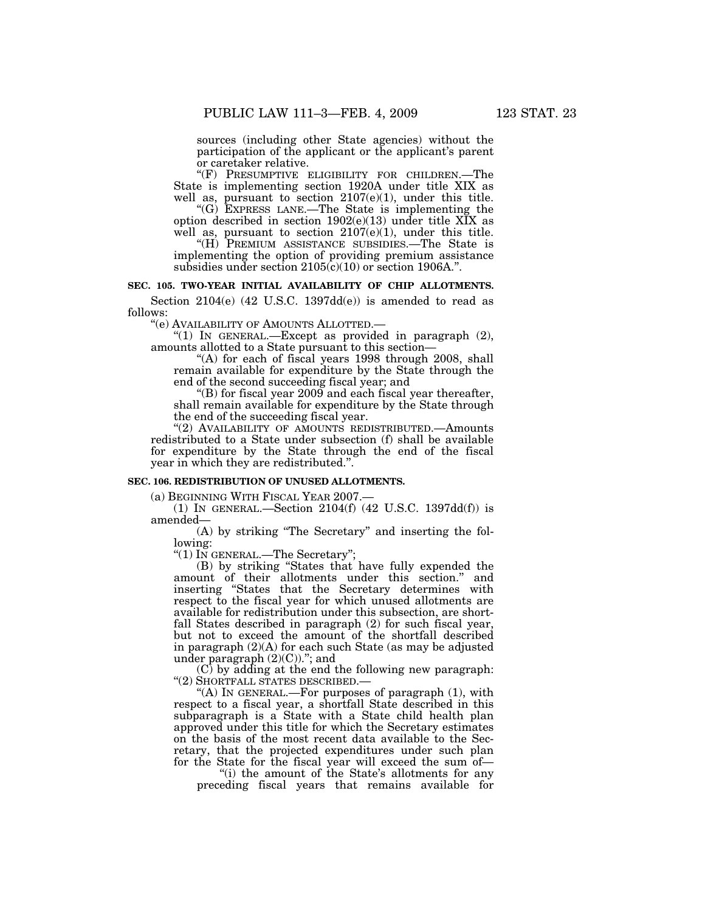sources (including other State agencies) without the participation of the applicant or the applicant's parent or caretaker relative.

''(F) PRESUMPTIVE ELIGIBILITY FOR CHILDREN.—The State is implementing section 1920A under title XIX as well as, pursuant to section 2107(e)(1), under this title.

''(G) EXPRESS LANE.—The State is implementing the option described in section  $1902(e)(13)$  under title XIX as well as, pursuant to section 2107(e)(1), under this title.

''(H) PREMIUM ASSISTANCE SUBSIDIES.—The State is implementing the option of providing premium assistance subsidies under section  $2105(c)(10)$  or section 1906A.".

## **SEC. 105. TWO-YEAR INITIAL AVAILABILITY OF CHIP ALLOTMENTS.**

Section  $2104(e)$  (42 U.S.C. 1397dd(e)) is amended to read as follows:

''(e) AVAILABILITY OF AMOUNTS ALLOTTED.—

"(1) IN GENERAL.—Except as provided in paragraph (2), amounts allotted to a State pursuant to this section—

"(A) for each of fiscal years 1998 through 2008, shall remain available for expenditure by the State through the end of the second succeeding fiscal year; and

''(B) for fiscal year 2009 and each fiscal year thereafter, shall remain available for expenditure by the State through the end of the succeeding fiscal year.

"(2) AVAILABILITY OF AMOUNTS REDISTRIBUTED. Amounts redistributed to a State under subsection (f) shall be available for expenditure by the State through the end of the fiscal year in which they are redistributed.''.

### **SEC. 106. REDISTRIBUTION OF UNUSED ALLOTMENTS.**

(a) BEGINNING WITH FISCAL YEAR 2007.—

(1) IN GENERAL.—Section 2104(f) (42 U.S.C. 1397dd(f)) is amended—

(A) by striking ''The Secretary'' and inserting the following:

''(1) IN GENERAL.—The Secretary'';

(B) by striking ''States that have fully expended the amount of their allotments under this section.'' and inserting ''States that the Secretary determines with respect to the fiscal year for which unused allotments are available for redistribution under this subsection, are shortfall States described in paragraph (2) for such fiscal year, but not to exceed the amount of the shortfall described in paragraph (2)(A) for each such State (as may be adjusted under paragraph  $(2)(C)$ )."; and

 $(C)$  by adding at the end the following new paragraph: ''(2) SHORTFALL STATES DESCRIBED.—

"(A) In GENERAL.—For purposes of paragraph (1), with respect to a fiscal year, a shortfall State described in this subparagraph is a State with a State child health plan approved under this title for which the Secretary estimates on the basis of the most recent data available to the Secretary, that the projected expenditures under such plan for the State for the fiscal year will exceed the sum of-

"(i) the amount of the State's allotments for any preceding fiscal years that remains available for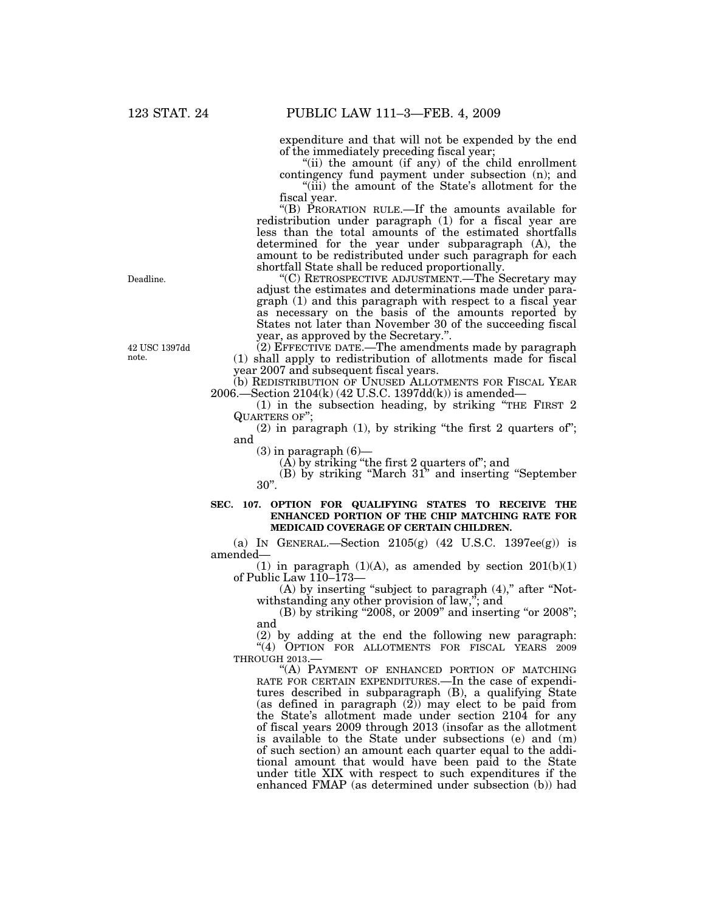expenditure and that will not be expended by the end of the immediately preceding fiscal year;

''(ii) the amount (if any) of the child enrollment contingency fund payment under subsection (n); and

''(iii) the amount of the State's allotment for the fiscal year.

''(B) PRORATION RULE.—If the amounts available for redistribution under paragraph (1) for a fiscal year are less than the total amounts of the estimated shortfalls determined for the year under subparagraph (A), the amount to be redistributed under such paragraph for each shortfall State shall be reduced proportionally.

''(C) RETROSPECTIVE ADJUSTMENT.—The Secretary may adjust the estimates and determinations made under paragraph (1) and this paragraph with respect to a fiscal year as necessary on the basis of the amounts reported by States not later than November 30 of the succeeding fiscal year, as approved by the Secretary.''.

(2) EFFECTIVE DATE.—The amendments made by paragraph (1) shall apply to redistribution of allotments made for fiscal year 2007 and subsequent fiscal years.

(b) REDISTRIBUTION OF UNUSED ALLOTMENTS FOR FISCAL YEAR 2006.—Section 2104(k) (42 U.S.C. 1397dd(k)) is amended—

(1) in the subsection heading, by striking ''THE FIRST 2 QUARTERS OF'';

 $(2)$  in paragraph  $(1)$ , by striking "the first 2 quarters of"; and

 $(3)$  in paragraph  $(6)$ —

(A) by striking ''the first 2 quarters of''; and

(B) by striking ''March 31'' and inserting ''September 30''.

#### **SEC. 107. OPTION FOR QUALIFYING STATES TO RECEIVE THE ENHANCED PORTION OF THE CHIP MATCHING RATE FOR MEDICAID COVERAGE OF CERTAIN CHILDREN.**

(a) IN GENERAL.—Section  $2105(g)$  (42 U.S.C. 1397ee(g)) is amended—

(1) in paragraph  $(1)(A)$ , as amended by section  $201(b)(1)$ of Public Law 110–173—

(A) by inserting "subject to paragraph (4)," after "Notwithstanding any other provision of law,''; and

 $(B)$  by striking "2008, or 2009" and inserting "or 2008"; and

(2) by adding at the end the following new paragraph: "(4) OPTION FOR ALLOTMENTS FOR FISCAL YEARS 2009 THROUGH 2013.—

"(A) PAYMENT OF ENHANCED PORTION OF MATCHING RATE FOR CERTAIN EXPENDITURES.—In the case of expenditures described in subparagraph (B), a qualifying State (as defined in paragraph (2)) may elect to be paid from the State's allotment made under section 2104 for any of fiscal years 2009 through 2013 (insofar as the allotment is available to the State under subsections (e) and (m) of such section) an amount each quarter equal to the additional amount that would have been paid to the State under title XIX with respect to such expenditures if the enhanced FMAP (as determined under subsection (b)) had

Deadline.

42 USC 1397dd note.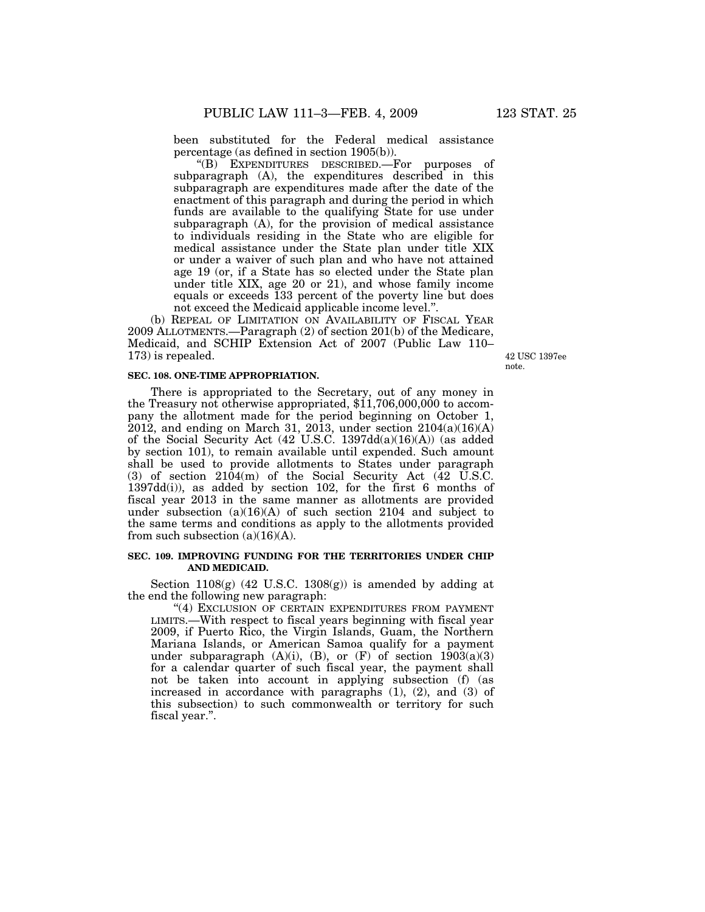been substituted for the Federal medical assistance percentage (as defined in section 1905(b)).

''(B) EXPENDITURES DESCRIBED.—For purposes of subparagraph (A), the expenditures described in this subparagraph are expenditures made after the date of the enactment of this paragraph and during the period in which funds are available to the qualifying State for use under subparagraph (A), for the provision of medical assistance to individuals residing in the State who are eligible for medical assistance under the State plan under title XIX or under a waiver of such plan and who have not attained age 19 (or, if a State has so elected under the State plan under title XIX, age 20 or 21), and whose family income equals or exceeds 133 percent of the poverty line but does not exceed the Medicaid applicable income level.''.

(b) REPEAL OF LIMITATION ON AVAILABILITY OF FISCAL YEAR 2009 ALLOTMENTS.—Paragraph (2) of section 201(b) of the Medicare, Medicaid, and SCHIP Extension Act of 2007 (Public Law 110– 173) is repealed.

42 USC 1397ee note.

# **SEC. 108. ONE-TIME APPROPRIATION.**

There is appropriated to the Secretary, out of any money in the Treasury not otherwise appropriated, \$11,706,000,000 to accompany the allotment made for the period beginning on October 1, 2012, and ending on March 31, 2013, under section  $2104(a)(16)(A)$ of the Social Security Act (42 U.S.C. 1397dd(a)(16)(A)) (as added by section 101), to remain available until expended. Such amount shall be used to provide allotments to States under paragraph (3) of section  $2104(m)$  of the Social Security Act (42 U.S.C. 1397dd(i)), as added by section 102, for the first 6 months of fiscal year 2013 in the same manner as allotments are provided under subsection (a)(16)(A) of such section 2104 and subject to the same terms and conditions as apply to the allotments provided from such subsection  $(a)(16)(A)$ .

## **SEC. 109. IMPROVING FUNDING FOR THE TERRITORIES UNDER CHIP AND MEDICAID.**

Section  $1108(g)$  (42 U.S.C. 1308 $(g)$ ) is amended by adding at the end the following new paragraph:

"(4) EXCLUSION OF CERTAIN EXPENDITURES FROM PAYMENT LIMITS.—With respect to fiscal years beginning with fiscal year 2009, if Puerto Rico, the Virgin Islands, Guam, the Northern Mariana Islands, or American Samoa qualify for a payment under subparagraph  $(A)(i)$ ,  $(B)$ , or  $(F)$  of section 1903(a)(3) for a calendar quarter of such fiscal year, the payment shall not be taken into account in applying subsection (f) (as increased in accordance with paragraphs (1), (2), and (3) of this subsection) to such commonwealth or territory for such fiscal year.''.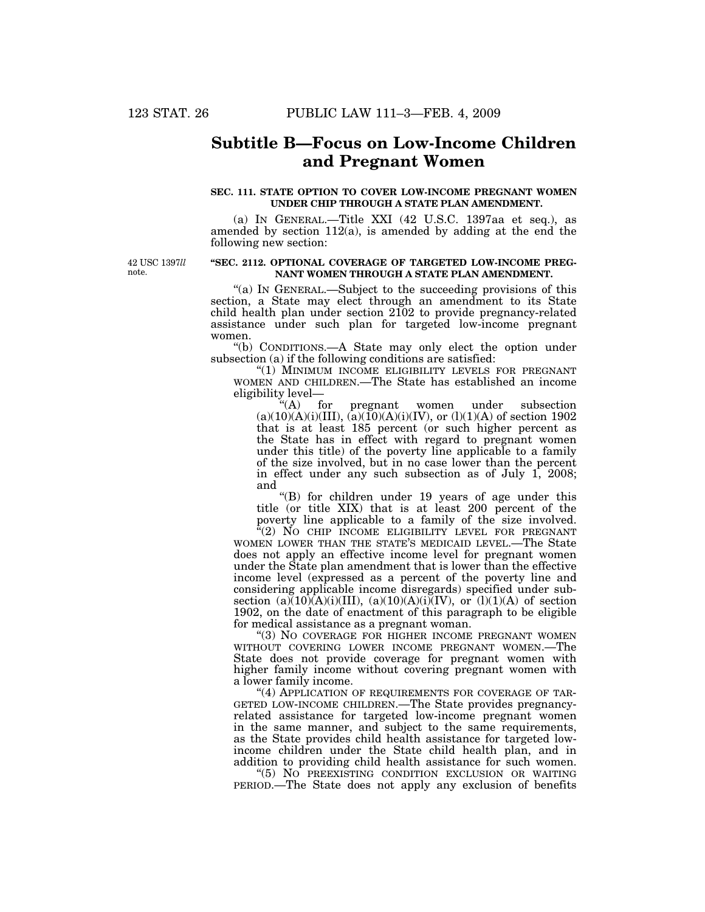# **Subtitle B—Focus on Low-Income Children and Pregnant Women**

### **SEC. 111. STATE OPTION TO COVER LOW-INCOME PREGNANT WOMEN UNDER CHIP THROUGH A STATE PLAN AMENDMENT.**

(a) IN GENERAL.—Title XXI (42 U.S.C. 1397aa et seq.), as amended by section 112(a), is amended by adding at the end the following new section:

42 USC 1397*ll*  note.

## **''SEC. 2112. OPTIONAL COVERAGE OF TARGETED LOW-INCOME PREG-NANT WOMEN THROUGH A STATE PLAN AMENDMENT.**

"(a) IN GENERAL.—Subject to the succeeding provisions of this section, a State may elect through an amendment to its State child health plan under section 2102 to provide pregnancy-related assistance under such plan for targeted low-income pregnant women.

''(b) CONDITIONS.—A State may only elect the option under subsection (a) if the following conditions are satisfied:

"(1) MINIMUM INCOME ELIGIBILITY LEVELS FOR PREGNANT WOMEN AND CHILDREN.—The State has established an income eligibility level—<br>"(A) for

pregnant women under subsection  $(a)(10)(A)(i)(III), (a)(10)(A)(i)(IV), or (l)(1)(A) of section 1902$ that is at least 185 percent (or such higher percent as the State has in effect with regard to pregnant women under this title) of the poverty line applicable to a family of the size involved, but in no case lower than the percent in effect under any such subsection as of July 1, 2008; and

''(B) for children under 19 years of age under this title (or title XIX) that is at least 200 percent of the poverty line applicable to a family of the size involved.

"(2) NO CHIP INCOME ELIGIBILITY LEVEL FOR PREGNANT WOMEN LOWER THAN THE STATE'S MEDICAID LEVEL.—The State does not apply an effective income level for pregnant women under the State plan amendment that is lower than the effective income level (expressed as a percent of the poverty line and considering applicable income disregards) specified under subsection  $(a)(10)(A)(i)(III)$ ,  $(a)(10)(A)(i)(IV)$ , or  $(l)(1)(A)$  of section 1902, on the date of enactment of this paragraph to be eligible for medical assistance as a pregnant woman.

''(3) NO COVERAGE FOR HIGHER INCOME PREGNANT WOMEN WITHOUT COVERING LOWER INCOME PREGNANT WOMEN.—The State does not provide coverage for pregnant women with higher family income without covering pregnant women with a lower family income.

"(4) APPLICATION OF REQUIREMENTS FOR COVERAGE OF TAR-GETED LOW-INCOME CHILDREN.—The State provides pregnancyrelated assistance for targeted low-income pregnant women in the same manner, and subject to the same requirements, as the State provides child health assistance for targeted lowincome children under the State child health plan, and in addition to providing child health assistance for such women.

''(5) NO PREEXISTING CONDITION EXCLUSION OR WAITING PERIOD.—The State does not apply any exclusion of benefits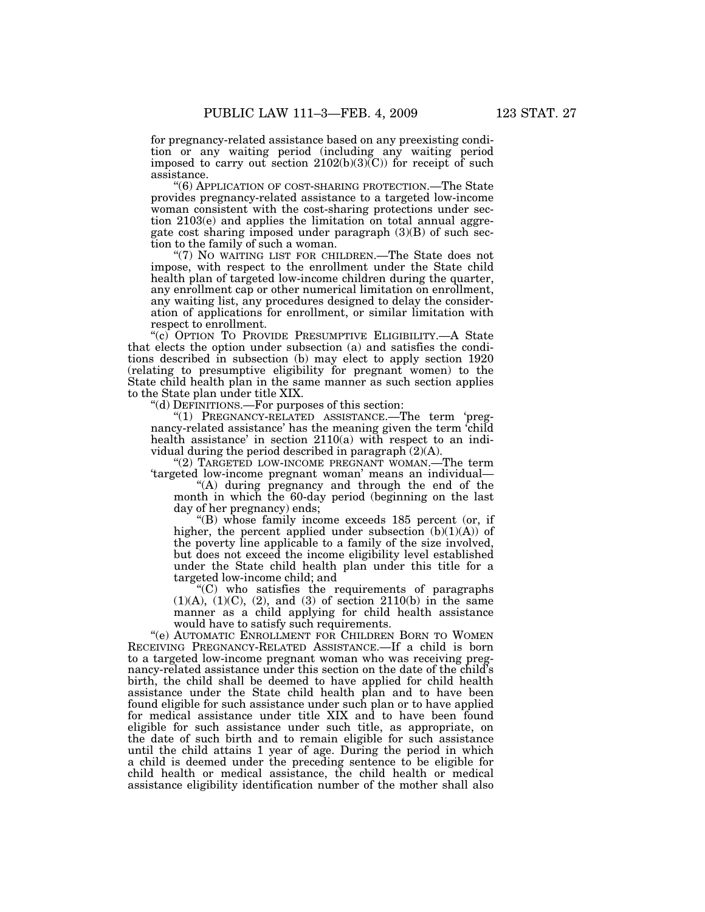for pregnancy-related assistance based on any preexisting condition or any waiting period (including any waiting period imposed to carry out section  $2102(b)(3)(C)$  for receipt of such assistance.

''(6) APPLICATION OF COST-SHARING PROTECTION.—The State provides pregnancy-related assistance to a targeted low-income woman consistent with the cost-sharing protections under section 2103(e) and applies the limitation on total annual aggregate cost sharing imposed under paragraph  $(3)(B)$  of such section to the family of such a woman.

''(7) NO WAITING LIST FOR CHILDREN.—The State does not impose, with respect to the enrollment under the State child health plan of targeted low-income children during the quarter, any enrollment cap or other numerical limitation on enrollment, any waiting list, any procedures designed to delay the consideration of applications for enrollment, or similar limitation with respect to enrollment.

"(c) OPTION TO PROVIDE PRESUMPTIVE ELIGIBILITY.—A State that elects the option under subsection (a) and satisfies the conditions described in subsection (b) may elect to apply section 1920 (relating to presumptive eligibility for pregnant women) to the State child health plan in the same manner as such section applies to the State plan under title XIX.

''(d) DEFINITIONS.—For purposes of this section:

''(1) PREGNANCY-RELATED ASSISTANCE.—The term 'pregnancy-related assistance' has the meaning given the term 'child health assistance' in section 2110(a) with respect to an individual during the period described in paragraph (2)(A).

"(2) TARGETED LOW-INCOME PREGNANT WOMAN.—The term 'targeted low-income pregnant woman' means an individual—

''(A) during pregnancy and through the end of the month in which the 60-day period (beginning on the last day of her pregnancy) ends;

''(B) whose family income exceeds 185 percent (or, if higher, the percent applied under subsection  $(b)(1)(A))$  of the poverty line applicable to a family of the size involved, but does not exceed the income eligibility level established under the State child health plan under this title for a targeted low-income child; and

''(C) who satisfies the requirements of paragraphs  $(1)(A), (1)(C), (2), and (3)$  of section  $2110(b)$  in the same manner as a child applying for child health assistance would have to satisfy such requirements.

"(e) AUTOMATIC ENROLLMENT FOR CHILDREN BORN TO WOMEN RECEIVING PREGNANCY-RELATED ASSISTANCE.—If a child is born to a targeted low-income pregnant woman who was receiving pregnancy-related assistance under this section on the date of the child's birth, the child shall be deemed to have applied for child health assistance under the State child health plan and to have been found eligible for such assistance under such plan or to have applied for medical assistance under title XIX and to have been found eligible for such assistance under such title, as appropriate, on the date of such birth and to remain eligible for such assistance until the child attains 1 year of age. During the period in which a child is deemed under the preceding sentence to be eligible for child health or medical assistance, the child health or medical assistance eligibility identification number of the mother shall also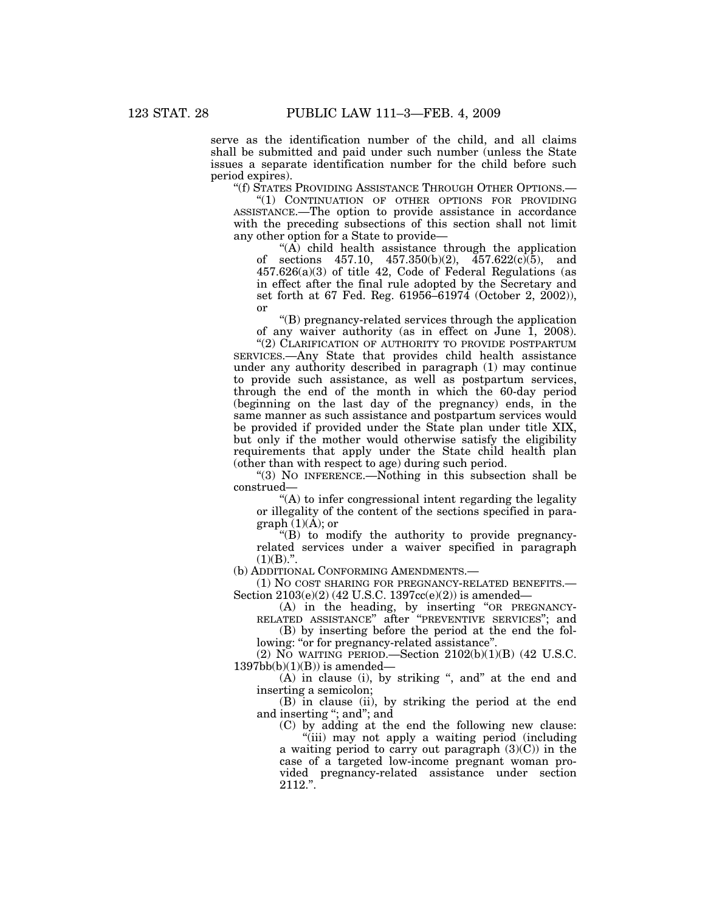serve as the identification number of the child, and all claims shall be submitted and paid under such number (unless the State issues a separate identification number for the child before such period expires).

''(f) STATES PROVIDING ASSISTANCE THROUGH OTHER OPTIONS.—

''(1) CONTINUATION OF OTHER OPTIONS FOR PROVIDING ASSISTANCE.—The option to provide assistance in accordance with the preceding subsections of this section shall not limit any other option for a State to provide—

" $(\overrightarrow{A})$  child health assistance through the application of sections 457.10,  $457.350(b)(2)$ ,  $457.622(c)(5)$ , and 457.626(a)(3) of title 42, Code of Federal Regulations (as in effect after the final rule adopted by the Secretary and set forth at 67 Fed. Reg. 61956–61974 (October 2, 2002)), or

''(B) pregnancy-related services through the application of any waiver authority (as in effect on June 1, 2008).

"(2) CLARIFICATION OF AUTHORITY TO PROVIDE POSTPARTUM SERVICES.—Any State that provides child health assistance under any authority described in paragraph (1) may continue to provide such assistance, as well as postpartum services, through the end of the month in which the 60-day period (beginning on the last day of the pregnancy) ends, in the same manner as such assistance and postpartum services would be provided if provided under the State plan under title XIX, but only if the mother would otherwise satisfy the eligibility requirements that apply under the State child health plan (other than with respect to age) during such period.

''(3) NO INFERENCE.—Nothing in this subsection shall be construed—

"(A) to infer congressional intent regarding the legality or illegality of the content of the sections specified in paragraph  $(1)(A)$ ; or

 $'(B)$  to modify the authority to provide pregnancyrelated services under a waiver specified in paragraph  $(1)(B)$ .".

(b) ADDITIONAL CONFORMING AMENDMENTS.—

(1) NO COST SHARING FOR PREGNANCY-RELATED BENEFITS.— Section  $2103(e)(2)$  (42 U.S.C. 1397cc(e)(2)) is amended—

(A) in the heading, by inserting ''OR PREGNANCY-RELATED ASSISTANCE'' after ''PREVENTIVE SERVICES''; and

(B) by inserting before the period at the end the following: "or for pregnancy-related assistance".

(2) NO WAITING PERIOD.—Section  $2102(b)(1)(B)$  (42 U.S.C.  $1397bb(b)(1)(B)$ ) is amended-

(A) in clause (i), by striking ", and" at the end and inserting a semicolon;

(B) in clause (ii), by striking the period at the end and inserting ''; and''; and

(C) by adding at the end the following new clause: ''(iii) may not apply a waiting period (including a waiting period to carry out paragraph  $(3)(C)$  in the

case of a targeted low-income pregnant woman provided pregnancy-related assistance under section 2112.''.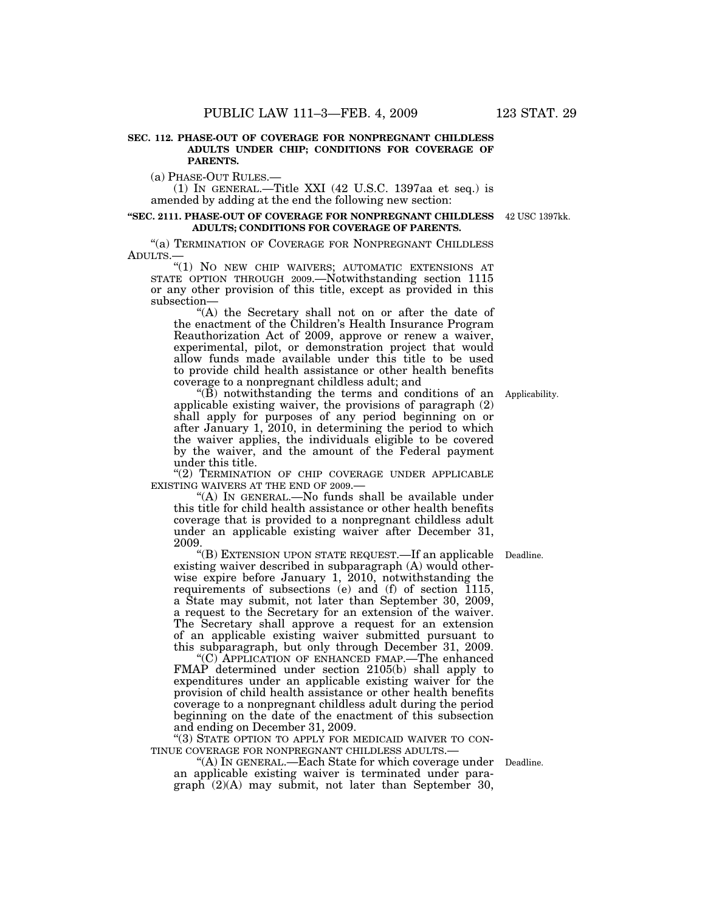## **SEC. 112. PHASE-OUT OF COVERAGE FOR NONPREGNANT CHILDLESS ADULTS UNDER CHIP; CONDITIONS FOR COVERAGE OF PARENTS.**

(a) PHASE-OUT RULES.—

(1) IN GENERAL.—Title XXI (42 U.S.C. 1397aa et seq.) is amended by adding at the end the following new section:

#### **''SEC. 2111. PHASE-OUT OF COVERAGE FOR NONPREGNANT CHILDLESS**  42 USC 1397kk. **ADULTS; CONDITIONS FOR COVERAGE OF PARENTS.**

"(a) TERMINATION OF COVERAGE FOR NONPREGNANT CHILDLESS ADULTS.—

''(1) NO NEW CHIP WAIVERS; AUTOMATIC EXTENSIONS AT STATE OPTION THROUGH 2009.—Notwithstanding section 1115 or any other provision of this title, except as provided in this subsection—

''(A) the Secretary shall not on or after the date of the enactment of the Children's Health Insurance Program Reauthorization Act of 2009, approve or renew a waiver, experimental, pilot, or demonstration project that would allow funds made available under this title to be used to provide child health assistance or other health benefits coverage to a nonpregnant childless adult; and

''(B) notwithstanding the terms and conditions of an Applicability. applicable existing waiver, the provisions of paragraph (2) shall apply for purposes of any period beginning on or after January 1, 2010, in determining the period to which the waiver applies, the individuals eligible to be covered by the waiver, and the amount of the Federal payment under this title.

"(2) TERMINATION OF CHIP COVERAGE UNDER APPLICABLE EXISTING WAIVERS AT THE END OF 2009.—

''(A) IN GENERAL.—No funds shall be available under this title for child health assistance or other health benefits coverage that is provided to a nonpregnant childless adult under an applicable existing waiver after December 31, 2009.

"(B) EXTENSION UPON STATE REQUEST.—If an applicable Deadline. existing waiver described in subparagraph (A) would otherwise expire before January 1, 2010, notwithstanding the requirements of subsections (e) and (f) of section 1115, a State may submit, not later than September 30, 2009, a request to the Secretary for an extension of the waiver. The Secretary shall approve a request for an extension of an applicable existing waiver submitted pursuant to this subparagraph, but only through December 31, 2009.

''(C) APPLICATION OF ENHANCED FMAP.—The enhanced FMAP determined under section 2105(b) shall apply to expenditures under an applicable existing waiver for the provision of child health assistance or other health benefits coverage to a nonpregnant childless adult during the period beginning on the date of the enactment of this subsection and ending on December 31, 2009.

''(3) STATE OPTION TO APPLY FOR MEDICAID WAIVER TO CON-TINUE COVERAGE FOR NONPREGNANT CHILDLESS ADULTS.—

''(A) IN GENERAL.—Each State for which coverage under Deadline. an applicable existing waiver is terminated under para $graph (2)(A)$  may submit, not later than September 30,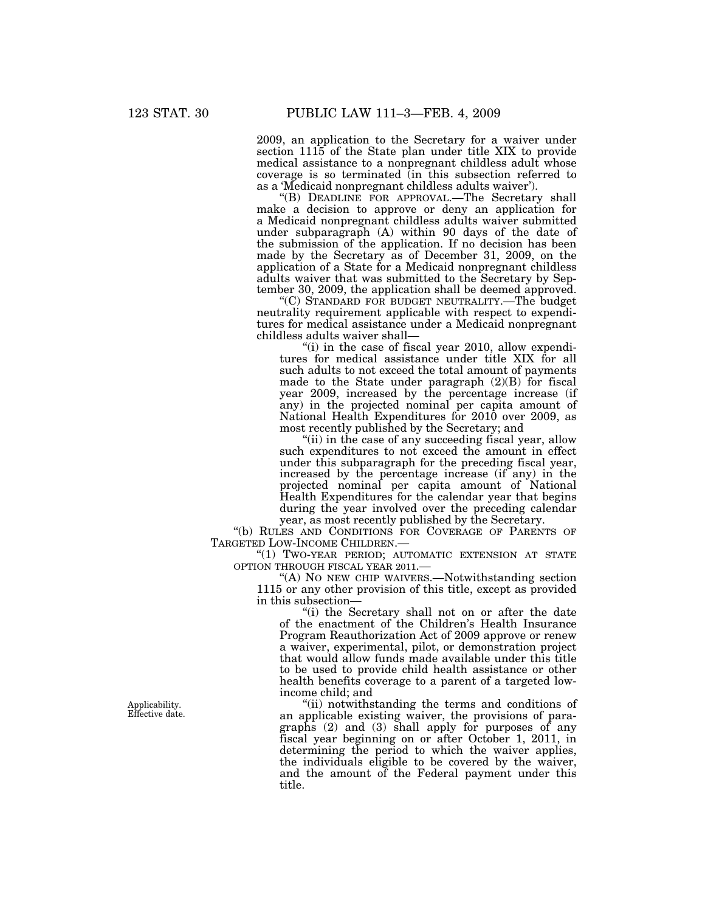2009, an application to the Secretary for a waiver under section 1115 of the State plan under title XIX to provide medical assistance to a nonpregnant childless adult whose coverage is so terminated (in this subsection referred to as a 'Medicaid nonpregnant childless adults waiver').

''(B) DEADLINE FOR APPROVAL.—The Secretary shall make a decision to approve or deny an application for a Medicaid nonpregnant childless adults waiver submitted under subparagraph (A) within 90 days of the date of the submission of the application. If no decision has been made by the Secretary as of December 31, 2009, on the application of a State for a Medicaid nonpregnant childless adults waiver that was submitted to the Secretary by September 30, 2009, the application shall be deemed approved.

''(C) STANDARD FOR BUDGET NEUTRALITY.—The budget neutrality requirement applicable with respect to expenditures for medical assistance under a Medicaid nonpregnant childless adults waiver shall—

"(i) in the case of fiscal year 2010, allow expenditures for medical assistance under title XIX for all such adults to not exceed the total amount of payments made to the State under paragraph (2)(B) for fiscal year 2009, increased by the percentage increase (if any) in the projected nominal per capita amount of National Health Expenditures for 2010 over 2009, as most recently published by the Secretary; and

"(ii) in the case of any succeeding fiscal year, allow such expenditures to not exceed the amount in effect under this subparagraph for the preceding fiscal year, increased by the percentage increase (if any) in the projected nominal per capita amount of National Health Expenditures for the calendar year that begins during the year involved over the preceding calendar year, as most recently published by the Secretary.

''(b) RULES AND CONDITIONS FOR COVERAGE OF PARENTS OF TARGETED LOW-INCOME CHILDREN.—

"(1) TWO-YEAR PERIOD; AUTOMATIC EXTENSION AT STATE OPTION THROUGH FISCAL YEAR 2011.—

'(A) NO NEW CHIP WAIVERS.—Notwithstanding section 1115 or any other provision of this title, except as provided in this subsection—

"(i) the Secretary shall not on or after the date of the enactment of the Children's Health Insurance Program Reauthorization Act of 2009 approve or renew a waiver, experimental, pilot, or demonstration project that would allow funds made available under this title to be used to provide child health assistance or other health benefits coverage to a parent of a targeted lowincome child; and

''(ii) notwithstanding the terms and conditions of an applicable existing waiver, the provisions of paragraphs (2) and (3) shall apply for purposes of any fiscal year beginning on or after October 1, 2011, in determining the period to which the waiver applies, the individuals eligible to be covered by the waiver, and the amount of the Federal payment under this title.

Applicability. Effective date.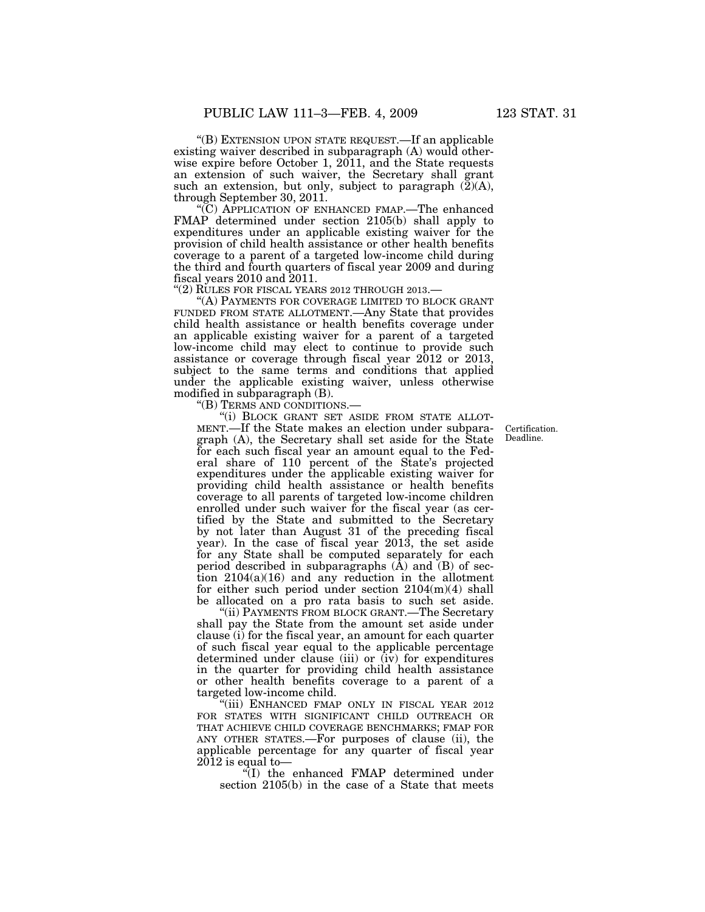''(B) EXTENSION UPON STATE REQUEST.—If an applicable existing waiver described in subparagraph (A) would otherwise expire before October 1, 2011, and the State requests an extension of such waiver, the Secretary shall grant such an extension, but only, subject to paragraph  $(\tilde{2})(A)$ , through September 30, 2011.

''(C) APPLICATION OF ENHANCED FMAP.—The enhanced FMAP determined under section 2105(b) shall apply to expenditures under an applicable existing waiver for the provision of child health assistance or other health benefits coverage to a parent of a targeted low-income child during the third and fourth quarters of fiscal year 2009 and during fiscal years 2010 and 2011.<br>"(2) RULES FOR FISCAL YEARS 2012 THROUGH 2013.—

"(A) PAYMENTS FOR COVERAGE LIMITED TO BLOCK GRANT FUNDED FROM STATE ALLOTMENT.—Any State that provides child health assistance or health benefits coverage under an applicable existing waiver for a parent of a targeted low-income child may elect to continue to provide such assistance or coverage through fiscal year 2012 or 2013, subject to the same terms and conditions that applied under the applicable existing waiver, unless otherwise modified in subparagraph (B).

''(B) TERMS AND CONDITIONS.—

''(i) BLOCK GRANT SET ASIDE FROM STATE ALLOT-MENT.—If the State makes an election under subparagraph (A), the Secretary shall set aside for the State for each such fiscal year an amount equal to the Federal share of 110 percent of the State's projected expenditures under the applicable existing waiver for providing child health assistance or health benefits coverage to all parents of targeted low-income children enrolled under such waiver for the fiscal year (as certified by the State and submitted to the Secretary by not later than August 31 of the preceding fiscal year). In the case of fiscal year 2013, the set aside for any State shall be computed separately for each period described in subparagraphs  $(\overline{A})$  and  $(\overline{B})$  of section  $2104(a)(16)$  and any reduction in the allotment for either such period under section 2104(m)(4) shall be allocated on a pro rata basis to such set aside.

''(ii) PAYMENTS FROM BLOCK GRANT.—The Secretary shall pay the State from the amount set aside under clause (i) for the fiscal year, an amount for each quarter of such fiscal year equal to the applicable percentage determined under clause (iii) or (iv) for expenditures in the quarter for providing child health assistance or other health benefits coverage to a parent of a targeted low-income child.

'(iii) ENHANCED FMAP ONLY IN FISCAL YEAR 2012 FOR STATES WITH SIGNIFICANT CHILD OUTREACH OR THAT ACHIEVE CHILD COVERAGE BENCHMARKS; FMAP FOR ANY OTHER STATES.—For purposes of clause (ii), the applicable percentage for any quarter of fiscal year  $2\overline{0}12$  is equal to—

''(I) the enhanced FMAP determined under section 2105(b) in the case of a State that meets

Certification. Deadline.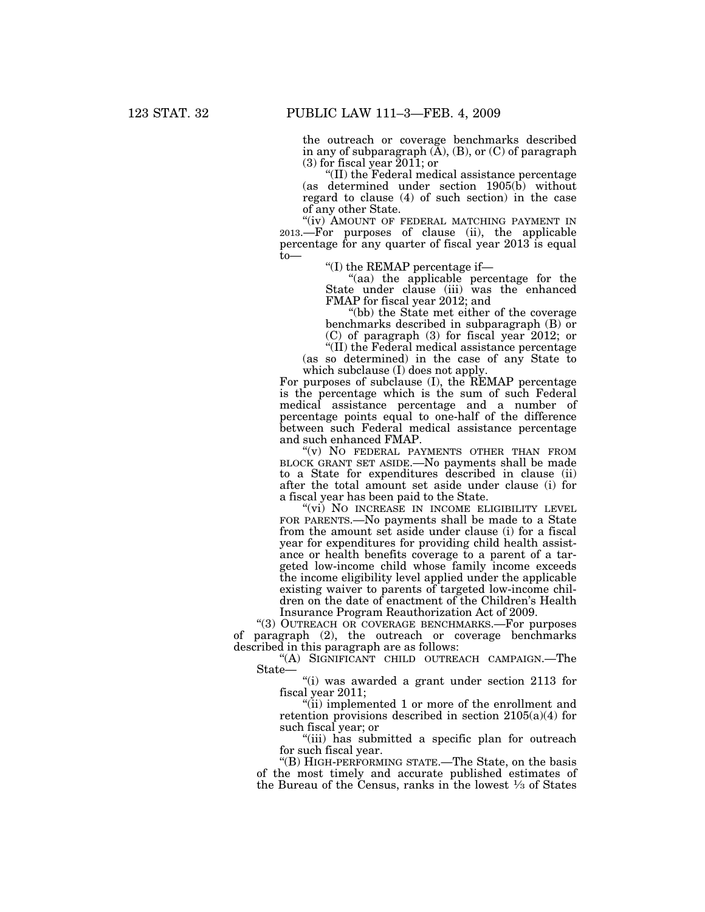the outreach or coverage benchmarks described in any of subparagraph  $(A)$ ,  $(B)$ , or  $(C)$  of paragraph  $(3)$  for fiscal year 2011; or

''(II) the Federal medical assistance percentage (as determined under section 1905(b) without regard to clause (4) of such section) in the case of any other State.

"(iv) AMOUNT OF FEDERAL MATCHING PAYMENT IN 2013.—For purposes of clause (ii), the applicable percentage for any quarter of fiscal year 2013 is equal to—

''(I) the REMAP percentage if—

''(aa) the applicable percentage for the State under clause (iii) was the enhanced FMAP for fiscal year 2012; and

''(bb) the State met either of the coverage benchmarks described in subparagraph (B) or (C) of paragraph (3) for fiscal year 2012; or

 $\sqrt{\text{III}}$ ) the Federal medical assistance percentage (as so determined) in the case of any State to which subclause (I) does not apply.

For purposes of subclause (I), the REMAP percentage is the percentage which is the sum of such Federal medical assistance percentage and a number of percentage points equal to one-half of the difference between such Federal medical assistance percentage and such enhanced FMAP.

''(v) NO FEDERAL PAYMENTS OTHER THAN FROM BLOCK GRANT SET ASIDE.—No payments shall be made to a State for expenditures described in clause (ii) after the total amount set aside under clause (i) for a fiscal year has been paid to the State.

"(vi) NO INCREASE IN INCOME ELIGIBILITY LEVEL FOR PARENTS.—No payments shall be made to a State from the amount set aside under clause (i) for a fiscal year for expenditures for providing child health assistance or health benefits coverage to a parent of a targeted low-income child whose family income exceeds the income eligibility level applied under the applicable existing waiver to parents of targeted low-income children on the date of enactment of the Children's Health Insurance Program Reauthorization Act of 2009.

''(3) OUTREACH OR COVERAGE BENCHMARKS.—For purposes of paragraph (2), the outreach or coverage benchmarks described in this paragraph are as follows:

''(A) SIGNIFICANT CHILD OUTREACH CAMPAIGN.—The State—

''(i) was awarded a grant under section 2113 for fiscal year 2011;

''(ii) implemented 1 or more of the enrollment and retention provisions described in section 2105(a)(4) for such fiscal year; or

"(iii) has submitted a specific plan for outreach for such fiscal year.

''(B) HIGH-PERFORMING STATE.—The State, on the basis of the most timely and accurate published estimates of the Bureau of the Census, ranks in the lowest  $\frac{1}{3}$  of States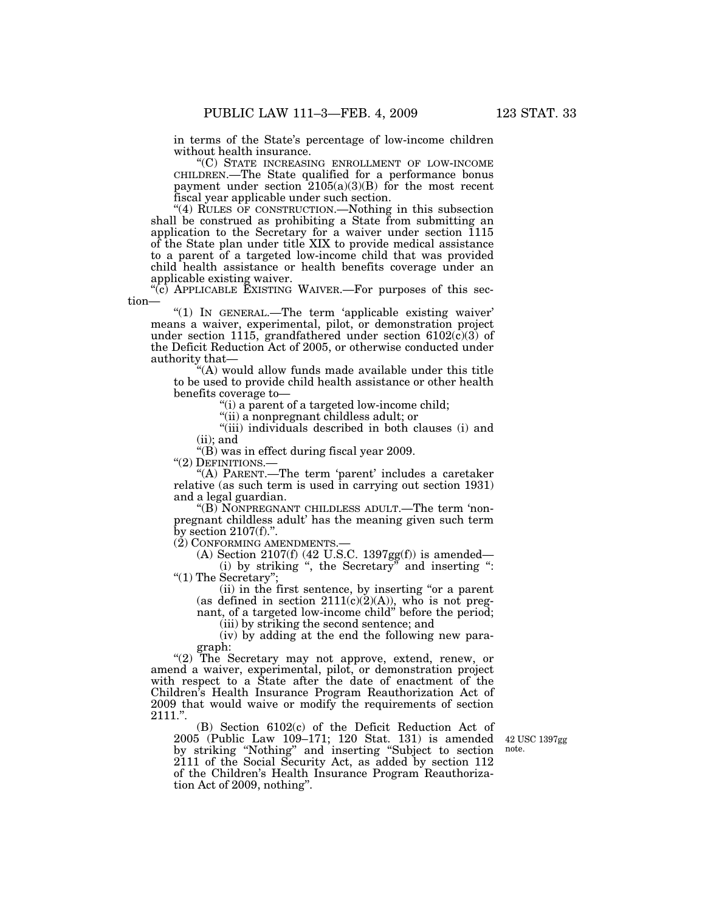in terms of the State's percentage of low-income children without health insurance.

''(C) STATE INCREASING ENROLLMENT OF LOW-INCOME CHILDREN.—The State qualified for a performance bonus payment under section  $2105(a)(3)(B)$  for the most recent fiscal year applicable under such section.

''(4) RULES OF CONSTRUCTION.—Nothing in this subsection shall be construed as prohibiting a State from submitting an application to the Secretary for a waiver under section 1115 of the State plan under title XIX to provide medical assistance to a parent of a targeted low-income child that was provided child health assistance or health benefits coverage under an applicable existing waiver.

''(c) APPLICABLE EXISTING WAIVER.—For purposes of this section—

"(1) IN GENERAL.—The term 'applicable existing waiver' means a waiver, experimental, pilot, or demonstration project under section 1115, grandfathered under section 6102(c)(3) of the Deficit Reduction Act of 2005, or otherwise conducted under authority that—

"(A) would allow funds made available under this title to be used to provide child health assistance or other health benefits coverage to—

"(i) a parent of a targeted low-income child;

''(ii) a nonpregnant childless adult; or

"(iii) individuals described in both clauses (i) and (ii); and

''(B) was in effect during fiscal year 2009.

"(2) DEFINITIONS.-

''(A) PARENT.—The term 'parent' includes a caretaker relative (as such term is used in carrying out section 1931) and a legal guardian.

''(B) NONPREGNANT CHILDLESS ADULT.—The term 'nonpregnant childless adult' has the meaning given such term by section  $2107(f)$ .".

(2) CONFORMING AMENDMENTS.—

(A) Section 2107(f) (42 U.S.C. 1397gg(f)) is amended— (i) by striking ", the Secretary" and inserting ": ''(1) The Secretary'';

(ii) in the first sentence, by inserting ''or a parent (as defined in section  $2111(c)(2)(A)$ ), who is not pregnant, of a targeted low-income child'' before the period;

(iii) by striking the second sentence; and

(iv) by adding at the end the following new paragraph:

"(2) The Secretary may not approve, extend, renew, or amend a waiver, experimental, pilot, or demonstration project with respect to a State after the date of enactment of the Children's Health Insurance Program Reauthorization Act of 2009 that would waive or modify the requirements of section 2111.''.

(B) Section 6102(c) of the Deficit Reduction Act of 2005 (Public Law 109–171; 120 Stat. 131) is amended by striking ''Nothing'' and inserting ''Subject to section 2111 of the Social Security Act, as added by section 112 of the Children's Health Insurance Program Reauthorization Act of 2009, nothing''.

42 USC 1397gg note.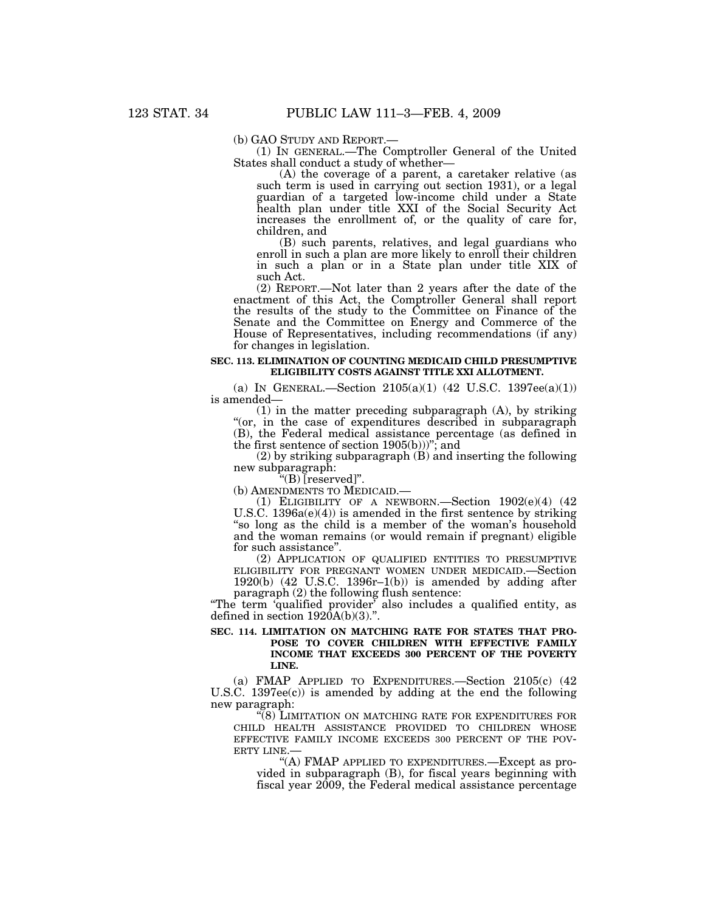(b) GAO STUDY AND REPORT.— (1) IN GENERAL.—The Comptroller General of the United States shall conduct a study of whether—

(A) the coverage of a parent, a caretaker relative (as such term is used in carrying out section 1931), or a legal guardian of a targeted low-income child under a State health plan under title XXI of the Social Security Act increases the enrollment of, or the quality of care for, children, and

(B) such parents, relatives, and legal guardians who enroll in such a plan are more likely to enroll their children in such a plan or in a State plan under title XIX of such Act.

(2) REPORT.—Not later than 2 years after the date of the enactment of this Act, the Comptroller General shall report the results of the study to the Committee on Finance of the Senate and the Committee on Energy and Commerce of the House of Representatives, including recommendations (if any) for changes in legislation.

### **SEC. 113. ELIMINATION OF COUNTING MEDICAID CHILD PRESUMPTIVE ELIGIBILITY COSTS AGAINST TITLE XXI ALLOTMENT.**

(a) IN GENERAL.—Section  $2105(a)(1)$  (42 U.S.C. 1397ee(a)(1)) is amended—

(1) in the matter preceding subparagraph (A), by striking ''(or, in the case of expenditures described in subparagraph (B), the Federal medical assistance percentage (as defined in the first sentence of section  $1905(b))$ "; and

(2) by striking subparagraph (B) and inserting the following new subparagraph:

''(B) [reserved]''.

(b) AMENDMENTS TO MEDICAID.—<br>
(1) ELIGIBILITY OF A NEWBORN.—Section  $1902(e)(4)$  (42) U.S.C.  $1396a(e)(4)$  is amended in the first sentence by striking ''so long as the child is a member of the woman's household and the woman remains (or would remain if pregnant) eligible for such assistance''.

(2) APPLICATION OF QUALIFIED ENTITIES TO PRESUMPTIVE ELIGIBILITY FOR PREGNANT WOMEN UNDER MEDICAID.—Section 1920(b) (42 U.S.C. 1396r–1(b)) is amended by adding after paragraph (2) the following flush sentence:

"The term 'qualified provider' also includes a qualified entity, as defined in section  $1920A(b)(3)$ .".

## **SEC. 114. LIMITATION ON MATCHING RATE FOR STATES THAT PRO-POSE TO COVER CHILDREN WITH EFFECTIVE FAMILY INCOME THAT EXCEEDS 300 PERCENT OF THE POVERTY LINE.**

(a) FMAP APPLIED TO EXPENDITURES.—Section 2105(c) (42 U.S.C. 1397ee $(c)$  is amended by adding at the end the following new paragraph:

''(8) LIMITATION ON MATCHING RATE FOR EXPENDITURES FOR CHILD HEALTH ASSISTANCE PROVIDED TO CHILDREN WHOSE EFFECTIVE FAMILY INCOME EXCEEDS 300 PERCENT OF THE POVERTY LINE.—

''(A) FMAP APPLIED TO EXPENDITURES.—Except as provided in subparagraph (B), for fiscal years beginning with fiscal year 2009, the Federal medical assistance percentage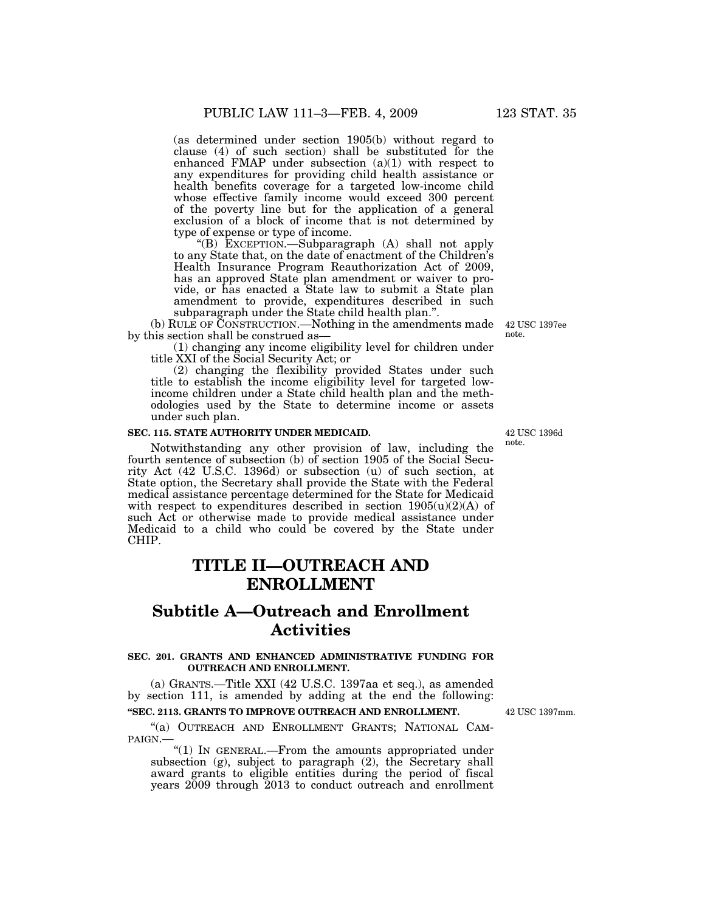(as determined under section 1905(b) without regard to clause (4) of such section) shall be substituted for the enhanced FMAP under subsection (a)(1) with respect to any expenditures for providing child health assistance or health benefits coverage for a targeted low-income child whose effective family income would exceed 300 percent of the poverty line but for the application of a general exclusion of a block of income that is not determined by type of expense or type of income.

''(B) EXCEPTION.—Subparagraph (A) shall not apply to any State that, on the date of enactment of the Children's Health Insurance Program Reauthorization Act of 2009, has an approved State plan amendment or waiver to provide, or has enacted a State law to submit a State plan amendment to provide, expenditures described in such subparagraph under the State child health plan.''.

(b) RULE OF CONSTRUCTION.—Nothing in the amendments made by this section shall be construed as—

(1) changing any income eligibility level for children under title XXI of the Social Security Act; or

(2) changing the flexibility provided States under such title to establish the income eligibility level for targeted lowincome children under a State child health plan and the methodologies used by the State to determine income or assets under such plan.

# **SEC. 115. STATE AUTHORITY UNDER MEDICAID.**

Notwithstanding any other provision of law, including the fourth sentence of subsection (b) of section 1905 of the Social Security Act (42 U.S.C. 1396d) or subsection (u) of such section, at State option, the Secretary shall provide the State with the Federal medical assistance percentage determined for the State for Medicaid with respect to expenditures described in section  $1905(u)(2)(A)$  of such Act or otherwise made to provide medical assistance under Medicaid to a child who could be covered by the State under CHIP.

# **TITLE II—OUTREACH AND ENROLLMENT**

# **Subtitle A—Outreach and Enrollment Activities**

## **SEC. 201. GRANTS AND ENHANCED ADMINISTRATIVE FUNDING FOR OUTREACH AND ENROLLMENT.**

(a) GRANTS.—Title XXI (42 U.S.C. 1397aa et seq.), as amended by section 111, is amended by adding at the end the following:

# **''SEC. 2113. GRANTS TO IMPROVE OUTREACH AND ENROLLMENT.**

"(a) OUTREACH AND ENROLLMENT GRANTS; NATIONAL CAM-PAIGN.—

''(1) IN GENERAL.—From the amounts appropriated under subsection (g), subject to paragraph (2), the Secretary shall award grants to eligible entities during the period of fiscal years 2009 through 2013 to conduct outreach and enrollment

42 USC 1396d note.

42 USC 1397mm.

42 USC 1397ee note.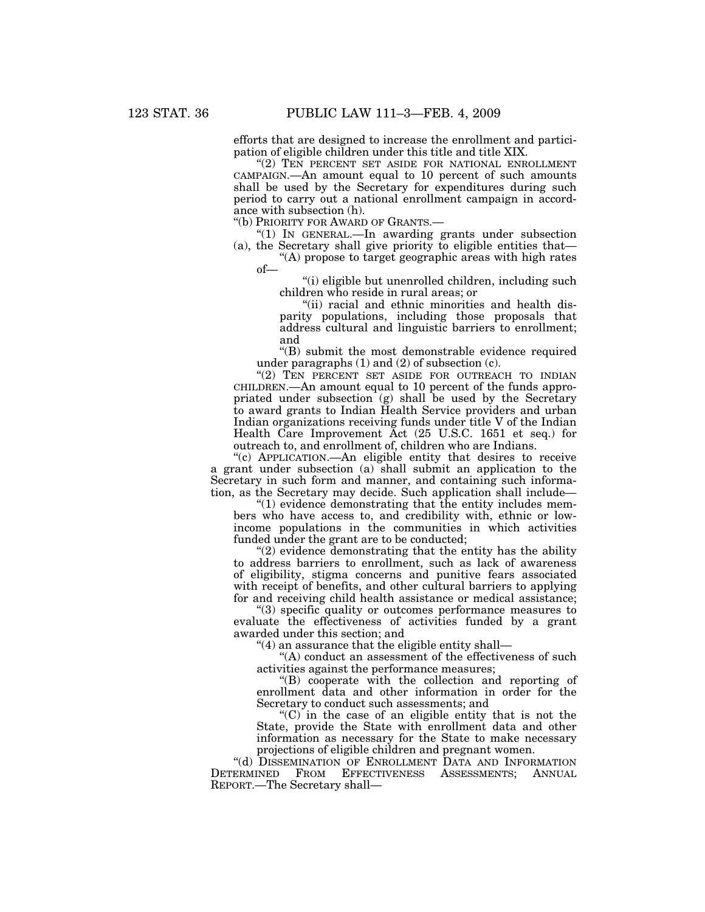efforts that are designed to increase the enrollment and participation of eligible children under this title and title XIX.

''(2) TEN PERCENT SET ASIDE FOR NATIONAL ENROLLMENT CAMPAIGN.—An amount equal to 10 percent of such amounts shall be used by the Secretary for expenditures during such period to carry out a national enrollment campaign in accordance with subsection (h).

''(b) PRIORITY FOR AWARD OF GRANTS.—

''(1) IN GENERAL.—In awarding grants under subsection (a), the Secretary shall give priority to eligible entities that—

''(A) propose to target geographic areas with high rates of—

''(i) eligible but unenrolled children, including such children who reside in rural areas; or

"(ii) racial and ethnic minorities and health disparity populations, including those proposals that address cultural and linguistic barriers to enrollment; and

''(B) submit the most demonstrable evidence required under paragraphs (1) and (2) of subsection (c).

"(2) TEN PERCENT SET ASIDE FOR OUTREACH TO INDIAN CHILDREN.—An amount equal to 10 percent of the funds appropriated under subsection (g) shall be used by the Secretary to award grants to Indian Health Service providers and urban Indian organizations receiving funds under title V of the Indian Health Care Improvement Act (25 U.S.C. 1651 et seq.) for outreach to, and enrollment of, children who are Indians.

''(c) APPLICATION.—An eligible entity that desires to receive a grant under subsection (a) shall submit an application to the Secretary in such form and manner, and containing such information, as the Secretary may decide. Such application shall include—

''(1) evidence demonstrating that the entity includes members who have access to, and credibility with, ethnic or lowincome populations in the communities in which activities funded under the grant are to be conducted;

''(2) evidence demonstrating that the entity has the ability to address barriers to enrollment, such as lack of awareness of eligibility, stigma concerns and punitive fears associated with receipt of benefits, and other cultural barriers to applying for and receiving child health assistance or medical assistance;

''(3) specific quality or outcomes performance measures to evaluate the effectiveness of activities funded by a grant awarded under this section; and

''(4) an assurance that the eligible entity shall—

"(A) conduct an assessment of the effectiveness of such activities against the performance measures;

''(B) cooperate with the collection and reporting of enrollment data and other information in order for the Secretary to conduct such assessments; and

 $(C)$  in the case of an eligible entity that is not the State, provide the State with enrollment data and other information as necessary for the State to make necessary projections of eligible children and pregnant women.

"(d) DISSEMINATION OF ENROLLMENT DATA AND INFORMATION DETERMINED FROM EFFECTIVENESS ASSESSMENTS; ANNUAL REPORT.—The Secretary shall—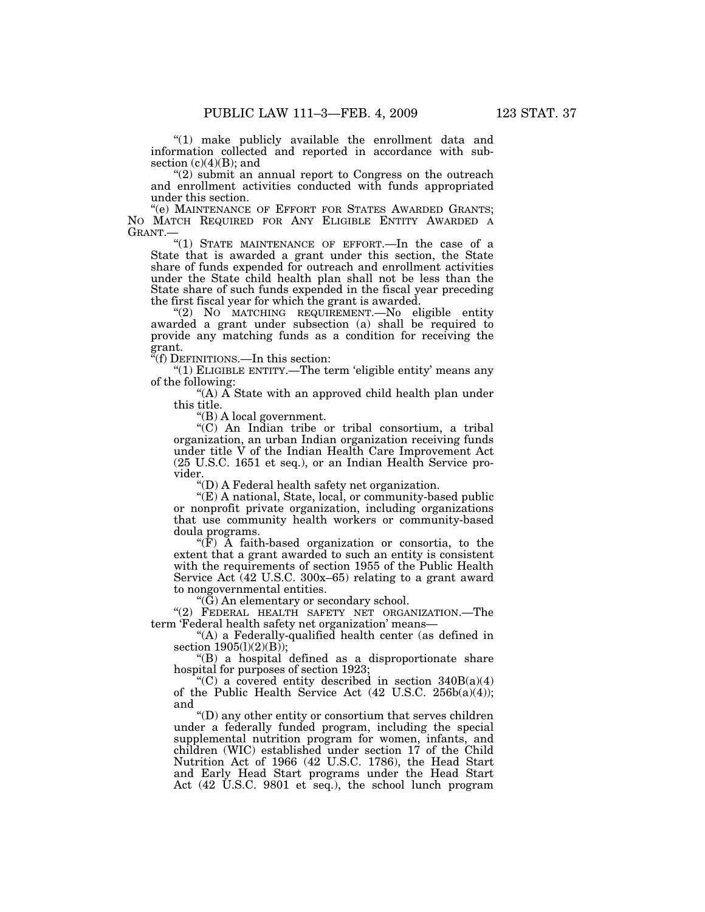''(1) make publicly available the enrollment data and information collected and reported in accordance with subsection  $(c)(4)(B)$ ; and

"(2) submit an annual report to Congress on the outreach and enrollment activities conducted with funds appropriated under this section.

"(e) MAINTENANCE OF EFFORT FOR STATES AWARDED GRANTS; NO MATCH REQUIRED FOR ANY ELIGIBLE ENTITY AWARDED A GRANT.—

"(1) STATE MAINTENANCE OF EFFORT.—In the case of a State that is awarded a grant under this section, the State share of funds expended for outreach and enrollment activities under the State child health plan shall not be less than the State share of such funds expended in the fiscal year preceding the first fiscal year for which the grant is awarded.

''(2) NO MATCHING REQUIREMENT.—No eligible entity awarded a grant under subsection (a) shall be required to provide any matching funds as a condition for receiving the grant.

''(f) DEFINITIONS.—In this section:

''(1) ELIGIBLE ENTITY.—The term 'eligible entity' means any of the following:

"(A)  $\widetilde{A}$  State with an approved child health plan under this title.

''(B) A local government.

''(C) An Indian tribe or tribal consortium, a tribal organization, an urban Indian organization receiving funds under title V of the Indian Health Care Improvement Act (25 U.S.C. 1651 et seq.), or an Indian Health Service provider.

''(D) A Federal health safety net organization.

''(E) A national, State, local, or community-based public or nonprofit private organization, including organizations that use community health workers or community-based doula programs.

" $(F)$  A faith-based organization or consortia, to the extent that a grant awarded to such an entity is consistent with the requirements of section 1955 of the Public Health Service Act (42 U.S.C. 300x–65) relating to a grant award to nongovernmental entities.

" $(\check{G})$  An elementary or secondary school.

"(2) FEDERAL HEALTH SAFETY NET ORGANIZATION.—The term 'Federal health safety net organization' means—

''(A) a Federally-qualified health center (as defined in section 1905(1)(2)(B));

''(B) a hospital defined as a disproportionate share hospital for purposes of section 1923;

"(C) a covered entity described in section  $340B(a)(4)$ of the Public Health Service Act  $(42 \text{ U.S.C. } 256b(a)(4));$ and

''(D) any other entity or consortium that serves children under a federally funded program, including the special supplemental nutrition program for women, infants, and children (WIC) established under section 17 of the Child Nutrition Act of 1966 (42 U.S.C. 1786), the Head Start and Early Head Start programs under the Head Start Act  $(42 \text{ U.S.C. } 9801 \text{ et } \text{seq.})$ , the school lunch program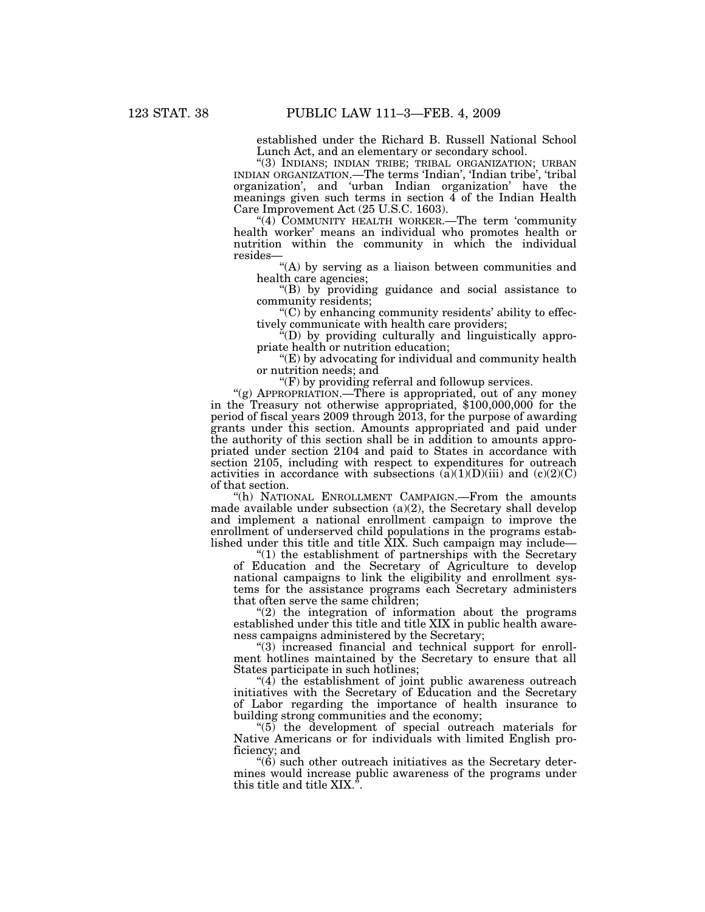established under the Richard B. Russell National School Lunch Act, and an elementary or secondary school.

"(3) INDIANS; INDIAN TRIBE; TRIBAL ORGANIZATION; URBAN INDIAN ORGANIZATION.—The terms 'Indian', 'Indian tribe', 'tribal organization', and 'urban Indian organization' have the meanings given such terms in section  $\tilde{4}$  of the Indian Health Care Improvement Act (25 U.S.C. 1603).

"(4) COMMUNITY HEALTH WORKER.—The term 'community health worker' means an individual who promotes health or nutrition within the community in which the individual resides—

"(A) by serving as a liaison between communities and health care agencies;

''(B) by providing guidance and social assistance to community residents;

 $C$ ) by enhancing community residents' ability to effectively communicate with health care providers;

''(D) by providing culturally and linguistically appropriate health or nutrition education;

''(E) by advocating for individual and community health or nutrition needs; and

 $\mathcal{F}(F)$  by providing referral and followup services.

"(g) APPROPRIATION.—There is appropriated, out of any money in the Treasury not otherwise appropriated, \$100,000,000 for the period of fiscal years 2009 through 2013, for the purpose of awarding grants under this section. Amounts appropriated and paid under the authority of this section shall be in addition to amounts appropriated under section 2104 and paid to States in accordance with section 2105, including with respect to expenditures for outreach activities in accordance with subsections  $(a)(1)(D)(iii)$  and  $(c)(2)(C)$ of that section.

''(h) NATIONAL ENROLLMENT CAMPAIGN.—From the amounts made available under subsection (a)(2), the Secretary shall develop and implement a national enrollment campaign to improve the enrollment of underserved child populations in the programs established under this title and title XIX. Such campaign may include—

''(1) the establishment of partnerships with the Secretary of Education and the Secretary of Agriculture to develop national campaigns to link the eligibility and enrollment systems for the assistance programs each Secretary administers that often serve the same children;

 $''(2)$  the integration of information about the programs established under this title and title XIX in public health awareness campaigns administered by the Secretary;

''(3) increased financial and technical support for enrollment hotlines maintained by the Secretary to ensure that all States participate in such hotlines;

 $(4)$  the establishment of joint public awareness outreach initiatives with the Secretary of Education and the Secretary of Labor regarding the importance of health insurance to building strong communities and the economy;

''(5) the development of special outreach materials for Native Americans or for individuals with limited English proficiency; and

 $\degree$ (6) such other outreach initiatives as the Secretary determines would increase public awareness of the programs under this title and title XIX.'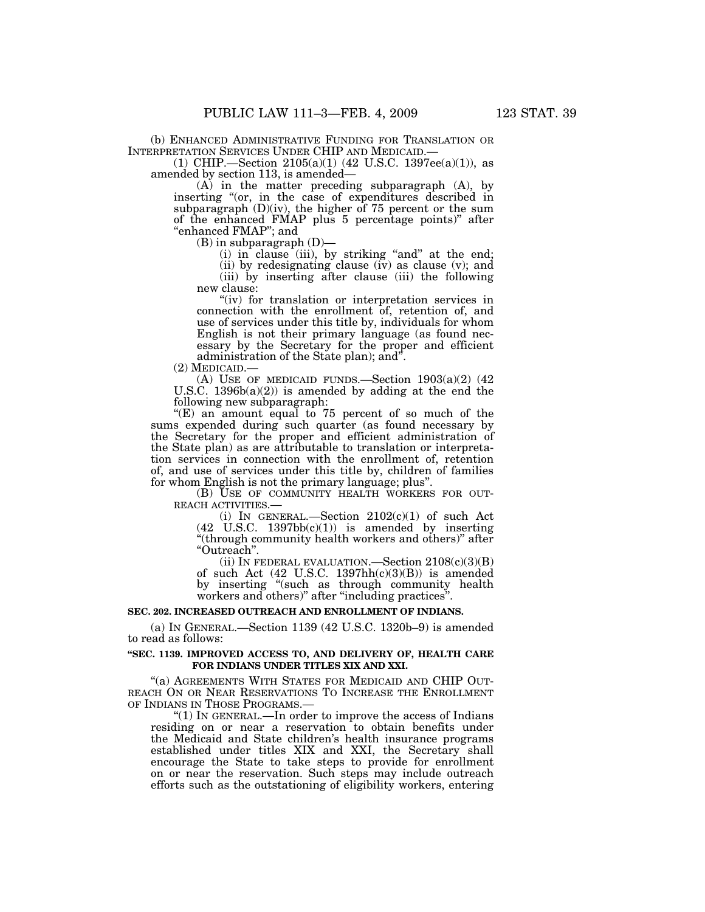(b) ENHANCED ADMINISTRATIVE FUNDING FOR TRANSLATION OR INTERPRETATION SERVICES UNDER CHIP AND MEDICAID.—

 $(1)$  CHIP.—Section 2105(a)(1) (42 U.S.C. 1397ee(a)(1)), as amended by section 113, is amended—

(A) in the matter preceding subparagraph (A), by inserting "(or, in the case of expenditures described in subparagraph  $(D)(iv)$ , the higher of 75 percent or the sum of the enhanced FMAP plus 5 percentage points)'' after ''enhanced FMAP''; and

 $(B)$  in subparagraph  $(D)$ —

(i) in clause (iii), by striking "and" at the end; (ii) by redesignating clause (iv) as clause (v); and (iii) by inserting after clause (iii) the following new clause:

"(iv) for translation or interpretation services in connection with the enrollment of, retention of, and use of services under this title by, individuals for whom English is not their primary language (as found necessary by the Secretary for the proper and efficient administration of the State plan); and".<br>(2) MEDICAID.—

(A) USE OF MEDICAID FUNDS.—Section  $1903(a)(2)$  (42) U.S.C.  $1396b(a)(2)$  is amended by adding at the end the following new subparagraph:

" $(E)$  an amount equal to 75 percent of so much of the sums expended during such quarter (as found necessary by the Secretary for the proper and efficient administration of the State plan) as are attributable to translation or interpretation services in connection with the enrollment of, retention of, and use of services under this title by, children of families

for whom English is not the primary language; plus".<br>(B) USE OF COMMUNITY HEALTH WORKERS FOR OUT-(B) USE OF COMMUNITY HEALTH WORKERS FOR OUT-<br>REACH ACTIVITIES.—<br>(i) IN GENERAL.—Section  $2102(c)(1)$  of such Act

 $(42 \text{ U.S.C. } 1397 \text{bb}(c)(1))$  is amended by inserting "(through community health workers and others)" after ''Outreach''.

(ii) IN FEDERAL EVALUATION.—Section  $2108(c)(3)(B)$ of such Act (42 U.S.C. 1397hh(c)(3)(B)) is amended by inserting "(such as through community health workers and others)'' after ''including practices''.

#### **SEC. 202. INCREASED OUTREACH AND ENROLLMENT OF INDIANS.**

(a) IN GENERAL.—Section 1139 (42 U.S.C. 1320b–9) is amended to read as follows:

#### **''SEC. 1139. IMPROVED ACCESS TO, AND DELIVERY OF, HEALTH CARE FOR INDIANS UNDER TITLES XIX AND XXI.**

''(a) AGREEMENTS WITH STATES FOR MEDICAID AND CHIP OUT-REACH ON OR NEAR RESERVATIONS TO INCREASE THE ENROLLMENT OF INDIANS IN THOSE PROGRAMS.

''(1) IN GENERAL.—In order to improve the access of Indians residing on or near a reservation to obtain benefits under the Medicaid and State children's health insurance programs established under titles XIX and XXI, the Secretary shall encourage the State to take steps to provide for enrollment on or near the reservation. Such steps may include outreach efforts such as the outstationing of eligibility workers, entering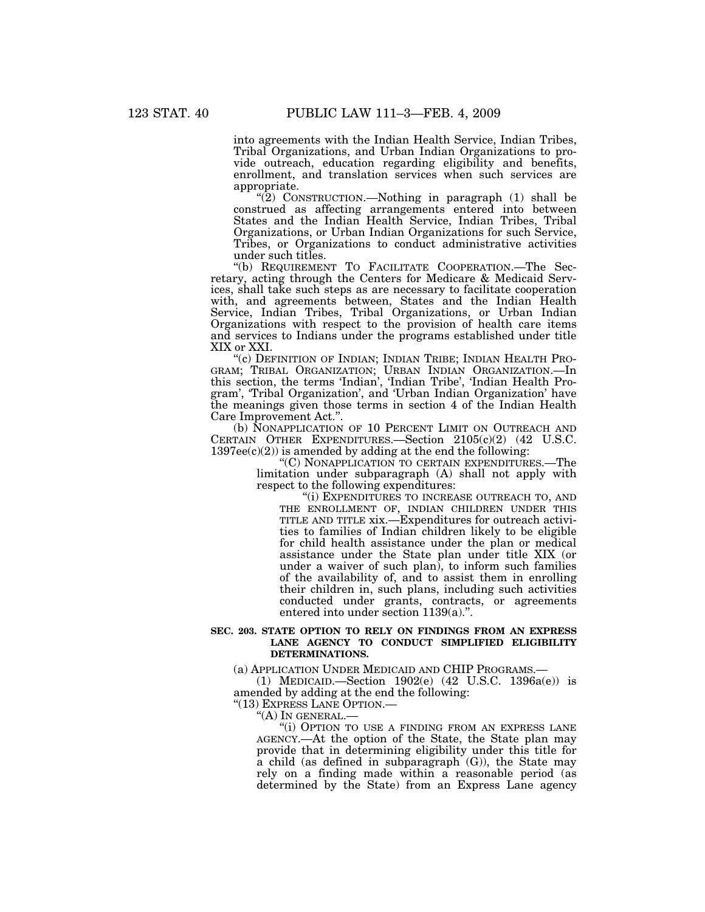into agreements with the Indian Health Service, Indian Tribes, Tribal Organizations, and Urban Indian Organizations to provide outreach, education regarding eligibility and benefits, enrollment, and translation services when such services are appropriate.

" $(2)$  CONSTRUCTION.—Nothing in paragraph  $(1)$  shall be construed as affecting arrangements entered into between States and the Indian Health Service, Indian Tribes, Tribal Organizations, or Urban Indian Organizations for such Service, Tribes, or Organizations to conduct administrative activities under such titles.

''(b) REQUIREMENT TO FACILITATE COOPERATION.—The Secretary, acting through the Centers for Medicare & Medicaid Services, shall take such steps as are necessary to facilitate cooperation with, and agreements between, States and the Indian Health Service, Indian Tribes, Tribal Organizations, or Urban Indian Organizations with respect to the provision of health care items and services to Indians under the programs established under title XIX or XXI.

''(c) DEFINITION OF INDIAN; INDIAN TRIBE; INDIAN HEALTH PRO-GRAM; TRIBAL ORGANIZATION; URBAN INDIAN ORGANIZATION.—In this section, the terms 'Indian', 'Indian Tribe', 'Indian Health Program', 'Tribal Organization', and 'Urban Indian Organization' have the meanings given those terms in section 4 of the Indian Health Care Improvement Act.''.

(b) NONAPPLICATION OF 10 PERCENT LIMIT ON OUTREACH AND CERTAIN OTHER EXPENDITURES.—Section 2105(c)(2) (42 U.S.C.  $1397ee(c)(2)$  is amended by adding at the end the following:

''(C) NONAPPLICATION TO CERTAIN EXPENDITURES.—The limitation under subparagraph (A) shall not apply with respect to the following expenditures:

''(i) EXPENDITURES TO INCREASE OUTREACH TO, AND THE ENROLLMENT OF, INDIAN CHILDREN UNDER THIS TITLE AND TITLE xix.—Expenditures for outreach activities to families of Indian children likely to be eligible for child health assistance under the plan or medical assistance under the State plan under title XIX (or under a waiver of such plan), to inform such families of the availability of, and to assist them in enrolling their children in, such plans, including such activities conducted under grants, contracts, or agreements entered into under section 1139(a).''.

#### **SEC. 203. STATE OPTION TO RELY ON FINDINGS FROM AN EXPRESS LANE AGENCY TO CONDUCT SIMPLIFIED ELIGIBILITY DETERMINATIONS.**

(a) APPLICATION UNDER MEDICAID AND CHIP PROGRAMS.—

(1) MEDICAID.—Section 1902(e) (42 U.S.C. 1396a(e)) is amended by adding at the end the following:

"(13) EXPRESS LANE OPTION.—<br>"(A) IN GENERAL.—

"(i) OPTION TO USE A FINDING FROM AN EXPRESS LANE AGENCY.—At the option of the State, the State plan may provide that in determining eligibility under this title for a child (as defined in subparagraph  $(G)$ ), the State may rely on a finding made within a reasonable period (as determined by the State) from an Express Lane agency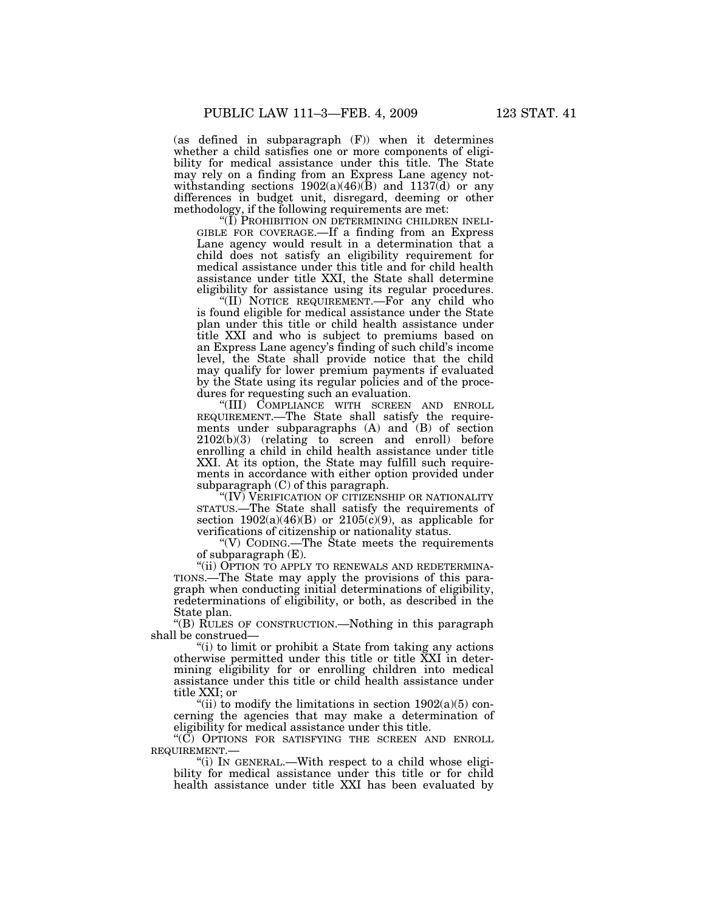(as defined in subparagraph (F)) when it determines whether a child satisfies one or more components of eligibility for medical assistance under this title. The State may rely on a finding from an Express Lane agency notwithstanding sections  $1902(a)(46)(\text{B})$  and  $1137(\text{d})$  or any differences in budget unit, disregard, deeming or other methodology, if the following requirements are met:<br>"(I) PROHIBITION ON DETERMINING CHILDREN INELI-

GIBLE FOR COVERAGE.—If a finding from an Express Lane agency would result in a determination that a child does not satisfy an eligibility requirement for medical assistance under this title and for child health assistance under title XXI, the State shall determine eligibility for assistance using its regular procedures.

''(II) NOTICE REQUIREMENT.—For any child who is found eligible for medical assistance under the State plan under this title or child health assistance under title XXI and who is subject to premiums based on an Express Lane agency's finding of such child's income level, the State shall provide notice that the child may qualify for lower premium payments if evaluated by the State using its regular policies and of the procedures for requesting such an evaluation.

''(III) COMPLIANCE WITH SCREEN AND ENROLL REQUIREMENT.—The State shall satisfy the requirements under subparagraphs (A) and (B) of section 2102(b)(3) (relating to screen and enroll) before enrolling a child in child health assistance under title XXI. At its option, the State may fulfill such requirements in accordance with either option provided under subparagraph (C) of this paragraph.

''(IV) VERIFICATION OF CITIZENSHIP OR NATIONALITY STATUS.—The State shall satisfy the requirements of section  $1902(a)(46)(B)$  or  $2105(c)(9)$ , as applicable for verifications of citizenship or nationality status.

''(V) CODING.—The State meets the requirements of subparagraph (E).

"(ii) OPTION TO APPLY TO RENEWALS AND REDETERMINA-TIONS.—The State may apply the provisions of this paragraph when conducting initial determinations of eligibility, redeterminations of eligibility, or both, as described in the State plan.

''(B) RULES OF CONSTRUCTION.—Nothing in this paragraph shall be construed—

''(i) to limit or prohibit a State from taking any actions otherwise permitted under this title or title XXI in determining eligibility for or enrolling children into medical assistance under this title or child health assistance under title XXI; or

"(ii) to modify the limitations in section  $1902(a)(5)$  concerning the agencies that may make a determination of eligibility for medical assistance under this title.

"(C) OPTIONS FOR SATISFYING THE SCREEN AND ENROLL REQUIREMENT.—

"(i) In GENERAL.—With respect to a child whose eligibility for medical assistance under this title or for child health assistance under title XXI has been evaluated by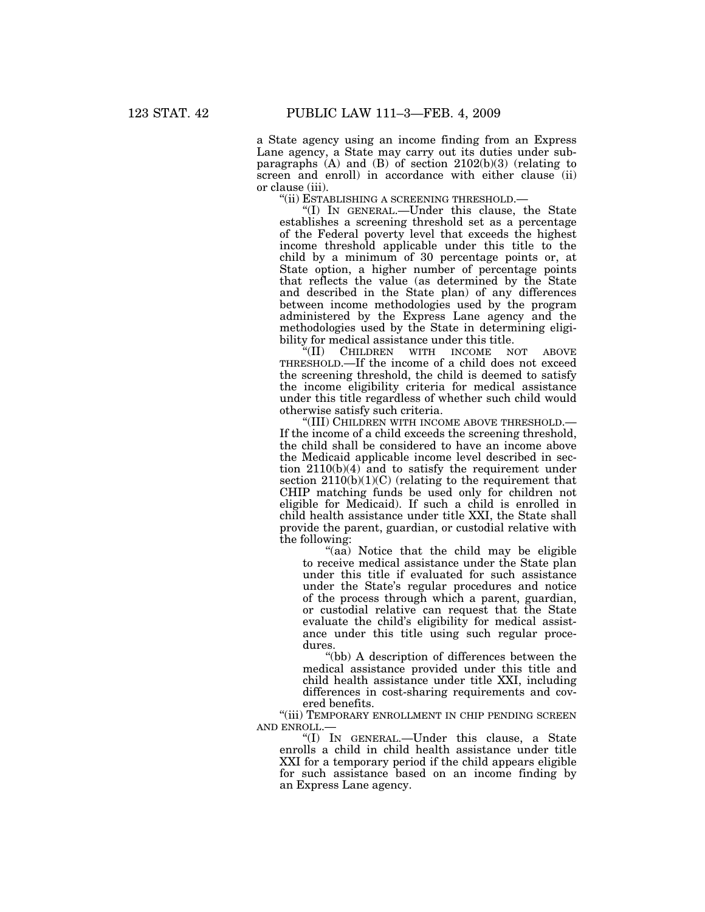a State agency using an income finding from an Express Lane agency, a State may carry out its duties under subparagraphs  $(A)$  and  $(B)$  of section 2102 $(b)(3)$  (relating to screen and enroll) in accordance with either clause (ii) or clause (iii).

''(ii) ESTABLISHING A SCREENING THRESHOLD.—

''(I) IN GENERAL.—Under this clause, the State establishes a screening threshold set as a percentage of the Federal poverty level that exceeds the highest income threshold applicable under this title to the child by a minimum of 30 percentage points or, at State option, a higher number of percentage points that reflects the value (as determined by the State and described in the State plan) of any differences between income methodologies used by the program administered by the Express Lane agency and the methodologies used by the State in determining eligi-

bility for medical assistance under this title.<br>"(II) CHILDREN WITH INCOME NOT ''(II) CHILDREN WITH INCOME NOT ABOVE THRESHOLD.—If the income of a child does not exceed the screening threshold, the child is deemed to satisfy the income eligibility criteria for medical assistance under this title regardless of whether such child would otherwise satisfy such criteria.

''(III) CHILDREN WITH INCOME ABOVE THRESHOLD.— If the income of a child exceeds the screening threshold, the child shall be considered to have an income above the Medicaid applicable income level described in section  $2110(b)(4)$  and to satisfy the requirement under section  $2110(b)(1)(C)$  (relating to the requirement that CHIP matching funds be used only for children not eligible for Medicaid). If such a child is enrolled in child health assistance under title XXI, the State shall provide the parent, guardian, or custodial relative with the following:

''(aa) Notice that the child may be eligible to receive medical assistance under the State plan under this title if evaluated for such assistance under the State's regular procedures and notice of the process through which a parent, guardian, or custodial relative can request that the State evaluate the child's eligibility for medical assistance under this title using such regular procedures.

''(bb) A description of differences between the medical assistance provided under this title and child health assistance under title XXI, including differences in cost-sharing requirements and covered benefits.

"(iii) TEMPORARY ENROLLMENT IN CHIP PENDING SCREEN AND ENROLL.

''(I) IN GENERAL.—Under this clause, a State enrolls a child in child health assistance under title XXI for a temporary period if the child appears eligible for such assistance based on an income finding by an Express Lane agency.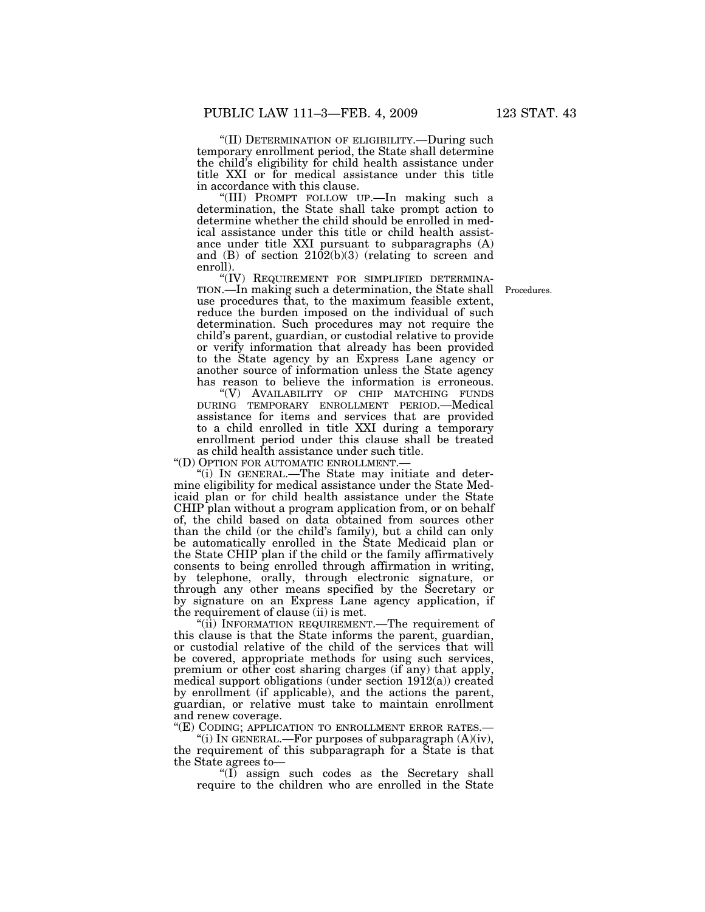''(II) DETERMINATION OF ELIGIBILITY.—During such temporary enrollment period, the State shall determine the child's eligibility for child health assistance under title XXI or for medical assistance under this title in accordance with this clause.

''(III) PROMPT FOLLOW UP.—In making such a determination, the State shall take prompt action to determine whether the child should be enrolled in medical assistance under this title or child health assistance under title XXI pursuant to subparagraphs (A) and (B) of section  $2102(b)(3)$  (relating to screen and enroll).<br>"(IV) REQUIREMENT FOR SIMPLIFIED DETERMINA-

TION.—In making such a determination, the State shall use procedures that, to the maximum feasible extent, reduce the burden imposed on the individual of such determination. Such procedures may not require the child's parent, guardian, or custodial relative to provide or verify information that already has been provided to the State agency by an Express Lane agency or another source of information unless the State agency has reason to believe the information is erroneous.

''(V) AVAILABILITY OF CHIP MATCHING FUNDS DURING TEMPORARY ENROLLMENT PERIOD.—Medical assistance for items and services that are provided to a child enrolled in title XXI during a temporary enrollment period under this clause shall be treated as child health assistance under such title.

''(D) OPTION FOR AUTOMATIC ENROLLMENT.—

''(i) IN GENERAL.—The State may initiate and determine eligibility for medical assistance under the State Medicaid plan or for child health assistance under the State CHIP plan without a program application from, or on behalf of, the child based on data obtained from sources other than the child (or the child's family), but a child can only be automatically enrolled in the State Medicaid plan or the State CHIP plan if the child or the family affirmatively consents to being enrolled through affirmation in writing, by telephone, orally, through electronic signature, or through any other means specified by the Secretary or by signature on an Express Lane agency application, if the requirement of clause (ii) is met.

"(ii) INFORMATION REQUIREMENT.—The requirement of this clause is that the State informs the parent, guardian, or custodial relative of the child of the services that will be covered, appropriate methods for using such services, premium or other cost sharing charges (if any) that apply, medical support obligations (under section 1912(a)) created by enrollment (if applicable), and the actions the parent, guardian, or relative must take to maintain enrollment and renew coverage.

''(E) CODING; APPLICATION TO ENROLLMENT ERROR RATES.—

"(i) IN GENERAL.—For purposes of subparagraph  $(A)(iv)$ , the requirement of this subparagraph for a State is that the State agrees to—

''(I) assign such codes as the Secretary shall require to the children who are enrolled in the State

Procedures.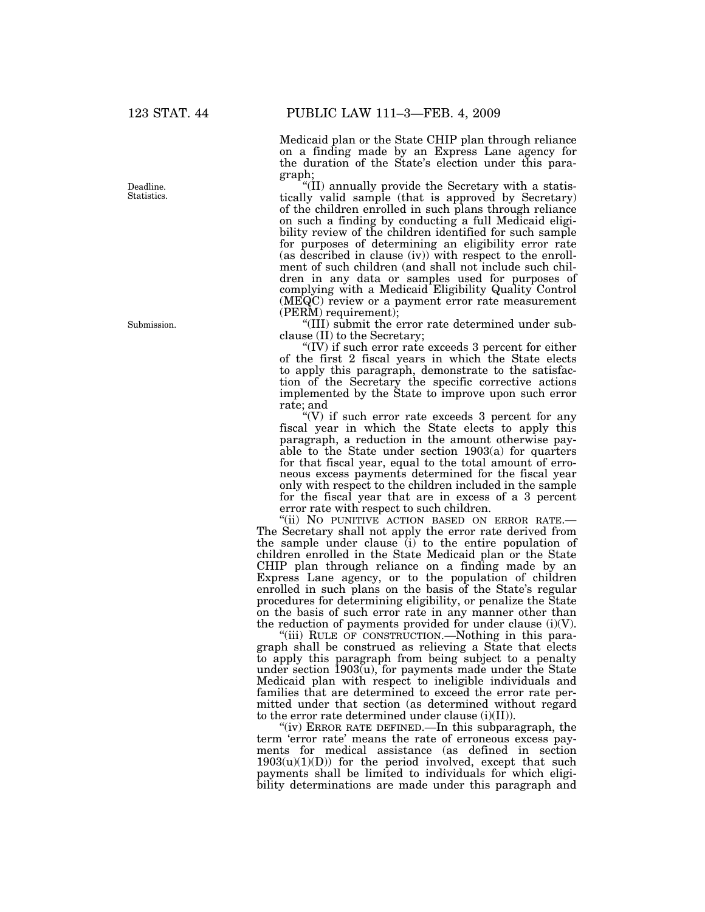Deadline. Statistics.

Submission.

Medicaid plan or the State CHIP plan through reliance on a finding made by an Express Lane agency for the duration of the State's election under this paragraph;

''(II) annually provide the Secretary with a statistically valid sample (that is approved by Secretary) of the children enrolled in such plans through reliance on such a finding by conducting a full Medicaid eligibility review of the children identified for such sample for purposes of determining an eligibility error rate (as described in clause (iv)) with respect to the enrollment of such children (and shall not include such children in any data or samples used for purposes of complying with a Medicaid Eligibility Quality Control (MEQC) review or a payment error rate measurement (PERM) requirement);

''(III) submit the error rate determined under subclause (II) to the Secretary;

"(IV) if such error rate exceeds 3 percent for either of the first 2 fiscal years in which the State elects to apply this paragraph, demonstrate to the satisfaction of the Secretary the specific corrective actions implemented by the State to improve upon such error rate; and

" $(V)$  if such error rate exceeds 3 percent for any fiscal year in which the State elects to apply this paragraph, a reduction in the amount otherwise payable to the State under section 1903(a) for quarters for that fiscal year, equal to the total amount of erroneous excess payments determined for the fiscal year only with respect to the children included in the sample for the fiscal year that are in excess of a 3 percent error rate with respect to such children.

"(ii) NO PUNITIVE ACTION BASED ON ERROR RATE.-The Secretary shall not apply the error rate derived from the sample under clause  $(i)$  to the entire population of children enrolled in the State Medicaid plan or the State CHIP plan through reliance on a finding made by an Express Lane agency, or to the population of children enrolled in such plans on the basis of the State's regular procedures for determining eligibility, or penalize the State on the basis of such error rate in any manner other than the reduction of payments provided for under clause  $(i)(V)$ .

''(iii) RULE OF CONSTRUCTION.—Nothing in this paragraph shall be construed as relieving a State that elects to apply this paragraph from being subject to a penalty under section  $1903(u)$ , for payments made under the State Medicaid plan with respect to ineligible individuals and families that are determined to exceed the error rate permitted under that section (as determined without regard to the error rate determined under clause (i)(II)).

"(iv) ERROR RATE DEFINED.—In this subparagraph, the term 'error rate' means the rate of erroneous excess payments for medical assistance (as defined in section  $1903(u)(1)(D)$  for the period involved, except that such payments shall be limited to individuals for which eligibility determinations are made under this paragraph and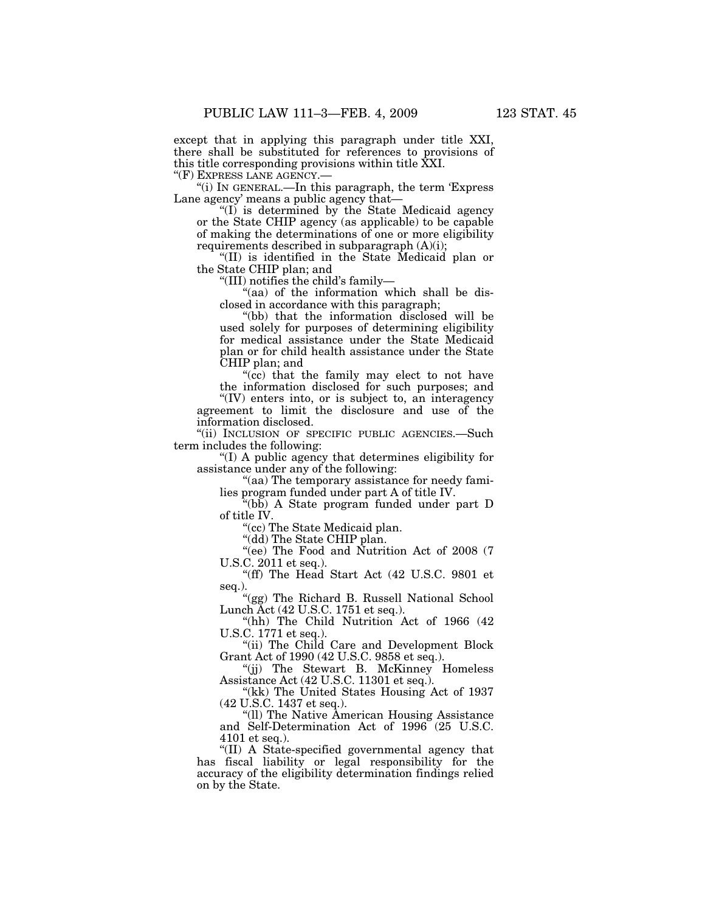except that in applying this paragraph under title XXI, there shall be substituted for references to provisions of this title corresponding provisions within title XXI.

''(F) EXPRESS LANE AGENCY.—

''(i) IN GENERAL.—In this paragraph, the term 'Express Lane agency' means a public agency that—

''(I) is determined by the State Medicaid agency or the State CHIP agency (as applicable) to be capable of making the determinations of one or more eligibility requirements described in subparagraph (A)(i);

''(II) is identified in the State Medicaid plan or the State CHIP plan; and

''(III) notifies the child's family—

"(aa) of the information which shall be disclosed in accordance with this paragraph;

''(bb) that the information disclosed will be used solely for purposes of determining eligibility for medical assistance under the State Medicaid plan or for child health assistance under the State CHIP plan; and

"(cc) that the family may elect to not have the information disclosed for such purposes; and "(IV) enters into, or is subject to, an interagency

agreement to limit the disclosure and use of the information disclosed.

"(ii) INCLUSION OF SPECIFIC PUBLIC AGENCIES.—Such term includes the following:

''(I) A public agency that determines eligibility for assistance under any of the following:

''(aa) The temporary assistance for needy families program funded under part A of title IV.

''(bb) A State program funded under part D of title IV.

''(cc) The State Medicaid plan.

"(dd) The State CHIP plan.

''(ee) The Food and Nutrition Act of 2008 (7 U.S.C. 2011 et seq.).

''(ff) The Head Start Act (42 U.S.C. 9801 et seq.).

''(gg) The Richard B. Russell National School Lunch Act (42 U.S.C. 1751 et seq.).

"(hh) The Child Nutrition Act of 1966 (42 U.S.C. 1771 et seq.).

"(ii) The Child Care and Development Block Grant Act of 1990 (42 U.S.C. 9858 et seq.).

''(jj) The Stewart B. McKinney Homeless Assistance Act (42 U.S.C. 11301 et seq.).

"(kk) The United States Housing Act of 1937 (42 U.S.C. 1437 et seq.).

''(ll) The Native American Housing Assistance and Self-Determination Act of 1996 (25 U.S.C. 4101 et seq.).

''(II) A State-specified governmental agency that has fiscal liability or legal responsibility for the accuracy of the eligibility determination findings relied on by the State.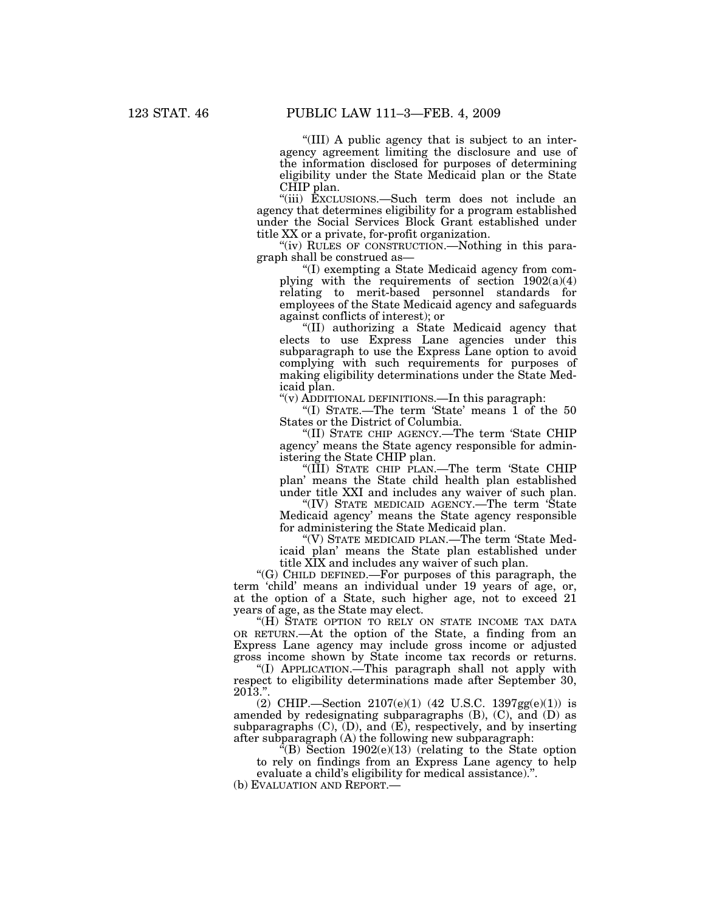''(III) A public agency that is subject to an interagency agreement limiting the disclosure and use of the information disclosed for purposes of determining eligibility under the State Medicaid plan or the State CHIP plan.

''(iii) EXCLUSIONS.—Such term does not include an agency that determines eligibility for a program established under the Social Services Block Grant established under title XX or a private, for-profit organization.

"(iv) RULES OF CONSTRUCTION.—Nothing in this paragraph shall be construed as—

''(I) exempting a State Medicaid agency from complying with the requirements of section  $1902(a)(4)$ relating to merit-based personnel standards for employees of the State Medicaid agency and safeguards against conflicts of interest); or

''(II) authorizing a State Medicaid agency that elects to use Express Lane agencies under this subparagraph to use the Express Lane option to avoid complying with such requirements for purposes of making eligibility determinations under the State Medicaid plan.

''(v) ADDITIONAL DEFINITIONS.—In this paragraph:

''(I) STATE.—The term 'State' means 1 of the 50 States or the District of Columbia.

''(II) STATE CHIP AGENCY.—The term 'State CHIP agency' means the State agency responsible for administering the State CHIP plan.

''(III) STATE CHIP PLAN.—The term 'State CHIP plan' means the State child health plan established under title XXI and includes any waiver of such plan.

''(IV) STATE MEDICAID AGENCY.—The term 'State Medicaid agency' means the State agency responsible for administering the State Medicaid plan.

''(V) STATE MEDICAID PLAN.—The term 'State Medicaid plan' means the State plan established under title XIX and includes any waiver of such plan.

''(G) CHILD DEFINED.—For purposes of this paragraph, the term 'child' means an individual under 19 years of age, or, at the option of a State, such higher age, not to exceed 21 years of age, as the State may elect.

"(H) STATE OPTION TO RELY ON STATE INCOME TAX DATA OR RETURN.—At the option of the State, a finding from an Express Lane agency may include gross income or adjusted gross income shown by State income tax records or returns.

''(I) APPLICATION.—This paragraph shall not apply with respect to eligibility determinations made after September 30,  $2013."$ 

(2) CHIP.—Section 2107(e)(1) (42 U.S.C. 1397gg(e)(1)) is amended by redesignating subparagraphs (B), (C), and (D) as subparagraphs  $(C)$ ,  $(D)$ , and  $(E)$ , respectively, and by inserting after subparagraph (A) the following new subparagraph:

"(B) Section  $1902(e)(13)$  (relating to the State option to rely on findings from an Express Lane agency to help evaluate a child's eligibility for medical assistance).''.

(b) EVALUATION AND REPORT.—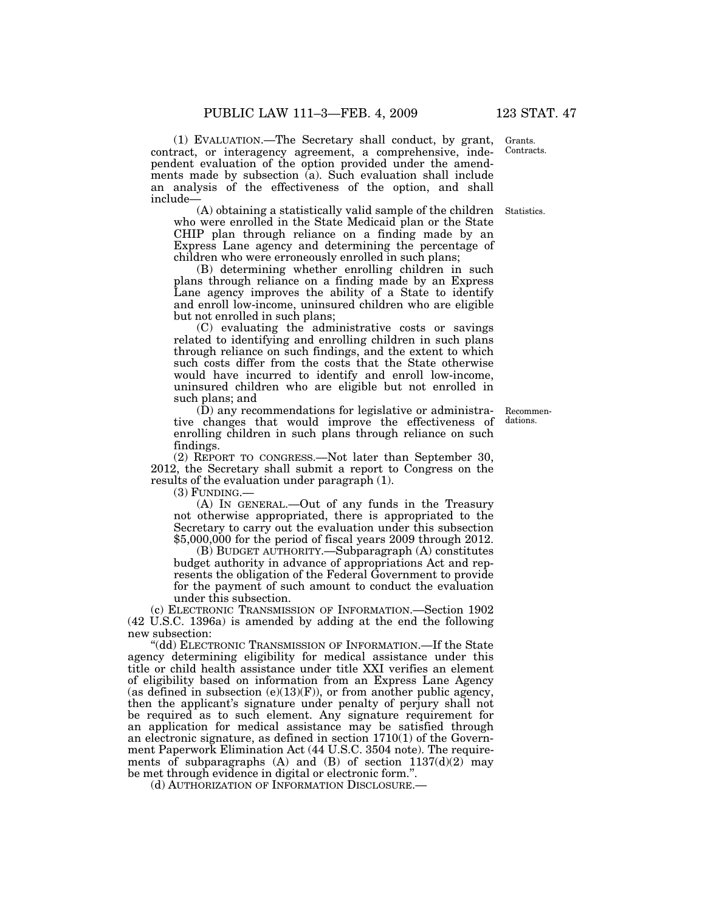(1) EVALUATION.—The Secretary shall conduct, by grant, contract, or interagency agreement, a comprehensive, independent evaluation of the option provided under the amendments made by subsection (a). Such evaluation shall include an analysis of the effectiveness of the option, and shall include—

(A) obtaining a statistically valid sample of the children Statistics. who were enrolled in the State Medicaid plan or the State CHIP plan through reliance on a finding made by an Express Lane agency and determining the percentage of children who were erroneously enrolled in such plans;

(B) determining whether enrolling children in such plans through reliance on a finding made by an Express Lane agency improves the ability of a State to identify and enroll low-income, uninsured children who are eligible but not enrolled in such plans;

(C) evaluating the administrative costs or savings related to identifying and enrolling children in such plans through reliance on such findings, and the extent to which such costs differ from the costs that the State otherwise would have incurred to identify and enroll low-income, uninsured children who are eligible but not enrolled in such plans; and

(D) any recommendations for legislative or administrative changes that would improve the effectiveness of enrolling children in such plans through reliance on such findings.

(2) REPORT TO CONGRESS.—Not later than September 30, 2012, the Secretary shall submit a report to Congress on the results of the evaluation under paragraph (1).

 $(3)$  FUNDING.—

(A) IN GENERAL.—Out of any funds in the Treasury not otherwise appropriated, there is appropriated to the Secretary to carry out the evaluation under this subsection \$5,000,000 for the period of fiscal years 2009 through 2012.

(B) BUDGET AUTHORITY.—Subparagraph (A) constitutes budget authority in advance of appropriations Act and represents the obligation of the Federal Government to provide for the payment of such amount to conduct the evaluation under this subsection.

(c) ELECTRONIC TRANSMISSION OF INFORMATION.—Section 1902 (42 U.S.C. 1396a) is amended by adding at the end the following new subsection:

''(dd) ELECTRONIC TRANSMISSION OF INFORMATION.—If the State agency determining eligibility for medical assistance under this title or child health assistance under title XXI verifies an element of eligibility based on information from an Express Lane Agency (as defined in subsection  $(e)(13)(F)$ ), or from another public agency, then the applicant's signature under penalty of perjury shall not be required as to such element. Any signature requirement for an application for medical assistance may be satisfied through an electronic signature, as defined in section  $1710(1)$  of the Government Paperwork Elimination Act (44 U.S.C. 3504 note). The requirements of subparagraphs (A) and (B) of section  $1137(d)(2)$  may be met through evidence in digital or electronic form.''.

(d) AUTHORIZATION OF INFORMATION DISCLOSURE.—

Grants. Contracts.

Recommendations.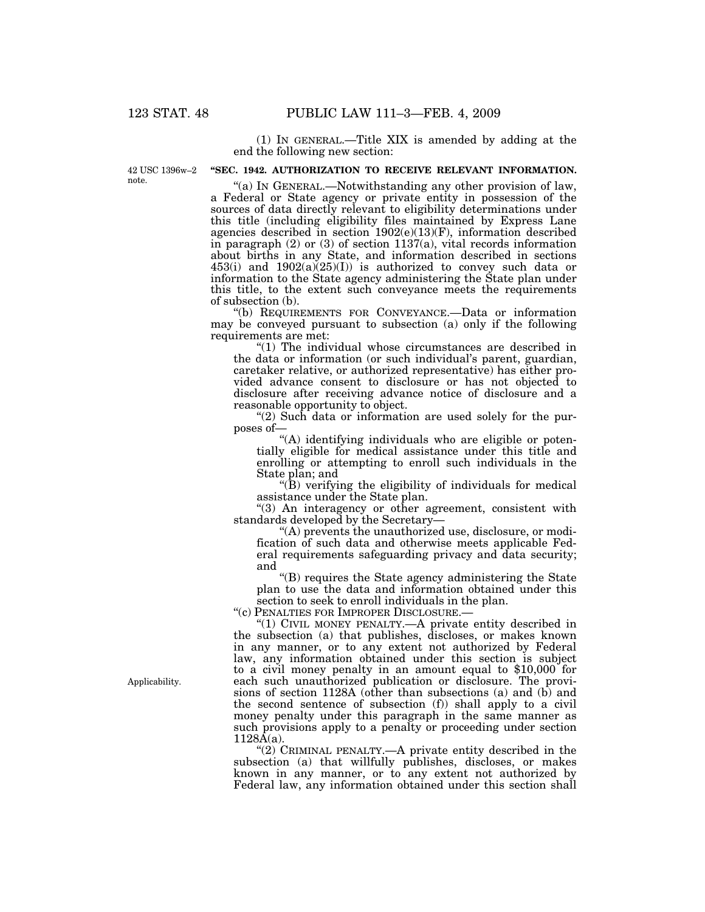(1) IN GENERAL.—Title XIX is amended by adding at the end the following new section:

42 USC 1396w–2 note.

# **''SEC. 1942. AUTHORIZATION TO RECEIVE RELEVANT INFORMATION.**

"(a) IN GENERAL.—Notwithstanding any other provision of law, a Federal or State agency or private entity in possession of the sources of data directly relevant to eligibility determinations under this title (including eligibility files maintained by Express Lane agencies described in section 1902(e)(13)(F), information described in paragraph (2) or (3) of section 1137(a), vital records information about births in any State, and information described in sections  $453(i)$  and  $1902(a)(25)(I)$  is authorized to convey such data or information to the State agency administering the State plan under this title, to the extent such conveyance meets the requirements of subsection (b).

''(b) REQUIREMENTS FOR CONVEYANCE.—Data or information may be conveyed pursuant to subsection (a) only if the following requirements are met:

''(1) The individual whose circumstances are described in the data or information (or such individual's parent, guardian, caretaker relative, or authorized representative) has either provided advance consent to disclosure or has not objected to disclosure after receiving advance notice of disclosure and a reasonable opportunity to object.

''(2) Such data or information are used solely for the purposes of—

"(A) identifying individuals who are eligible or potentially eligible for medical assistance under this title and enrolling or attempting to enroll such individuals in the State plan; and

''(B) verifying the eligibility of individuals for medical assistance under the State plan.

''(3) An interagency or other agreement, consistent with standards developed by the Secretary—

''(A) prevents the unauthorized use, disclosure, or modification of such data and otherwise meets applicable Federal requirements safeguarding privacy and data security; and

''(B) requires the State agency administering the State plan to use the data and information obtained under this section to seek to enroll individuals in the plan.

''(c) PENALTIES FOR IMPROPER DISCLOSURE.—

''(1) CIVIL MONEY PENALTY.—A private entity described in the subsection (a) that publishes, discloses, or makes known in any manner, or to any extent not authorized by Federal law, any information obtained under this section is subject to a civil money penalty in an amount equal to \$10,000 for each such unauthorized publication or disclosure. The provisions of section 1128A (other than subsections (a) and (b) and the second sentence of subsection (f)) shall apply to a civil money penalty under this paragraph in the same manner as such provisions apply to a penalty or proceeding under section  $1128\overline{A}(a)$ .

''(2) CRIMINAL PENALTY.—A private entity described in the subsection (a) that willfully publishes, discloses, or makes known in any manner, or to any extent not authorized by Federal law, any information obtained under this section shall

Applicability.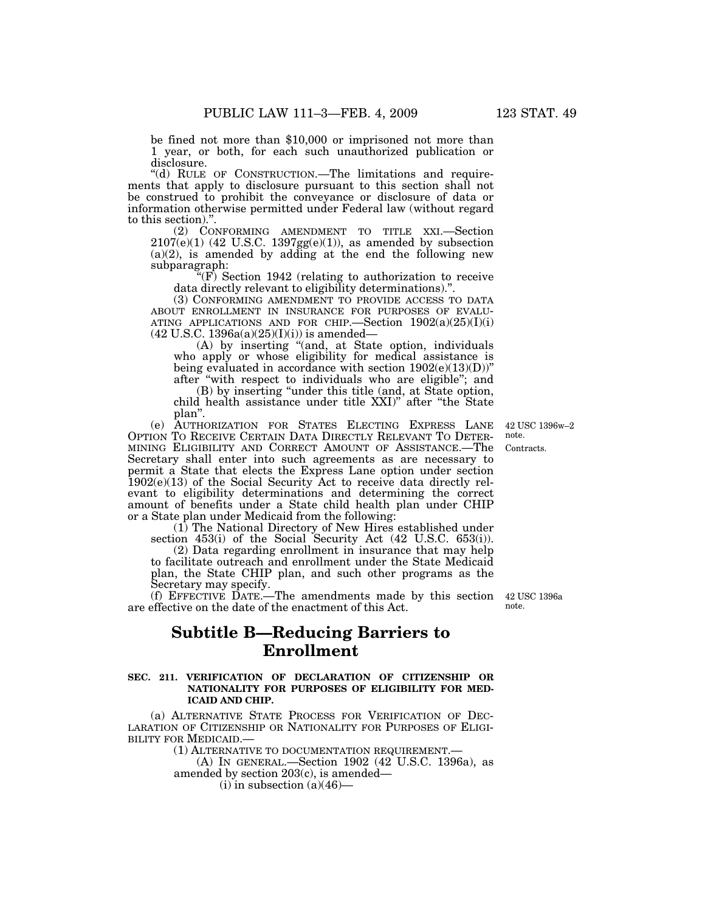1 year, or both, for each such unauthorized publication or disclosure.

"(d) RULE OF CONSTRUCTION.—The limitations and requirements that apply to disclosure pursuant to this section shall not be construed to prohibit the conveyance or disclosure of data or information otherwise permitted under Federal law (without regard to this section).''.

(2) CONFORMING AMENDMENT TO TITLE XXI.—Section  $2107(e)(1)$  (42 U.S.C. 1397gg $(e)(1)$ ), as amended by subsection  $(a)(2)$ , is amended by adding at the end the following new subparagraph:

 $\sqrt[4]{F}$  Section 1942 (relating to authorization to receive data directly relevant to eligibility determinations).''.

(3) CONFORMING AMENDMENT TO PROVIDE ACCESS TO DATA ABOUT ENROLLMENT IN INSURANCE FOR PURPOSES OF EVALU-ABOUT ENROLLMENT IN INSURANCE FOR PURPOSES OF EVALU- ATING APPLICATIONS AND FOR CHIP.—Section 1902(a)(25)(I)(i)  $(42 \text{ U.S.C. } 1396a(a)(25)(I)(i))$  is amended—

(A) by inserting ''(and, at State option, individuals who apply or whose eligibility for medical assistance is being evaluated in accordance with section  $1902(e)(13)(D)$ " after ''with respect to individuals who are eligible''; and

(B) by inserting ''under this title (and, at State option, child health assistance under title XXI)'' after ''the State plan''.

(e) AUTHORIZATION FOR STATES ELECTING EXPRESS LANE OPTION TO RECEIVE CERTAIN DATA DIRECTLY RELEVANT TO DETER- MINING ELIGIBILITY AND CORRECT AMOUNT OF ASSISTANCE.—The Secretary shall enter into such agreements as are necessary to permit a State that elects the Express Lane option under section 1902(e)(13) of the Social Security Act to receive data directly relevant to eligibility determinations and determining the correct amount of benefits under a State child health plan under CHIP or a State plan under Medicaid from the following:

(1) The National Directory of New Hires established under section 453(i) of the Social Security Act (42 U.S.C. 653(i)).

(2) Data regarding enrollment in insurance that may help to facilitate outreach and enrollment under the State Medicaid plan, the State CHIP plan, and such other programs as the Secretary may specify.

(f) EFFECTIVE DATE.—The amendments made by this section are effective on the date of the enactment of this Act. 42 USC 1396a

# **Subtitle B—Reducing Barriers to Enrollment**

### **SEC. 211. VERIFICATION OF DECLARATION OF CITIZENSHIP OR NATIONALITY FOR PURPOSES OF ELIGIBILITY FOR MED-ICAID AND CHIP.**

(a) ALTERNATIVE STATE PROCESS FOR VERIFICATION OF DEC- LARATION OF CITIZENSHIP OR NATIONALITY FOR PURPOSES OF ELIGI-BILITY FOR MEDICAID.—

(1) ALTERNATIVE TO DOCUMENTATION REQUIREMENT.—

(A) IN GENERAL.—Section 1902 (42 U.S.C. 1396a), as amended by section 203(c), is amended—

 $(i)$  in subsection  $(a)(46)$ —

note.

Contracts. 42 USC 1396w–2 note.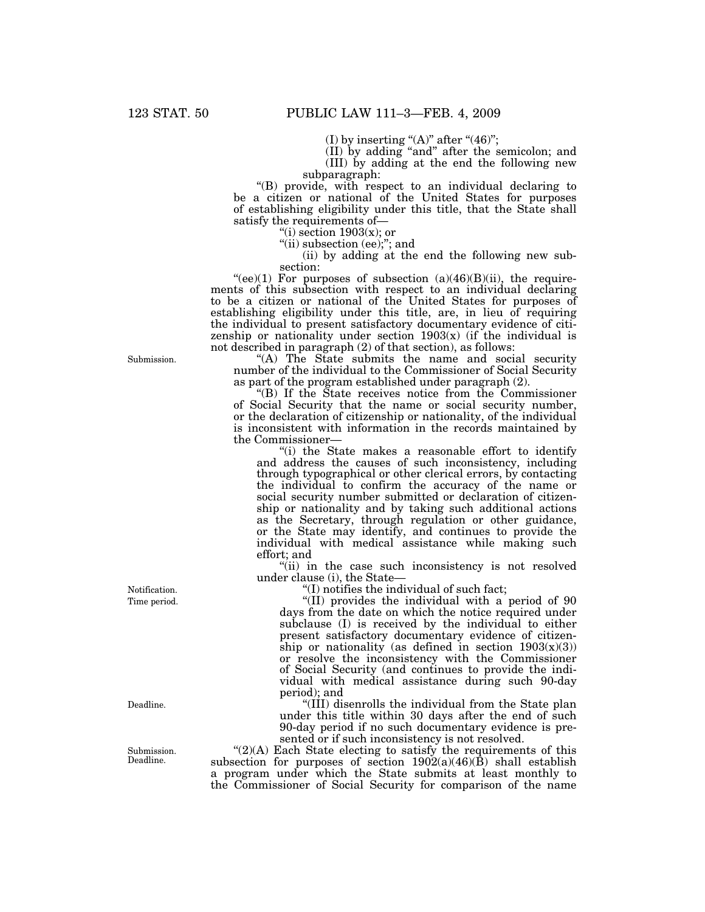(I) by inserting "(A)" after "(46)";

(II) by adding ''and'' after the semicolon; and

(III) by adding at the end the following new subparagraph:

''(B) provide, with respect to an individual declaring to be a citizen or national of the United States for purposes of establishing eligibility under this title, that the State shall satisfy the requirements of—

"(i) section  $1903(x)$ ; or

"(ii) subsection (ee);"; and

(ii) by adding at the end the following new subsection:

"(ee)(1) For purposes of subsection  $(a)(46)(B)(ii)$ , the requirements of this subsection with respect to an individual declaring to be a citizen or national of the United States for purposes of establishing eligibility under this title, are, in lieu of requiring the individual to present satisfactory documentary evidence of citizenship or nationality under section  $1903(x)$  (if the individual is not described in paragraph (2) of that section), as follows:

''(A) The State submits the name and social security number of the individual to the Commissioner of Social Security as part of the program established under paragraph (2).

''(B) If the State receives notice from the Commissioner of Social Security that the name or social security number, or the declaration of citizenship or nationality, of the individual is inconsistent with information in the records maintained by the Commissioner—

''(i) the State makes a reasonable effort to identify and address the causes of such inconsistency, including through typographical or other clerical errors, by contacting the individual to confirm the accuracy of the name or social security number submitted or declaration of citizenship or nationality and by taking such additional actions as the Secretary, through regulation or other guidance, or the State may identify, and continues to provide the individual with medical assistance while making such effort; and

"(ii) in the case such inconsistency is not resolved under clause (i), the State—

''(I) notifies the individual of such fact;

''(II) provides the individual with a period of 90 days from the date on which the notice required under subclause (I) is received by the individual to either present satisfactory documentary evidence of citizenship or nationality (as defined in section  $1903(x)(3)$ ) or resolve the inconsistency with the Commissioner of Social Security (and continues to provide the individual with medical assistance during such 90-day period); and

''(III) disenrolls the individual from the State plan under this title within 30 days after the end of such 90-day period if no such documentary evidence is presented or if such inconsistency is not resolved.

 $!(2)(A)$  Each State electing to satisfy the requirements of this subsection for purposes of section  $1902(a)(46)(B)$  shall establish a program under which the State submits at least monthly to the Commissioner of Social Security for comparison of the name

Submission.

Time period. Notification.

Deadline.

Submission. Deadline.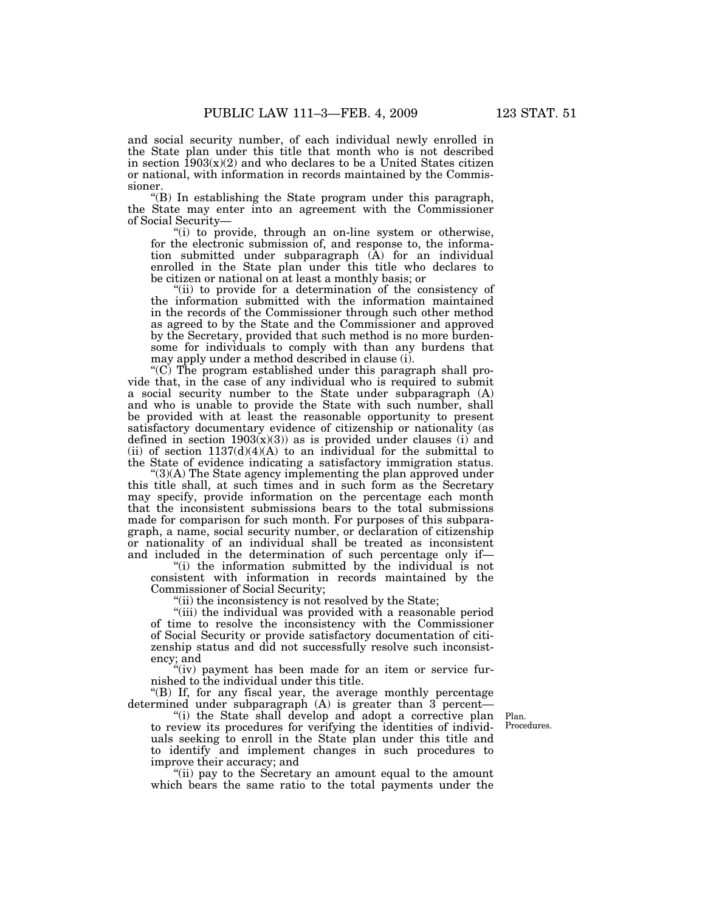and social security number, of each individual newly enrolled in the State plan under this title that month who is not described in section  $1903(x)(2)$  and who declares to be a United States citizen or national, with information in records maintained by the Commissioner.

''(B) In establishing the State program under this paragraph, the State may enter into an agreement with the Commissioner of Social Security—

"(i) to provide, through an on-line system or otherwise, for the electronic submission of, and response to, the information submitted under subparagraph (A) for an individual enrolled in the State plan under this title who declares to be citizen or national on at least a monthly basis; or

"(ii) to provide for a determination of the consistency of the information submitted with the information maintained in the records of the Commissioner through such other method as agreed to by the State and the Commissioner and approved by the Secretary, provided that such method is no more burdensome for individuals to comply with than any burdens that may apply under a method described in clause (i).

''(C) The program established under this paragraph shall provide that, in the case of any individual who is required to submit a social security number to the State under subparagraph (A) and who is unable to provide the State with such number, shall be provided with at least the reasonable opportunity to present satisfactory documentary evidence of citizenship or nationality (as defined in section  $1903(x)(3)$  as is provided under clauses (i) and (ii) of section  $1137(d)(4)(A)$  to an individual for the submittal to the State of evidence indicating a satisfactory immigration status.

 $^{\circ}(3)$ (A) The State agency implementing the plan approved under this title shall, at such times and in such form as the Secretary may specify, provide information on the percentage each month that the inconsistent submissions bears to the total submissions made for comparison for such month. For purposes of this subparagraph, a name, social security number, or declaration of citizenship or nationality of an individual shall be treated as inconsistent and included in the determination of such percentage only if—

''(i) the information submitted by the individual is not consistent with information in records maintained by the Commissioner of Social Security;

"(ii) the inconsistency is not resolved by the State;

"(iii) the individual was provided with a reasonable period of time to resolve the inconsistency with the Commissioner of Social Security or provide satisfactory documentation of citizenship status and did not successfully resolve such inconsistency; and

"(iv) payment has been made for an item or service furnished to the individual under this title.

''(B) If, for any fiscal year, the average monthly percentage determined under subparagraph (A) is greater than 3 percent—

''(i) the State shall develop and adopt a corrective plan to review its procedures for verifying the identities of individuals seeking to enroll in the State plan under this title and to identify and implement changes in such procedures to improve their accuracy; and

''(ii) pay to the Secretary an amount equal to the amount which bears the same ratio to the total payments under the

Plan. Procedures.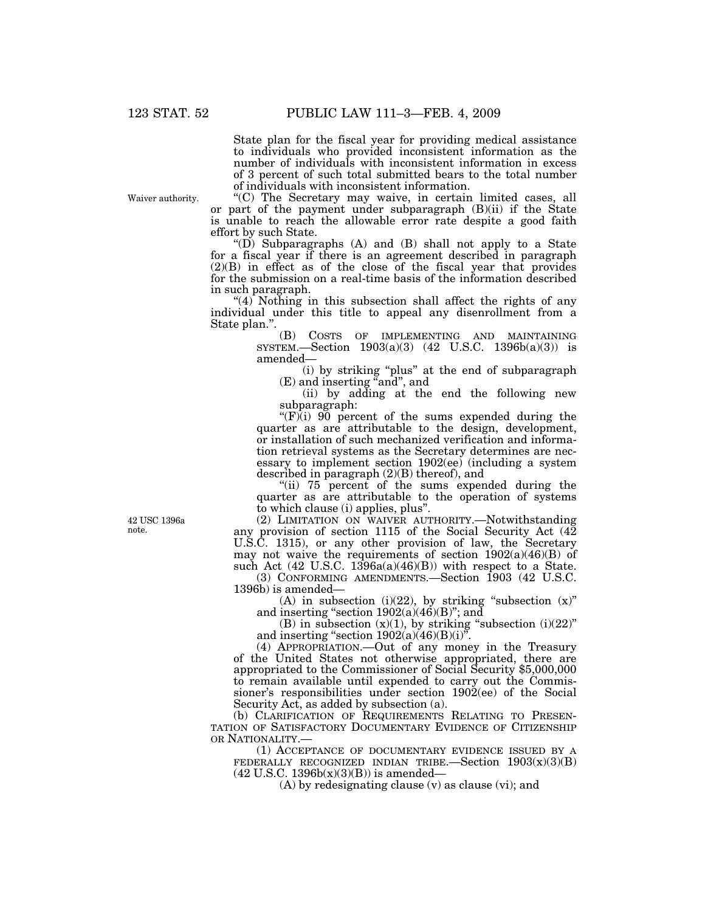State plan for the fiscal year for providing medical assistance to individuals who provided inconsistent information as the number of individuals with inconsistent information in excess of 3 percent of such total submitted bears to the total number of individuals with inconsistent information.

Waiver authority.

''(C) The Secretary may waive, in certain limited cases, all or part of the payment under subparagraph  $(B)(ii)$  if the State is unable to reach the allowable error rate despite a good faith effort by such State.

" $(D)$  Subparagraphs  $(A)$  and  $(B)$  shall not apply to a State for a fiscal year if there is an agreement described in paragraph  $(2)(B)$  in effect as of the close of the fiscal year that provides for the submission on a real-time basis of the information described in such paragraph.

" $(4)$ <sup>-</sup>Nothing in this subsection shall affect the rights of any individual under this title to appeal any disenrollment from a State plan.".<br>(B)

COSTS OF IMPLEMENTING AND MAINTAINING SYSTEM.—Section 1903(a)(3) (42 U.S.C. 1396b(a)(3)) is amended—

(i) by striking ''plus'' at the end of subparagraph (E) and inserting "and", and

(ii) by adding at the end the following new subparagraph:

" $(F)(i)$  90 percent of the sums expended during the quarter as are attributable to the design, development, or installation of such mechanized verification and information retrieval systems as the Secretary determines are necessary to implement section 1902(ee) (including a system described in paragraph (2)(B) thereof), and

"(ii) 75 percent of the sums expended during the quarter as are attributable to the operation of systems to which clause (i) applies, plus''.

(2) LIMITATION ON WAIVER AUTHORITY.—Notwithstanding any provision of section 1115 of the Social Security Act (42 U.S.C. 1315), or any other provision of law, the Secretary may not waive the requirements of section 1902(a)(46)(B) of such Act  $(42 \text{ U.S.C. } 1396a(a)(46)(B))$  with respect to a State.

(3) CONFORMING AMENDMENTS.—Section 1903 (42 U.S.C. 1396b) is amended—

(A) in subsection (i)(22), by striking "subsection  $(x)$ " and inserting "section  $1902(a)(46)(B)$ "; and

(B) in subsection  $(x)(1)$ , by striking "subsection  $(i)(22)$ " and inserting "section  $1902(a)(46)(B)(i)$ ".

(4) APPROPRIATION.—Out of any money in the Treasury of the United States not otherwise appropriated, there are appropriated to the Commissioner of Social Security \$5,000,000 to remain available until expended to carry out the Commissioner's responsibilities under section 1902(ee) of the Social Security Act, as added by subsection (a).

(b) CLARIFICATION OF REQUIREMENTS RELATING TO PRESEN- TATION OF SATISFACTORY DOCUMENTARY EVIDENCE OF CITIZENSHIP OR NATIONALITY.-

(1) ACCEPTANCE OF DOCUMENTARY EVIDENCE ISSUED BY A FEDERALLY RECOGNIZED INDIAN TRIBE.—Section  $1903(x)(3)(B)$  $(42 \text{ U.S.C. } 1396b(x)(3)(B))$  is amended—

(A) by redesignating clause (v) as clause (vi); and

42 USC 1396a note.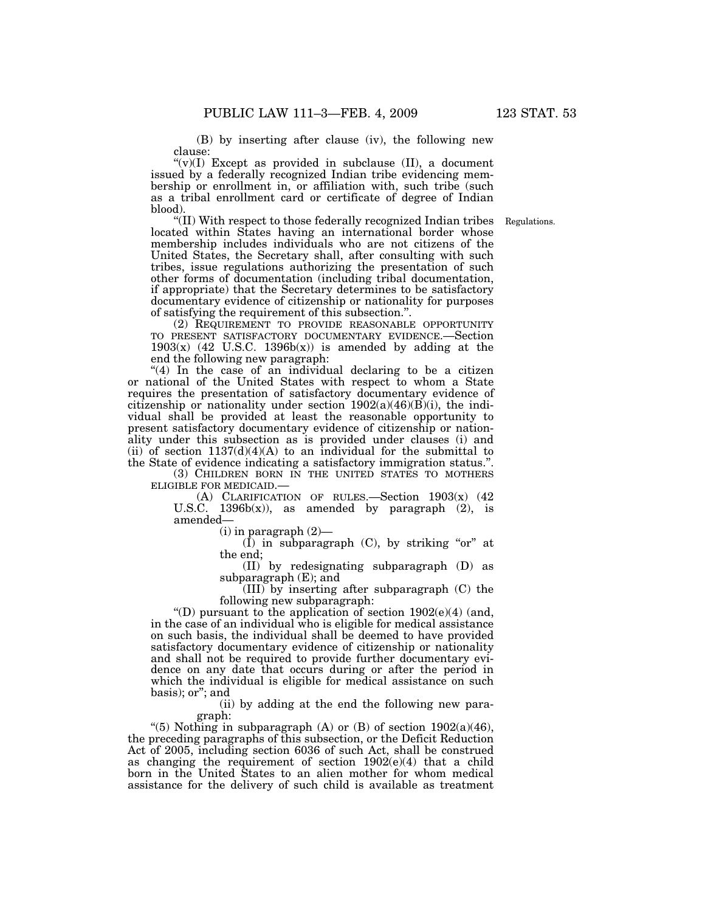(B) by inserting after clause (iv), the following new clause:

" $(v)(I)$  Except as provided in subclause  $(II)$ , a document issued by a federally recognized Indian tribe evidencing membership or enrollment in, or affiliation with, such tribe (such as a tribal enrollment card or certificate of degree of Indian blood).

Regulations.

''(II) With respect to those federally recognized Indian tribes located within States having an international border whose membership includes individuals who are not citizens of the United States, the Secretary shall, after consulting with such tribes, issue regulations authorizing the presentation of such other forms of documentation (including tribal documentation, if appropriate) that the Secretary determines to be satisfactory documentary evidence of citizenship or nationality for purposes of satisfying the requirement of this subsection.''.

(2) REQUIREMENT TO PROVIDE REASONABLE OPPORTUNITY TO PRESENT SATISFACTORY DOCUMENTARY EVIDENCE.—Section  $1903(x)$  (42 U.S.C.  $1396b(x)$ ) is amended by adding at the end the following new paragraph:

"(4) In the case of an individual declaring to be a citizen or national of the United States with respect to whom a State requires the presentation of satisfactory documentary evidence of citizenship or nationality under section  $1902(a)(46)(B)(i)$ , the individual shall be provided at least the reasonable opportunity to present satisfactory documentary evidence of citizenship or nationality under this subsection as is provided under clauses (i) and (ii) of section  $1137(d)(4)(A)$  to an individual for the submittal to the State of evidence indicating a satisfactory immigration status.''.

(3) CHILDREN BORN IN THE UNITED STATES TO MOTHERS ELIGIBLE FOR MEDICAID.—

(A) CLARIFICATION OF RULES.—Section 1903(x) (42 U.S.C. 1396 $b(x)$ ), as amended by paragraph (2), is amended—

 $(i)$  in paragraph  $(2)$ —

 $(I)$  in subparagraph  $(C)$ , by striking "or" at the end;

(II) by redesignating subparagraph (D) as subparagraph (E); and

(III) by inserting after subparagraph (C) the following new subparagraph:

"(D) pursuant to the application of section  $1902(e)(4)$  (and, in the case of an individual who is eligible for medical assistance on such basis, the individual shall be deemed to have provided satisfactory documentary evidence of citizenship or nationality and shall not be required to provide further documentary evidence on any date that occurs during or after the period in which the individual is eligible for medical assistance on such basis); or''; and

(ii) by adding at the end the following new paragraph:

"(5) Nothing in subparagraph  $(A)$  or  $(B)$  of section 1902(a)(46), the preceding paragraphs of this subsection, or the Deficit Reduction Act of 2005, including section 6036 of such Act, shall be construed as changing the requirement of section 1902(e)(4) that a child born in the United States to an alien mother for whom medical assistance for the delivery of such child is available as treatment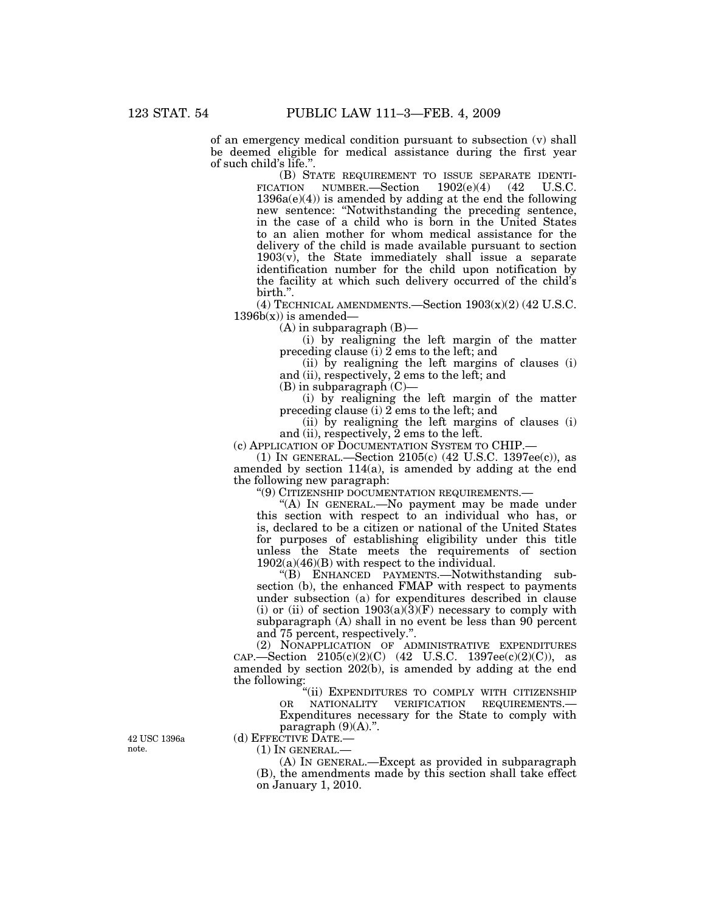of an emergency medical condition pursuant to subsection (v) shall be deemed eligible for medical assistance during the first year of such child's life."

(B) STATE REQUIREMENT TO ISSUE SEPARATE IDENTI-FICATION NUMBER.—Section  $1902(e)(4)$  (42 U.S.C.  $1396a(e)(4)$  is amended by adding at the end the following new sentence: ''Notwithstanding the preceding sentence, in the case of a child who is born in the United States to an alien mother for whom medical assistance for the delivery of the child is made available pursuant to section  $1903(v)$ , the State immediately shall issue a separate identification number for the child upon notification by the facility at which such delivery occurred of the child's birth.''.

(4) TECHNICAL AMENDMENTS.—Section 1903(x)(2) (42 U.S.C.  $1396b(x)$  is amended—

 $(A)$  in subparagraph  $(B)$ —

(i) by realigning the left margin of the matter preceding clause (i) 2 ems to the left; and

(ii) by realigning the left margins of clauses (i) and (ii), respectively, 2 ems to the left; and

 $(B)$  in subparagraph  $(C)$ –

(i) by realigning the left margin of the matter preceding clause (i) 2 ems to the left; and

(ii) by realigning the left margins of clauses (i) and (ii), respectively, 2 ems to the left.

(c) APPLICATION OF DOCUMENTATION SYSTEM TO CHIP.—

(1) IN GENERAL.—Section 2105(c) (42 U.S.C. 1397ee(c)), as amended by section 114(a), is amended by adding at the end the following new paragraph:

''(9) CITIZENSHIP DOCUMENTATION REQUIREMENTS.—

''(A) IN GENERAL.—No payment may be made under this section with respect to an individual who has, or is, declared to be a citizen or national of the United States for purposes of establishing eligibility under this title unless the State meets the requirements of section 1902(a)(46)(B) with respect to the individual.

''(B) ENHANCED PAYMENTS.—Notwithstanding subsection (b), the enhanced FMAP with respect to payments under subsection (a) for expenditures described in clause (i) or (ii) of section  $1903(a)(3)(F)$  necessary to comply with subparagraph (A) shall in no event be less than 90 percent and 75 percent, respectively.''.

(2) NONAPPLICATION OF ADMINISTRATIVE EXPENDITURES  $CAP. — Section 2105(c)(2)(C)$  (42 U.S.C. 1397ee(c)(2)(C)), as amended by section 202(b), is amended by adding at the end the following:

"(ii) EXPENDITURES TO COMPLY WITH CITIZENSHIP OR NATIONALITY VERIFICATION REQUIREMENTS.—

Expenditures necessary for the State to comply with paragraph  $(9)(A)$ .". (d) EFFECTIVE DATE.—

42 USC 1396a note.

 $(1)$  In GENERAL.—

(A) IN GENERAL.—Except as provided in subparagraph (B), the amendments made by this section shall take effect on January 1, 2010.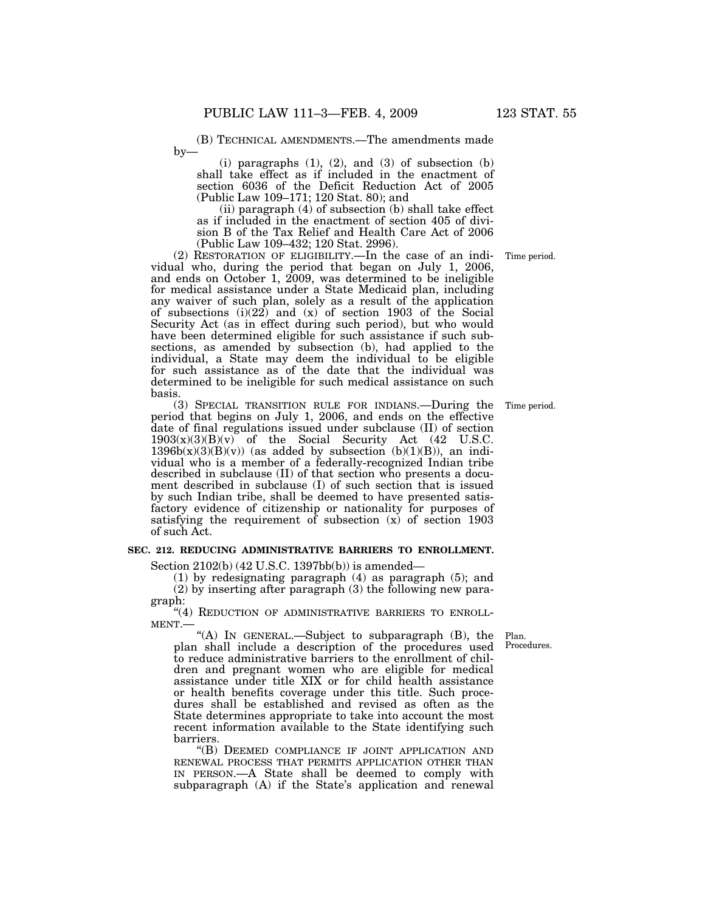(B) TECHNICAL AMENDMENTS.—The amendments made  $by-$ 

 $(i)$  paragraphs  $(1)$ ,  $(2)$ , and  $(3)$  of subsection  $(b)$ shall take effect as if included in the enactment of section 6036 of the Deficit Reduction Act of 2005 (Public Law 109–171; 120 Stat. 80); and

(ii) paragraph (4) of subsection (b) shall take effect as if included in the enactment of section 405 of division B of the Tax Relief and Health Care Act of 2006 (Public Law 109–432; 120 Stat. 2996).

(2) RESTORATION OF ELIGIBILITY.—In the case of an individual who, during the period that began on July 1, 2006, and ends on October 1, 2009, was determined to be ineligible for medical assistance under a State Medicaid plan, including any waiver of such plan, solely as a result of the application of subsections  $(i)(22)$  and  $(x)$  of section 1903 of the Social Security Act (as in effect during such period), but who would have been determined eligible for such assistance if such subsections, as amended by subsection (b), had applied to the individual, a State may deem the individual to be eligible for such assistance as of the date that the individual was determined to be ineligible for such medical assistance on such basis.

(3) SPECIAL TRANSITION RULE FOR INDIANS.—During the period that begins on July 1, 2006, and ends on the effective date of final regulations issued under subclause (II) of section  $1903(x)(3)(B)(v)$  of the Social Security Act (42 U.S.C.  $1396b(x)(3)(B)(v)$  (as added by subsection (b)(1)(B)), an individual who is a member of a federally-recognized Indian tribe described in subclause (II) of that section who presents a document described in subclause (I) of such section that is issued by such Indian tribe, shall be deemed to have presented satisfactory evidence of citizenship or nationality for purposes of satisfying the requirement of subsection (x) of section 1903 of such Act.

# **SEC. 212. REDUCING ADMINISTRATIVE BARRIERS TO ENROLLMENT.**

Section 2102(b) (42 U.S.C. 1397bb(b)) is amended—

(1) by redesignating paragraph (4) as paragraph (5); and (2) by inserting after paragraph (3) the following new paragraph:

"(4) REDUCTION OF ADMINISTRATIVE BARRIERS TO ENROLL-MENT.—

''(A) IN GENERAL.—Subject to subparagraph (B), the plan shall include a description of the procedures used to reduce administrative barriers to the enrollment of children and pregnant women who are eligible for medical assistance under title XIX or for child health assistance or health benefits coverage under this title. Such procedures shall be established and revised as often as the State determines appropriate to take into account the most recent information available to the State identifying such barriers.

''(B) DEEMED COMPLIANCE IF JOINT APPLICATION AND RENEWAL PROCESS THAT PERMITS APPLICATION OTHER THAN IN PERSON.—A State shall be deemed to comply with subparagraph (A) if the State's application and renewal

Plan. Procedures.

Time period.

Time period.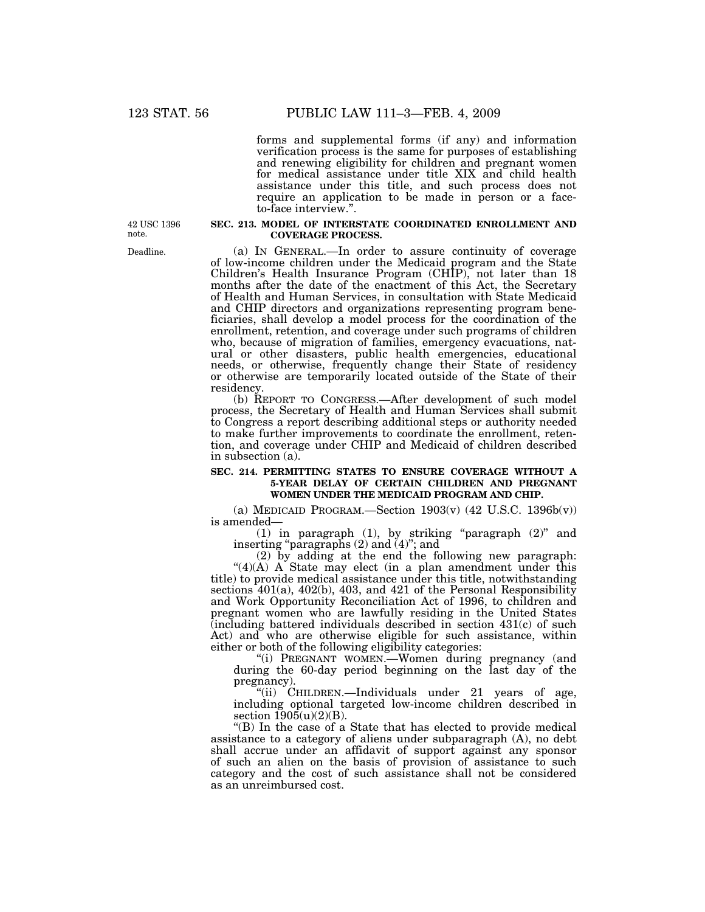forms and supplemental forms (if any) and information verification process is the same for purposes of establishing and renewing eligibility for children and pregnant women for medical assistance under title XIX and child health assistance under this title, and such process does not require an application to be made in person or a faceto-face interview.''.

42 USC 1396 note.

Deadline.

## **SEC. 213. MODEL OF INTERSTATE COORDINATED ENROLLMENT AND COVERAGE PROCESS.**

(a) IN GENERAL.—In order to assure continuity of coverage of low-income children under the Medicaid program and the State Children's Health Insurance Program (CHIP), not later than 18 months after the date of the enactment of this Act, the Secretary of Health and Human Services, in consultation with State Medicaid and CHIP directors and organizations representing program beneficiaries, shall develop a model process for the coordination of the enrollment, retention, and coverage under such programs of children who, because of migration of families, emergency evacuations, natural or other disasters, public health emergencies, educational needs, or otherwise, frequently change their State of residency or otherwise are temporarily located outside of the State of their residency.

(b) REPORT TO CONGRESS.—After development of such model process, the Secretary of Health and Human Services shall submit to Congress a report describing additional steps or authority needed to make further improvements to coordinate the enrollment, retention, and coverage under CHIP and Medicaid of children described in subsection (a).

### **SEC. 214. PERMITTING STATES TO ENSURE COVERAGE WITHOUT A 5-YEAR DELAY OF CERTAIN CHILDREN AND PREGNANT WOMEN UNDER THE MEDICAID PROGRAM AND CHIP.**

(a) MEDICAID PROGRAM.—Section  $1903(v)$  (42 U.S.C.  $1396b(v)$ ) is amended—

(1) in paragraph (1), by striking ''paragraph (2)'' and inserting ''paragraphs (2) and (4)''; and

(2) by adding at the end the following new paragraph:

" $(4)(A)$  A State may elect (in a plan amendment under this title) to provide medical assistance under this title, notwithstanding sections 401(a), 402(b), 403, and 421 of the Personal Responsibility and Work Opportunity Reconciliation Act of 1996, to children and pregnant women who are lawfully residing in the United States  $\alpha$  (including battered individuals described in section 431 $(c)$  of such Act) and who are otherwise eligible for such assistance, within either or both of the following eligibility categories:

"(i) PREGNANT WOMEN.-Women during pregnancy (and during the 60-day period beginning on the last day of the pregnancy).

"(ii) CHILDREN.—Individuals under 21 years of age, including optional targeted low-income children described in section  $1905(u)(2)(B)$ .

''(B) In the case of a State that has elected to provide medical assistance to a category of aliens under subparagraph (A), no debt shall accrue under an affidavit of support against any sponsor of such an alien on the basis of provision of assistance to such category and the cost of such assistance shall not be considered as an unreimbursed cost.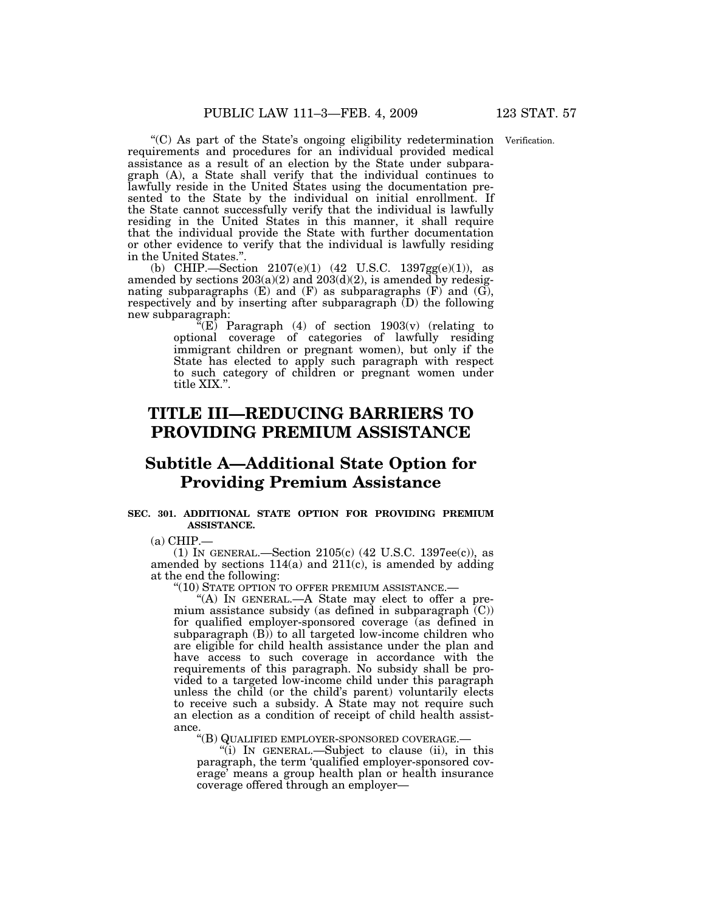''(C) As part of the State's ongoing eligibility redetermination Verification. requirements and procedures for an individual provided medical assistance as a result of an election by the State under subparagraph (A), a State shall verify that the individual continues to lawfully reside in the United States using the documentation presented to the State by the individual on initial enrollment. If the State cannot successfully verify that the individual is lawfully residing in the United States in this manner, it shall require that the individual provide the State with further documentation or other evidence to verify that the individual is lawfully residing in the United States.''.

(b) CHIP.—Section 2107(e)(1) (42 U.S.C. 1397gg(e)(1)), as amended by sections  $203(a)(2)$  and  $203(d)(2)$ , is amended by redesignating subparagraphs  $(E)$  and  $(F)$  as subparagraphs  $(F)$  and  $(G)$ , respectively and by inserting after subparagraph (D) the following new subparagraph:

"(E) Paragraph  $(4)$  of section  $1903(v)$  (relating to optional coverage of categories of lawfully residing immigrant children or pregnant women), but only if the State has elected to apply such paragraph with respect to such category of children or pregnant women under title XIX.''.

# **TITLE III—REDUCING BARRIERS TO PROVIDING PREMIUM ASSISTANCE**

# **Subtitle A—Additional State Option for Providing Premium Assistance**

# **SEC. 301. ADDITIONAL STATE OPTION FOR PROVIDING PREMIUM ASSISTANCE.**

 $(a)$  CHIP.—

(1) IN GENERAL.—Section 2105(c) (42 U.S.C. 1397ee(c)), as amended by sections  $114(a)$  and  $211(c)$ , is amended by adding at the end the following:

''(10) STATE OPTION TO OFFER PREMIUM ASSISTANCE.—

"(A) IN GENERAL.—A State may elect to offer a premium assistance subsidy (as defined in subparagraph (C)) for qualified employer-sponsored coverage (as defined in subparagraph (B)) to all targeted low-income children who are eligible for child health assistance under the plan and have access to such coverage in accordance with the requirements of this paragraph. No subsidy shall be provided to a targeted low-income child under this paragraph unless the child (or the child's parent) voluntarily elects to receive such a subsidy. A State may not require such an election as a condition of receipt of child health assistance.

''(B) QUALIFIED EMPLOYER-SPONSORED COVERAGE.—

''(i) IN GENERAL.—Subject to clause (ii), in this paragraph, the term 'qualified employer-sponsored coverage' means a group health plan or health insurance coverage offered through an employer—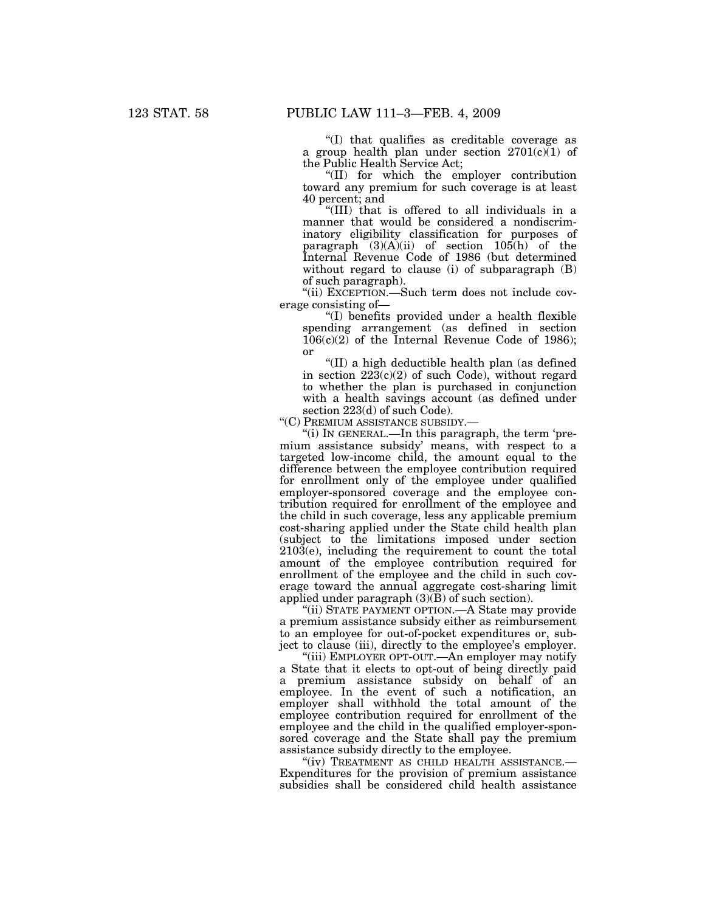''(I) that qualifies as creditable coverage as a group health plan under section  $2701(c)(1)$  of the Public Health Service Act;

''(II) for which the employer contribution toward any premium for such coverage is at least 40 percent; and

''(III) that is offered to all individuals in a manner that would be considered a nondiscriminatory eligibility classification for purposes of paragraph  $(3)(A)(ii)$  of section  $105(h)$  of the Internal Revenue Code of 1986 (but determined without regard to clause (i) of subparagraph (B) of such paragraph).

''(ii) EXCEPTION.—Such term does not include coverage consisting of—

''(I) benefits provided under a health flexible spending arrangement (as defined in section  $106(c)(2)$  of the Internal Revenue Code of 1986); or

''(II) a high deductible health plan (as defined in section  $22\overline{3}(c)(2)$  of such Code), without regard to whether the plan is purchased in conjunction with a health savings account (as defined under section 223(d) of such Code).

''(C) PREMIUM ASSISTANCE SUBSIDY.—

''(i) IN GENERAL.—In this paragraph, the term 'premium assistance subsidy' means, with respect to a targeted low-income child, the amount equal to the difference between the employee contribution required for enrollment only of the employee under qualified employer-sponsored coverage and the employee contribution required for enrollment of the employee and the child in such coverage, less any applicable premium cost-sharing applied under the State child health plan (subject to the limitations imposed under section  $210\overline{3}$ (e), including the requirement to count the total amount of the employee contribution required for enrollment of the employee and the child in such coverage toward the annual aggregate cost-sharing limit applied under paragraph  $(3)(B)$  of such section).

''(ii) STATE PAYMENT OPTION.—A State may provide a premium assistance subsidy either as reimbursement to an employee for out-of-pocket expenditures or, subject to clause (iii), directly to the employee's employer.

''(iii) EMPLOYER OPT-OUT.—An employer may notify a State that it elects to opt-out of being directly paid a premium assistance subsidy on behalf of an employee. In the event of such a notification, an employer shall withhold the total amount of the employee contribution required for enrollment of the employee and the child in the qualified employer-sponsored coverage and the State shall pay the premium assistance subsidy directly to the employee.

''(iv) TREATMENT AS CHILD HEALTH ASSISTANCE.— Expenditures for the provision of premium assistance subsidies shall be considered child health assistance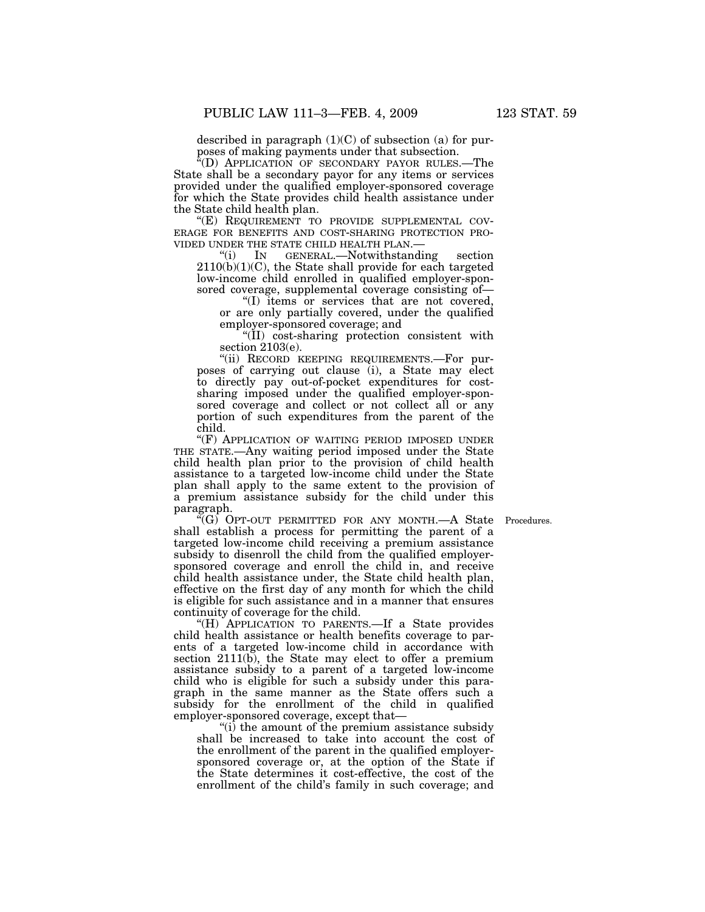described in paragraph (1)(C) of subsection (a) for purposes of making payments under that subsection.

"(D) APPLICATION OF SECONDARY PAYOR RULES.—The State shall be a secondary payor for any items or services provided under the qualified employer-sponsored coverage for which the State provides child health assistance under the State child health plan.

"(E) REQUIREMENT TO PROVIDE SUPPLEMENTAL COV-<br>ERAGE FOR BENEFITS AND COST-SHARING PROTECTION PRO-<br>VIDED UNDER THE STATE CHILD HEALTH PLAN.—<br>"(i) IN GENERAL.—Notwithstanding section

 $2110(b)(1)(C)$ , the State shall provide for each targeted low-income child enrolled in qualified employer-sponsored coverage, supplemental coverage consisting of—

''(I) items or services that are not covered, or are only partially covered, under the qualified employer-sponsored coverage; and

''(II) cost-sharing protection consistent with section 2103(e).

"(ii) RECORD KEEPING REQUIREMENTS.—For purposes of carrying out clause (i), a State may elect to directly pay out-of-pocket expenditures for costsharing imposed under the qualified employer-sponsored coverage and collect or not collect all or any portion of such expenditures from the parent of the child.

"(F) APPLICATION OF WAITING PERIOD IMPOSED UNDER THE STATE.—Any waiting period imposed under the State child health plan prior to the provision of child health assistance to a targeted low-income child under the State plan shall apply to the same extent to the provision of a premium assistance subsidy for the child under this paragraph.

Procedures.

"(G) OPT-OUT PERMITTED FOR ANY MONTH.—A State shall establish a process for permitting the parent of a targeted low-income child receiving a premium assistance subsidy to disenroll the child from the qualified employersponsored coverage and enroll the child in, and receive child health assistance under, the State child health plan, effective on the first day of any month for which the child is eligible for such assistance and in a manner that ensures continuity of coverage for the child.

"(H) APPLICATION TO PARENTS.—If a State provides child health assistance or health benefits coverage to parents of a targeted low-income child in accordance with section 2111(b), the State may elect to offer a premium assistance subsidy to a parent of a targeted low-income child who is eligible for such a subsidy under this paragraph in the same manner as the State offers such a subsidy for the enrollment of the child in qualified employer-sponsored coverage, except that—

''(i) the amount of the premium assistance subsidy shall be increased to take into account the cost of the enrollment of the parent in the qualified employersponsored coverage or, at the option of the State if the State determines it cost-effective, the cost of the enrollment of the child's family in such coverage; and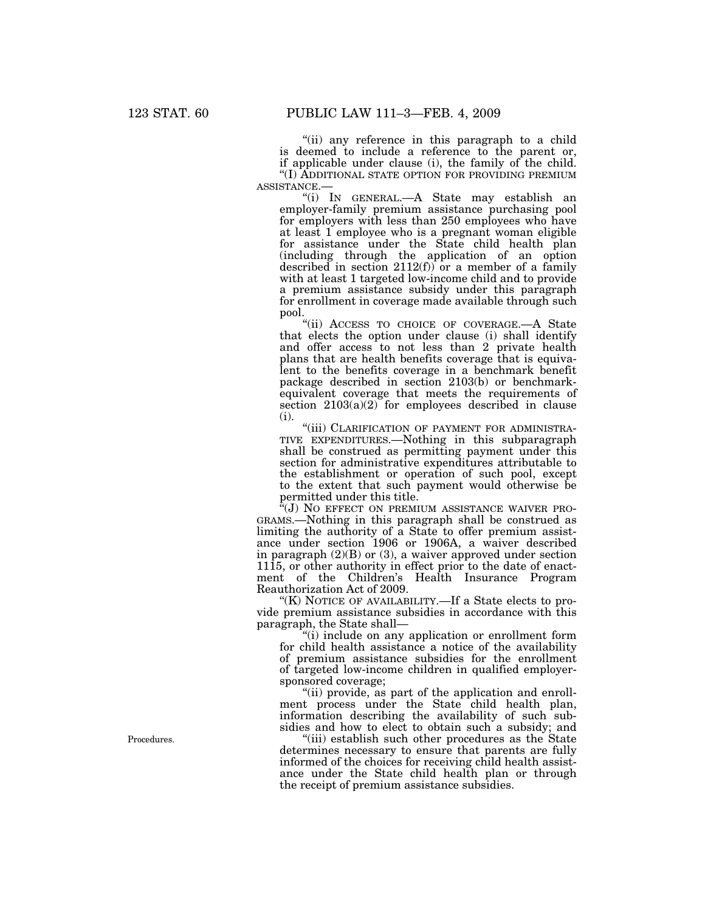''(ii) any reference in this paragraph to a child is deemed to include a reference to the parent or, if applicable under clause (i), the family of the child. ''(I) ADDITIONAL STATE OPTION FOR PROVIDING PREMIUM

ASSISTANCE.— ''(i) IN GENERAL.—A State may establish an employer-family premium assistance purchasing pool for employers with less than 250 employees who have at least 1 employee who is a pregnant woman eligible for assistance under the State child health plan (including through the application of an option described in section 2112(f)) or a member of a family with at least 1 targeted low-income child and to provide a premium assistance subsidy under this paragraph for enrollment in coverage made available through such pool.

''(ii) ACCESS TO CHOICE OF COVERAGE.—A State that elects the option under clause (i) shall identify and offer access to not less than 2 private health plans that are health benefits coverage that is equivalent to the benefits coverage in a benchmark benefit package described in section 2103(b) or benchmarkequivalent coverage that meets the requirements of section  $2103(a)(2)$  for employees described in clause (i).

"(iii) CLARIFICATION OF PAYMENT FOR ADMINISTRA-TIVE EXPENDITURES.—Nothing in this subparagraph shall be construed as permitting payment under this section for administrative expenditures attributable to the establishment or operation of such pool, except to the extent that such payment would otherwise be permitted under this title.

"(J) NO EFFECT ON PREMIUM ASSISTANCE WAIVER PRO-GRAMS.—Nothing in this paragraph shall be construed as limiting the authority of a State to offer premium assistance under section 1906 or 1906A, a waiver described in paragraph (2)(B) or (3), a waiver approved under section 1115, or other authority in effect prior to the date of enactment of the Children's Health Insurance Program Reauthorization Act of 2009.

"(K) NOTICE OF AVAILABILITY.—If a State elects to provide premium assistance subsidies in accordance with this paragraph, the State shall—

''(i) include on any application or enrollment form for child health assistance a notice of the availability of premium assistance subsidies for the enrollment of targeted low-income children in qualified employersponsored coverage;

"(ii) provide, as part of the application and enrollment process under the State child health plan, information describing the availability of such subsidies and how to elect to obtain such a subsidy; and

"(iii) establish such other procedures as the State determines necessary to ensure that parents are fully informed of the choices for receiving child health assistance under the State child health plan or through the receipt of premium assistance subsidies.

Procedures.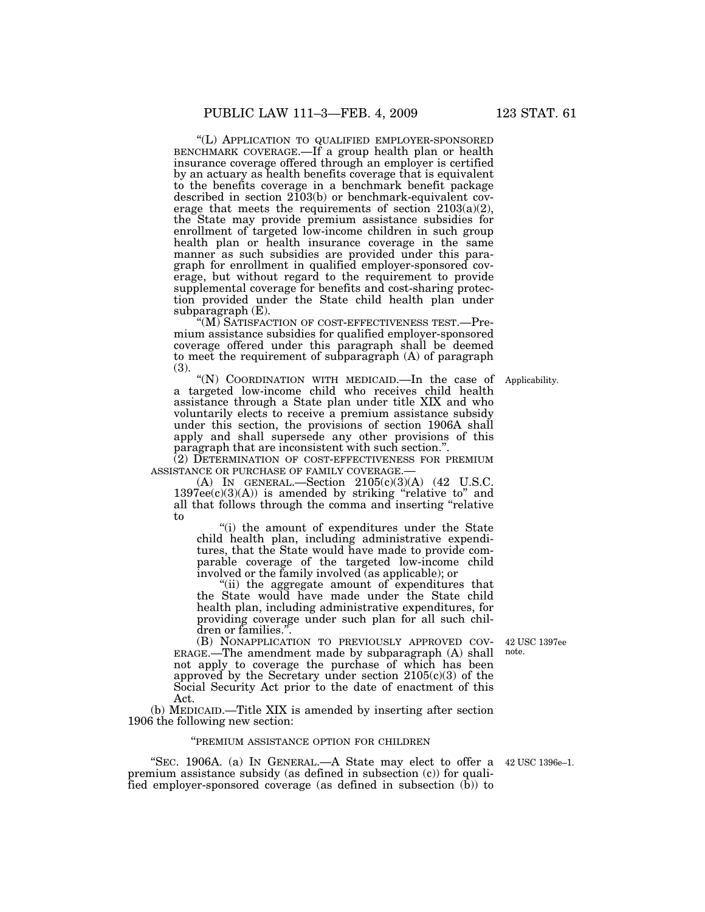''(L) APPLICATION TO QUALIFIED EMPLOYER-SPONSORED BENCHMARK COVERAGE.—If a group health plan or health insurance coverage offered through an employer is certified by an actuary as health benefits coverage that is equivalent to the benefits coverage in a benchmark benefit package described in section 2103(b) or benchmark-equivalent coverage that meets the requirements of section  $2103(a)(2)$ , the State may provide premium assistance subsidies for enrollment of targeted low-income children in such group health plan or health insurance coverage in the same manner as such subsidies are provided under this paragraph for enrollment in qualified employer-sponsored coverage, but without regard to the requirement to provide supplemental coverage for benefits and cost-sharing protection provided under the State child health plan under subparagraph (E).

''(M) SATISFACTION OF COST-EFFECTIVENESS TEST.—Premium assistance subsidies for qualified employer-sponsored coverage offered under this paragraph shall be deemed to meet the requirement of subparagraph (A) of paragraph (3).

"(N) COORDINATION WITH MEDICAID.—In the case of Applicability. a targeted low-income child who receives child health assistance through a State plan under title XIX and who voluntarily elects to receive a premium assistance subsidy under this section, the provisions of section 1906A shall apply and shall supersede any other provisions of this paragraph that are inconsistent with such section."

 $(2)$  DETERMINATION OF COST-EFFECTIVENESS FOR PREMIUM ASSISTANCE OR PURCHASE OF FAMILY COVERAGE.—

(A) IN GENERAL.—Section  $2105(c)(3)(A)$  (42 U.S.C.  $1397ee(c)(3)(A)$  is amended by striking "relative to" and all that follows through the comma and inserting ''relative to

''(i) the amount of expenditures under the State child health plan, including administrative expenditures, that the State would have made to provide comparable coverage of the targeted low-income child involved or the family involved (as applicable); or

''(ii) the aggregate amount of expenditures that the State would have made under the State child health plan, including administrative expenditures, for providing coverage under such plan for all such children or families.".<br>(B) NONAPPLICATION TO PREVIOUSLY APPROVED COV-

 $ERAGE$ . The amendment made by subparagraph  $(A)$  shall not apply to coverage the purchase of which has been approved by the Secretary under section 2105(c)(3) of the Social Security Act prior to the date of enactment of this Act.

(b) MEDICAID.—Title XIX is amended by inserting after section 1906 the following new section:

### ''PREMIUM ASSISTANCE OPTION FOR CHILDREN

"SEC. 1906A. (a) In GENERAL.—A State may elect to offer a  $42 \text{ USC } 1396e-1$ . premium assistance subsidy (as defined in subsection (c)) for qualified employer-sponsored coverage (as defined in subsection  $(\bar{b})$ ) to

42 USC 1397ee note.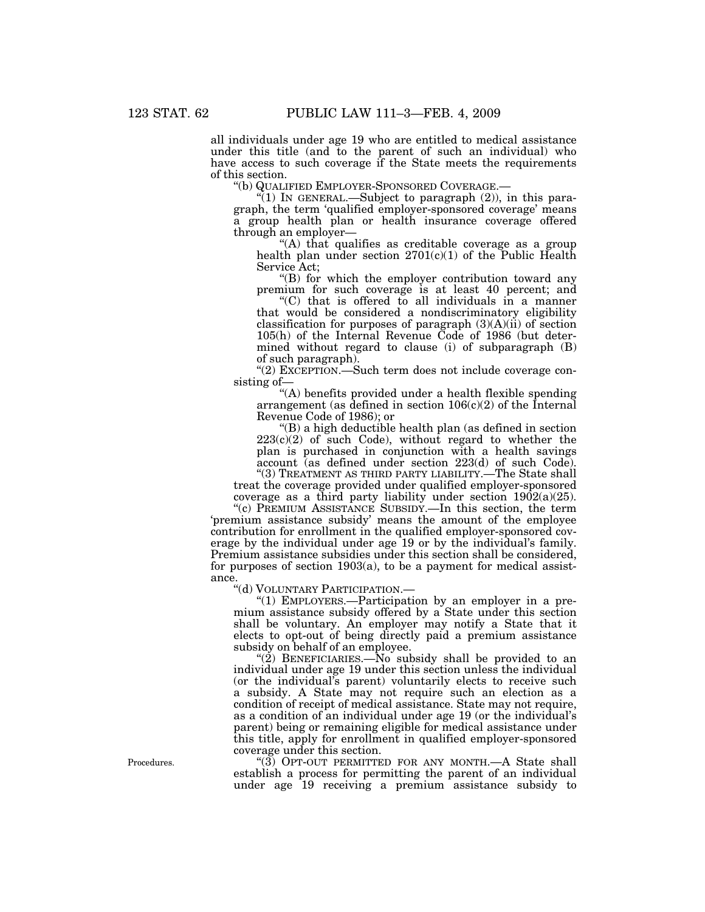all individuals under age 19 who are entitled to medical assistance under this title (and to the parent of such an individual) who have access to such coverage if the State meets the requirements of this section.<br>"(b) QUALIFIED EMPLOYER-SPONSORED COVERAGE.–

 $\binom{m}{1}$  In GENERAL.—Subject to paragraph (2)), in this paragraph, the term 'qualified employer-sponsored coverage' means a group health plan or health insurance coverage offered through an employer—

''(A) that qualifies as creditable coverage as a group health plan under section  $2701(c)(1)$  of the Public Health Service Act;

"(B) for which the employer contribution toward any premium for such coverage is at least 40 percent; and

''(C) that is offered to all individuals in a manner that would be considered a nondiscriminatory eligibility classification for purposes of paragraph (3)(A)(ii) of section 105(h) of the Internal Revenue Code of 1986 (but determined without regard to clause (i) of subparagraph (B) of such paragraph).

''(2) EXCEPTION.—Such term does not include coverage consisting of—

''(A) benefits provided under a health flexible spending arrangement (as defined in section  $106(c)(2)$  of the Internal Revenue Code of 1986); or

''(B) a high deductible health plan (as defined in section  $223(c)(2)$  of such Code), without regard to whether the plan is purchased in conjunction with a health savings account (as defined under section 223(d) of such Code). "(3) TREATMENT AS THIRD PARTY LIABILITY.—The State shall

treat the coverage provided under qualified employer-sponsored coverage as a third party liability under section  $1902(a)(25)$ .

''(c) PREMIUM ASSISTANCE SUBSIDY.—In this section, the term 'premium assistance subsidy' means the amount of the employee contribution for enrollment in the qualified employer-sponsored coverage by the individual under age 19 or by the individual's family. Premium assistance subsidies under this section shall be considered, for purposes of section 1903(a), to be a payment for medical assistance.

''(d) VOLUNTARY PARTICIPATION.—

"(1) EMPLOYERS.—Participation by an employer in a premium assistance subsidy offered by a State under this section shall be voluntary. An employer may notify a State that it elects to opt-out of being directly paid a premium assistance subsidy on behalf of an employee.

" $(2)$  BENEFICIARIES.—No subsidy shall be provided to an individual under age 19 under this section unless the individual (or the individual's parent) voluntarily elects to receive such a subsidy. A State may not require such an election as a condition of receipt of medical assistance. State may not require, as a condition of an individual under age 19 (or the individual's parent) being or remaining eligible for medical assistance under this title, apply for enrollment in qualified employer-sponsored coverage under this section.

"(3) OPT-OUT PERMITTED FOR ANY MONTH.—A State shall establish a process for permitting the parent of an individual under age 19 receiving a premium assistance subsidy to

Procedures.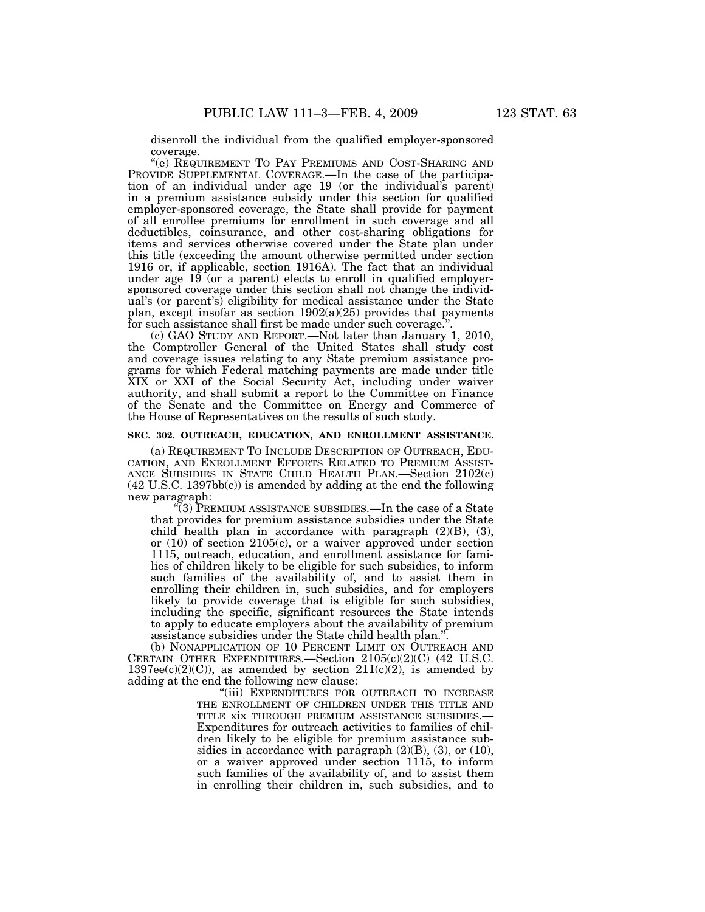disenroll the individual from the qualified employer-sponsored coverage.

''(e) REQUIREMENT TO PAY PREMIUMS AND COST-SHARING AND PROVIDE SUPPLEMENTAL COVERAGE.—In the case of the participation of an individual under age 19 (or the individual's parent) in a premium assistance subsidy under this section for qualified employer-sponsored coverage, the State shall provide for payment of all enrollee premiums for enrollment in such coverage and all deductibles, coinsurance, and other cost-sharing obligations for items and services otherwise covered under the State plan under this title (exceeding the amount otherwise permitted under section 1916 or, if applicable, section 1916A). The fact that an individual under age  $19$  (or a parent) elects to enroll in qualified employersponsored coverage under this section shall not change the individual's (or parent's) eligibility for medical assistance under the State plan, except insofar as section  $1902(a)(25)$  provides that payments for such assistance shall first be made under such coverage."

(c) GAO STUDY AND REPORT.—Not later than January 1, 2010, the Comptroller General of the United States shall study cost and coverage issues relating to any State premium assistance programs for which Federal matching payments are made under title XIX or XXI of the Social Security Act, including under waiver authority, and shall submit a report to the Committee on Finance of the Senate and the Committee on Energy and Commerce of the House of Representatives on the results of such study.

### **SEC. 302. OUTREACH, EDUCATION, AND ENROLLMENT ASSISTANCE.**

(a) REQUIREMENT TO INCLUDE DESCRIPTION OF OUTREACH, EDU-CATION, AND ENROLLMENT EFFORTS RELATED TO PREMIUM ASSIST-ANCE SUBSIDIES IN STATE CHILD HEALTH PLAN.—Section 2102(c)  $(42 \text{ U.S.C. } 1397 \text{bb}(c))$  is amended by adding at the end the following new paragraph:

''(3) PREMIUM ASSISTANCE SUBSIDIES.—In the case of a State that provides for premium assistance subsidies under the State child health plan in accordance with paragraph  $(2)(B)$ ,  $(3)$ , or (10) of section 2105(c), or a waiver approved under section 1115, outreach, education, and enrollment assistance for families of children likely to be eligible for such subsidies, to inform such families of the availability of, and to assist them in enrolling their children in, such subsidies, and for employers likely to provide coverage that is eligible for such subsidies, including the specific, significant resources the State intends to apply to educate employers about the availability of premium assistance subsidies under the State child health plan.''.

(b) NONAPPLICATION OF 10 PERCENT LIMIT ON OUTREACH AND CERTAIN OTHER EXPENDITURES.—Section 2105(c)(2)(C) (42 U.S.C.  $1397ee(c)(2)(C)$ , as amended by section  $211(c)(2)$ , is amended by adding at the end the following new clause:

> ''(iii) EXPENDITURES FOR OUTREACH TO INCREASE THE ENROLLMENT OF CHILDREN UNDER THIS TITLE AND TITLE XIX THROUGH PREMIUM ASSISTANCE SUBSIDIES.— Expenditures for outreach activities to families of children likely to be eligible for premium assistance subsidies in accordance with paragraph  $(2)(B)$ ,  $(3)$ , or  $(10)$ , or a waiver approved under section 1115, to inform such families of the availability of, and to assist them in enrolling their children in, such subsidies, and to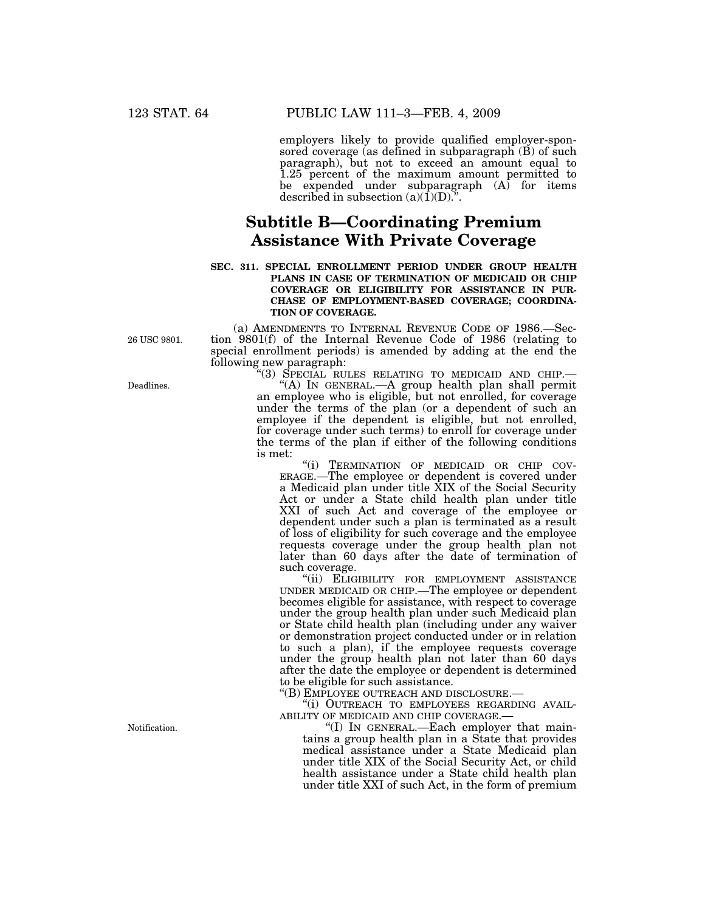employers likely to provide qualified employer-sponsored coverage (as defined in subparagraph (B) of such paragraph), but not to exceed an amount equal to 1.25 percent of the maximum amount permitted to be expended under subparagraph  $(A)$  for items described in subsection  $(a)(\overline{1})(D)$ .".

# **Subtitle B—Coordinating Premium Assistance With Private Coverage**

### **SEC. 311. SPECIAL ENROLLMENT PERIOD UNDER GROUP HEALTH PLANS IN CASE OF TERMINATION OF MEDICAID OR CHIP COVERAGE OR ELIGIBILITY FOR ASSISTANCE IN PUR-CHASE OF EMPLOYMENT-BASED COVERAGE; COORDINA-TION OF COVERAGE.**

26 USC 9801.

(a) AMENDMENTS TO INTERNAL REVENUE CODE OF 1986.—Section 9801(f) of the Internal Revenue Code of 1986 (relating to special enrollment periods) is amended by adding at the end the following new paragraph:<br>"(3) SPECIAL RULES RELATING TO MEDICAID AND CHIP.—

"(A) IN GENERAL -- A group health plan shall permit an employee who is eligible, but not enrolled, for coverage under the terms of the plan (or a dependent of such an employee if the dependent is eligible, but not enrolled, for coverage under such terms) to enroll for coverage under the terms of the plan if either of the following conditions is met:

''(i) TERMINATION OF MEDICAID OR CHIP COV- ERAGE.—The employee or dependent is covered under a Medicaid plan under title XIX of the Social Security Act or under a State child health plan under title XXI of such Act and coverage of the employee or dependent under such a plan is terminated as a result of loss of eligibility for such coverage and the employee requests coverage under the group health plan not later than 60 days after the date of termination of such coverage.

"(ii) ELIGIBILITY FOR EMPLOYMENT ASSISTANCE UNDER MEDICAID OR CHIP.—The employee or dependent becomes eligible for assistance, with respect to coverage under the group health plan under such Medicaid plan or State child health plan (including under any waiver or demonstration project conducted under or in relation to such a plan), if the employee requests coverage under the group health plan not later than 60 days after the date the employee or dependent is determined to be eligible for such assistance.<br>"(B) EMPLOYEE OUTREACH AND DISCLOSURE.—

"(i) OUTREACH TO EMPLOYEES REGARDING AVAIL-<br>ABILITY OF MEDICAID AND CHIP COVERAGE.—<br>"(I) IN GENERAL.—Each employer that main-

tains a group health plan in a State that provides medical assistance under a State Medicaid plan under title XIX of the Social Security Act, or child health assistance under a State child health plan under title XXI of such Act, in the form of premium

Deadlines.

Notification.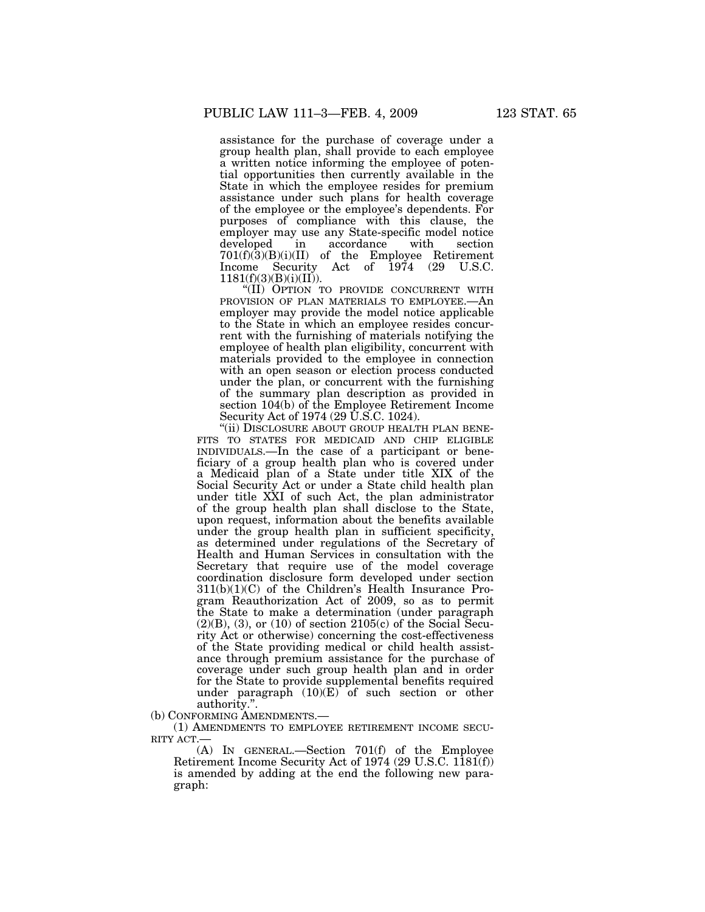assistance for the purchase of coverage under a group health plan, shall provide to each employee a written notice informing the employee of potential opportunities then currently available in the State in which the employee resides for premium assistance under such plans for health coverage of the employee or the employee's dependents. For purposes of compliance with this clause, the employer may use any State-specific model notice<br>developed in accordance with section developed in accordance with section  $701(f)(3)(B)(i)(II)$  of the Employee Retirement<br>Income Security Act of 1974 (29 U.S.C. Income Security Act of 1974 (29 U.S.C.  $1181(f)(3)(B)(i)(II)).$ 

''(II) OPTION TO PROVIDE CONCURRENT WITH PROVISION OF PLAN MATERIALS TO EMPLOYEE.—An employer may provide the model notice applicable to the State in which an employee resides concurrent with the furnishing of materials notifying the employee of health plan eligibility, concurrent with materials provided to the employee in connection with an open season or election process conducted under the plan, or concurrent with the furnishing of the summary plan description as provided in section 104(b) of the Employee Retirement Income Security Act of 1974 (29 U.S.C. 1024).

"(ii) DISCLOSURE ABOUT GROUP HEALTH PLAN BENE-FITS TO STATES FOR MEDICAID AND CHIP ELIGIBLE INDIVIDUALS.—In the case of a participant or beneficiary of a group health plan who is covered under a Medicaid plan of a State under title XIX of the Social Security Act or under a State child health plan under title XXI of such Act, the plan administrator of the group health plan shall disclose to the State, upon request, information about the benefits available under the group health plan in sufficient specificity, as determined under regulations of the Secretary of Health and Human Services in consultation with the Secretary that require use of the model coverage coordination disclosure form developed under section 311(b)(1)(C) of the Children's Health Insurance Program Reauthorization Act of 2009, so as to permit the State to make a determination (under paragraph  $(2)(B)$ ,  $(3)$ , or  $(10)$  of section  $2105(c)$  of the Social Security Act or otherwise) concerning the cost-effectiveness of the State providing medical or child health assistance through premium assistance for the purchase of coverage under such group health plan and in order for the State to provide supplemental benefits required under paragraph  $(10)(E)$  of such section or other

authority.".<br>(b) CONFORMING AMENDMENTS.

(1) AMENDMENTS TO EMPLOYEE RETIREMENT INCOME SECU-RITY ACT.

(A) IN GENERAL.—Section 701(f) of the Employee Retirement Income Security Act of 1974 (29 U.S.C. 1181(f)) is amended by adding at the end the following new paragraph: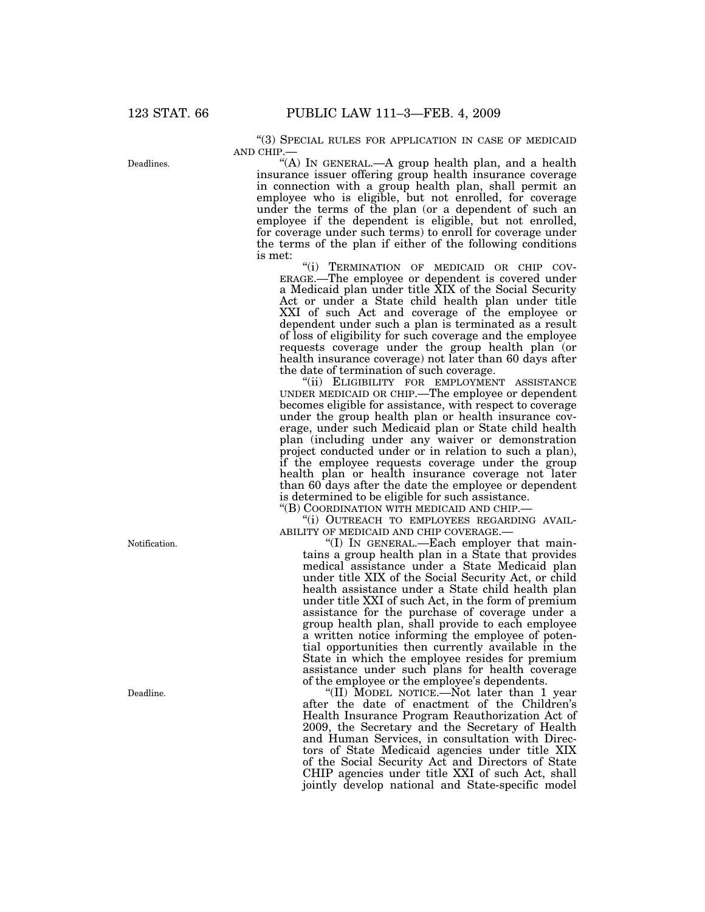''(3) SPECIAL RULES FOR APPLICATION IN CASE OF MEDICAID AND CHIP.—

''(A) IN GENERAL.—A group health plan, and a health insurance issuer offering group health insurance coverage in connection with a group health plan, shall permit an employee who is eligible, but not enrolled, for coverage under the terms of the plan (or a dependent of such an employee if the dependent is eligible, but not enrolled, for coverage under such terms) to enroll for coverage under the terms of the plan if either of the following conditions is met:

''(i) TERMINATION OF MEDICAID OR CHIP COV- ERAGE.—The employee or dependent is covered under a Medicaid plan under title XIX of the Social Security Act or under a State child health plan under title XXI of such Act and coverage of the employee or dependent under such a plan is terminated as a result of loss of eligibility for such coverage and the employee requests coverage under the group health plan (or health insurance coverage) not later than 60 days after the date of termination of such coverage.

''(ii) ELIGIBILITY FOR EMPLOYMENT ASSISTANCE UNDER MEDICAID OR CHIP.—The employee or dependent becomes eligible for assistance, with respect to coverage under the group health plan or health insurance coverage, under such Medicaid plan or State child health plan (including under any waiver or demonstration project conducted under or in relation to such a plan), if the employee requests coverage under the group health plan or health insurance coverage not later than 60 days after the date the employee or dependent is determined to be eligible for such assistance.

''(B) COORDINATION WITH MEDICAID AND CHIP.—

"(i) OUTREACH TO EMPLOYEES REGARDING AVAIL-ABILITY OF MEDICAID AND CHIP COVERAGE.—

"(I) IN GENERAL.—Each employer that maintains a group health plan in a State that provides medical assistance under a State Medicaid plan under title XIX of the Social Security Act, or child health assistance under a State child health plan under title XXI of such Act, in the form of premium assistance for the purchase of coverage under a group health plan, shall provide to each employee a written notice informing the employee of potential opportunities then currently available in the State in which the employee resides for premium assistance under such plans for health coverage of the employee or the employee's dependents.

''(II) MODEL NOTICE.—Not later than 1 year after the date of enactment of the Children's Health Insurance Program Reauthorization Act of 2009, the Secretary and the Secretary of Health and Human Services, in consultation with Directors of State Medicaid agencies under title XIX of the Social Security Act and Directors of State CHIP agencies under title XXI of such Act, shall jointly develop national and State-specific model

Deadlines.

Notification.

Deadline.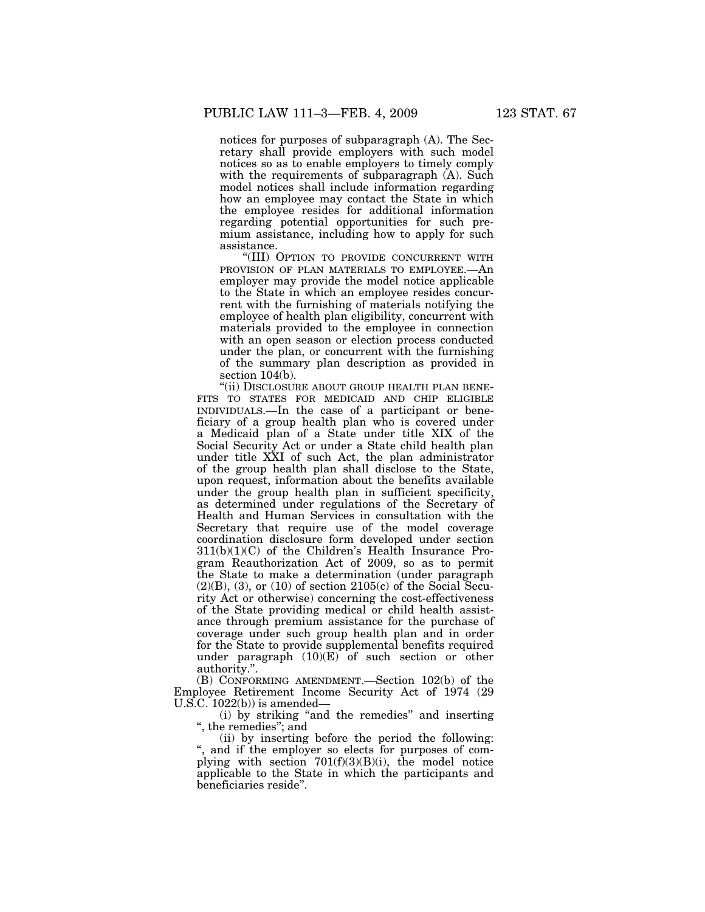notices for purposes of subparagraph (A). The Secretary shall provide employers with such model notices so as to enable employers to timely comply with the requirements of subparagraph (A). Such model notices shall include information regarding how an employee may contact the State in which the employee resides for additional information regarding potential opportunities for such premium assistance, including how to apply for such assistance.

''(III) OPTION TO PROVIDE CONCURRENT WITH PROVISION OF PLAN MATERIALS TO EMPLOYEE.—An employer may provide the model notice applicable to the State in which an employee resides concurrent with the furnishing of materials notifying the employee of health plan eligibility, concurrent with materials provided to the employee in connection with an open season or election process conducted under the plan, or concurrent with the furnishing of the summary plan description as provided in section 104(b).

"(ii) DISCLOSURE ABOUT GROUP HEALTH PLAN BENE-FITS TO STATES FOR MEDICAID AND CHIP ELIGIBLE INDIVIDUALS.—In the case of a participant or beneficiary of a group health plan who is covered under a Medicaid plan of a State under title XIX of the Social Security Act or under a State child health plan under title XXI of such Act, the plan administrator of the group health plan shall disclose to the State, upon request, information about the benefits available under the group health plan in sufficient specificity, as determined under regulations of the Secretary of Health and Human Services in consultation with the Secretary that require use of the model coverage coordination disclosure form developed under section  $311(b)(1)(C)$  of the Children's Health Insurance Program Reauthorization Act of 2009, so as to permit the State to make a determination (under paragraph  $(2)(B)$ ,  $(3)$ , or  $(10)$  of section  $2105(c)$  of the Social Security Act or otherwise) concerning the cost-effectiveness of the State providing medical or child health assistance through premium assistance for the purchase of coverage under such group health plan and in order for the State to provide supplemental benefits required under paragraph (10)(E) of such section or other authority.''.

(B) CONFORMING AMENDMENT.—Section 102(b) of the Employee Retirement Income Security Act of 1974 (29  $U.S.C. 1022(b)$  is amended—

(i) by striking ''and the remedies'' and inserting '', the remedies''; and

(ii) by inserting before the period the following: and if the employer so elects for purposes of complying with section  $701(f)(3)(B)(i)$ , the model notice applicable to the State in which the participants and beneficiaries reside''.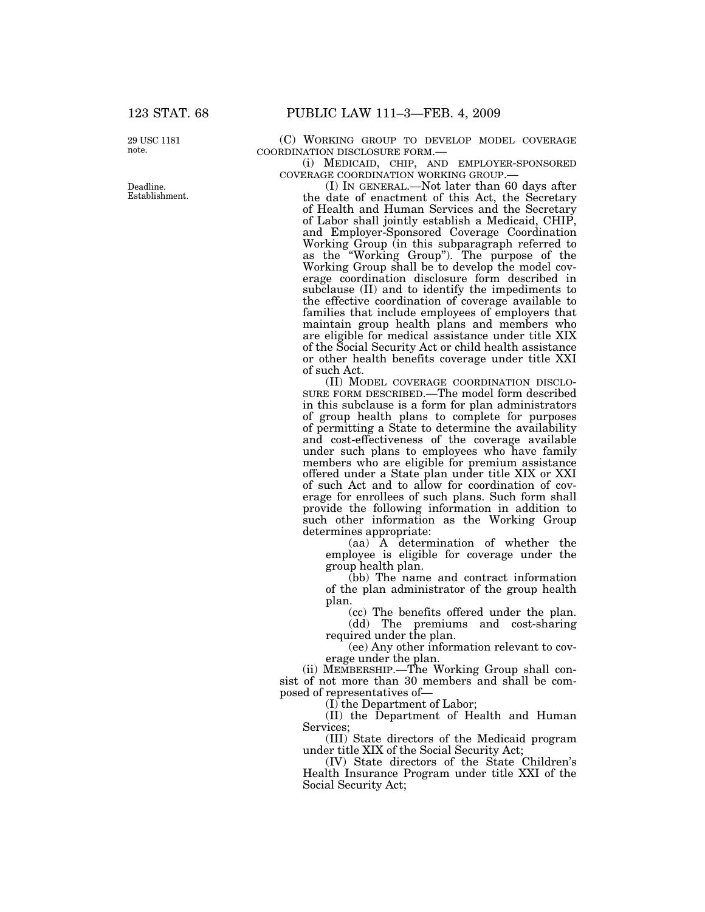29 USC 1181 note.

Deadline. Establishment. (C) WORKING GROUP TO DEVELOP MODEL COVERAGE COORDINATION DISCLOSURE FORM.—

 $\,$   $\,$  (i) MEDICAID,  $\,$  CHIP,  $\,$  AND  $\,$  EMPLOYER-SPONSORED COVERAGE COORDINATION WORKING GROUP.—

(I) IN GENERAL.—Not later than 60 days after the date of enactment of this Act, the Secretary of Health and Human Services and the Secretary of Labor shall jointly establish a Medicaid, CHIP, and Employer-Sponsored Coverage Coordination Working Group (in this subparagraph referred to as the ''Working Group''). The purpose of the Working Group shall be to develop the model coverage coordination disclosure form described in subclause (II) and to identify the impediments to the effective coordination of coverage available to families that include employees of employers that maintain group health plans and members who are eligible for medical assistance under title XIX of the Social Security Act or child health assistance or other health benefits coverage under title XXI of such Act.

(II) MODEL COVERAGE COORDINATION DISCLO-SURE FORM DESCRIBED.—The model form described in this subclause is a form for plan administrators of group health plans to complete for purposes of permitting a State to determine the availability and cost-effectiveness of the coverage available under such plans to employees who have family members who are eligible for premium assistance offered under a State plan under title XIX or XXI of such Act and to allow for coordination of coverage for enrollees of such plans. Such form shall provide the following information in addition to such other information as the Working Group determines appropriate:

(aa) A determination of whether the employee is eligible for coverage under the group health plan.

(bb) The name and contract information of the plan administrator of the group health plan.

(cc) The benefits offered under the plan. (dd) The premiums and cost-sharing required under the plan.

(ee) Any other information relevant to coverage under the plan.

(ii) MEMBERSHIP.—The Working Group shall consist of not more than 30 members and shall be composed of representatives of—

(I) the Department of Labor;

(II) the Department of Health and Human Services;

(III) State directors of the Medicaid program under title XIX of the Social Security Act;

(IV) State directors of the State Children's Health Insurance Program under title XXI of the Social Security Act;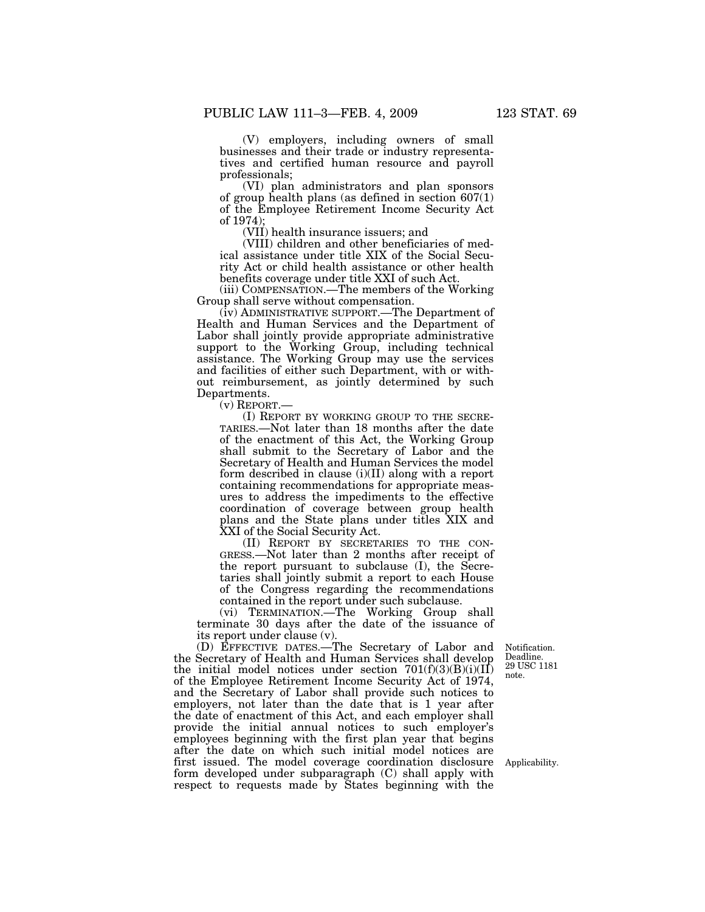(V) employers, including owners of small businesses and their trade or industry representatives and certified human resource and payroll professionals;

(VI) plan administrators and plan sponsors of group health plans (as defined in section  $607(1)$ ) of the Employee Retirement Income Security Act of 1974);

(VII) health insurance issuers; and

(VIII) children and other beneficiaries of medical assistance under title XIX of the Social Security Act or child health assistance or other health benefits coverage under title XXI of such Act.

(iii) COMPENSATION.—The members of the Working Group shall serve without compensation.

(iv) ADMINISTRATIVE SUPPORT.—The Department of Health and Human Services and the Department of Labor shall jointly provide appropriate administrative support to the Working Group, including technical assistance. The Working Group may use the services and facilities of either such Department, with or without reimbursement, as jointly determined by such Departments.

(v) REPORT.—

(I) REPORT BY WORKING GROUP TO THE SECRE-TARIES.—Not later than 18 months after the date of the enactment of this Act, the Working Group shall submit to the Secretary of Labor and the Secretary of Health and Human Services the model form described in clause (i)(II) along with a report containing recommendations for appropriate measures to address the impediments to the effective coordination of coverage between group health plans and the State plans under titles XIX and XXI of the Social Security Act.

(II) REPORT BY SECRETARIES TO THE CON-GRESS.—Not later than 2 months after receipt of the report pursuant to subclause (I), the Secretaries shall jointly submit a report to each House of the Congress regarding the recommendations contained in the report under such subclause.

(vi) TERMINATION.—The Working Group shall terminate 30 days after the date of the issuance of its report under clause (v).

(D) EFFECTIVE DATES.—The Secretary of Labor and the Secretary of Health and Human Services shall develop the initial model notices under section  $701(f)(3)(B)(i)(II)$ of the Employee Retirement Income Security Act of 1974, and the Secretary of Labor shall provide such notices to employers, not later than the date that is 1 year after the date of enactment of this Act, and each employer shall provide the initial annual notices to such employer's employees beginning with the first plan year that begins after the date on which such initial model notices are first issued. The model coverage coordination disclosure form developed under subparagraph (C) shall apply with respect to requests made by States beginning with the

Notification. Deadline. 29 USC 1181 note.

Applicability.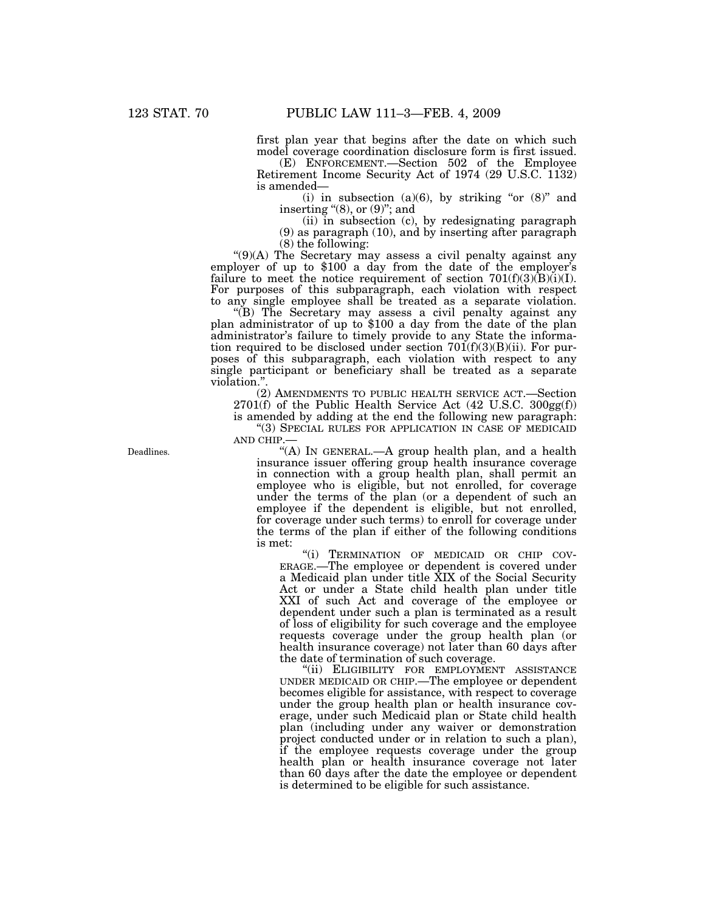first plan year that begins after the date on which such model coverage coordination disclosure form is first issued.

(E) ENFORCEMENT.—Section 502 of the Employee Retirement Income Security Act of 1974 (29 U.S.C. 1132) is amended—

(i) in subsection (a)(6), by striking "or  $(8)$ " and inserting  $(8)$ , or  $(9)$ "; and

(ii) in subsection (c), by redesignating paragraph (9) as paragraph (10), and by inserting after paragraph

(8) the following:<br>" $(9)(A)$  The Secretary may assess a civil penalty against any ''(9)(A) The Secretary may assess a civil penalty against any employer of up to \$100 a day from the date of the employer's failure to meet the notice requirement of section  $701(f)(3)(B)(i)(I)$ . For purposes of this subparagraph, each violation with respect to any single employee shall be treated as a separate violation.

plan administrator of up to \$100 a day from the date of the plan administrator's failure to timely provide to any State the information required to be disclosed under section  $701(f)(3)(B)(ii)$ . For purposes of this subparagraph, each violation with respect to any single participant or beneficiary shall be treated as a separate violation.''.

(2) AMENDMENTS TO PUBLIC HEALTH SERVICE ACT.—Section  $2701(f)$  of the Public Health Service Act (42 U.S.C.  $300gg(f)$ ) is amended by adding at the end the following new paragraph:

''(3) SPECIAL RULES FOR APPLICATION IN CASE OF MEDICAID AND CHIP.—

"(A) In GENERAL.—A group health plan, and a health insurance issuer offering group health insurance coverage in connection with a group health plan, shall permit an employee who is eligible, but not enrolled, for coverage under the terms of the plan (or a dependent of such an employee if the dependent is eligible, but not enrolled, for coverage under such terms) to enroll for coverage under the terms of the plan if either of the following conditions is met:

''(i) TERMINATION OF MEDICAID OR CHIP COV-ERAGE.—The employee or dependent is covered under a Medicaid plan under title XIX of the Social Security Act or under a State child health plan under title XXI of such Act and coverage of the employee or dependent under such a plan is terminated as a result of loss of eligibility for such coverage and the employee requests coverage under the group health plan (or health insurance coverage) not later than 60 days after the date of termination of such coverage.

"(ii) ELIGIBILITY FOR EMPLOYMENT ASSISTANCE UNDER MEDICAID OR CHIP.—The employee or dependent becomes eligible for assistance, with respect to coverage under the group health plan or health insurance coverage, under such Medicaid plan or State child health plan (including under any waiver or demonstration project conducted under or in relation to such a plan), if the employee requests coverage under the group health plan or health insurance coverage not later than 60 days after the date the employee or dependent is determined to be eligible for such assistance.

Deadlines.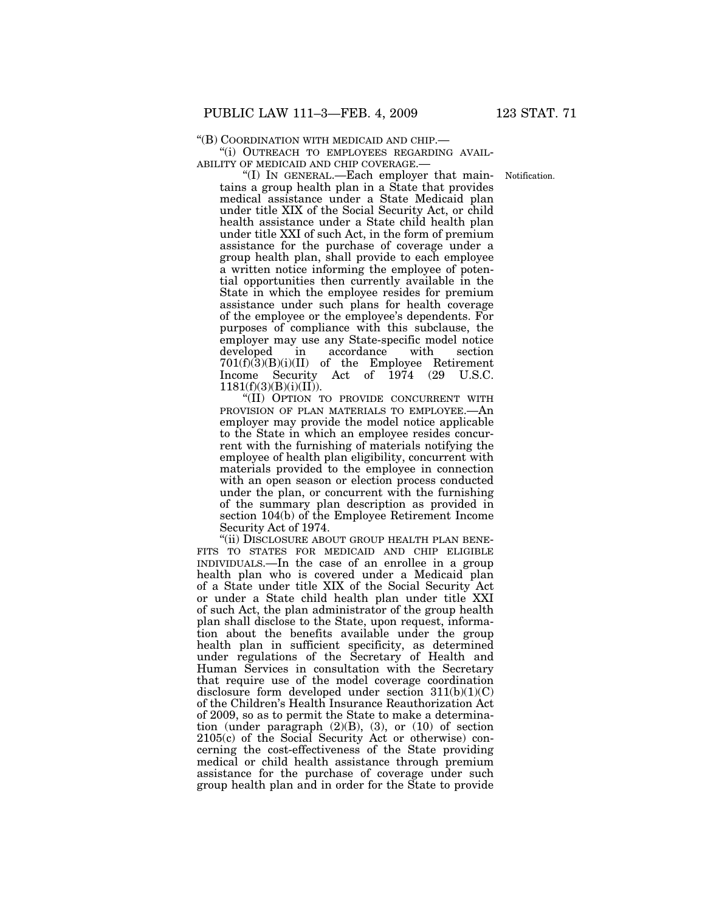''(i) OUTREACH TO EMPLOYEES REGARDING AVAIL-ABILITY OF MEDICAID AND CHIP COVERAGE.—

Notification.

''(I) IN GENERAL.—Each employer that maintains a group health plan in a State that provides medical assistance under a State Medicaid plan under title XIX of the Social Security Act, or child health assistance under a State child health plan under title XXI of such Act, in the form of premium assistance for the purchase of coverage under a group health plan, shall provide to each employee a written notice informing the employee of potential opportunities then currently available in the State in which the employee resides for premium assistance under such plans for health coverage of the employee or the employee's dependents. For purposes of compliance with this subclause, the employer may use any State-specific model notice developed in accordance with section 701(f)(3)(B)(i)(II) of the Employee Retirement Income Security Act of 1974 (29 U.S.C.  $1181(f)(3)(B)(i)(II)$ .

''(II) OPTION TO PROVIDE CONCURRENT WITH PROVISION OF PLAN MATERIALS TO EMPLOYEE.—An employer may provide the model notice applicable to the State in which an employee resides concurrent with the furnishing of materials notifying the employee of health plan eligibility, concurrent with materials provided to the employee in connection with an open season or election process conducted under the plan, or concurrent with the furnishing of the summary plan description as provided in section 104(b) of the Employee Retirement Income Security Act of 1974.

"(ii) DISCLOSURE ABOUT GROUP HEALTH PLAN BENE-FITS TO STATES FOR MEDICAID AND CHIP ELIGIBLE INDIVIDUALS.—In the case of an enrollee in a group health plan who is covered under a Medicaid plan of a State under title XIX of the Social Security Act or under a State child health plan under title XXI of such Act, the plan administrator of the group health plan shall disclose to the State, upon request, information about the benefits available under the group health plan in sufficient specificity, as determined under regulations of the Secretary of Health and Human Services in consultation with the Secretary that require use of the model coverage coordination disclosure form developed under section  $311(b)(1)(C)$ of the Children's Health Insurance Reauthorization Act of 2009, so as to permit the State to make a determination (under paragraph (2)(B), (3), or (10) of section 2105(c) of the Social Security Act or otherwise) concerning the cost-effectiveness of the State providing medical or child health assistance through premium assistance for the purchase of coverage under such group health plan and in order for the State to provide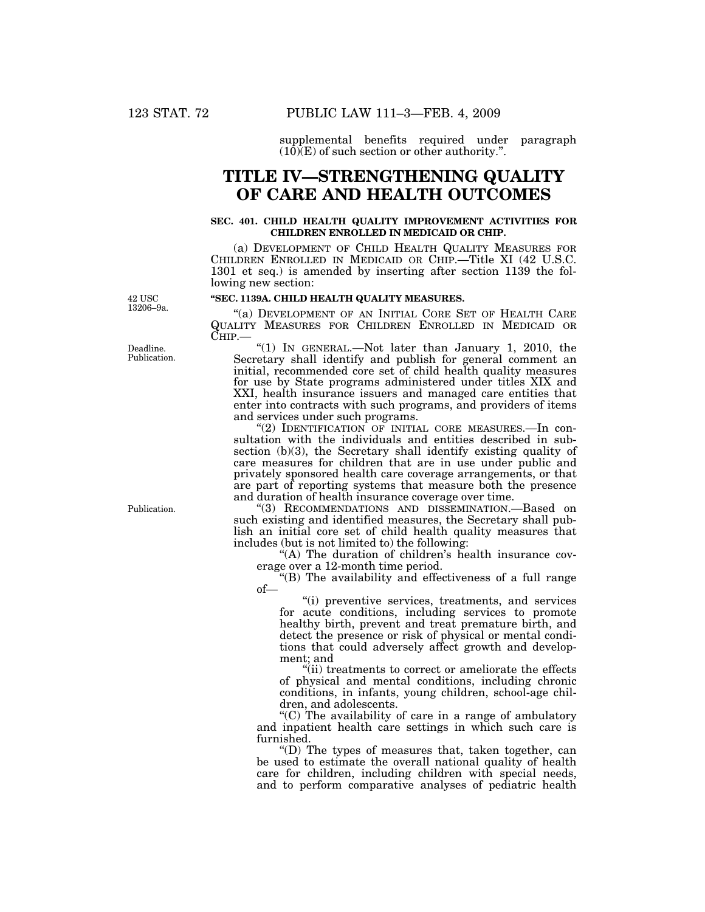supplemental benefits required under paragraph  $(10)(E)$  of such section or other authority.".

# **TITLE IV—STRENGTHENING QUALITY OF CARE AND HEALTH OUTCOMES**

### **SEC. 401. CHILD HEALTH QUALITY IMPROVEMENT ACTIVITIES FOR CHILDREN ENROLLED IN MEDICAID OR CHIP.**

(a) DEVELOPMENT OF CHILD HEALTH QUALITY MEASURES FOR CHILDREN ENROLLED IN MEDICAID OR CHIP.—Title XI (42 U.S.C. 1301 et seq.) is amended by inserting after section 1139 the following new section:

42 USC

"(a) DEVELOPMENT OF AN INITIAL CORE SET OF HEALTH CARE QUALITY MEASURES FOR CHILDREN ENROLLED IN MEDICAID OR

**''SEC. 1139A. CHILD HEALTH QUALITY MEASURES.** 

"(1) IN GENERAL.—Not later than January 1, 2010, the Secretary shall identify and publish for general comment an initial, recommended core set of child health quality measures for use by State programs administered under titles XIX and XXI, health insurance issuers and managed care entities that enter into contracts with such programs, and providers of items and services under such programs.

"(2) IDENTIFICATION OF INITIAL CORE MEASURES.—In consultation with the individuals and entities described in subsection (b)(3), the Secretary shall identify existing quality of care measures for children that are in use under public and privately sponsored health care coverage arrangements, or that are part of reporting systems that measure both the presence and duration of health insurance coverage over time.

''(3) RECOMMENDATIONS AND DISSEMINATION.—Based on such existing and identified measures, the Secretary shall publish an initial core set of child health quality measures that includes (but is not limited to) the following:

"(A) The duration of children's health insurance coverage over a 12-month time period.

''(B) The availability and effectiveness of a full range of—

''(i) preventive services, treatments, and services for acute conditions, including services to promote healthy birth, prevent and treat premature birth, and detect the presence or risk of physical or mental conditions that could adversely affect growth and development; and

"(ii) treatments to correct or ameliorate the effects of physical and mental conditions, including chronic conditions, in infants, young children, school-age children, and adolescents.

 $(C)$  The availability of care in a range of ambulatory and inpatient health care settings in which such care is furnished.

''(D) The types of measures that, taken together, can be used to estimate the overall national quality of health care for children, including children with special needs, and to perform comparative analyses of pediatric health

Publication.

13206–9a.

Deadline. Publication.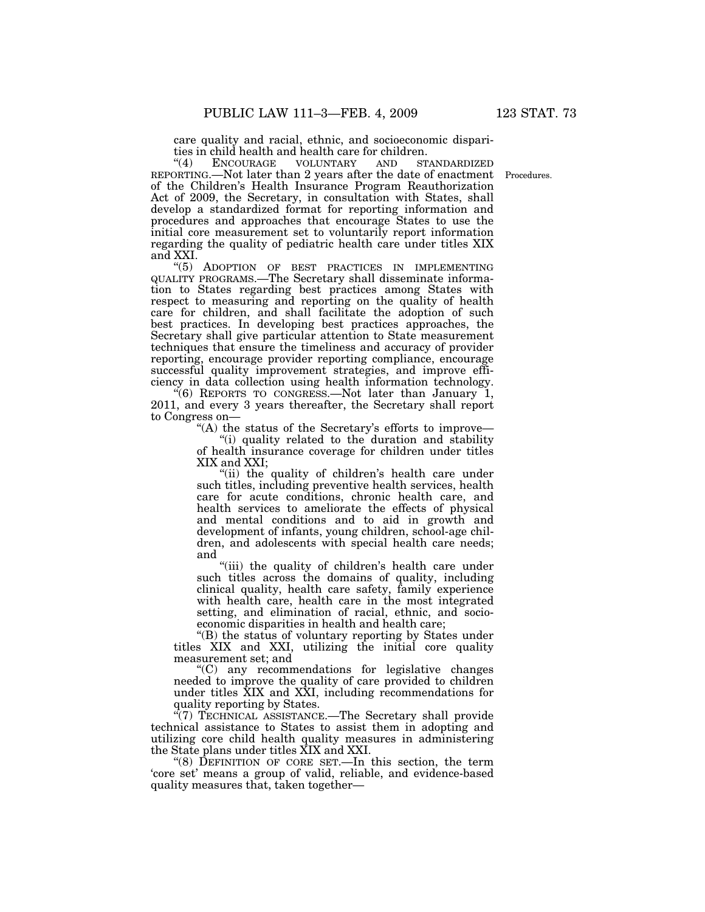care quality and racial, ethnic, and socioeconomic disparities in child health and health care for children.<br>"(4) ENCOURAGE VOLUNTARY AND ST

ENCOURAGE VOLUNTARY AND STANDARDIZED REPORTING.—Not later than 2 years after the date of enactment Procedures. of the Children's Health Insurance Program Reauthorization Act of 2009, the Secretary, in consultation with States, shall develop a standardized format for reporting information and procedures and approaches that encourage States to use the initial core measurement set to voluntarily report information regarding the quality of pediatric health care under titles XIX and XXI.

''(5) ADOPTION OF BEST PRACTICES IN IMPLEMENTING QUALITY PROGRAMS.—The Secretary shall disseminate information to States regarding best practices among States with respect to measuring and reporting on the quality of health care for children, and shall facilitate the adoption of such best practices. In developing best practices approaches, the Secretary shall give particular attention to State measurement techniques that ensure the timeliness and accuracy of provider reporting, encourage provider reporting compliance, encourage successful quality improvement strategies, and improve efficiency in data collection using health information technology.

 $\cdot (6)$  REPORTS TO CONGRESS.—Not later than January 1, 2011, and every 3 years thereafter, the Secretary shall report to Congress on—

"(A) the status of the Secretary's efforts to improve—

''(i) quality related to the duration and stability of health insurance coverage for children under titles XIX and XXI;

"(ii) the quality of children's health care under such titles, including preventive health services, health care for acute conditions, chronic health care, and health services to ameliorate the effects of physical and mental conditions and to aid in growth and development of infants, young children, school-age children, and adolescents with special health care needs; and

"(iii) the quality of children's health care under such titles across the domains of quality, including clinical quality, health care safety, family experience with health care, health care in the most integrated setting, and elimination of racial, ethnic, and socioeconomic disparities in health and health care;

''(B) the status of voluntary reporting by States under titles XIX and XXI, utilizing the initial core quality measurement set; and

''(C) any recommendations for legislative changes needed to improve the quality of care provided to children under titles XIX and XXI, including recommendations for quality reporting by States.

''(7) TECHNICAL ASSISTANCE.—The Secretary shall provide technical assistance to States to assist them in adopting and utilizing core child health quality measures in administering the State plans under titles XIX and XXI.

''(8) DEFINITION OF CORE SET.—In this section, the term 'core set' means a group of valid, reliable, and evidence-based quality measures that, taken together—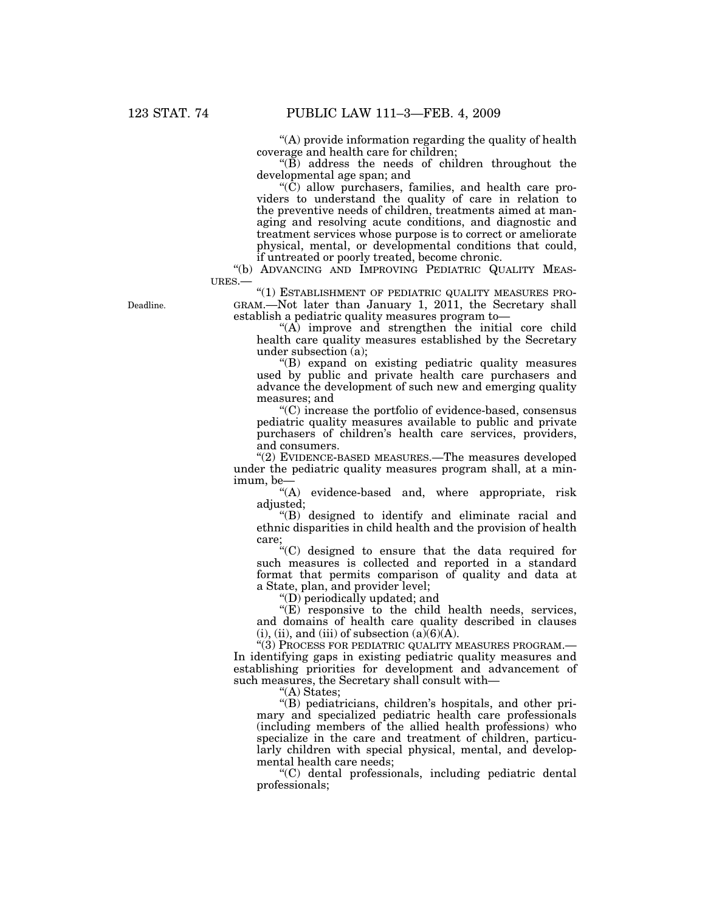''(A) provide information regarding the quality of health coverage and health care for children;

 $\mathrm{H}(\widetilde{B})$  address the needs of children throughout the developmental age span; and

 $\rm(C)$  allow purchasers, families, and health care providers to understand the quality of care in relation to the preventive needs of children, treatments aimed at managing and resolving acute conditions, and diagnostic and treatment services whose purpose is to correct or ameliorate physical, mental, or developmental conditions that could, if untreated or poorly treated, become chronic.

''(b) ADVANCING AND IMPROVING PEDIATRIC QUALITY MEAS-URES.—

"(1) ESTABLISHMENT OF PEDIATRIC QUALITY MEASURES PRO-GRAM.—Not later than January 1, 2011, the Secretary shall establish a pediatric quality measures program to—

 $(f(A))$  improve and strengthen the initial core child health care quality measures established by the Secretary under subsection (a);

''(B) expand on existing pediatric quality measures used by public and private health care purchasers and advance the development of such new and emerging quality measures; and

''(C) increase the portfolio of evidence-based, consensus pediatric quality measures available to public and private purchasers of children's health care services, providers, and consumers.

''(2) EVIDENCE-BASED MEASURES.—The measures developed under the pediatric quality measures program shall, at a minimum, be—

"(A) evidence-based and, where appropriate, risk adjusted;

''(B) designed to identify and eliminate racial and ethnic disparities in child health and the provision of health care;

''(C) designed to ensure that the data required for such measures is collected and reported in a standard format that permits comparison of quality and data at a State, plan, and provider level;

''(D) periodically updated; and

 $E$ ) responsive to the child health needs, services, and domains of health care quality described in clauses (i), (ii), and (iii) of subsection  $(a)(6)(A)$ .

''(3) PROCESS FOR PEDIATRIC QUALITY MEASURES PROGRAM.— In identifying gaps in existing pediatric quality measures and establishing priorities for development and advancement of such measures, the Secretary shall consult with—

''(A) States;

''(B) pediatricians, children's hospitals, and other primary and specialized pediatric health care professionals (including members of the allied health professions) who specialize in the care and treatment of children, particularly children with special physical, mental, and developmental health care needs;

''(C) dental professionals, including pediatric dental professionals;

Deadline.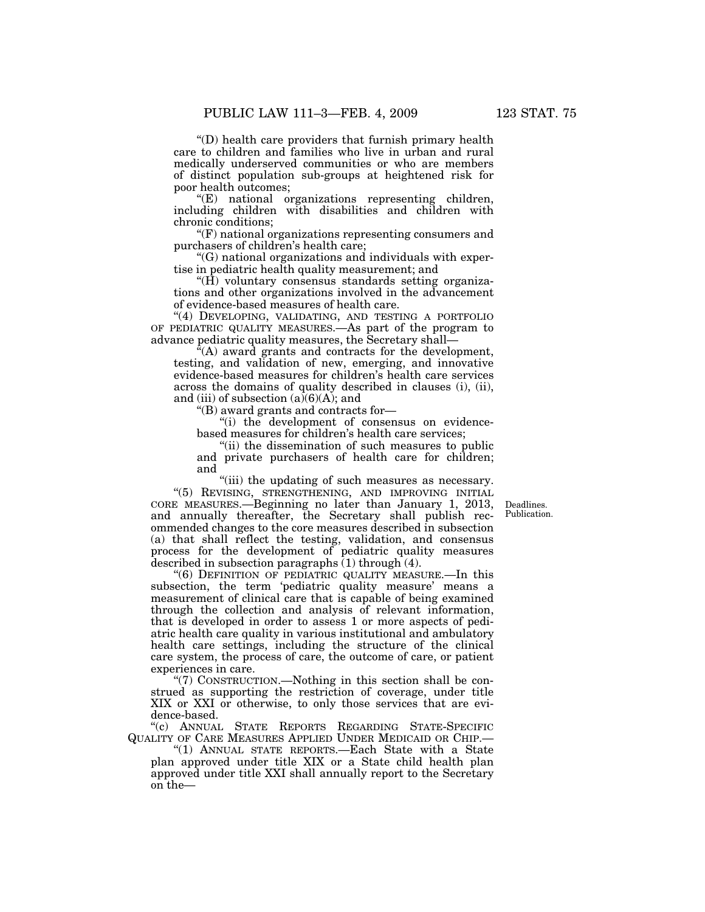''(D) health care providers that furnish primary health care to children and families who live in urban and rural medically underserved communities or who are members of distinct population sub-groups at heightened risk for poor health outcomes;

''(E) national organizations representing children, including children with disabilities and children with chronic conditions;

 $F(F)$  national organizations representing consumers and purchasers of children's health care;

''(G) national organizations and individuals with expertise in pediatric health quality measurement; and

''(H) voluntary consensus standards setting organizations and other organizations involved in the advancement of evidence-based measures of health care.

"(4) DEVELOPING, VALIDATING, AND TESTING A PORTFOLIO OF PEDIATRIC QUALITY MEASURES.—As part of the program to advance pediatric quality measures, the Secretary shall—

''(A) award grants and contracts for the development, testing, and validation of new, emerging, and innovative evidence-based measures for children's health care services across the domains of quality described in clauses (i), (ii), and (iii) of subsection  $(a)(6)(A)$ ; and

''(B) award grants and contracts for—

''(i) the development of consensus on evidencebased measures for children's health care services;

''(ii) the dissemination of such measures to public and private purchasers of health care for children; and

"(iii) the updating of such measures as necessary. ''(5) REVISING, STRENGTHENING, AND IMPROVING INITIAL

CORE MEASURES.—Beginning no later than January 1, 2013, and annually thereafter, the Secretary shall publish recommended changes to the core measures described in subsection (a) that shall reflect the testing, validation, and consensus process for the development of pediatric quality measures described in subsection paragraphs  $(1)$  through  $(4)$ .

"(6) DEFINITION OF PEDIATRIC QUALITY MEASURE.—In this subsection, the term 'pediatric quality measure' means a measurement of clinical care that is capable of being examined through the collection and analysis of relevant information, that is developed in order to assess 1 or more aspects of pediatric health care quality in various institutional and ambulatory health care settings, including the structure of the clinical care system, the process of care, the outcome of care, or patient experiences in care.

''(7) CONSTRUCTION.—Nothing in this section shall be construed as supporting the restriction of coverage, under title XIX or XXI or otherwise, to only those services that are evidence-based.

''(c) ANNUAL STATE REPORTS REGARDING STATE-SPECIFIC QUALITY OF CARE MEASURES APPLIED UNDER MEDICAID OR CHIP.—

''(1) ANNUAL STATE REPORTS.—Each State with a State plan approved under title XIX or a State child health plan approved under title XXI shall annually report to the Secretary on the—

Deadlines. Publication.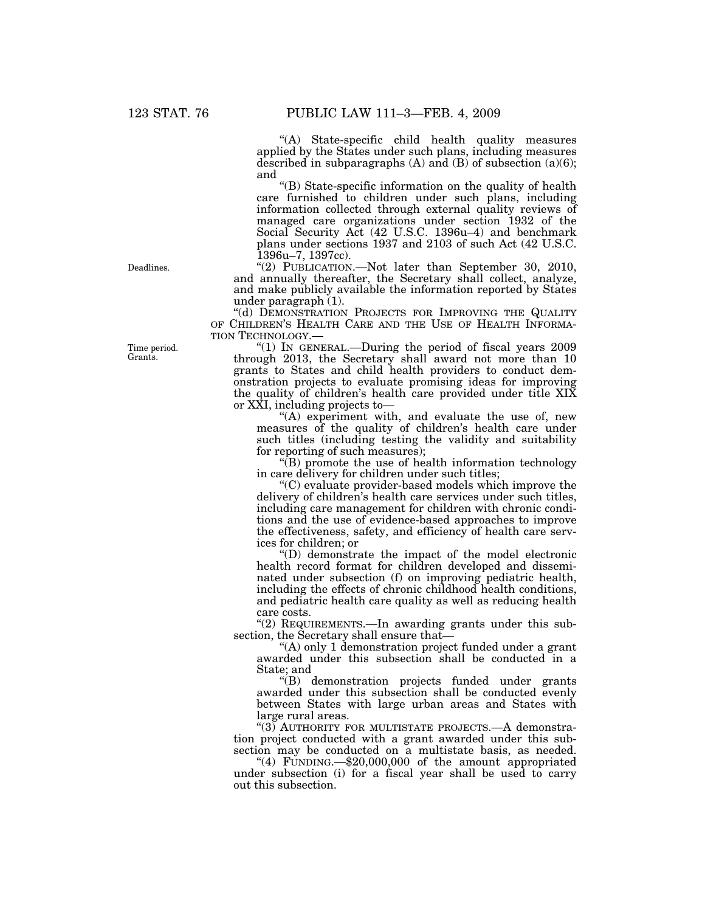''(A) State-specific child health quality measures applied by the States under such plans, including measures described in subparagraphs  $(A)$  and  $(B)$  of subsection  $(a)(6)$ ; and

''(B) State-specific information on the quality of health care furnished to children under such plans, including information collected through external quality reviews of managed care organizations under section 1932 of the Social Security Act (42 U.S.C. 1396u–4) and benchmark plans under sections 1937 and 2103 of such Act (42 U.S.C. 1396u–7, 1397cc).

''(2) PUBLICATION.—Not later than September 30, 2010, and annually thereafter, the Secretary shall collect, analyze, and make publicly available the information reported by States under paragraph (1).

''(d) DEMONSTRATION PROJECTS FOR IMPROVING THE QUALITY OF CHILDREN'S HEALTH CARE AND THE USE OF HEALTH INFORMA-TION TECHNOLOGY.—

"(1) In GENERAL.—During the period of fiscal years 2009 through 2013, the Secretary shall award not more than 10 grants to States and child health providers to conduct demonstration projects to evaluate promising ideas for improving the quality of children's health care provided under title XIX or XXI, including projects to—

"(A) experiment with, and evaluate the use of, new measures of the quality of children's health care under such titles (including testing the validity and suitability for reporting of such measures);

''(B) promote the use of health information technology in care delivery for children under such titles;

''(C) evaluate provider-based models which improve the delivery of children's health care services under such titles, including care management for children with chronic conditions and the use of evidence-based approaches to improve the effectiveness, safety, and efficiency of health care services for children; or

''(D) demonstrate the impact of the model electronic health record format for children developed and disseminated under subsection (f) on improving pediatric health, including the effects of chronic childhood health conditions, and pediatric health care quality as well as reducing health care costs.

"(2) REQUIREMENTS.—In awarding grants under this subsection, the Secretary shall ensure that-

''(A) only 1 demonstration project funded under a grant awarded under this subsection shall be conducted in a State; and

''(B) demonstration projects funded under grants awarded under this subsection shall be conducted evenly between States with large urban areas and States with large rural areas.

"(3) AUTHORITY FOR MULTISTATE PROJECTS.—A demonstration project conducted with a grant awarded under this subsection may be conducted on a multistate basis, as needed.

''(4) FUNDING.—\$20,000,000 of the amount appropriated under subsection (i) for a fiscal year shall be used to carry out this subsection.

Deadlines.

Time period. Grants.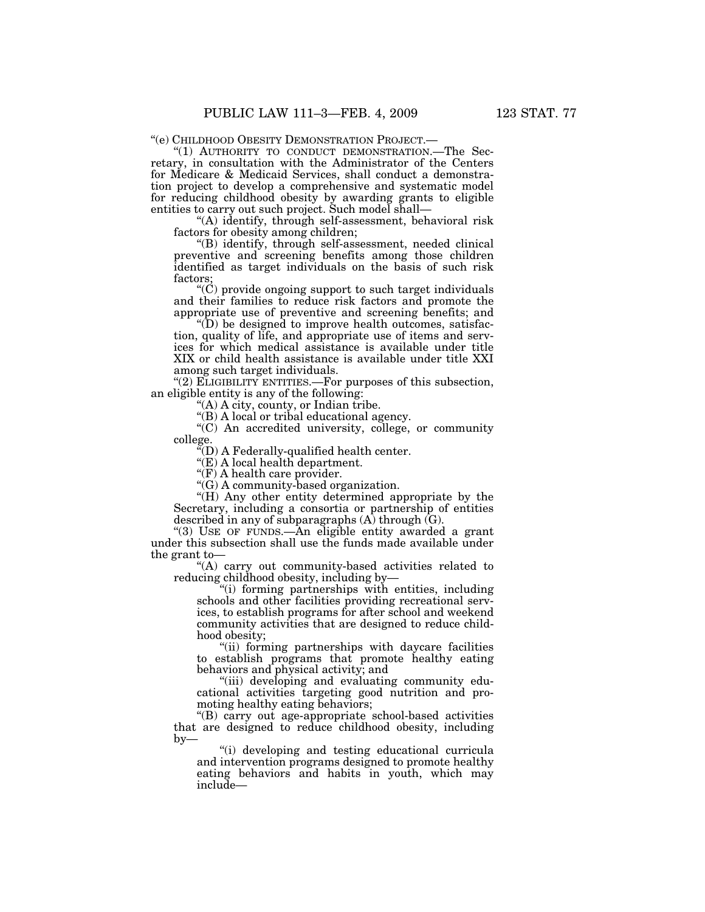''(e) CHILDHOOD OBESITY DEMONSTRATION PROJECT.— ''(1) AUTHORITY TO CONDUCT DEMONSTRATION.—The Secretary, in consultation with the Administrator of the Centers for Medicare & Medicaid Services, shall conduct a demonstration project to develop a comprehensive and systematic model for reducing childhood obesity by awarding grants to eligible entities to carry out such project. Such model shall—

''(A) identify, through self-assessment, behavioral risk factors for obesity among children;

''(B) identify, through self-assessment, needed clinical preventive and screening benefits among those children identified as target individuals on the basis of such risk factors;

" $(C)$  provide ongoing support to such target individuals and their families to reduce risk factors and promote the appropriate use of preventive and screening benefits; and

 $\mathrm{``(D)}$  be designed to improve health outcomes, satisfaction, quality of life, and appropriate use of items and services for which medical assistance is available under title XIX or child health assistance is available under title XXI among such target individuals.

"(2) ELIGIBILITY ENTITIES.—For purposes of this subsection, an eligible entity is any of the following:

''(A) A city, county, or Indian tribe.

''(B) A local or tribal educational agency.

''(C) An accredited university, college, or community college.

 $\rm ^{4}\scriptstyle (D)$  A Federally-qualified health center.

''(E) A local health department.

"(F) A health care provider.

''(G) A community-based organization.

"(H) Any other entity determined appropriate by the Secretary, including a consortia or partnership of entities described in any of subparagraphs  $(A)$  through  $(G)$ .

"(3) USE OF FUNDS.—An eligible entity awarded a grant under this subsection shall use the funds made available under the grant to—

''(A) carry out community-based activities related to reducing childhood obesity, including by—

''(i) forming partnerships with entities, including schools and other facilities providing recreational services, to establish programs for after school and weekend community activities that are designed to reduce childhood obesity;

''(ii) forming partnerships with daycare facilities to establish programs that promote healthy eating behaviors and physical activity; and

''(iii) developing and evaluating community educational activities targeting good nutrition and promoting healthy eating behaviors;

''(B) carry out age-appropriate school-based activities that are designed to reduce childhood obesity, including by—

''(i) developing and testing educational curricula and intervention programs designed to promote healthy eating behaviors and habits in youth, which may include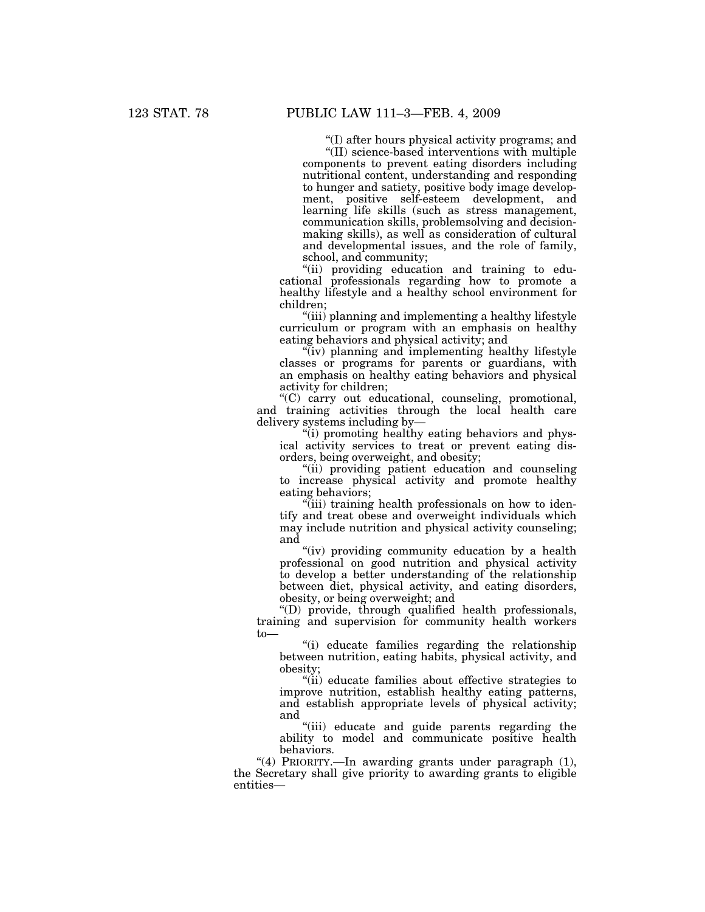''(I) after hours physical activity programs; and

''(II) science-based interventions with multiple components to prevent eating disorders including nutritional content, understanding and responding to hunger and satiety, positive body image development, positive self-esteem development, and learning life skills (such as stress management, communication skills, problemsolving and decisionmaking skills), as well as consideration of cultural and developmental issues, and the role of family, school, and community;

''(ii) providing education and training to educational professionals regarding how to promote a healthy lifestyle and a healthy school environment for children;

''(iii) planning and implementing a healthy lifestyle curriculum or program with an emphasis on healthy eating behaviors and physical activity; and

"(iv) planning and implementing healthy lifestyle classes or programs for parents or guardians, with an emphasis on healthy eating behaviors and physical activity for children;

''(C) carry out educational, counseling, promotional, and training activities through the local health care delivery systems including by—

''(i) promoting healthy eating behaviors and physical activity services to treat or prevent eating disorders, being overweight, and obesity;

"(ii) providing patient education and counseling to increase physical activity and promote healthy eating behaviors;

''(iii) training health professionals on how to identify and treat obese and overweight individuals which may include nutrition and physical activity counseling; and

"(iv) providing community education by a health professional on good nutrition and physical activity to develop a better understanding of the relationship between diet, physical activity, and eating disorders, obesity, or being overweight; and

''(D) provide, through qualified health professionals, training and supervision for community health workers to—

''(i) educate families regarding the relationship between nutrition, eating habits, physical activity, and obesity;

''(ii) educate families about effective strategies to improve nutrition, establish healthy eating patterns, and establish appropriate levels of physical activity; and

''(iii) educate and guide parents regarding the ability to model and communicate positive health behaviors.

"(4) PRIORITY.-In awarding grants under paragraph (1), the Secretary shall give priority to awarding grants to eligible entities—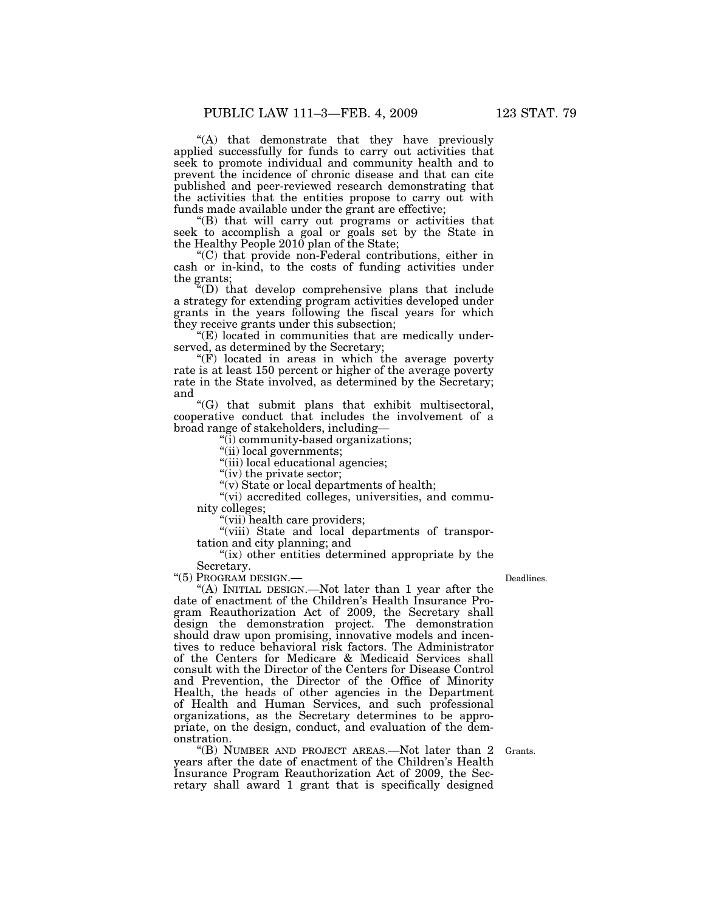''(A) that demonstrate that they have previously applied successfully for funds to carry out activities that seek to promote individual and community health and to prevent the incidence of chronic disease and that can cite published and peer-reviewed research demonstrating that the activities that the entities propose to carry out with funds made available under the grant are effective;

''(B) that will carry out programs or activities that seek to accomplish a goal or goals set by the State in the Healthy People 2010 plan of the State;

''(C) that provide non-Federal contributions, either in cash or in-kind, to the costs of funding activities under the grants;

''(D) that develop comprehensive plans that include a strategy for extending program activities developed under grants in the years following the fiscal years for which they receive grants under this subsection;

 $E$ ) located in communities that are medically underserved, as determined by the Secretary;

"(F) located in areas in which the average poverty rate is at least 150 percent or higher of the average poverty rate in the State involved, as determined by the Secretary; and

''(G) that submit plans that exhibit multisectoral, cooperative conduct that includes the involvement of a broad range of stakeholders, including—

''(i) community-based organizations;

''(ii) local governments;

"(iii) local educational agencies;

" $(iv)$  the private sector;

''(v) State or local departments of health;

"(vi) accredited colleges, universities, and community colleges;

''(vii) health care providers;

"(viii) State and local departments of transportation and city planning; and

"(ix) other entities determined appropriate by the Secretary.

''(5) PROGRAM DESIGN.—

Deadlines.

''(A) INITIAL DESIGN.—Not later than 1 year after the date of enactment of the Children's Health Insurance Program Reauthorization Act of 2009, the Secretary shall design the demonstration project. The demonstration should draw upon promising, innovative models and incentives to reduce behavioral risk factors. The Administrator of the Centers for Medicare & Medicaid Services shall consult with the Director of the Centers for Disease Control and Prevention, the Director of the Office of Minority Health, the heads of other agencies in the Department of Health and Human Services, and such professional organizations, as the Secretary determines to be appropriate, on the design, conduct, and evaluation of the demonstration.

''(B) NUMBER AND PROJECT AREAS.—Not later than 2 years after the date of enactment of the Children's Health Insurance Program Reauthorization Act of 2009, the Secretary shall award 1 grant that is specifically designed

Grants.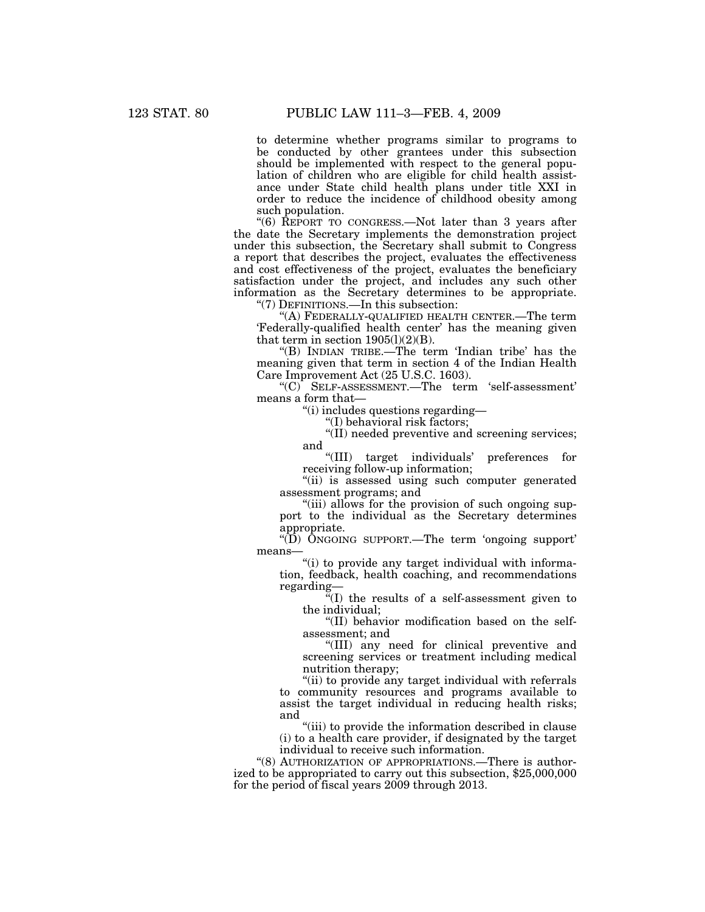to determine whether programs similar to programs to be conducted by other grantees under this subsection should be implemented with respect to the general population of children who are eligible for child health assistance under State child health plans under title XXI in order to reduce the incidence of childhood obesity among such population.

''(6) REPORT TO CONGRESS.—Not later than 3 years after the date the Secretary implements the demonstration project under this subsection, the Secretary shall submit to Congress a report that describes the project, evaluates the effectiveness and cost effectiveness of the project, evaluates the beneficiary satisfaction under the project, and includes any such other information as the Secretary determines to be appropriate.

"(7) DEFINITIONS.—In this subsection:

''(A) FEDERALLY-QUALIFIED HEALTH CENTER.—The term 'Federally-qualified health center' has the meaning given that term in section  $1905(l)(2)(B)$ .

''(B) INDIAN TRIBE.—The term 'Indian tribe' has the meaning given that term in section 4 of the Indian Health Care Improvement Act (25 U.S.C. 1603).

''(C) SELF-ASSESSMENT.—The term 'self-assessment' means a form that—

''(i) includes questions regarding—

''(I) behavioral risk factors;

''(II) needed preventive and screening services; and

''(III) target individuals' preferences for receiving follow-up information;

"(ii) is assessed using such computer generated assessment programs; and

"(iii) allows for the provision of such ongoing support to the individual as the Secretary determines appropriate.

" $(D)$  ONGOING SUPPORT.—The term 'ongoing support' means—

"(i) to provide any target individual with information, feedback, health coaching, and recommendations regarding—

 $\sqrt[\alpha]{\text{I}}$  the results of a self-assessment given to the individual;

''(II) behavior modification based on the selfassessment; and

''(III) any need for clinical preventive and screening services or treatment including medical nutrition therapy;

''(ii) to provide any target individual with referrals to community resources and programs available to assist the target individual in reducing health risks; and

''(iii) to provide the information described in clause (i) to a health care provider, if designated by the target individual to receive such information.

"(8) AUTHORIZATION OF APPROPRIATIONS.—There is authorized to be appropriated to carry out this subsection, \$25,000,000 for the period of fiscal years 2009 through 2013.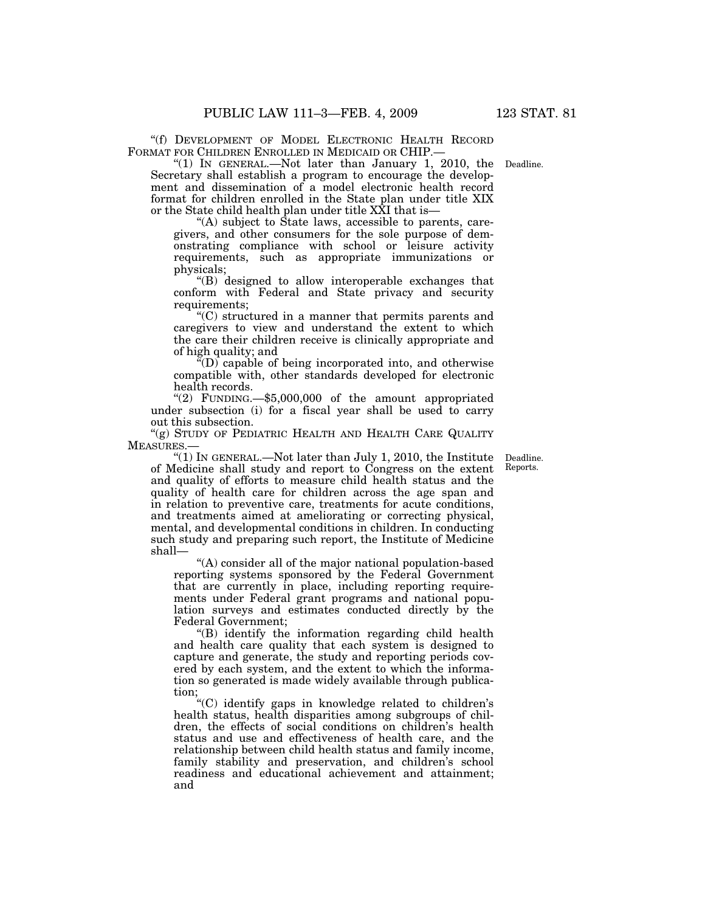''(f) DEVELOPMENT OF MODEL ELECTRONIC HEALTH RECORD FORMAT FOR CHILDREN ENROLLED IN MEDICAID OR CHIP.—

" $(1)$  In GENERAL.—Not later than January 1, 2010, the Deadline. Secretary shall establish a program to encourage the development and dissemination of a model electronic health record format for children enrolled in the State plan under title XIX or the State child health plan under title XXI that is—

''(A) subject to State laws, accessible to parents, caregivers, and other consumers for the sole purpose of demonstrating compliance with school or leisure activity requirements, such as appropriate immunizations or physicals;

''(B) designed to allow interoperable exchanges that conform with Federal and State privacy and security requirements;

''(C) structured in a manner that permits parents and caregivers to view and understand the extent to which the care their children receive is clinically appropriate and of high quality; and

 $\sqrt[\alpha]{D}$  capable of being incorporated into, and otherwise compatible with, other standards developed for electronic health records.

''(2) FUNDING.—\$5,000,000 of the amount appropriated under subsection (i) for a fiscal year shall be used to carry out this subsection.

"(g) STUDY OF PEDIATRIC HEALTH AND HEALTH CARE QUALITY MEASURES.—

> Deadline. Reports.

"(1) IN GENERAL.—Not later than July 1, 2010, the Institute of Medicine shall study and report to Congress on the extent and quality of efforts to measure child health status and the quality of health care for children across the age span and in relation to preventive care, treatments for acute conditions, and treatments aimed at ameliorating or correcting physical, mental, and developmental conditions in children. In conducting such study and preparing such report, the Institute of Medicine shall—

''(A) consider all of the major national population-based reporting systems sponsored by the Federal Government that are currently in place, including reporting requirements under Federal grant programs and national population surveys and estimates conducted directly by the Federal Government;

''(B) identify the information regarding child health and health care quality that each system is designed to capture and generate, the study and reporting periods covered by each system, and the extent to which the information so generated is made widely available through publication;

''(C) identify gaps in knowledge related to children's health status, health disparities among subgroups of children, the effects of social conditions on children's health status and use and effectiveness of health care, and the relationship between child health status and family income, family stability and preservation, and children's school readiness and educational achievement and attainment; and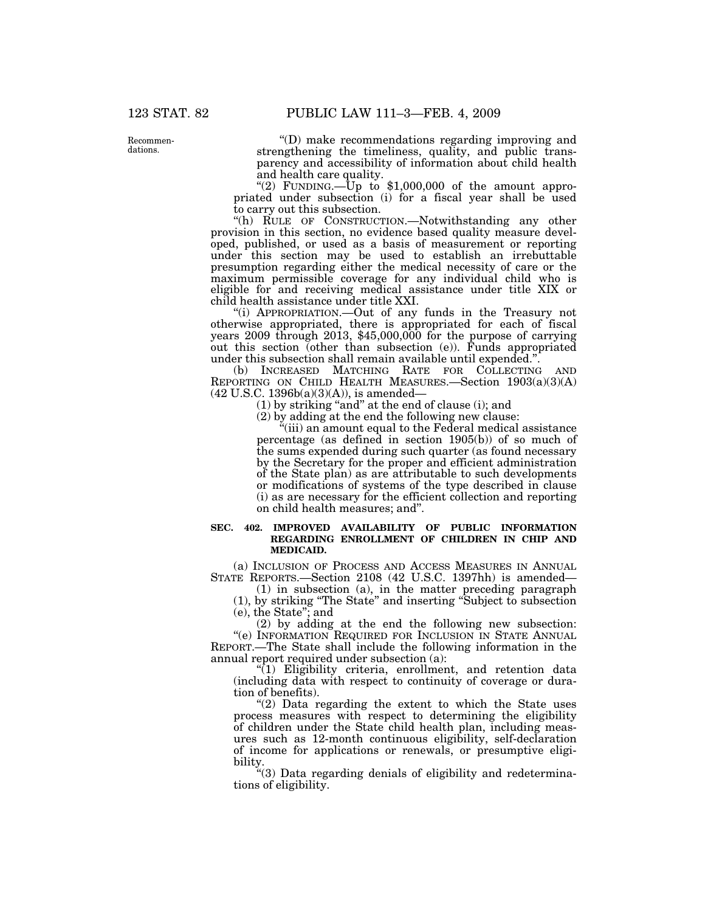Recommendations.

''(D) make recommendations regarding improving and strengthening the timeliness, quality, and public transparency and accessibility of information about child health and health care quality.

"(2) FUNDING.—Up to  $$1,000,000$  of the amount appropriated under subsection (i) for a fiscal year shall be used to carry out this subsection.

"(h) RULE OF CONSTRUCTION.—Notwithstanding any other provision in this section, no evidence based quality measure developed, published, or used as a basis of measurement or reporting under this section may be used to establish an irrebuttable presumption regarding either the medical necessity of care or the maximum permissible coverage for any individual child who is eligible for and receiving medical assistance under title XIX or child health assistance under title XXI.

''(i) APPROPRIATION.—Out of any funds in the Treasury not otherwise appropriated, there is appropriated for each of fiscal years 2009 through 2013, \$45,000,000 for the purpose of carrying out this section (other than subsection (e)). Funds appropriated under this subsection shall remain available until expended.''.

(b) INCREASED MATCHING RATE FOR COLLECTING AND REPORTING ON CHILD HEALTH MEASURES.—Section  $1903(a)(3)(A)$ (42 U.S.C. 1396b(a)(3)(A)), is amended—

(1) by striking ''and'' at the end of clause (i); and

(2) by adding at the end the following new clause:

''(iii) an amount equal to the Federal medical assistance percentage (as defined in section 1905(b)) of so much of the sums expended during such quarter (as found necessary by the Secretary for the proper and efficient administration of the State plan) as are attributable to such developments or modifications of systems of the type described in clause (i) as are necessary for the efficient collection and reporting on child health measures; and''.

#### **SEC. 402. IMPROVED AVAILABILITY OF PUBLIC INFORMATION REGARDING ENROLLMENT OF CHILDREN IN CHIP AND MEDICAID.**

(a) INCLUSION OF PROCESS AND ACCESS MEASURES IN ANNUAL STATE REPORTS.—Section 2108 (42 U.S.C. 1397hh) is amended—

(1) in subsection (a), in the matter preceding paragraph (1), by striking ''The State'' and inserting ''Subject to subsection (e), the State''; and

(2) by adding at the end the following new subsection: ''(e) INFORMATION REQUIRED FOR INCLUSION IN STATE ANNUAL REPORT.—The State shall include the following information in the annual report required under subsection (a):

 $\sqrt[n]{(1)}$  Eligibility criteria, enrollment, and retention data (including data with respect to continuity of coverage or duration of benefits).

" $(2)$  Data regarding the extent to which the State uses process measures with respect to determining the eligibility of children under the State child health plan, including measures such as 12-month continuous eligibility, self-declaration of income for applications or renewals, or presumptive eligibility.

''(3) Data regarding denials of eligibility and redeterminations of eligibility.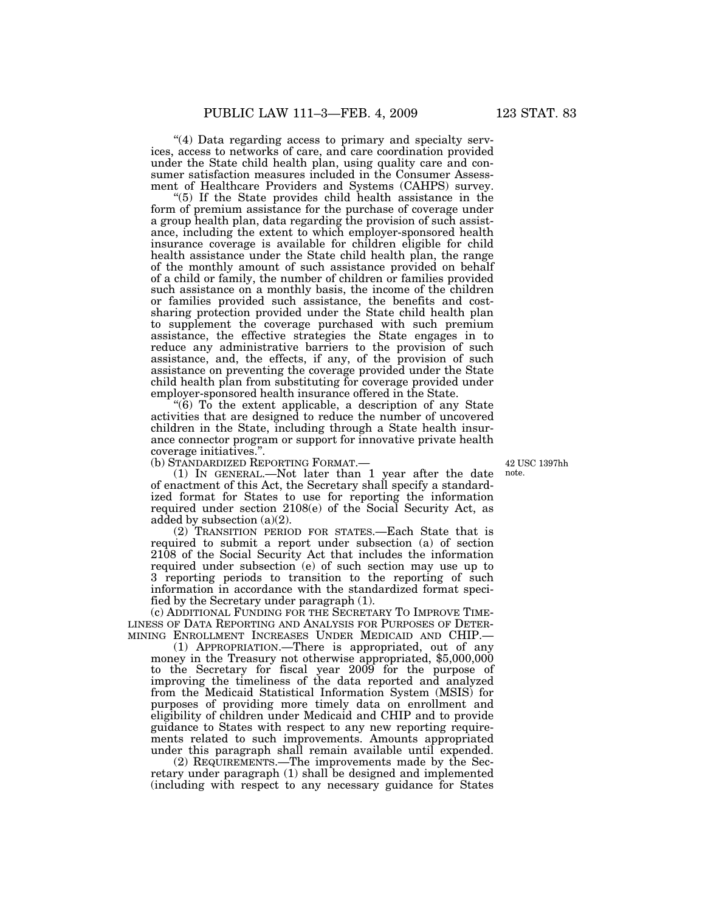"(4) Data regarding access to primary and specialty services, access to networks of care, and care coordination provided under the State child health plan, using quality care and consumer satisfaction measures included in the Consumer Assessment of Healthcare Providers and Systems (CAHPS) survey.

''(5) If the State provides child health assistance in the form of premium assistance for the purchase of coverage under a group health plan, data regarding the provision of such assistance, including the extent to which employer-sponsored health insurance coverage is available for children eligible for child health assistance under the State child health plan, the range of the monthly amount of such assistance provided on behalf of a child or family, the number of children or families provided such assistance on a monthly basis, the income of the children or families provided such assistance, the benefits and costsharing protection provided under the State child health plan to supplement the coverage purchased with such premium assistance, the effective strategies the State engages in to reduce any administrative barriers to the provision of such assistance, and, the effects, if any, of the provision of such assistance on preventing the coverage provided under the State child health plan from substituting for coverage provided under employer-sponsored health insurance offered in the State.

" $(6)$  To the extent applicable, a description of any State activities that are designed to reduce the number of uncovered children in the State, including through a State health insurance connector program or support for innovative private health coverage initiatives.''.

(b) STANDARDIZED REPORTING FORMAT.—

42 USC 1397hh note.

(1) IN GENERAL.—Not later than 1 year after the date of enactment of this Act, the Secretary shall specify a standardized format for States to use for reporting the information required under section 2108(e) of the Social Security Act, as added by subsection (a)(2).

(2) TRANSITION PERIOD FOR STATES.—Each State that is required to submit a report under subsection (a) of section 2108 of the Social Security Act that includes the information required under subsection (e) of such section may use up to 3 reporting periods to transition to the reporting of such information in accordance with the standardized format specified by the Secretary under paragraph (1).

(c) ADDITIONAL FUNDING FOR THE SECRETARY TO IMPROVE TIME-LINESS OF DATA REPORTING AND ANALYSIS FOR PURPOSES OF DETER-MINING ENROLLMENT INCREASES UNDER MEDICAID AND CHIP.—

(1) APPROPRIATION.—There is appropriated, out of any money in the Treasury not otherwise appropriated, \$5,000,000 to the Secretary for fiscal year 2009 for the purpose of improving the timeliness of the data reported and analyzed from the Medicaid Statistical Information System (MSIS) for purposes of providing more timely data on enrollment and eligibility of children under Medicaid and CHIP and to provide guidance to States with respect to any new reporting requirements related to such improvements. Amounts appropriated under this paragraph shall remain available until expended.

(2) REQUIREMENTS.—The improvements made by the Secretary under paragraph (1) shall be designed and implemented (including with respect to any necessary guidance for States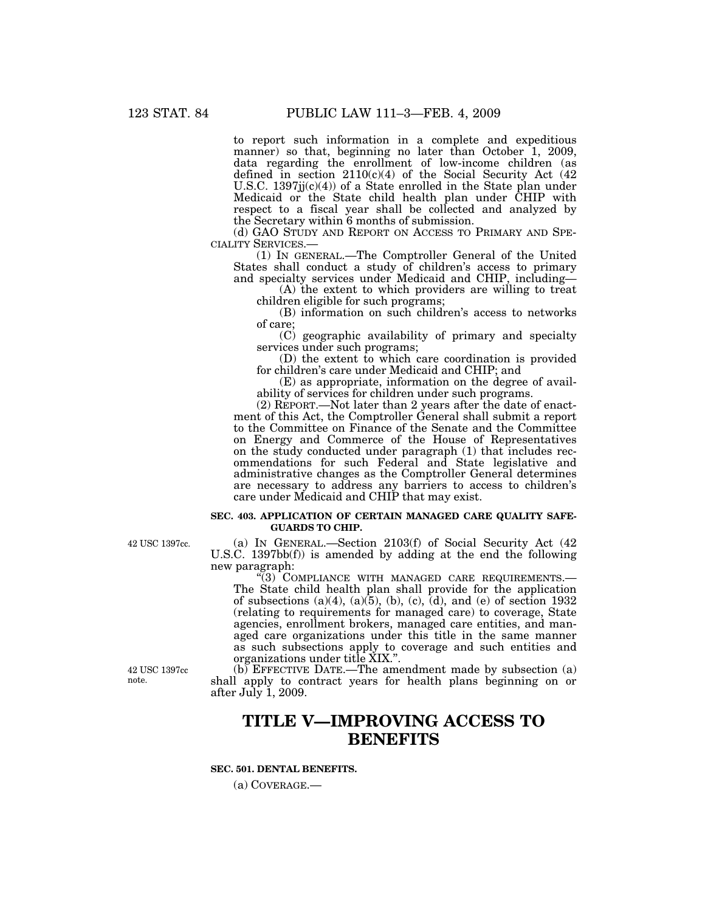to report such information in a complete and expeditious manner) so that, beginning no later than October 1, 2009, data regarding the enrollment of low-income children (as defined in section 2110(c)(4) of the Social Security Act (42 U.S.C.  $1397j(c)(4)$  of a State enrolled in the State plan under Medicaid or the State child health plan under CHIP with respect to a fiscal year shall be collected and analyzed by the Secretary within 6 months of submission.

(d) GAO STUDY AND REPORT ON ACCESS TO PRIMARY AND SPECIALITY SERVICES.—

(1) IN GENERAL.—The Comptroller General of the United States shall conduct a study of children's access to primary and specialty services under Medicaid and CHIP, including—

(A) the extent to which providers are willing to treat children eligible for such programs;

(B) information on such children's access to networks of care;

(C) geographic availability of primary and specialty services under such programs;

(D) the extent to which care coordination is provided for children's care under Medicaid and CHIP; and

(E) as appropriate, information on the degree of availability of services for children under such programs.

(2) REPORT.—Not later than 2 years after the date of enactment of this Act, the Comptroller General shall submit a report to the Committee on Finance of the Senate and the Committee on Energy and Commerce of the House of Representatives on the study conducted under paragraph (1) that includes recommendations for such Federal and State legislative and administrative changes as the Comptroller General determines are necessary to address any barriers to access to children's care under Medicaid and CHIP that may exist.

## **SEC. 403. APPLICATION OF CERTAIN MANAGED CARE QUALITY SAFE-GUARDS TO CHIP.**

(a) IN GENERAL.—Section 2103(f) of Social Security Act (42 U.S.C. 1397bb(f)) is amended by adding at the end the following new paragraph:

''(3) COMPLIANCE WITH MANAGED CARE REQUIREMENTS.— The State child health plan shall provide for the application of subsections  $(a)(4)$ ,  $(a)(5)$ ,  $(b)$ ,  $(c)$ ,  $(d)$ , and  $(e)$  of section 1932 (relating to requirements for managed care) to coverage, State agencies, enrollment brokers, managed care entities, and managed care organizations under this title in the same manner as such subsections apply to coverage and such entities and organizations under title XIX.''.

42 USC 1397cc note.

(b) EFFECTIVE DATE.—The amendment made by subsection (a) shall apply to contract years for health plans beginning on or after July 1, 2009.

# **TITLE V—IMPROVING ACCESS TO BENEFITS**

## **SEC. 501. DENTAL BENEFITS.**

(a) COVERAGE.—

42 USC 1397cc.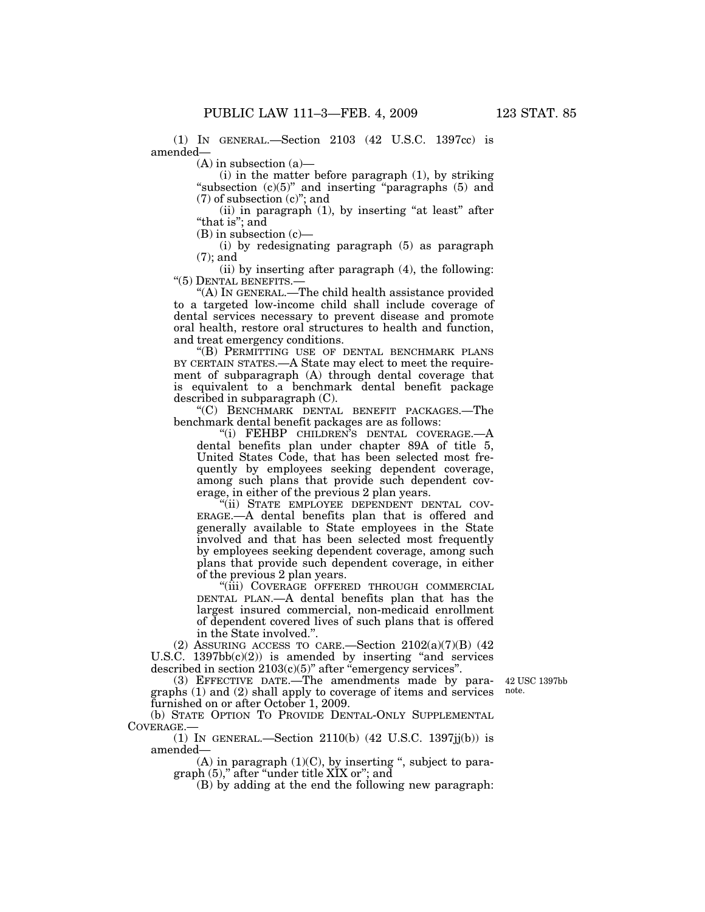(1) IN GENERAL.—Section 2103 (42 U.S.C. 1397cc) is amended—

 $(A)$  in subsection  $(a)$ —

(i) in the matter before paragraph (1), by striking "subsection  $(c)(5)$ " and inserting "paragraphs  $(5)$  and (7) of subsection (c)''; and

 $(ii)$  in paragraph  $(1)$ , by inserting "at least" after "that is"; and

(B) in subsection (c)—

(i) by redesignating paragraph (5) as paragraph (7); and

(ii) by inserting after paragraph (4), the following: ''(5) DENTAL BENEFITS.—

''(A) IN GENERAL.—The child health assistance provided to a targeted low-income child shall include coverage of dental services necessary to prevent disease and promote oral health, restore oral structures to health and function, and treat emergency conditions.

''(B) PERMITTING USE OF DENTAL BENCHMARK PLANS BY CERTAIN STATES.—A State may elect to meet the requirement of subparagraph (A) through dental coverage that is equivalent to a benchmark dental benefit package described in subparagraph (C).

''(C) BENCHMARK DENTAL BENEFIT PACKAGES.—The benchmark dental benefit packages are as follows:

''(i) FEHBP CHILDREN'S DENTAL COVERAGE.—A dental benefits plan under chapter 89A of title 5, United States Code, that has been selected most frequently by employees seeking dependent coverage, among such plans that provide such dependent coverage, in either of the previous 2 plan years.

"(ii) STATE EMPLOYEE DEPENDENT DENTAL COV-ERAGE.—A dental benefits plan that is offered and generally available to State employees in the State involved and that has been selected most frequently by employees seeking dependent coverage, among such plans that provide such dependent coverage, in either of the previous 2 plan years.

''(iii) COVERAGE OFFERED THROUGH COMMERCIAL DENTAL PLAN.—A dental benefits plan that has the largest insured commercial, non-medicaid enrollment of dependent covered lives of such plans that is offered in the State involved.''.

(2) ASSURING ACCESS TO CARE.—Section 2102(a)(7)(B) (42 U.S.C.  $1397bb(c)(2)$  is amended by inserting "and services" described in section 2103(c)(5)'' after ''emergency services''.

(3) EFFECTIVE DATE.—The amendments made by paragraphs (1) and (2) shall apply to coverage of items and services furnished on or after October 1, 2009.

42 USC 1397bb note.

(b) STATE OPTION TO PROVIDE DENTAL-ONLY SUPPLEMENTAL COVERAGE.—

(1) IN GENERAL.—Section 2110(b) (42 U.S.C. 1397jj(b)) is amended—

 $(A)$  in paragraph  $(1)(C)$ , by inserting ", subject to paragraph (5),'' after ''under title XIX or''; and

(B) by adding at the end the following new paragraph: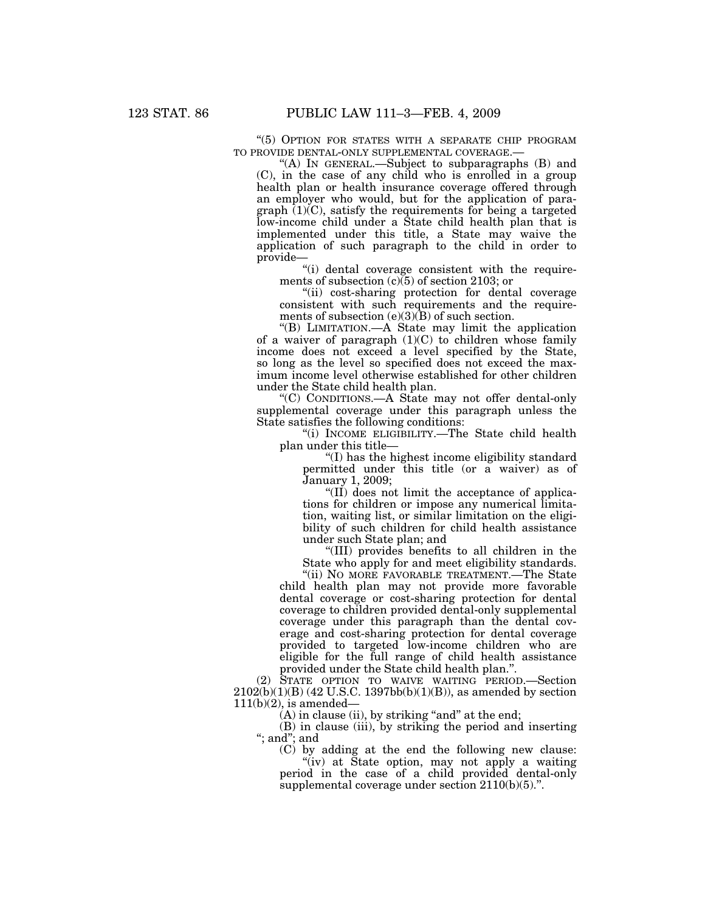''(5) OPTION FOR STATES WITH A SEPARATE CHIP PROGRAM TO PROVIDE DENTAL-ONLY SUPPLEMENTAL COVERAGE.—

"(A) IN GENERAL.—Subject to subparagraphs  $(B)$  and (C), in the case of any child who is enrolled in a group health plan or health insurance coverage offered through an employer who would, but for the application of paragraph  $(1)(C)$ , satisfy the requirements for being a targeted low-income child under a State child health plan that is implemented under this title, a State may waive the application of such paragraph to the child in order to provide—

"(i) dental coverage consistent with the requirements of subsection  $(c)(5)$  of section 2103; or

''(ii) cost-sharing protection for dental coverage consistent with such requirements and the requirements of subsection  $(e)(3)(\overline{B})$  of such section.

''(B) LIMITATION.—A State may limit the application of a waiver of paragraph  $(1)(C)$  to children whose family income does not exceed a level specified by the State, so long as the level so specified does not exceed the maximum income level otherwise established for other children under the State child health plan.

''(C) CONDITIONS.—A State may not offer dental-only supplemental coverage under this paragraph unless the State satisfies the following conditions:

''(i) INCOME ELIGIBILITY.—The State child health plan under this title—

''(I) has the highest income eligibility standard permitted under this title (or a waiver) as of January 1, 2009;

"(II) does not limit the acceptance of applications for children or impose any numerical limitation, waiting list, or similar limitation on the eligibility of such children for child health assistance under such State plan; and

''(III) provides benefits to all children in the State who apply for and meet eligibility standards.

"(ii) NO MORE FAVORABLE TREATMENT.—The State child health plan may not provide more favorable dental coverage or cost-sharing protection for dental coverage to children provided dental-only supplemental coverage under this paragraph than the dental coverage and cost-sharing protection for dental coverage provided to targeted low-income children who are eligible for the full range of child health assistance provided under the State child health plan.''.

(2) STATE OPTION TO WAIVE WAITING PERIOD.—Section  $2102(b)(1)(B)$  (42 U.S.C. 1397bb(b)(1)(B)), as amended by section  $111(b)(2)$ , is amended–

 $(A)$  in clause (ii), by striking "and" at the end;

(B) in clause (iii), by striking the period and inserting ''; and''; and

(C) by adding at the end the following new clause: "(iv) at State option, may not apply a waiting period in the case of a child provided dental-only supplemental coverage under section  $2110(b)(5)$ .".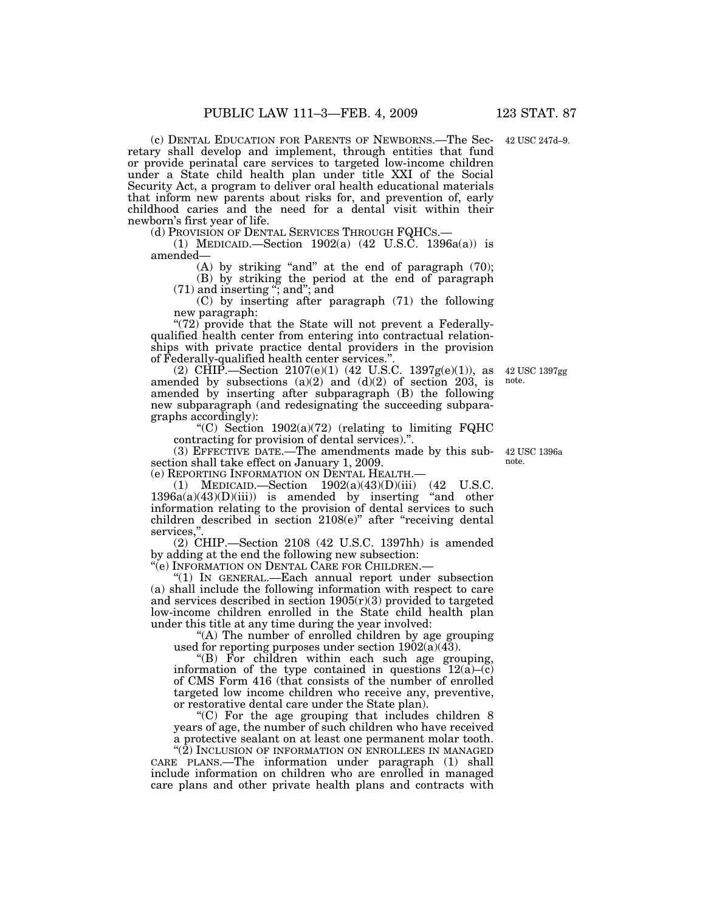(c) DENTAL EDUCATION FOR PARENTS OF NEWBORNS.—The Secretary shall develop and implement, through entities that fund or provide perinatal care services to targeted low-income children under a State child health plan under title XXI of the Social Security Act, a program to deliver oral health educational materials that inform new parents about risks for, and prevention of, early childhood caries and the need for a dental visit within their newborn's first year of life.<br>(d) Provision of Dental Services Through FQHCs.—

(1) MEDICAID.—Section  $1902(a)$  (42 U.S.C. 1396a(a)) is amended—

(A) by striking "and" at the end of paragraph  $(70)$ ;

(B) by striking the period at the end of paragraph (71) and inserting ''; and''; and

(C) by inserting after paragraph (71) the following new paragraph:

"(72) provide that the State will not prevent a Federallyqualified health center from entering into contractual relationships with private practice dental providers in the provision of Federally-qualified health center services.''.

(2) CHIP.—Section  $2107(e)(1)$  (42 U.S.C. 1397g(e)(1)), as amended by subsections  $(a)(2)$  and  $(d)(2)$  of section 203, is amended by inserting after subparagraph (B) the following new subparagraph (and redesignating the succeeding subparagraphs accordingly):

"(C) Section  $1902(a)(72)$  (relating to limiting FQHC contracting for provision of dental services).''.

(3) EFFECTIVE DATE.—The amendments made by this subsection shall take effect on January 1, 2009. note.

(e) REPORTING INFORMATION ON DENTAL HEALTH.—

(1) MEDICAID.—Section 1902(a)(43)(D)(iii) (42 U.S.C.  $1396a(a)(43)(D)(iii)$  is amended by inserting "and other information relating to the provision of dental services to such children described in section 2108(e)'' after ''receiving dental services,'

(2) CHIP.—Section 2108 (42 U.S.C. 1397hh) is amended by adding at the end the following new subsection:

''(e) INFORMATION ON DENTAL CARE FOR CHILDREN.—

''(1) IN GENERAL.—Each annual report under subsection (a) shall include the following information with respect to care and services described in section  $1905(r)(3)$  provided to targeted low-income children enrolled in the State child health plan under this title at any time during the year involved:

"(A) The number of enrolled children by age grouping used for reporting purposes under section  $1902(a)(43)$ .

''(B) For children within each such age grouping, information of the type contained in questions 12(a)–(c) of CMS Form 416 (that consists of the number of enrolled targeted low income children who receive any, preventive, or restorative dental care under the State plan).

''(C) For the age grouping that includes children 8 years of age, the number of such children who have received a protective sealant on at least one permanent molar tooth.

"(2) INCLUSION OF INFORMATION ON ENROLLEES IN MANAGED CARE PLANS.—The information under paragraph (1) shall include information on children who are enrolled in managed care plans and other private health plans and contracts with

42 USC 1396a

42 USC 1397gg

note.

42 USC 247d–9.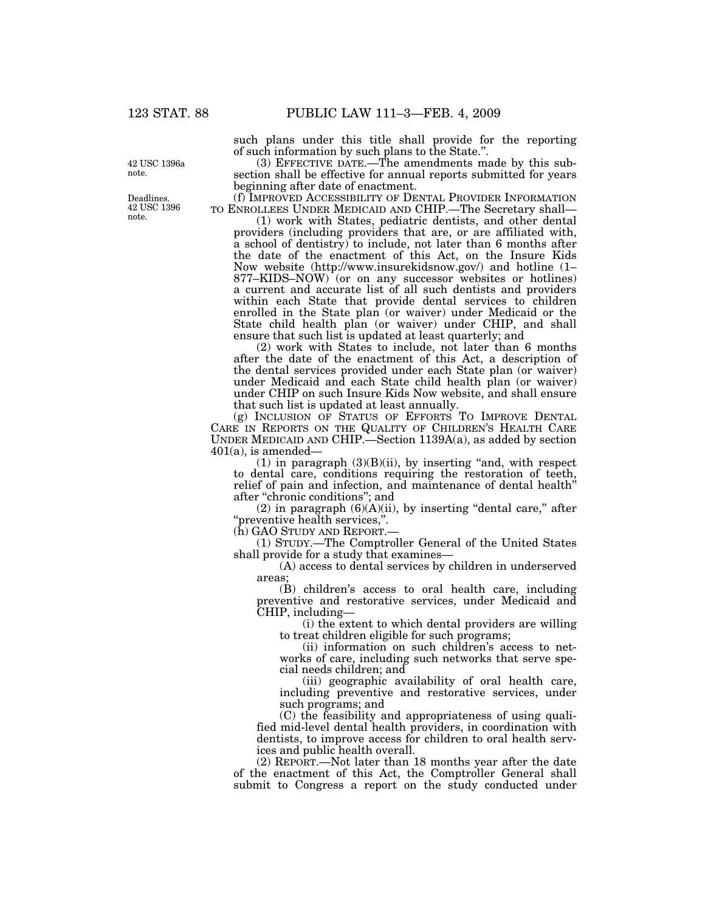such plans under this title shall provide for the reporting of such information by such plans to the State.''.

(3) EFFECTIVE DATE.—The amendments made by this subsection shall be effective for annual reports submitted for years beginning after date of enactment.

(f) IMPROVED ACCESSIBILITY OF DENTAL PROVIDER INFORMATION TO ENROLLEES UNDER MEDICAID AND CHIP.—The Secretary shall—

(1) work with States, pediatric dentists, and other dental providers (including providers that are, or are affiliated with, a school of dentistry) to include, not later than 6 months after the date of the enactment of this Act, on the Insure Kids Now website (http://www.insurekidsnow.gov/) and hotline (1– 877–KIDS–NOW) (or on any successor websites or hotlines) a current and accurate list of all such dentists and providers within each State that provide dental services to children enrolled in the State plan (or waiver) under Medicaid or the State child health plan (or waiver) under CHIP, and shall ensure that such list is updated at least quarterly; and

(2) work with States to include, not later than 6 months after the date of the enactment of this Act, a description of the dental services provided under each State plan (or waiver) under Medicaid and each State child health plan (or waiver) under CHIP on such Insure Kids Now website, and shall ensure that such list is updated at least annually.

(g) INCLUSION OF STATUS OF EFFORTS TO IMPROVE DENTAL CARE IN REPORTS ON THE QUALITY OF CHILDREN'S HEALTH CARE UNDER MEDICAID AND CHIP.—Section 1139A(a), as added by section  $401(a)$ , is amended—

 $(1)$  in paragraph  $(3)(B)(ii)$ , by inserting "and, with respect to dental care, conditions requiring the restoration of teeth, relief of pain and infection, and maintenance of dental health'' after ''chronic conditions''; and

 $(2)$  in paragraph  $(6)(A)(ii)$ , by inserting "dental care," after "preventive health services,".<br>(h) GAO STUDY AND REPORT.-

(1) STUDY.—The Comptroller General of the United States shall provide for a study that examines—

(A) access to dental services by children in underserved areas;

(B) children's access to oral health care, including preventive and restorative services, under Medicaid and CHIP, including—

(i) the extent to which dental providers are willing to treat children eligible for such programs;

(ii) information on such children's access to networks of care, including such networks that serve special needs children; and

(iii) geographic availability of oral health care, including preventive and restorative services, under such programs; and

(C) the feasibility and appropriateness of using qualified mid-level dental health providers, in coordination with dentists, to improve access for children to oral health services and public health overall.

(2) REPORT.—Not later than 18 months year after the date of the enactment of this Act, the Comptroller General shall submit to Congress a report on the study conducted under

42 USC 1396a note.

Deadlines. 42 USC 1396 note.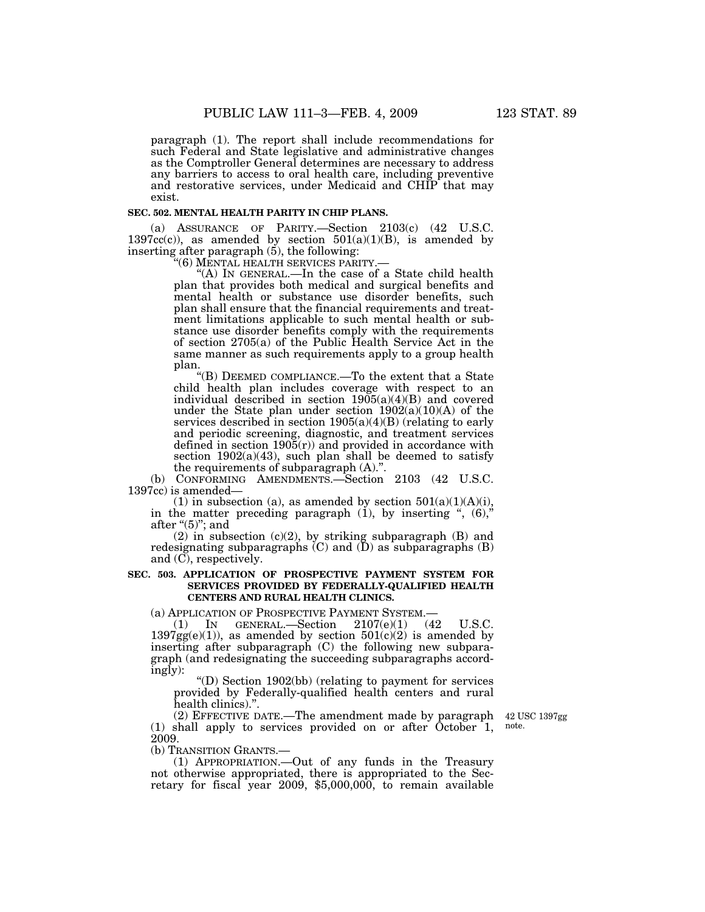paragraph (1). The report shall include recommendations for such Federal and State legislative and administrative changes as the Comptroller General determines are necessary to address any barriers to access to oral health care, including preventive and restorative services, under Medicaid and CHIP that may exist.

#### **SEC. 502. MENTAL HEALTH PARITY IN CHIP PLANS.**

(a) ASSURANCE OF PARITY.—Section 2103(c) (42 U.S.C. 1397 $cc(c)$ ), as amended by section 501(a)(1)(B), is amended by inserting after paragraph  $(5)$ , the following:<br>" $(6)$  MENTAL HEALTH SERVICES PARITY.

"(A) In GENERAL.—In the case of a State child health plan that provides both medical and surgical benefits and mental health or substance use disorder benefits, such plan shall ensure that the financial requirements and treatment limitations applicable to such mental health or substance use disorder benefits comply with the requirements of section 2705(a) of the Public Health Service Act in the same manner as such requirements apply to a group health plan.

''(B) DEEMED COMPLIANCE.—To the extent that a State child health plan includes coverage with respect to an individual described in section  $1905(a)(4)(B)$  and covered under the State plan under section 1902(a)(10)(A) of the services described in section  $1905(a)(4)(B)$  (relating to early and periodic screening, diagnostic, and treatment services defined in section  $190\tilde{5}(r)$  and provided in accordance with section  $1902(a)(43)$ , such plan shall be deemed to satisfy the requirements of subparagraph (A).''.

(b) CONFORMING AMENDMENTS.—Section 2103 (42 U.S.C. 1397cc) is amended—

(1) in subsection (a), as amended by section  $501(a)(1)(A)(i)$ , in the matter preceding paragraph  $(1)$ , by inserting ",  $(6)$ ," after " $(5)$ "; and

(2) in subsection (c)(2), by striking subparagraph (B) and redesignating subparagraphs  $(C)$  and  $(\overline{D})$  as subparagraphs  $(B)$ and (C), respectively.

### **SEC. 503. APPLICATION OF PROSPECTIVE PAYMENT SYSTEM FOR SERVICES PROVIDED BY FEDERALLY-QUALIFIED HEALTH CENTERS AND RURAL HEALTH CLINICS.**

(a) APPLICATION OF PROSPECTIVE PAYMENT SYSTEM.—<br>(1) IN GENERAL.—Section  $2107(e)(1)$  (42 U.S.C.  $1397gg(e)(1)$ ), as amended by section  $501(c)(2)$  is amended by inserting after subparagraph (C) the following new subparagraph (and redesignating the succeeding subparagraphs accordingly):

''(D) Section 1902(bb) (relating to payment for services provided by Federally-qualified health centers and rural health clinics).''.

(2) EFFECTIVE DATE.—The amendment made by paragraph 42 USC 1397gg (1) shall apply to services provided on or after October 1, note. 2009.

(b) TRANSITION GRANTS.—

(1) APPROPRIATION.—Out of any funds in the Treasury not otherwise appropriated, there is appropriated to the Secretary for fiscal year 2009, \$5,000,000, to remain available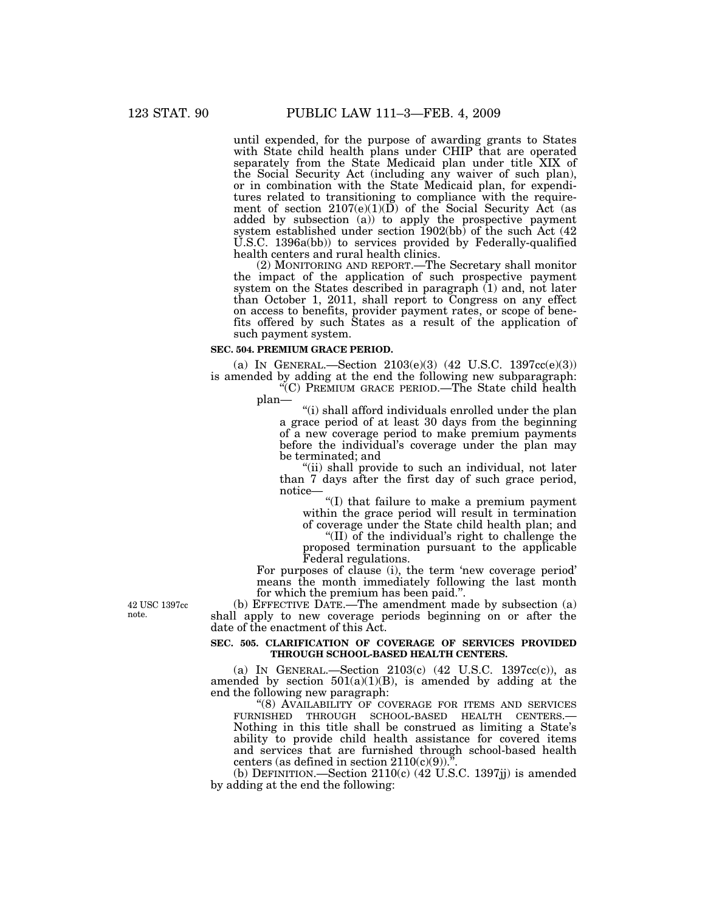until expended, for the purpose of awarding grants to States with State child health plans under CHIP that are operated separately from the State Medicaid plan under title XIX of the Social Security Act (including any waiver of such plan), or in combination with the State Medicaid plan, for expenditures related to transitioning to compliance with the requirement of section  $2107(e)(1)(D)$  of the Social Security Act (as added by subsection (a)) to apply the prospective payment system established under section 1902(bb) of the such Act (42 U.S.C. 1396a(bb)) to services provided by Federally-qualified health centers and rural health clinics.

(2) MONITORING AND REPORT.—The Secretary shall monitor the impact of the application of such prospective payment system on the States described in paragraph (1) and, not later than October 1, 2011, shall report to Congress on any effect on access to benefits, provider payment rates, or scope of benefits offered by such States as a result of the application of such payment system.

## **SEC. 504. PREMIUM GRACE PERIOD.**

(a) IN GENERAL.—Section 2103(e)(3) (42 U.S.C. 1397cc(e)(3)) is amended by adding at the end the following new subparagraph:

''(C) PREMIUM GRACE PERIOD.—The State child health plan—

''(i) shall afford individuals enrolled under the plan a grace period of at least 30 days from the beginning of a new coverage period to make premium payments before the individual's coverage under the plan may be terminated; and

(ii) shall provide to such an individual, not later than 7 days after the first day of such grace period, notice—

''(I) that failure to make a premium payment within the grace period will result in termination of coverage under the State child health plan; and

''(II) of the individual's right to challenge the proposed termination pursuant to the applicable Federal regulations.

For purposes of clause (i), the term 'new coverage period' means the month immediately following the last month for which the premium has been paid.''.

(b) EFFECTIVE DATE.—The amendment made by subsection (a) shall apply to new coverage periods beginning on or after the date of the enactment of this Act.

## **SEC. 505. CLARIFICATION OF COVERAGE OF SERVICES PROVIDED THROUGH SCHOOL-BASED HEALTH CENTERS.**

(a) IN GENERAL.—Section 2103(c) (42 U.S.C. 1397cc(c)), as amended by section  $501(a)(1)(B)$ , is amended by adding at the end the following new paragraph:

''(8) AVAILABILITY OF COVERAGE FOR ITEMS AND SERVICES Nothing in this title shall be construed as limiting a State's ability to provide child health assistance for covered items and services that are furnished through school-based health centers (as defined in section  $2110(c)(9)$ ).'

(b) DEFINITION.—Section  $2110(c)$  (42 U.S.C. 1397jj) is amended by adding at the end the following:

42 USC 1397cc note.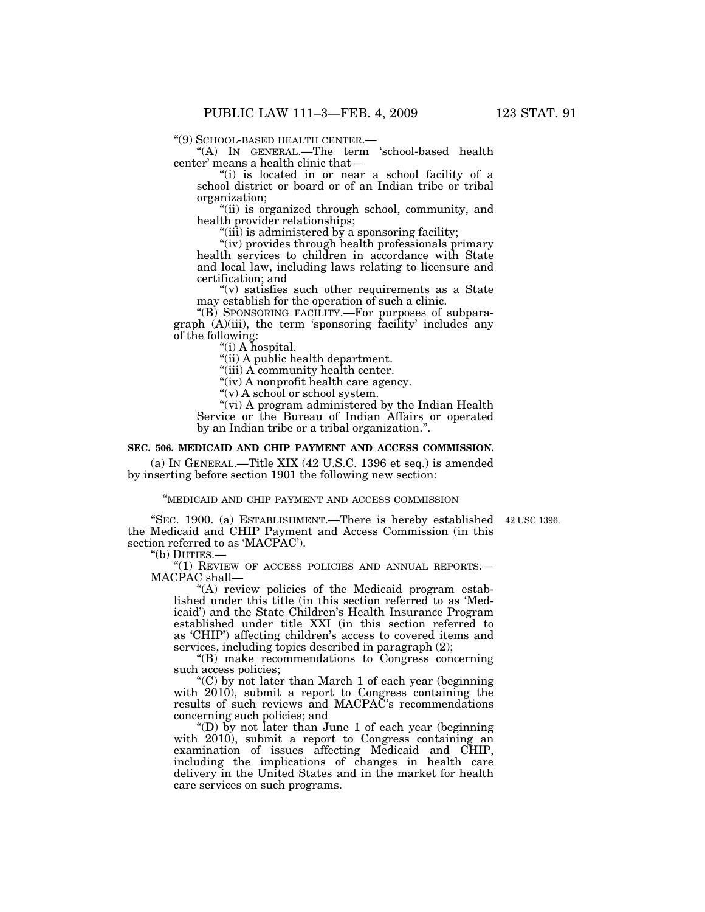"(9) SCHOOL-BASED HEALTH CENTER.—  $\text{``(A)}$  In GENERAL.—The term 'school-based health center' means a health clinic that—

"(i) is located in or near a school facility of a school district or board or of an Indian tribe or tribal organization;

''(ii) is organized through school, community, and health provider relationships;

"(iii) is administered by a sponsoring facility;

"(iv) provides through health professionals primary health services to children in accordance with State and local law, including laws relating to licensure and certification; and

" $(v)$  satisfies such other requirements as a State may establish for the operation of such a clinic.

''(B) SPONSORING FACILITY.—For purposes of subparagraph (A)(iii), the term 'sponsoring facility' includes any of the following:

''(i) A hospital.

''(ii) A public health department.

''(iii) A community health center.

"(iv) A nonprofit health care agency.

''(v) A school or school system.

"(vi) A program administered by the Indian Health Service or the Bureau of Indian Affairs or operated by an Indian tribe or a tribal organization.''.

## **SEC. 506. MEDICAID AND CHIP PAYMENT AND ACCESS COMMISSION.**

(a) IN GENERAL.—Title XIX (42 U.S.C. 1396 et seq.) is amended by inserting before section 1901 the following new section:

#### ''MEDICAID AND CHIP PAYMENT AND ACCESS COMMISSION

"SEC. 1900. (a) ESTABLISHMENT.—There is hereby established 42 USC 1396. the Medicaid and CHIP Payment and Access Commission (in this section referred to as 'MACPAC').

''(b) DUTIES.—

''(1) REVIEW OF ACCESS POLICIES AND ANNUAL REPORTS.— MACPAC shall—

 $(A)$  review policies of the Medicaid program established under this title (in this section referred to as 'Medicaid') and the State Children's Health Insurance Program established under title XXI (in this section referred to as 'CHIP') affecting children's access to covered items and services, including topics described in paragraph (2);

''(B) make recommendations to Congress concerning such access policies;

 $(C)$  by not later than March 1 of each year (beginning) with 2010), submit a report to Congress containing the results of such reviews and MACPAC's recommendations concerning such policies; and

''(D) by not later than June 1 of each year (beginning with 2010), submit a report to Congress containing an examination of issues affecting Medicaid and CHIP, including the implications of changes in health care delivery in the United States and in the market for health care services on such programs.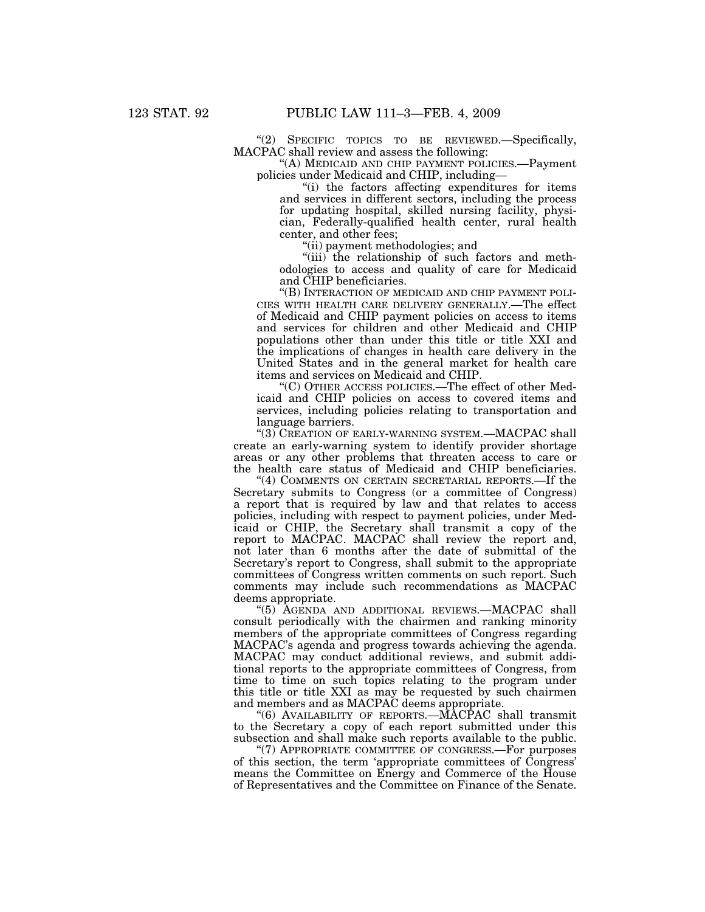''(2) SPECIFIC TOPICS TO BE REVIEWED.—Specifically, MACPAC shall review and assess the following:

''(A) MEDICAID AND CHIP PAYMENT POLICIES.—Payment policies under Medicaid and CHIP, including—

''(i) the factors affecting expenditures for items and services in different sectors, including the process for updating hospital, skilled nursing facility, physician, Federally-qualified health center, rural health center, and other fees;

''(ii) payment methodologies; and

''(iii) the relationship of such factors and methodologies to access and quality of care for Medicaid and CHIP beneficiaries.

''(B) INTERACTION OF MEDICAID AND CHIP PAYMENT POLI-CIES WITH HEALTH CARE DELIVERY GENERALLY.—The effect of Medicaid and CHIP payment policies on access to items and services for children and other Medicaid and CHIP populations other than under this title or title XXI and the implications of changes in health care delivery in the United States and in the general market for health care items and services on Medicaid and CHIP.

''(C) OTHER ACCESS POLICIES.—The effect of other Medicaid and CHIP policies on access to covered items and services, including policies relating to transportation and language barriers.

''(3) CREATION OF EARLY-WARNING SYSTEM.—MACPAC shall create an early-warning system to identify provider shortage areas or any other problems that threaten access to care or the health care status of Medicaid and CHIP beneficiaries.

"(4) COMMENTS ON CERTAIN SECRETARIAL REPORTS.—If the Secretary submits to Congress (or a committee of Congress) a report that is required by law and that relates to access policies, including with respect to payment policies, under Medicaid or CHIP, the Secretary shall transmit a copy of the report to MACPAC. MACPAC shall review the report and, not later than 6 months after the date of submittal of the Secretary's report to Congress, shall submit to the appropriate committees of Congress written comments on such report. Such comments may include such recommendations as MACPAC deems appropriate.

''(5) AGENDA AND ADDITIONAL REVIEWS.—MACPAC shall consult periodically with the chairmen and ranking minority members of the appropriate committees of Congress regarding MACPAC's agenda and progress towards achieving the agenda. MACPAC may conduct additional reviews, and submit additional reports to the appropriate committees of Congress, from time to time on such topics relating to the program under this title or title XXI as may be requested by such chairmen and members and as MACPAC deems appropriate.

"(6) AVAILABILITY OF REPORTS.—MACPAC shall transmit to the Secretary a copy of each report submitted under this subsection and shall make such reports available to the public.

"(7) APPROPRIATE COMMITTEE OF CONGRESS.—For purposes of this section, the term 'appropriate committees of Congress' means the Committee on Energy and Commerce of the House of Representatives and the Committee on Finance of the Senate.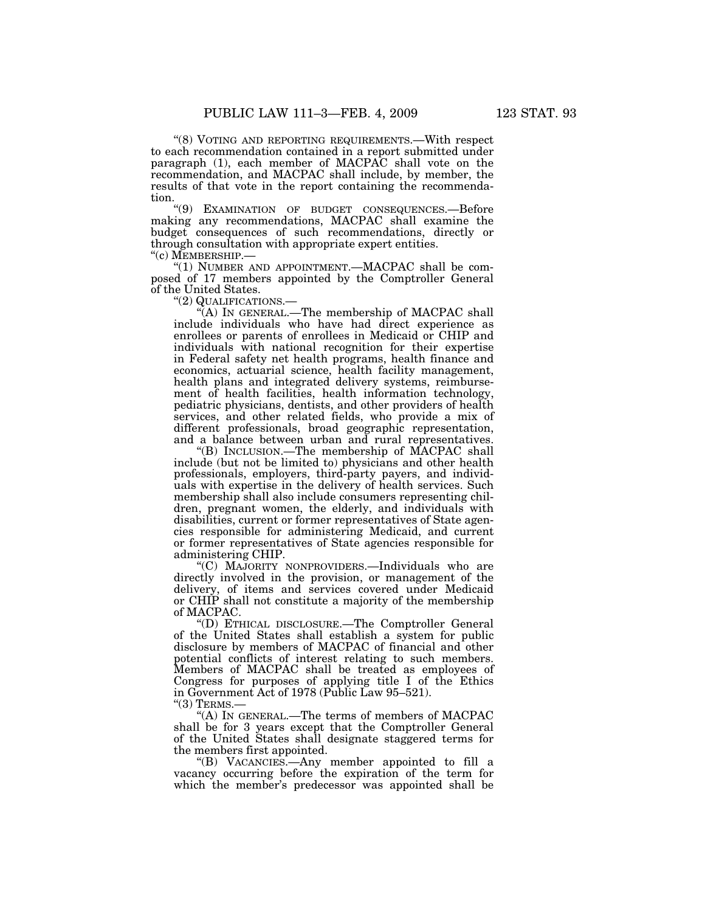''(8) VOTING AND REPORTING REQUIREMENTS.—With respect to each recommendation contained in a report submitted under paragraph (1), each member of MACPAC shall vote on the recommendation, and MACPAC shall include, by member, the results of that vote in the report containing the recommendation.

''(9) EXAMINATION OF BUDGET CONSEQUENCES.—Before making any recommendations, MACPAC shall examine the budget consequences of such recommendations, directly or through consultation with appropriate expert entities.

" $(1)$  NUMBER AND APPOINTMENT.—MACPAC shall be composed of 17 members appointed by the Comptroller General of the United States.<br>"(2) QUALIFICATIONS.—

"(A) In GENERAL.—The membership of MACPAC shall include individuals who have had direct experience as enrollees or parents of enrollees in Medicaid or CHIP and individuals with national recognition for their expertise in Federal safety net health programs, health finance and economics, actuarial science, health facility management, health plans and integrated delivery systems, reimbursement of health facilities, health information technology, pediatric physicians, dentists, and other providers of health services, and other related fields, who provide a mix of different professionals, broad geographic representation, and a balance between urban and rural representatives.

''(B) INCLUSION.—The membership of MACPAC shall include (but not be limited to) physicians and other health professionals, employers, third-party payers, and individuals with expertise in the delivery of health services. Such membership shall also include consumers representing children, pregnant women, the elderly, and individuals with disabilities, current or former representatives of State agencies responsible for administering Medicaid, and current or former representatives of State agencies responsible for administering CHIP.

''(C) MAJORITY NONPROVIDERS.—Individuals who are directly involved in the provision, or management of the delivery, of items and services covered under Medicaid or CHIP shall not constitute a majority of the membership of MACPAC.

''(D) ETHICAL DISCLOSURE.—The Comptroller General of the United States shall establish a system for public disclosure by members of MACPAC of financial and other potential conflicts of interest relating to such members. Members of MACPAC shall be treated as employees of Congress for purposes of applying title I of the Ethics in Government Act of 1978 (Public Law 95–521).

" $(3)$  TERMS.

''(A) IN GENERAL.—The terms of members of MACPAC shall be for 3 years except that the Comptroller General of the United States shall designate staggered terms for the members first appointed.

''(B) VACANCIES.—Any member appointed to fill a vacancy occurring before the expiration of the term for which the member's predecessor was appointed shall be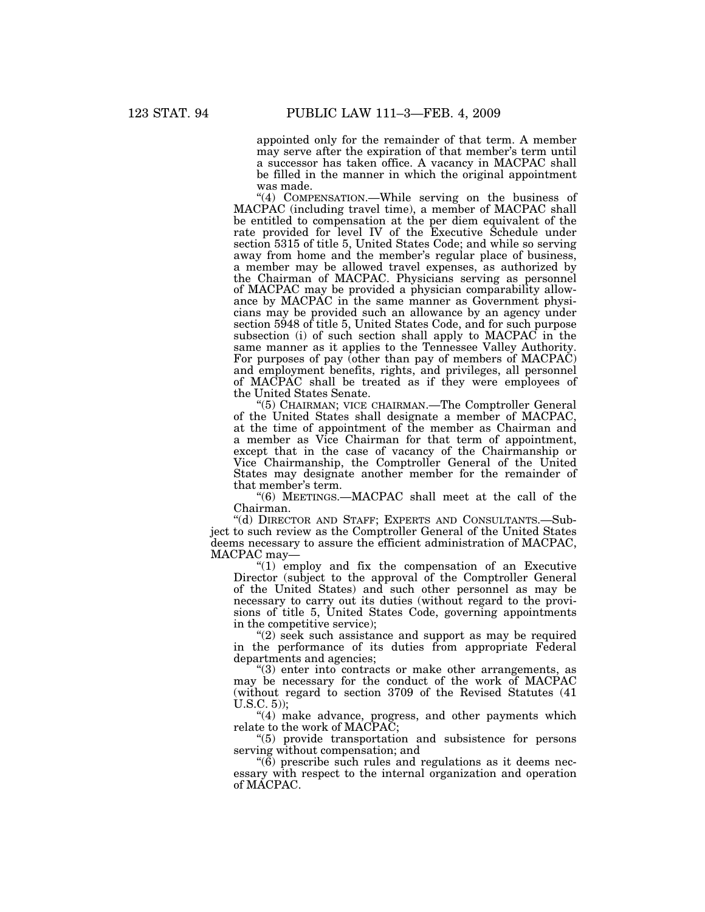appointed only for the remainder of that term. A member may serve after the expiration of that member's term until a successor has taken office. A vacancy in MACPAC shall be filled in the manner in which the original appointment was made.

''(4) COMPENSATION.—While serving on the business of MACPAC (including travel time), a member of MACPAC shall be entitled to compensation at the per diem equivalent of the rate provided for level IV of the Executive Schedule under section 5315 of title 5, United States Code; and while so serving away from home and the member's regular place of business, a member may be allowed travel expenses, as authorized by the Chairman of MACPAC. Physicians serving as personnel of MACPAC may be provided a physician comparability allowance by MACPAC in the same manner as Government physicians may be provided such an allowance by an agency under section 5948 of title 5, United States Code, and for such purpose subsection (i) of such section shall apply to MACPAC in the same manner as it applies to the Tennessee Valley Authority. For purposes of pay (other than pay of members of MACPAC) and employment benefits, rights, and privileges, all personnel of MACPAC shall be treated as if they were employees of the United States Senate.

''(5) CHAIRMAN; VICE CHAIRMAN.—The Comptroller General of the United States shall designate a member of MACPAC, at the time of appointment of the member as Chairman and a member as Vice Chairman for that term of appointment, except that in the case of vacancy of the Chairmanship or Vice Chairmanship, the Comptroller General of the United States may designate another member for the remainder of that member's term.

''(6) MEETINGS.—MACPAC shall meet at the call of the Chairman.

''(d) DIRECTOR AND STAFF; EXPERTS AND CONSULTANTS.—Subject to such review as the Comptroller General of the United States deems necessary to assure the efficient administration of MACPAC, MACPAC may—

''(1) employ and fix the compensation of an Executive Director (subject to the approval of the Comptroller General of the United States) and such other personnel as may be necessary to carry out its duties (without regard to the provisions of title 5, United States Code, governing appointments in the competitive service);

 $(2)$  seek such assistance and support as may be required in the performance of its duties from appropriate Federal departments and agencies;

''(3) enter into contracts or make other arrangements, as may be necessary for the conduct of the work of MACPAC (without regard to section 3709 of the Revised Statutes (41 U.S.C. 5));

"(4) make advance, progress, and other payments which relate to the work of MACPAC;

''(5) provide transportation and subsistence for persons serving without compensation; and

 $\degree$ (6) prescribe such rules and regulations as it deems necessary with respect to the internal organization and operation of MACPAC.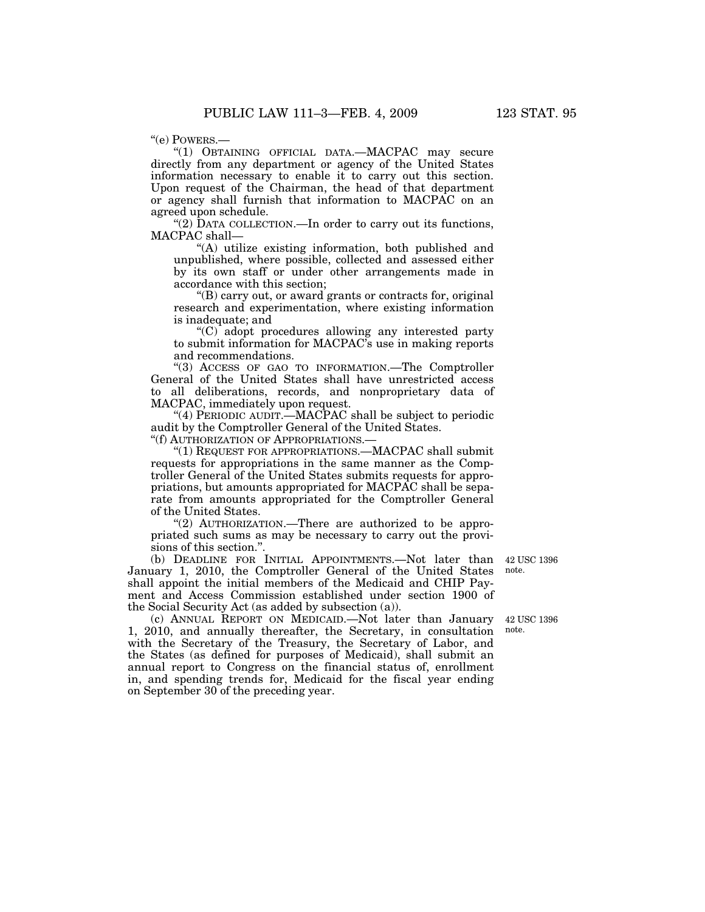''(e) POWERS.—

''(1) OBTAINING OFFICIAL DATA.—MACPAC may secure directly from any department or agency of the United States information necessary to enable it to carry out this section. Upon request of the Chairman, the head of that department or agency shall furnish that information to MACPAC on an agreed upon schedule.

"(2) DATA COLLECTION.—In order to carry out its functions, MACPAC shall—

''(A) utilize existing information, both published and unpublished, where possible, collected and assessed either by its own staff or under other arrangements made in accordance with this section;

''(B) carry out, or award grants or contracts for, original research and experimentation, where existing information is inadequate; and

''(C) adopt procedures allowing any interested party to submit information for MACPAC's use in making reports and recommendations.

''(3) ACCESS OF GAO TO INFORMATION.—The Comptroller General of the United States shall have unrestricted access to all deliberations, records, and nonproprietary data of MACPAC, immediately upon request.

''(4) PERIODIC AUDIT.—MACPAC shall be subject to periodic audit by the Comptroller General of the United States.

''(f) AUTHORIZATION OF APPROPRIATIONS.—

''(1) REQUEST FOR APPROPRIATIONS.—MACPAC shall submit requests for appropriations in the same manner as the Comptroller General of the United States submits requests for appropriations, but amounts appropriated for MACPAC shall be separate from amounts appropriated for the Comptroller General of the United States.

"(2) AUTHORIZATION.—There are authorized to be appropriated such sums as may be necessary to carry out the provisions of this section.''.

(b) DEADLINE FOR INITIAL APPOINTMENTS.—Not later than January 1, 2010, the Comptroller General of the United States shall appoint the initial members of the Medicaid and CHIP Payment and Access Commission established under section 1900 of the Social Security Act (as added by subsection (a)).

42 USC 1396 note.

42 USC 1396 note.

(c) ANNUAL REPORT ON MEDICAID.—Not later than January 1, 2010, and annually thereafter, the Secretary, in consultation with the Secretary of the Treasury, the Secretary of Labor, and the States (as defined for purposes of Medicaid), shall submit an annual report to Congress on the financial status of, enrollment in, and spending trends for, Medicaid for the fiscal year ending on September 30 of the preceding year.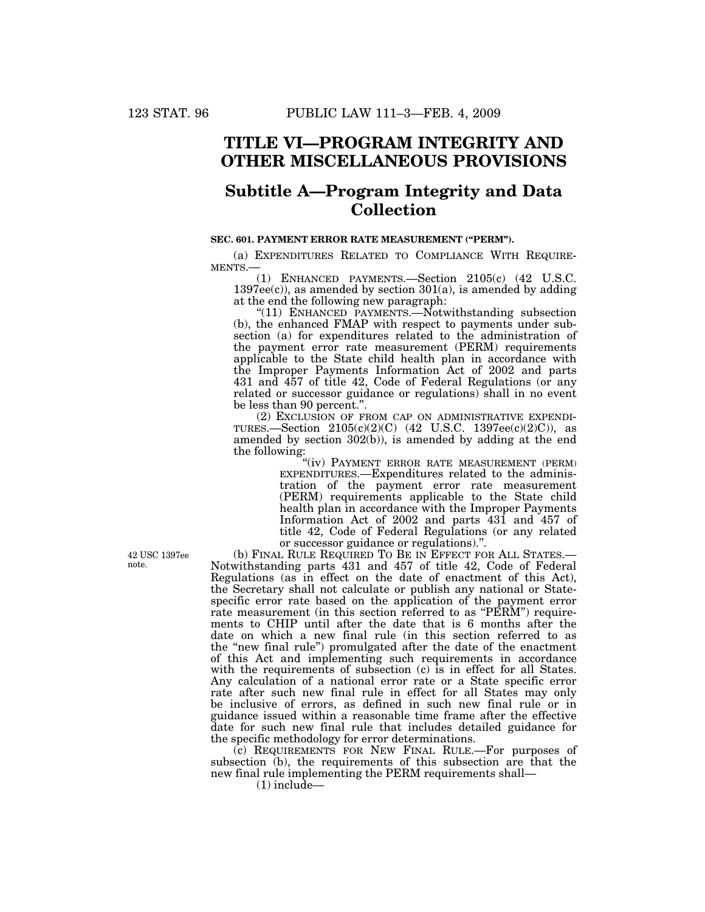## **TITLE VI—PROGRAM INTEGRITY AND OTHER MISCELLANEOUS PROVISIONS**

# **Subtitle A—Program Integrity and Data Collection**

## **SEC. 601. PAYMENT ERROR RATE MEASUREMENT (''PERM'').**

(a) EXPENDITURES RELATED TO COMPLIANCE WITH REQUIRE-MENTS.—

(1) ENHANCED PAYMENTS.—Section 2105(c) (42 U.S.C.  $1397ee(c)$ , as amended by section  $301(a)$ , is amended by adding at the end the following new paragraph:

"(11) ENHANCED PAYMENTS.—Notwithstanding subsection (b), the enhanced FMAP with respect to payments under subsection (a) for expenditures related to the administration of the payment error rate measurement (PERM) requirements applicable to the State child health plan in accordance with the Improper Payments Information Act of 2002 and parts 431 and 457 of title 42, Code of Federal Regulations (or any related or successor guidance or regulations) shall in no event be less than 90 percent.''.

(2) EXCLUSION OF FROM CAP ON ADMINISTRATIVE EXPENDI-TURES.—Section  $2105(c)(2)(C)$  (42 U.S.C. 1397ee(c)(2)C)), as amended by section 302(b)), is amended by adding at the end the following:

''(iv) PAYMENT ERROR RATE MEASUREMENT (PERM) EXPENDITURES.—Expenditures related to the administration of the payment error rate measurement (PERM) requirements applicable to the State child health plan in accordance with the Improper Payments Information Act of 2002 and parts 431 and 457 of title 42, Code of Federal Regulations (or any related or successor guidance or regulations).''.

(b) FINAL RULE REQUIRED TO BE IN EFFECT FOR ALL STATES.— Notwithstanding parts 431 and 457 of title 42, Code of Federal Regulations (as in effect on the date of enactment of this Act), the Secretary shall not calculate or publish any national or Statespecific error rate based on the application of the payment error rate measurement (in this section referred to as "PERM") requirements to CHIP until after the date that is 6 months after the date on which a new final rule (in this section referred to as the "new final rule") promulgated after the date of the enactment of this Act and implementing such requirements in accordance with the requirements of subsection (c) is in effect for all States. Any calculation of a national error rate or a State specific error rate after such new final rule in effect for all States may only be inclusive of errors, as defined in such new final rule or in guidance issued within a reasonable time frame after the effective date for such new final rule that includes detailed guidance for the specific methodology for error determinations.

(c) REQUIREMENTS FOR NEW FINAL RULE.—For purposes of subsection (b), the requirements of this subsection are that the new final rule implementing the PERM requirements shall—

 $(1)$  include—

42 USC 1397ee note.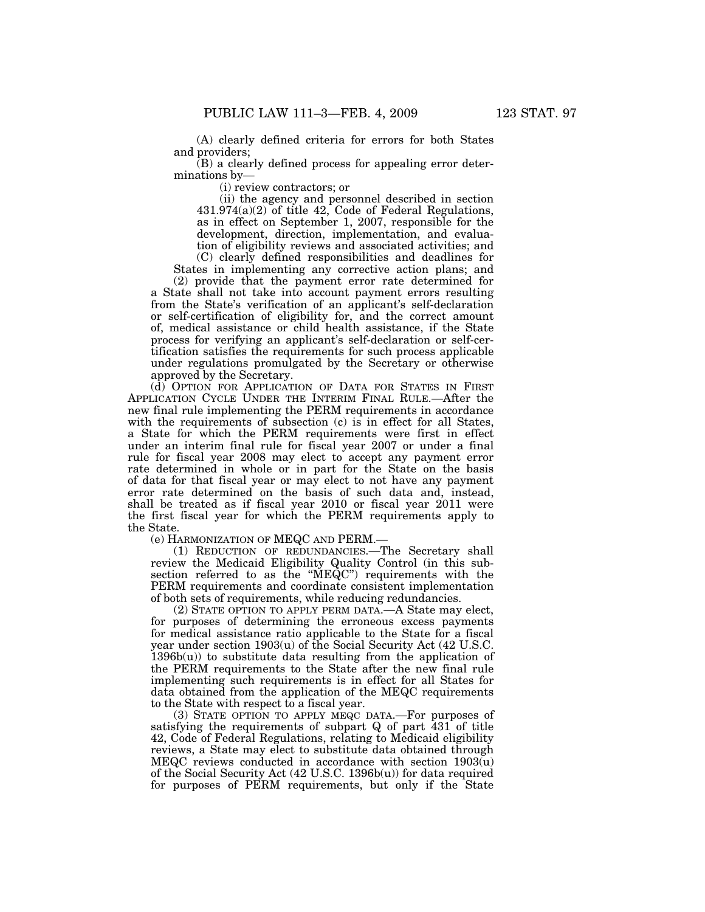(A) clearly defined criteria for errors for both States and providers;

(B) a clearly defined process for appealing error determinations by—

(i) review contractors; or

(ii) the agency and personnel described in section  $431.974(a)(2)$  of title  $42$ , Code of Federal Regulations, as in effect on September 1, 2007, responsible for the development, direction, implementation, and evaluation of eligibility reviews and associated activities; and (C) clearly defined responsibilities and deadlines for

States in implementing any corrective action plans; and (2) provide that the payment error rate determined for

a State shall not take into account payment errors resulting from the State's verification of an applicant's self-declaration or self-certification of eligibility for, and the correct amount of, medical assistance or child health assistance, if the State process for verifying an applicant's self-declaration or self-certification satisfies the requirements for such process applicable under regulations promulgated by the Secretary or otherwise approved by the Secretary.

(d) OPTION FOR APPLICATION OF DATA FOR STATES IN FIRST APPLICATION CYCLE UNDER THE INTERIM FINAL RULE.—After the new final rule implementing the PERM requirements in accordance with the requirements of subsection (c) is in effect for all States, a State for which the PERM requirements were first in effect under an interim final rule for fiscal year 2007 or under a final rule for fiscal year 2008 may elect to accept any payment error rate determined in whole or in part for the State on the basis of data for that fiscal year or may elect to not have any payment error rate determined on the basis of such data and, instead, shall be treated as if fiscal year 2010 or fiscal year 2011 were the first fiscal year for which the PERM requirements apply to the State.

(e) HARMONIZATION OF MEQC AND PERM.—

(1) REDUCTION OF REDUNDANCIES.—The Secretary shall review the Medicaid Eligibility Quality Control (in this subsection referred to as the ''MEQC'') requirements with the PERM requirements and coordinate consistent implementation of both sets of requirements, while reducing redundancies.

(2) STATE OPTION TO APPLY PERM DATA.—A State may elect, for purposes of determining the erroneous excess payments for medical assistance ratio applicable to the State for a fiscal year under section 1903(u) of the Social Security Act (42 U.S.C.  $1396b(u)$  to substitute data resulting from the application of the PERM requirements to the State after the new final rule implementing such requirements is in effect for all States for data obtained from the application of the MEQC requirements to the State with respect to a fiscal year.

(3) STATE OPTION TO APPLY MEQC DATA.—For purposes of satisfying the requirements of subpart Q of part 431 of title 42, Code of Federal Regulations, relating to Medicaid eligibility reviews, a State may elect to substitute data obtained through MEQC reviews conducted in accordance with section 1903(u) of the Social Security Act (42 U.S.C. 1396b(u)) for data required for purposes of PERM requirements, but only if the State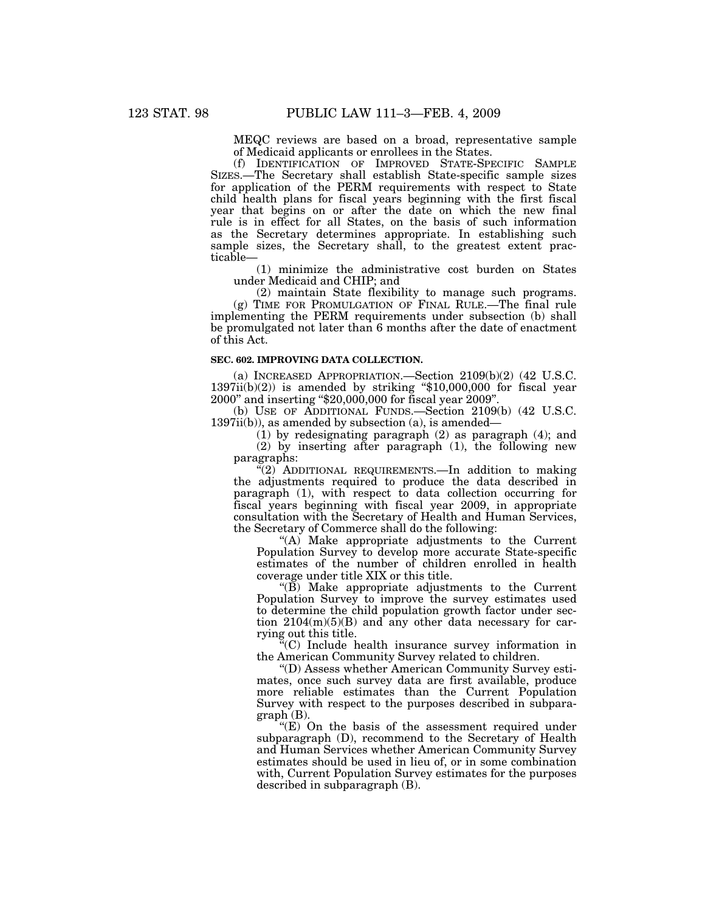MEQC reviews are based on a broad, representative sample of Medicaid applicants or enrollees in the States.

(f) IDENTIFICATION OF IMPROVED STATE-SPECIFIC SAMPLE SIZES.—The Secretary shall establish State-specific sample sizes for application of the PERM requirements with respect to State child health plans for fiscal years beginning with the first fiscal year that begins on or after the date on which the new final rule is in effect for all States, on the basis of such information as the Secretary determines appropriate. In establishing such sample sizes, the Secretary shall, to the greatest extent practicable—

(1) minimize the administrative cost burden on States under Medicaid and CHIP; and

(2) maintain State flexibility to manage such programs. (g) TIME FOR PROMULGATION OF FINAL RULE.—The final rule implementing the PERM requirements under subsection (b) shall be promulgated not later than 6 months after the date of enactment of this Act.

#### **SEC. 602. IMPROVING DATA COLLECTION.**

(a) INCREASED APPROPRIATION.—Section 2109(b)(2) (42 U.S.C.  $1397ii(b)(2)$ ) is amended by striking "\$10,000,000 for fiscal year 2000'' and inserting ''\$20,000,000 for fiscal year 2009''.

(b) USE OF ADDITIONAL FUNDS.—Section 2109(b) (42 U.S.C. 1397ii(b)), as amended by subsection (a), is amended—

(1) by redesignating paragraph (2) as paragraph (4); and (2) by inserting after paragraph (1), the following new

paragraphs:

"(2) ADDITIONAL REQUIREMENTS.—In addition to making the adjustments required to produce the data described in paragraph (1), with respect to data collection occurring for fiscal years beginning with fiscal year 2009, in appropriate consultation with the Secretary of Health and Human Services, the Secretary of Commerce shall do the following:

"(A) Make appropriate adjustments to the Current Population Survey to develop more accurate State-specific estimates of the number of children enrolled in health coverage under title XIX or this title.

" $(\overrightarrow{B})$  Make appropriate adjustments to the Current Population Survey to improve the survey estimates used to determine the child population growth factor under section  $2104(m)(5)(B)$  and any other data necessary for carrying out this title.

''(C) Include health insurance survey information in the American Community Survey related to children.

''(D) Assess whether American Community Survey estimates, once such survey data are first available, produce more reliable estimates than the Current Population Survey with respect to the purposes described in subparagraph (B).

 $E(E)$  On the basis of the assessment required under subparagraph (D), recommend to the Secretary of Health and Human Services whether American Community Survey estimates should be used in lieu of, or in some combination with, Current Population Survey estimates for the purposes described in subparagraph (B).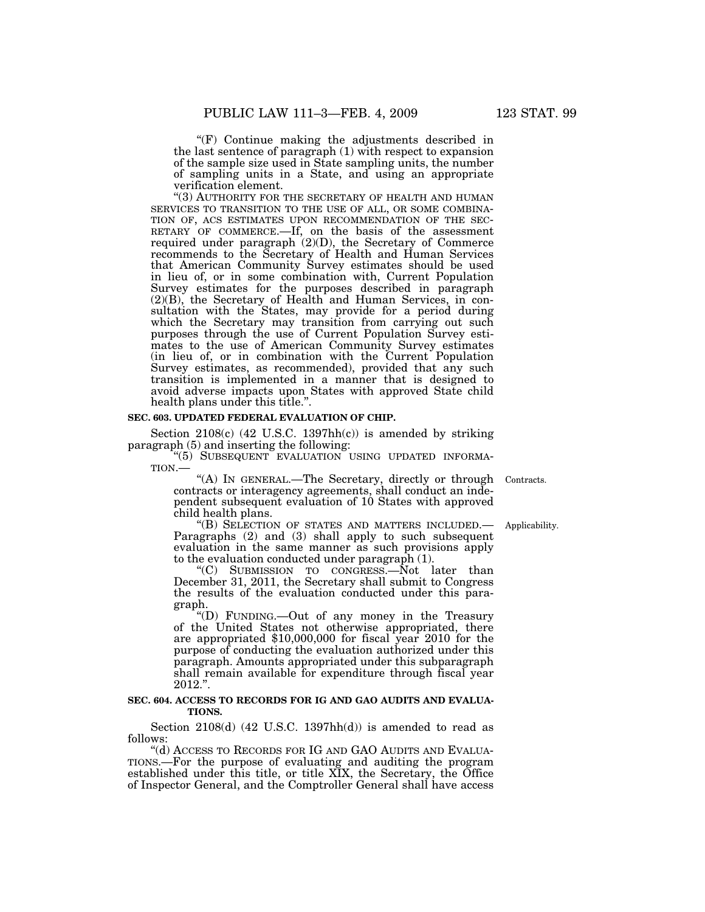$(F)$  Continue making the adjustments described in the last sentence of paragraph (1) with respect to expansion of the sample size used in State sampling units, the number of sampling units in a State, and using an appropriate verification element.

"(3) AUTHORITY FOR THE SECRETARY OF HEALTH AND HUMAN SERVICES TO TRANSITION TO THE USE OF ALL, OR SOME COMBINATION OF, ACS ESTIMATES UPON RECOMMENDATION OF THE SECRETARY OF COMMERCE.—If, on the basis of the assessment required under paragraph (2)(D), the Secretary of Commerce recommends to the Secretary of Health and Human Services that American Community Survey estimates should be used in lieu of, or in some combination with, Current Population Survey estimates for the purposes described in paragraph (2)(B), the Secretary of Health and Human Services, in consultation with the States, may provide for a period during which the Secretary may transition from carrying out such purposes through the use of Current Population Survey estimates to the use of American Community Survey estimates (in lieu of, or in combination with the Current Population Survey estimates, as recommended), provided that any such transition is implemented in a manner that is designed to avoid adverse impacts upon States with approved State child health plans under this title.''.

#### **SEC. 603. UPDATED FEDERAL EVALUATION OF CHIP.**

Section  $2108(c)$  (42 U.S.C. 1397hh(c)) is amended by striking paragraph (5) and inserting the following:

 $\cdot$ "(5) SUBSEQUENT EVALUATION USING UPDATED INFORMATION.—

contracts or interagency agreements, shall conduct an independent subsequent evaluation of 10 States with approved child health plans.<br>"(B) SELECTION OF STATES AND MATTERS INCLUDED.— "(A) IN GENERAL.—The Secretary, directly or through Contracts.

Paragraphs  $(2)$  and  $(3)$  shall apply to such subsequent evaluation in the same manner as such provisions apply to the evaluation conducted under paragraph (1).

''(C) SUBMISSION TO CONGRESS.—Not later than December 31, 2011, the Secretary shall submit to Congress the results of the evaluation conducted under this paragraph.

''(D) FUNDING.—Out of any money in the Treasury of the United States not otherwise appropriated, there are appropriated \$10,000,000 for fiscal year 2010 for the purpose of conducting the evaluation authorized under this paragraph. Amounts appropriated under this subparagraph shall remain available for expenditure through fiscal year 2012.''.

## **SEC. 604. ACCESS TO RECORDS FOR IG AND GAO AUDITS AND EVALUA-TIONS.**

Section 2108(d) (42 U.S.C. 1397hh(d)) is amended to read as follows:

''(d) ACCESS TO RECORDS FOR IG AND GAO AUDITS AND EVALUA-TIONS.—For the purpose of evaluating and auditing the program established under this title, or title XIX, the Secretary, the Office of Inspector General, and the Comptroller General shall have access

Applicability.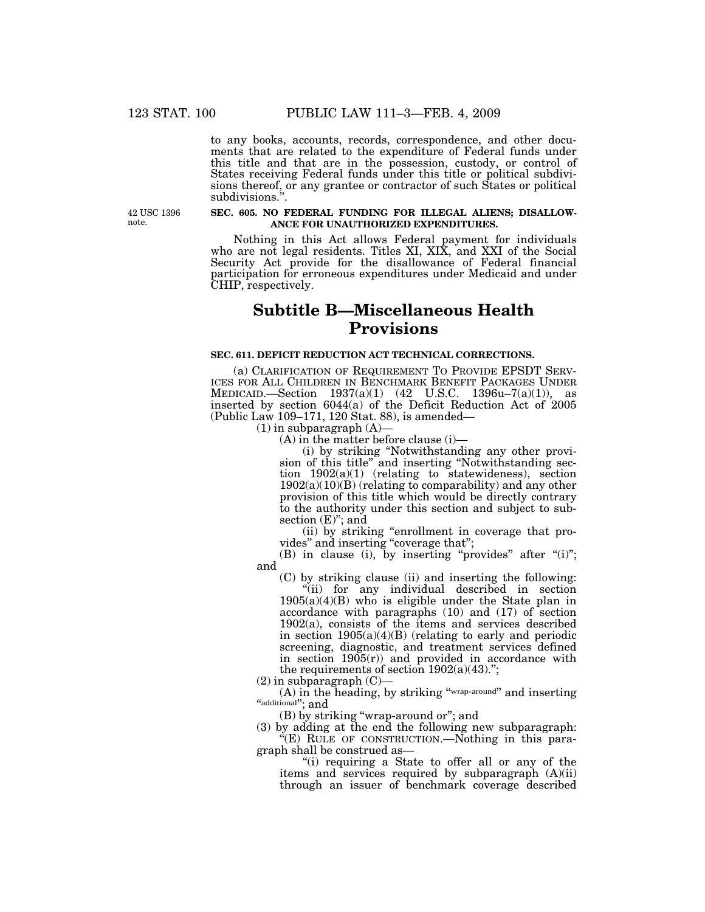to any books, accounts, records, correspondence, and other documents that are related to the expenditure of Federal funds under this title and that are in the possession, custody, or control of States receiving Federal funds under this title or political subdivisions thereof, or any grantee or contractor of such States or political subdivisions.''.

42 USC 1396 note.

#### **SEC. 605. NO FEDERAL FUNDING FOR ILLEGAL ALIENS; DISALLOW-ANCE FOR UNAUTHORIZED EXPENDITURES.**

Nothing in this Act allows Federal payment for individuals who are not legal residents. Titles XI, XIX, and XXI of the Social Security Act provide for the disallowance of Federal financial participation for erroneous expenditures under Medicaid and under CHIP, respectively.

# **Subtitle B—Miscellaneous Health Provisions**

## **SEC. 611. DEFICIT REDUCTION ACT TECHNICAL CORRECTIONS.**

(a) CLARIFICATION OF REQUIREMENT TO PROVIDE EPSDT SERV- ICES FOR ALL CHILDREN IN BENCHMARK BENEFIT PACKAGES UNDER MEDICAID.—Section 1937(a)(1) (42 U.S.C. 1396u–7(a)(1)), as inserted by section 6044(a) of the Deficit Reduction Act of 2005 (Public Law 109–171, 120 Stat. 88), is amended—

 $(1)$  in subparagraph  $(A)$ 

(A) in the matter before clause (i)—

(i) by striking ''Notwithstanding any other provision of this title'' and inserting ''Notwithstanding section 1902(a)(1) (relating to statewideness), section  $1902(a)(10)(B)$  (relating to comparability) and any other provision of this title which would be directly contrary to the authority under this section and subject to subsection  $(E)$ "; and

(ii) by striking ''enrollment in coverage that provides" and inserting "coverage that";

(B) in clause (i), by inserting "provides" after " $(i)$ "; and

(C) by striking clause (ii) and inserting the following: ''(ii) for any individual described in section  $1905(a)(4)(B)$  who is eligible under the State plan in accordance with paragraphs (10) and (17) of section 1902(a), consists of the items and services described in section  $1905(a)(4)(B)$  (relating to early and periodic screening, diagnostic, and treatment services defined in section  $1905(r)$  and provided in accordance with the requirements of section  $1902(a)(43)$ .";

(2) in subparagraph (C)—

(A) in the heading, by striking ''wrap-around'' and inserting "additional"; and

(B) by striking ''wrap-around or''; and

(3) by adding at the end the following new subparagraph: ''(E) RULE OF CONSTRUCTION.—Nothing in this paragraph shall be construed as—

''(i) requiring a State to offer all or any of the items and services required by subparagraph (A)(ii) through an issuer of benchmark coverage described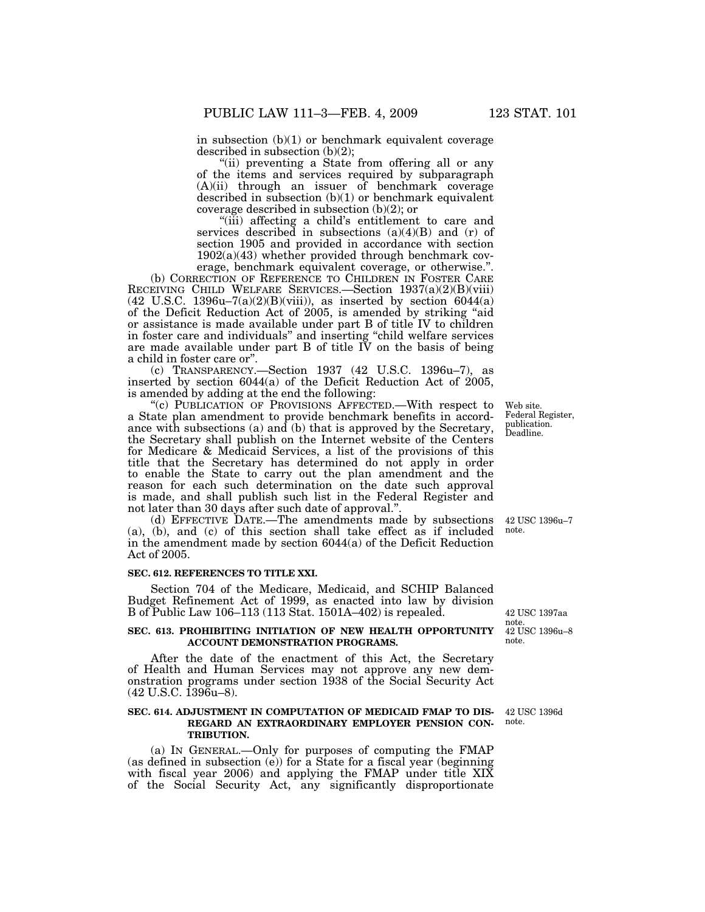in subsection (b)(1) or benchmark equivalent coverage described in subsection (b)(2);

"(ii) preventing a State from offering all or any of the items and services required by subparagraph (A)(ii) through an issuer of benchmark coverage described in subsection (b)(1) or benchmark equivalent coverage described in subsection (b)(2); or

''(iii) affecting a child's entitlement to care and services described in subsections  $(a)(4)(B)$  and  $(r)$  of section 1905 and provided in accordance with section  $1902(a)(43)$  whether provided through benchmark coverage, benchmark equivalent coverage, or otherwise.''.

(b) CORRECTION OF REFERENCE TO CHILDREN IN FOSTER CARE RECEIVING CHILD WELFARE SERVICES.—Section 1937(a)(2)(B)(viii)  $(42 \text{ U.S.C. } 1396u-7(a)(2)(B)(viii))$ , as inserted by section 6044(a) of the Deficit Reduction Act of 2005, is amended by striking ''aid or assistance is made available under part B of title IV to children in foster care and individuals'' and inserting ''child welfare services are made available under part  $B$  of title  $\tilde{IV}$  on the basis of being a child in foster care or''.

(c) TRANSPARENCY.—Section 1937 (42 U.S.C. 1396u–7), as inserted by section 6044(a) of the Deficit Reduction Act of 2005, is amended by adding at the end the following:

"(c) PUBLICATION OF PROVISIONS AFFECTED.—With respect to a State plan amendment to provide benchmark benefits in accordance with subsections (a) and (b) that is approved by the Secretary, the Secretary shall publish on the Internet website of the Centers for Medicare & Medicaid Services, a list of the provisions of this title that the Secretary has determined do not apply in order to enable the State to carry out the plan amendment and the reason for each such determination on the date such approval is made, and shall publish such list in the Federal Register and not later than 30 days after such date of approval.''.

(d) EFFECTIVE DATE.—The amendments made by subsections (a), (b), and (c) of this section shall take effect as if included in the amendment made by section 6044(a) of the Deficit Reduction Act of 2005.

#### **SEC. 612. REFERENCES TO TITLE XXI.**

Section 704 of the Medicare, Medicaid, and SCHIP Balanced Budget Refinement Act of 1999, as enacted into law by division B of Public Law 106–113 (113 Stat. 1501A–402) is repealed.

#### **SEC. 613. PROHIBITING INITIATION OF NEW HEALTH OPPORTUNITY ACCOUNT DEMONSTRATION PROGRAMS.**

After the date of the enactment of this Act, the Secretary of Health and Human Services may not approve any new demonstration programs under section 1938 of the Social Security Act (42 U.S.C. 1396u–8).

## **SEC. 614. ADJUSTMENT IN COMPUTATION OF MEDICAID FMAP TO DIS-REGARD AN EXTRAORDINARY EMPLOYER PENSION CON-TRIBUTION.**

(a) IN GENERAL.—Only for purposes of computing the FMAP (as defined in subsection (e)) for a State for a fiscal year (beginning with fiscal year 2006) and applying the FMAP under title XIX of the Social Security Act, any significantly disproportionate

Web site. Federal Register, publication. Deadline.

42 USC 1396u–7 note.

42 USC 1396u–8 note. 42 USC 1397aa note.

42 USC 1396d note.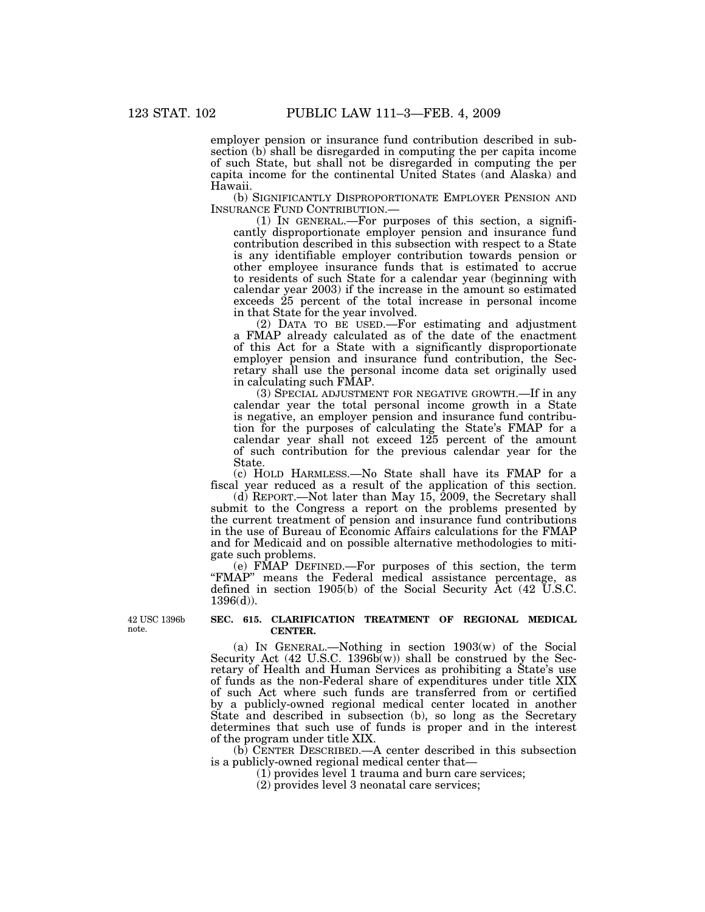employer pension or insurance fund contribution described in subsection (b) shall be disregarded in computing the per capita income of such State, but shall not be disregarded in computing the per capita income for the continental United States (and Alaska) and Hawaii.

(b) SIGNIFICANTLY DISPROPORTIONATE EMPLOYER PENSION AND INSURANCE FUND CONTRIBUTION.—

 $(1)$  In GENERAL.—For purposes of this section, a significantly disproportionate employer pension and insurance fund contribution described in this subsection with respect to a State is any identifiable employer contribution towards pension or other employee insurance funds that is estimated to accrue to residents of such State for a calendar year (beginning with calendar year 2003) if the increase in the amount so estimated exceeds 25 percent of the total increase in personal income in that State for the year involved.

(2) DATA TO BE USED.—For estimating and adjustment a FMAP already calculated as of the date of the enactment of this Act for a State with a significantly disproportionate employer pension and insurance fund contribution, the Secretary shall use the personal income data set originally used in calculating such FMAP.

(3) SPECIAL ADJUSTMENT FOR NEGATIVE GROWTH.—If in any calendar year the total personal income growth in a State is negative, an employer pension and insurance fund contribution for the purposes of calculating the State's FMAP for a calendar year shall not exceed 125 percent of the amount of such contribution for the previous calendar year for the State.

(c) HOLD HARMLESS.—No State shall have its FMAP for a fiscal year reduced as a result of the application of this section.

(d) REPORT.—Not later than May 15, 2009, the Secretary shall submit to the Congress a report on the problems presented by the current treatment of pension and insurance fund contributions in the use of Bureau of Economic Affairs calculations for the FMAP and for Medicaid and on possible alternative methodologies to mitigate such problems.

(e) FMAP DEFINED.—For purposes of this section, the term ''FMAP'' means the Federal medical assistance percentage, as defined in section 1905(b) of the Social Security Act (42 U.S.C. 1396(d)).

42 USC 1396b note.

#### **SEC. 615. CLARIFICATION TREATMENT OF REGIONAL MEDICAL CENTER.**

(a) IN GENERAL.—Nothing in section 1903(w) of the Social Security Act  $(42 \text{ U.S.C. } 1396\bar{b}(w))$  shall be construed by the Secretary of Health and Human Services as prohibiting a State's use of funds as the non-Federal share of expenditures under title XIX of such Act where such funds are transferred from or certified by a publicly-owned regional medical center located in another State and described in subsection (b), so long as the Secretary determines that such use of funds is proper and in the interest of the program under title XIX.

(b) CENTER DESCRIBED.—A center described in this subsection is a publicly-owned regional medical center that—

(1) provides level 1 trauma and burn care services;

(2) provides level 3 neonatal care services;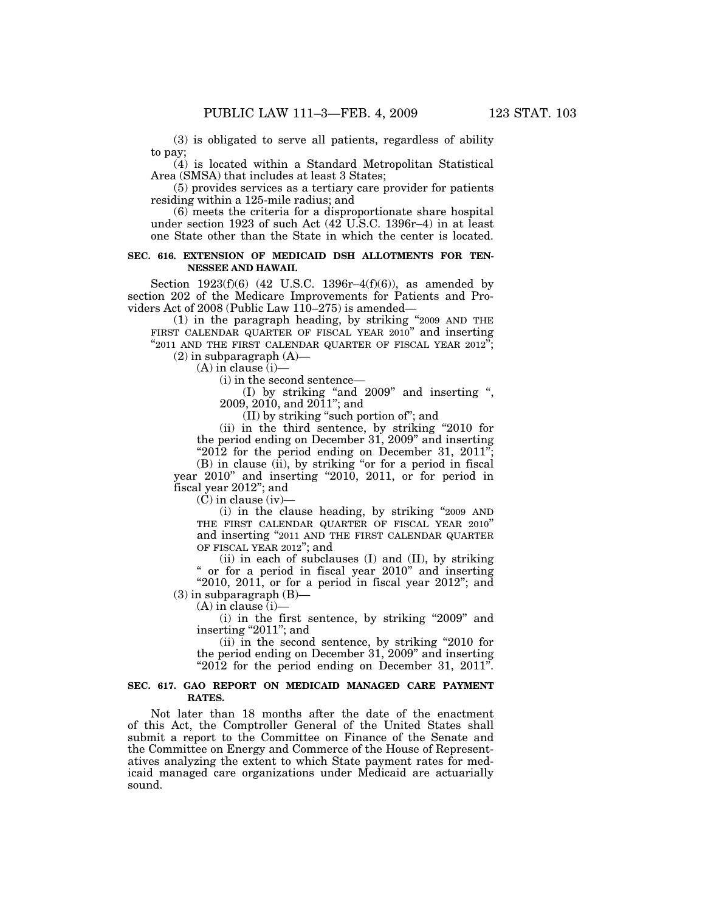(3) is obligated to serve all patients, regardless of ability to pay;

(4) is located within a Standard Metropolitan Statistical Area (SMSA) that includes at least 3 States;

(5) provides services as a tertiary care provider for patients residing within a 125-mile radius; and

(6) meets the criteria for a disproportionate share hospital under section 1923 of such Act (42 U.S.C. 1396r–4) in at least one State other than the State in which the center is located.

## **SEC. 616. EXTENSION OF MEDICAID DSH ALLOTMENTS FOR TEN-NESSEE AND HAWAII.**

Section 1923(f)(6) (42 U.S.C. 1396r–4(f)(6)), as amended by section 202 of the Medicare Improvements for Patients and Providers Act of 2008 (Public Law 110–275) is amended—

(1) in the paragraph heading, by striking ''2009 AND THE FIRST CALENDAR QUARTER OF FISCAL YEAR 2010" and inserting "2011 AND THE FIRST CALENDAR QUARTER OF FISCAL YEAR 2012";  $(2)$  in subparagraph  $(A)$ —

(A) in clause (i)—

(i) in the second sentence—

(I) by striking ''and 2009'' and inserting '', 2009, 2010, and 2011''; and

(II) by striking ''such portion of''; and

(ii) in the third sentence, by striking ''2010 for the period ending on December 31, 2009'' and inserting "2012 for the period ending on December 31, 2011";

(B) in clause (ii), by striking ''or for a period in fiscal year 2010'' and inserting ''2010, 2011, or for period in fiscal year 2012''; and

(C) in clause (iv)—

(i) in the clause heading, by striking ''2009 AND THE FIRST CALENDAR QUARTER OF FISCAL YEAR 2010'' and inserting "2011 AND THE FIRST CALENDAR QUARTER OF FISCAL YEAR 2012''; and

(ii) in each of subclauses (I) and (II), by striking '' or for a period in fiscal year 2010'' and inserting "2010, 2011, or for a period in fiscal year 2012"; and

 $(3)$  in subparagraph  $(B)$ —  $(A)$  in clause  $(i)$ 

(i) in the first sentence, by striking "2009" and

inserting "2011"; and (ii) in the second sentence, by striking ''2010 for

the period ending on December 31, 2009'' and inserting " $2012$  for the period ending on December 31,  $2011$ ".

## **SEC. 617. GAO REPORT ON MEDICAID MANAGED CARE PAYMENT RATES.**

Not later than 18 months after the date of the enactment of this Act, the Comptroller General of the United States shall submit a report to the Committee on Finance of the Senate and the Committee on Energy and Commerce of the House of Representatives analyzing the extent to which State payment rates for medicaid managed care organizations under Medicaid are actuarially sound.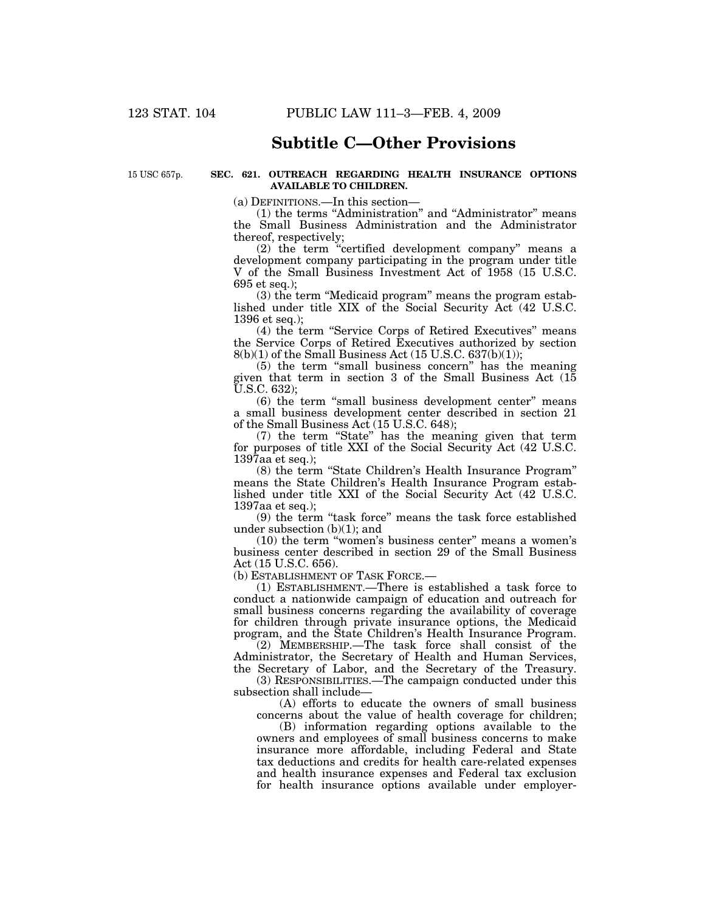## **Subtitle C—Other Provisions**

15 USC 657p.

#### **SEC. 621. OUTREACH REGARDING HEALTH INSURANCE OPTIONS AVAILABLE TO CHILDREN.**

(a) DEFINITIONS.—In this section—

(1) the terms "Administration" and "Administrator" means the Small Business Administration and the Administrator thereof, respectively;

(2) the term ''certified development company'' means a development company participating in the program under title V of the Small Business Investment Act of 1958 (15 U.S.C. 695 et seq.);

(3) the term ''Medicaid program'' means the program established under title XIX of the Social Security Act (42 U.S.C. 1396 et seq.);

(4) the term ''Service Corps of Retired Executives'' means the Service Corps of Retired Executives authorized by section 8(b)(1) of the Small Business Act (15 U.S.C. 637(b)(1));

(5) the term ''small business concern'' has the meaning given that term in section 3 of the Small Business Act (15 U.S.C. 632);

(6) the term ''small business development center'' means a small business development center described in section 21 of the Small Business Act (15 U.S.C. 648);

(7) the term ''State'' has the meaning given that term for purposes of title XXI of the Social Security Act (42 U.S.C. 1397aa et seq.);

(8) the term ''State Children's Health Insurance Program'' means the State Children's Health Insurance Program established under title XXI of the Social Security Act (42 U.S.C. 1397aa et seq.);

(9) the term ''task force'' means the task force established under subsection (b)(1); and

(10) the term ''women's business center'' means a women's business center described in section 29 of the Small Business Act (15 U.S.C. 656).

(b) ESTABLISHMENT OF TASK FORCE.—

(1) ESTABLISHMENT.—There is established a task force to conduct a nationwide campaign of education and outreach for small business concerns regarding the availability of coverage for children through private insurance options, the Medicaid program, and the State Children's Health Insurance Program.

(2) MEMBERSHIP.—The task force shall consist of the Administrator, the Secretary of Health and Human Services, the Secretary of Labor, and the Secretary of the Treasury.

(3) RESPONSIBILITIES.—The campaign conducted under this subsection shall include—

(A) efforts to educate the owners of small business concerns about the value of health coverage for children;

(B) information regarding options available to the owners and employees of small business concerns to make insurance more affordable, including Federal and State tax deductions and credits for health care-related expenses and health insurance expenses and Federal tax exclusion for health insurance options available under employer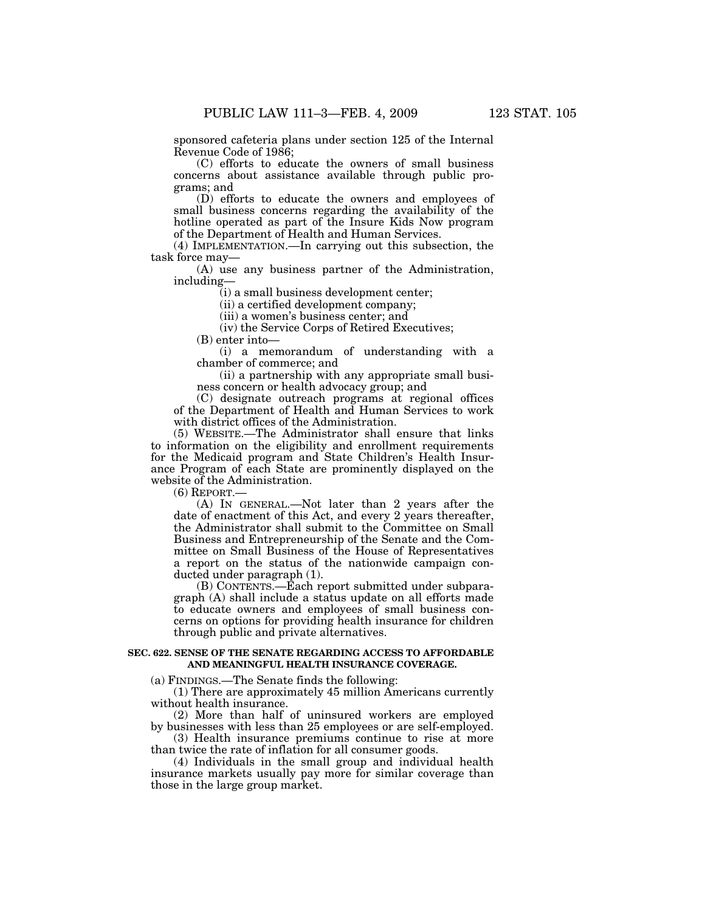sponsored cafeteria plans under section 125 of the Internal Revenue Code of 1986;

(C) efforts to educate the owners of small business concerns about assistance available through public programs; and

(D) efforts to educate the owners and employees of small business concerns regarding the availability of the hotline operated as part of the Insure Kids Now program of the Department of Health and Human Services.

(4) IMPLEMENTATION.—In carrying out this subsection, the task force may—

(A) use any business partner of the Administration, including—

(i) a small business development center;

(ii) a certified development company;

(iii) a women's business center; and

(iv) the Service Corps of Retired Executives;

(B) enter into—

(i) a memorandum of understanding with a chamber of commerce; and

(ii) a partnership with any appropriate small business concern or health advocacy group; and

(C) designate outreach programs at regional offices of the Department of Health and Human Services to work with district offices of the Administration.

(5) WEBSITE.—The Administrator shall ensure that links to information on the eligibility and enrollment requirements for the Medicaid program and State Children's Health Insurance Program of each State are prominently displayed on the website of the Administration.

(6) REPORT.—

(A) IN GENERAL.—Not later than 2 years after the date of enactment of this Act, and every 2 years thereafter, the Administrator shall submit to the Committee on Small Business and Entrepreneurship of the Senate and the Committee on Small Business of the House of Representatives a report on the status of the nationwide campaign conducted under paragraph (1).

(B) CONTENTS.—Each report submitted under subparagraph (A) shall include a status update on all efforts made to educate owners and employees of small business concerns on options for providing health insurance for children through public and private alternatives.

#### **SEC. 622. SENSE OF THE SENATE REGARDING ACCESS TO AFFORDABLE AND MEANINGFUL HEALTH INSURANCE COVERAGE.**

(a) FINDINGS.—The Senate finds the following:

(1) There are approximately 45 million Americans currently without health insurance.

(2) More than half of uninsured workers are employed by businesses with less than 25 employees or are self-employed.

(3) Health insurance premiums continue to rise at more than twice the rate of inflation for all consumer goods.

(4) Individuals in the small group and individual health insurance markets usually pay more for similar coverage than those in the large group market.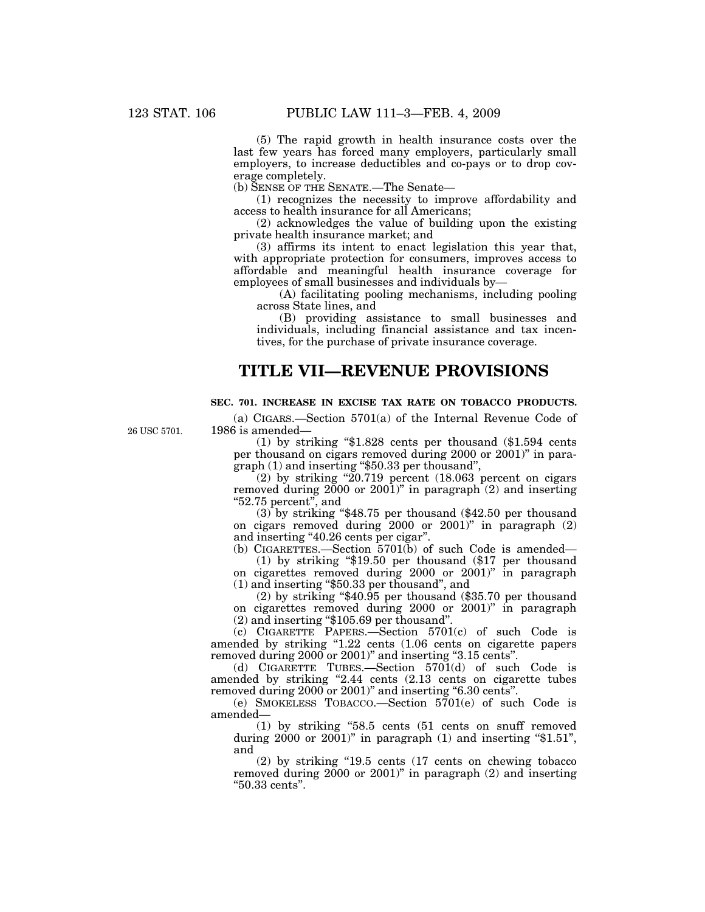26 USC 5701.

(5) The rapid growth in health insurance costs over the last few years has forced many employers, particularly small employers, to increase deductibles and co-pays or to drop coverage completely.

(b) SENSE OF THE SENATE.—The Senate—

(1) recognizes the necessity to improve affordability and access to health insurance for all Americans;

(2) acknowledges the value of building upon the existing private health insurance market; and

(3) affirms its intent to enact legislation this year that, with appropriate protection for consumers, improves access to affordable and meaningful health insurance coverage for employees of small businesses and individuals by—

(A) facilitating pooling mechanisms, including pooling across State lines, and

(B) providing assistance to small businesses and individuals, including financial assistance and tax incentives, for the purchase of private insurance coverage.

## **TITLE VII—REVENUE PROVISIONS**

## **SEC. 701. INCREASE IN EXCISE TAX RATE ON TOBACCO PRODUCTS.**

(a) CIGARS.—Section 5701(a) of the Internal Revenue Code of 1986 is amended—

(1) by striking ''\$1.828 cents per thousand (\$1.594 cents per thousand on cigars removed during 2000 or 2001)'' in paragraph (1) and inserting ''\$50.33 per thousand'',

(2) by striking " $20.719$  percent (18.063 percent on cigars removed during  $2000$  or  $2001$ )" in paragraph (2) and inserting ''52.75 percent'', and

 $(3)$  by striking "\$48.75 per thousand (\$42.50 per thousand on cigars removed during 2000 or 2001)'' in paragraph (2) and inserting "40.26 cents per cigar".

(b) CIGARETTES.—Section 5701(b) of such Code is amended—

(1) by striking ''\$19.50 per thousand (\$17 per thousand on cigarettes removed during 2000 or 2001)'' in paragraph (1) and inserting ''\$50.33 per thousand'', and

(2) by striking ''\$40.95 per thousand (\$35.70 per thousand on cigarettes removed during 2000 or 2001)'' in paragraph (2) and inserting ''\$105.69 per thousand''.

(c) CIGARETTE PAPERS.—Section 5701(c) of such Code is amended by striking "1.22 cents (1.06 cents on cigarette papers removed during 2000 or 2001)'' and inserting ''3.15 cents''.

(d) CIGARETTE TUBES.—Section 5701(d) of such Code is amended by striking "2.44 cents (2.13 cents on cigarette tubes removed during 2000 or 2001)" and inserting "6.30 cents".

(e) SMOKELESS TOBACCO.—Section 5701(e) of such Code is amended—

(1) by striking ''58.5 cents (51 cents on snuff removed during  $2000$  or  $2001$ " in paragraph  $(1)$  and inserting "\$1.51", and

(2) by striking ''19.5 cents (17 cents on chewing tobacco removed during  $2000$  or  $2001$ " in paragraph  $(2)$  and inserting ''50.33 cents''.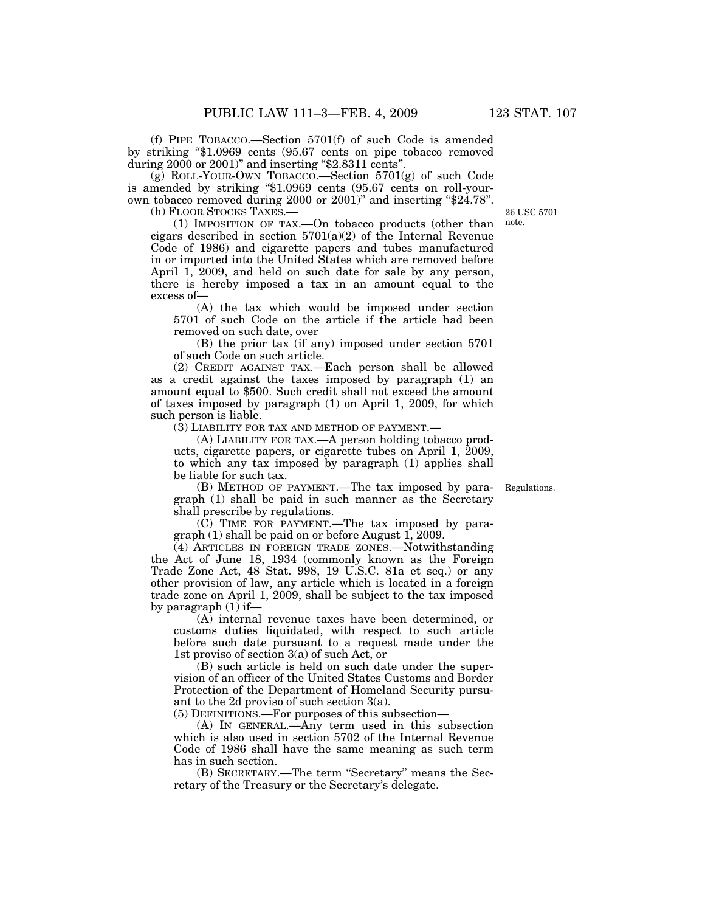(f) PIPE TOBACCO.—Section 5701(f) of such Code is amended by striking ''\$1.0969 cents (95.67 cents on pipe tobacco removed during 2000 or 2001)" and inserting "\$2.8311 cents".

(g) ROLL-YOUR-OWN TOBACCO.—Section 5701(g) of such Code is amended by striking "\$1.0969 cents (95.67 cents on roll-yourown tobacco removed during 2000 or 2001)'' and inserting ''\$24.78''. (h) FLOOR STOCKS TAXES.—

26 USC 5701 note.

(1) IMPOSITION OF TAX.—On tobacco products (other than cigars described in section  $5701(a)(2)$  of the Internal Revenue Code of 1986) and cigarette papers and tubes manufactured in or imported into the United States which are removed before April 1, 2009, and held on such date for sale by any person, there is hereby imposed a tax in an amount equal to the excess of—

(A) the tax which would be imposed under section 5701 of such Code on the article if the article had been removed on such date, over

(B) the prior tax (if any) imposed under section 5701 of such Code on such article.

(2) CREDIT AGAINST TAX.—Each person shall be allowed as a credit against the taxes imposed by paragraph (1) an amount equal to \$500. Such credit shall not exceed the amount of taxes imposed by paragraph (1) on April 1, 2009, for which such person is liable.

(3) LIABILITY FOR TAX AND METHOD OF PAYMENT.—

(A) LIABILITY FOR TAX.—A person holding tobacco products, cigarette papers, or cigarette tubes on April 1, 2009, to which any tax imposed by paragraph (1) applies shall be liable for such tax.

Regulations.

(B) METHOD OF PAYMENT.—The tax imposed by paragraph (1) shall be paid in such manner as the Secretary shall prescribe by regulations.

(C) TIME FOR PAYMENT.—The tax imposed by paragraph (1) shall be paid on or before August 1, 2009.

(4) ARTICLES IN FOREIGN TRADE ZONES.—Notwithstanding the Act of June 18, 1934 (commonly known as the Foreign Trade Zone Act, 48 Stat. 998, 19 U.S.C. 81a et seq.) or any other provision of law, any article which is located in a foreign trade zone on April 1, 2009, shall be subject to the tax imposed by paragraph (1) if—

(A) internal revenue taxes have been determined, or customs duties liquidated, with respect to such article before such date pursuant to a request made under the 1st proviso of section 3(a) of such Act, or

(B) such article is held on such date under the supervision of an officer of the United States Customs and Border Protection of the Department of Homeland Security pursuant to the 2d proviso of such section 3(a).

(5) DEFINITIONS.—For purposes of this subsection—

(A) IN GENERAL.—Any term used in this subsection which is also used in section 5702 of the Internal Revenue Code of 1986 shall have the same meaning as such term has in such section.

(B) SECRETARY.—The term ''Secretary'' means the Secretary of the Treasury or the Secretary's delegate.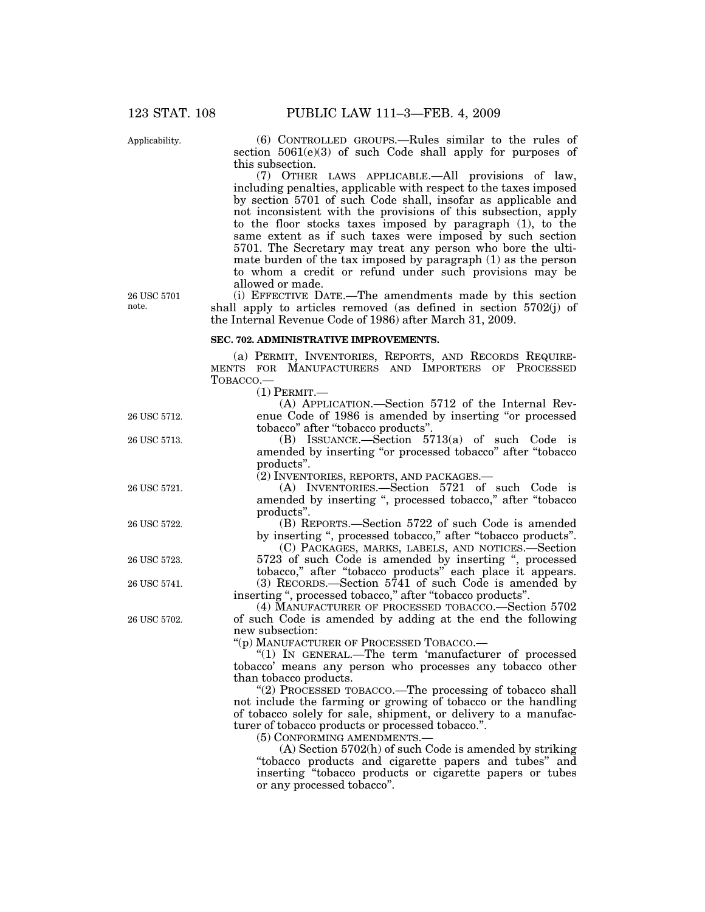Applicability.

(6) CONTROLLED GROUPS.—Rules similar to the rules of section 5061(e)(3) of such Code shall apply for purposes of this subsection.

(7) OTHER LAWS APPLICABLE.—All provisions of law, including penalties, applicable with respect to the taxes imposed by section 5701 of such Code shall, insofar as applicable and not inconsistent with the provisions of this subsection, apply to the floor stocks taxes imposed by paragraph  $(1)$ , to the same extent as if such taxes were imposed by such section 5701. The Secretary may treat any person who bore the ultimate burden of the tax imposed by paragraph (1) as the person to whom a credit or refund under such provisions may be allowed or made.

(i) EFFECTIVE DATE.—The amendments made by this section shall apply to articles removed (as defined in section 5702(j) of the Internal Revenue Code of 1986) after March 31, 2009.

#### **SEC. 702. ADMINISTRATIVE IMPROVEMENTS.**

(a) PERMIT, INVENTORIES, REPORTS, AND RECORDS REQUIRE-MENTS FOR MANUFACTURERS AND IMPORTERS OF PROCESSED TOBACCO.—

 $(1)$  Pepmit.

|              | , 1 JUNIUI 1,                                                   |
|--------------|-----------------------------------------------------------------|
|              | (A) APPLICATION.—Section 5712 of the Internal Rev-              |
| 26 USC 5712. | enue Code of 1986 is amended by inserting "or processed         |
|              | tobacco" after "tobacco products".                              |
| 26 USC 5713. | (B) ISSUANCE.—Section $5713(a)$ of such Code is                 |
|              | amended by inserting "or processed tobacco" after "tobacco"     |
|              | products".                                                      |
|              | (2) INVENTORIES, REPORTS, AND PACKAGES.-                        |
| 26 USC 5721. | (A) INVENTORIES.—Section 5721 of such Code is                   |
|              | amended by inserting ", processed tobacco," after "tobacco      |
|              | products".                                                      |
| 26 USC 5722. | (B) REPORTS.—Section 5722 of such Code is amended               |
|              | by inserting ", processed tobacco," after "tobacco products".   |
|              | (C) PACKAGES, MARKS, LABELS, AND NOTICES.—Section               |
| 26 USC 5723. | 5723 of such Code is amended by inserting ", processed          |
|              | tobacco," after "tobacco products" each place it appears.       |
| 26 USC 5741. | (3) RECORDS.-Section 5741 of such Code is amended by            |
|              | inserting", processed tobacco," after "tobacco products".       |
|              | (4) MANUFACTURER OF PROCESSED TOBACCO.—Section 5702             |
| 26 USC 5702. | of such Code is amended by adding at the end the following      |
|              | new subsection:                                                 |
|              | "(p) MANUFACTURER OF PROCESSED TOBACCO.—                        |
|              | "(1) IN GENERAL.—The term 'manufacturer of processed            |
|              | tobacco' means any person who processes any tobacco other       |
|              | than tobacco products.                                          |
|              | "(2) PROCESSED TOBACCO.—The processing of tobacco shall         |
|              | not include the farming or growing of tobacco or the handling   |
|              | of tobacco solely for sale, shipment, or delivery to a manufac- |
|              | turer of tobacco products or processed tobacco.".               |

(5) CONFORMING AMENDMENTS.—

(A) Section 5702(h) of such Code is amended by striking ''tobacco products and cigarette papers and tubes'' and inserting ''tobacco products or cigarette papers or tubes or any processed tobacco''.

26 USC 5701 note.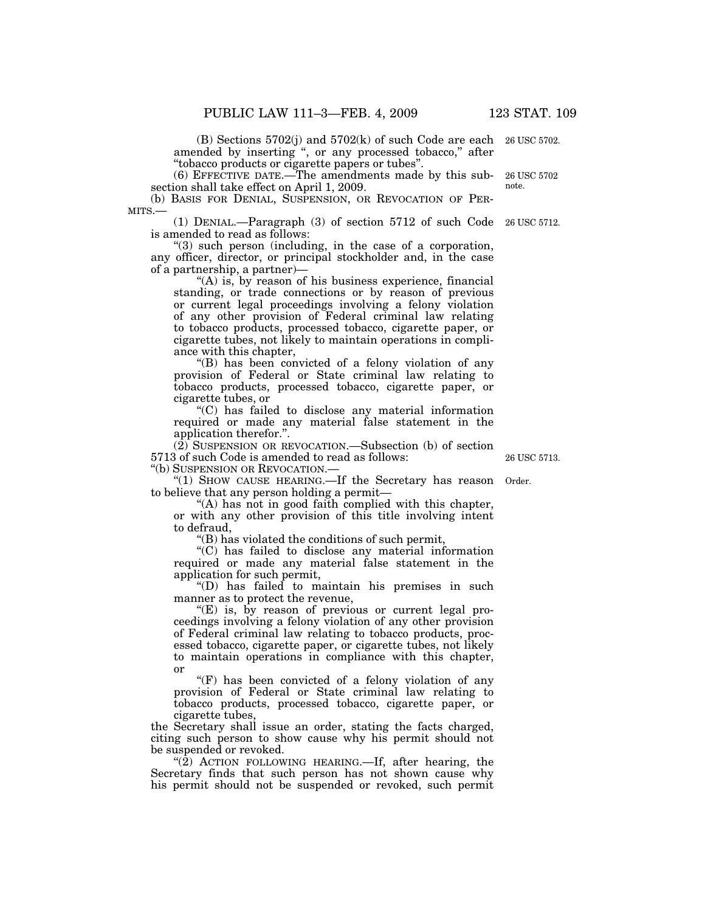(B) Sections 5702(j) and 5702(k) of such Code are each amended by inserting ", or any processed tobacco," after ''tobacco products or cigarette papers or tubes''.

(6) EFFECTIVE DATE.—The amendments made by this subsection shall take effect on April 1, 2009.

(b) BASIS FOR DENIAL, SUSPENSION, OR REVOCATION OF PER-MITS.—

(1) DENIAL.—Paragraph (3) of section 5712 of such Code 26 USC 5712. is amended to read as follows:

''(3) such person (including, in the case of a corporation, any officer, director, or principal stockholder and, in the case of a partnership, a partner)—

" $(A)$  is, by reason of his business experience, financial standing, or trade connections or by reason of previous or current legal proceedings involving a felony violation of any other provision of Federal criminal law relating to tobacco products, processed tobacco, cigarette paper, or cigarette tubes, not likely to maintain operations in compliance with this chapter,

''(B) has been convicted of a felony violation of any provision of Federal or State criminal law relating to tobacco products, processed tobacco, cigarette paper, or cigarette tubes, or

''(C) has failed to disclose any material information required or made any material false statement in the application therefor.''.

(2) SUSPENSION OR REVOCATION.—Subsection (b) of section 5713 of such Code is amended to read as follows:

''(b) SUSPENSION OR REVOCATION.—

"(1) SHOW CAUSE HEARING.—If the Secretary has reason to believe that any person holding a permit— Order.

"(A) has not in good faith complied with this chapter, or with any other provision of this title involving intent to defraud,

''(B) has violated the conditions of such permit,

''(C) has failed to disclose any material information required or made any material false statement in the application for such permit,

''(D) has failed to maintain his premises in such manner as to protect the revenue,

"(E) is, by reason of previous or current legal proceedings involving a felony violation of any other provision of Federal criminal law relating to tobacco products, processed tobacco, cigarette paper, or cigarette tubes, not likely to maintain operations in compliance with this chapter, or

" $(F)$  has been convicted of a felony violation of any provision of Federal or State criminal law relating to tobacco products, processed tobacco, cigarette paper, or cigarette tubes,

the Secretary shall issue an order, stating the facts charged, citing such person to show cause why his permit should not be suspended or revoked.

" $(2)$  ACTION FOLLOWING HEARING.—If, after hearing, the Secretary finds that such person has not shown cause why his permit should not be suspended or revoked, such permit

26 USC 5713.

26 USC 5702 note.

26 USC 5702.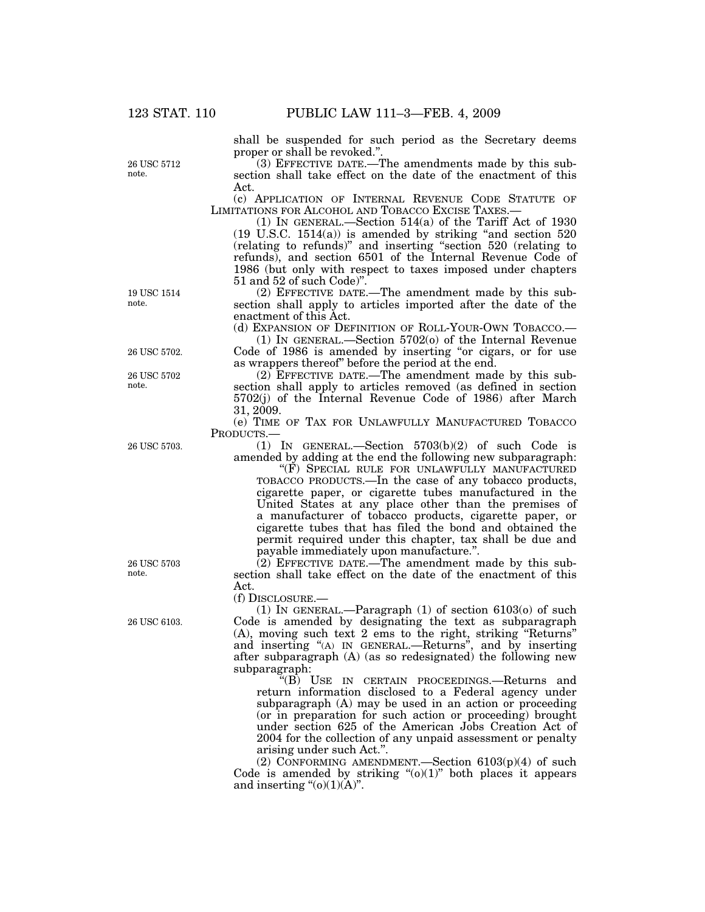26 USC 5712 note.

shall be suspended for such period as the Secretary deems proper or shall be revoked.''.

(3) EFFECTIVE DATE.—The amendments made by this subsection shall take effect on the date of the enactment of this Act.

(c) APPLICATION OF INTERNAL REVENUE CODE STATUTE OF LIMITATIONS FOR ALCOHOL AND TOBACCO EXCISE TAXES.—

(1) IN GENERAL.—Section 514(a) of the Tariff Act of 1930  $(19 \text{ U.S.C. } 1514(a))$  is amended by striking "and section  $520$ (relating to refunds)'' and inserting ''section 520 (relating to refunds), and section 6501 of the Internal Revenue Code of 1986 (but only with respect to taxes imposed under chapters 51 and 52 of such Code)''.

(2) EFFECTIVE DATE.—The amendment made by this subsection shall apply to articles imported after the date of the enactment of this Act.

(d) EXPANSION OF DEFINITION OF ROLL-YOUR-OWN TOBACCO.—

(1) IN GENERAL.—Section 5702(o) of the Internal Revenue Code of 1986 is amended by inserting ''or cigars, or for use as wrappers thereof'' before the period at the end.

(2) EFFECTIVE DATE.—The amendment made by this subsection shall apply to articles removed (as defined in section 5702(j) of the Internal Revenue Code of 1986) after March 31, 2009.

(e) TIME OF TAX FOR UNLAWFULLY MANUFACTURED TOBACCO PRODUCTS.—

(1) IN GENERAL.—Section 5703(b)(2) of such Code is amended by adding at the end the following new subparagraph:

''(F) SPECIAL RULE FOR UNLAWFULLY MANUFACTURED TOBACCO PRODUCTS.—In the case of any tobacco products, cigarette paper, or cigarette tubes manufactured in the United States at any place other than the premises of a manufacturer of tobacco products, cigarette paper, or cigarette tubes that has filed the bond and obtained the permit required under this chapter, tax shall be due and payable immediately upon manufacture.''.

 $(2)$  EFFECTIVE DATE.—The amendment made by this subsection shall take effect on the date of the enactment of this Act.

(f) DISCLOSURE.—

(1) IN GENERAL.—Paragraph  $(1)$  of section 6103 $(0)$  of such Code is amended by designating the text as subparagraph (A), moving such text 2 ems to the right, striking ''Returns'' and inserting ''(A) IN GENERAL.—Returns'', and by inserting after subparagraph (A) (as so redesignated) the following new subparagraph:

''(B) USE IN CERTAIN PROCEEDINGS.—Returns and return information disclosed to a Federal agency under subparagraph (A) may be used in an action or proceeding (or in preparation for such action or proceeding) brought under section 625 of the American Jobs Creation Act of 2004 for the collection of any unpaid assessment or penalty arising under such Act.''.

(2) CONFORMING AMENDMENT.—Section 6103(p)(4) of such Code is amended by striking " $(0)(1)$ " both places it appears and inserting  $\degree$ (o)(1)(A)".

19 USC 1514 note.

26 USC 5702

26 USC 5702 note.

26 USC 5703.

26 USC 5703 note.

26 USC 6103.